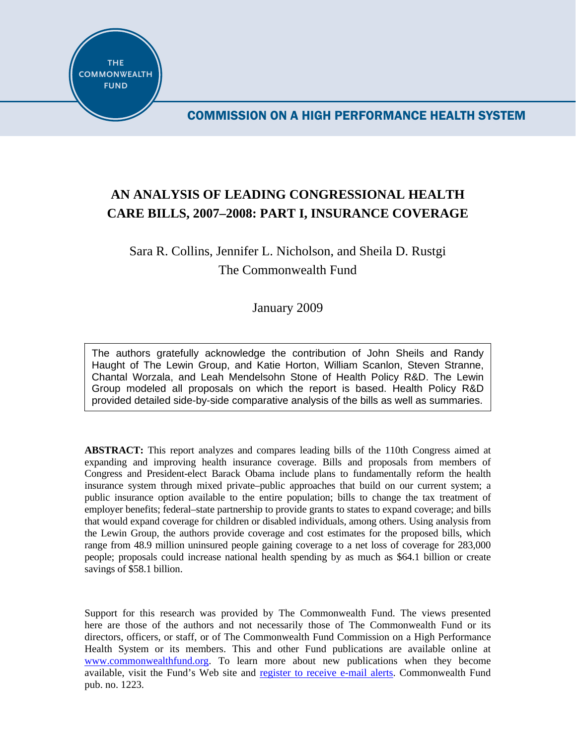

COMMISSION ON A HIGH PERFORMANCE HEALTH SYSTEM

# **AN ANALYSIS OF LEADING CONGRESSIONAL HEALTH CARE BILLS, 2007–2008: PART I, INSURANCE COVERAGE**

# Sara R. Collins, Jennifer L. Nicholson, and Sheila D. Rustgi The Commonwealth Fund

January 2009

The authors gratefully acknowledge the contribution of John Sheils and Randy Haught of The Lewin Group, and Katie Horton, William Scanlon, Steven Stranne, Chantal Worzala, and Leah Mendelsohn Stone of Health Policy R&D. The Lewin Group modeled all proposals on which the report is based. Health Policy R&D provided detailed side-by-side comparative analysis of the bills as well as summaries.

**ABSTRACT:** This report analyzes and compares leading bills of the 110th Congress aimed at expanding and improving health insurance coverage. Bills and proposals from members of Congress and President-elect Barack Obama include plans to fundamentally reform the health insurance system through mixed private–public approaches that build on our current system; a public insurance option available to the entire population; bills to change the tax treatment of employer benefits; federal–state partnership to provide grants to states to expand coverage; and bills that would expand coverage for children or disabled individuals, among others. Using analysis from the Lewin Group, the authors provide coverage and cost estimates for the proposed bills, which range from 48.9 million uninsured people gaining coverage to a net loss of coverage for 283,000 people; proposals could increase national health spending by as much as \$64.1 billion or create savings of \$58.1 billion.

Support for this research was provided by The Commonwealth Fund. The views presented here are those of the authors and not necessarily those of The Commonwealth Fund or its directors, officers, or staff, or of The Commonwealth Fund Commission on a High Performance Health System or its members. This and other Fund publications are available online at [www.commonwealthfund.org](http://www.commonwealthfund.org/). To learn more about new publications when they become available, visit the Fund's Web site and [register to receive e-mail alerts.](http://www.commonwealthfund.org/myprofile/myprofile_edit.htm) Commonwealth Fund pub. no. 1223.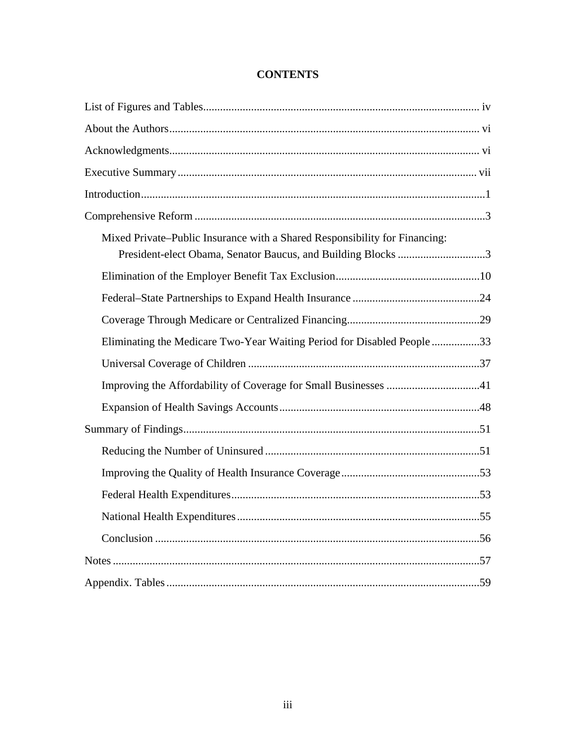| Mixed Private–Public Insurance with a Shared Responsibility for Financing:<br>President-elect Obama, Senator Baucus, and Building Blocks 3 |
|--------------------------------------------------------------------------------------------------------------------------------------------|
|                                                                                                                                            |
|                                                                                                                                            |
|                                                                                                                                            |
| Eliminating the Medicare Two-Year Waiting Period for Disabled People 33                                                                    |
|                                                                                                                                            |
|                                                                                                                                            |
|                                                                                                                                            |
|                                                                                                                                            |
|                                                                                                                                            |
|                                                                                                                                            |
|                                                                                                                                            |
|                                                                                                                                            |
|                                                                                                                                            |
|                                                                                                                                            |
|                                                                                                                                            |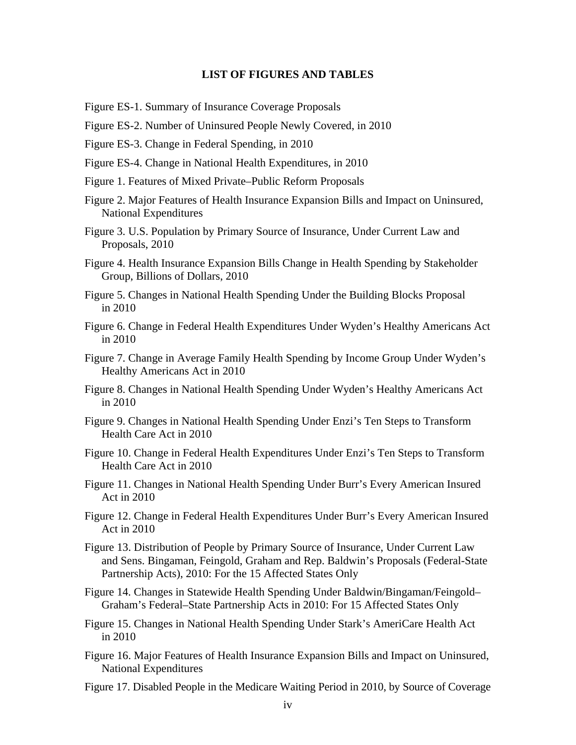#### **LIST OF FIGURES AND TABLES**

- Figure ES-1. Summary of Insurance Coverage Proposals
- Figure ES-2. Number of Uninsured People Newly Covered, in 2010
- Figure ES-3. Change in Federal Spending, in 2010
- Figure ES-4. Change in National Health Expenditures, in 2010
- Figure 1. Features of Mixed Private–Public Reform Proposals
- Figure 2. Major Features of Health Insurance Expansion Bills and Impact on Uninsured, National Expenditures
- Figure 3. U.S. Population by Primary Source of Insurance, Under Current Law and Proposals, 2010
- Figure 4. Health Insurance Expansion Bills Change in Health Spending by Stakeholder Group, Billions of Dollars, 2010
- Figure 5. Changes in National Health Spending Under the Building Blocks Proposal in 2010
- Figure 6. Change in Federal Health Expenditures Under Wyden's Healthy Americans Act in 2010
- Figure 7. Change in Average Family Health Spending by Income Group Under Wyden's Healthy Americans Act in 2010
- Figure 8. Changes in National Health Spending Under Wyden's Healthy Americans Act in 2010
- Figure 9. Changes in National Health Spending Under Enzi's Ten Steps to Transform Health Care Act in 2010
- Figure 10. Change in Federal Health Expenditures Under Enzi's Ten Steps to Transform Health Care Act in 2010
- Figure 11. Changes in National Health Spending Under Burr's Every American Insured Act in 2010
- Figure 12. Change in Federal Health Expenditures Under Burr's Every American Insured Act in 2010
- Figure 13. Distribution of People by Primary Source of Insurance, Under Current Law and Sens. Bingaman, Feingold, Graham and Rep. Baldwin's Proposals (Federal-State Partnership Acts), 2010: For the 15 Affected States Only
- Figure 14. Changes in Statewide Health Spending Under Baldwin/Bingaman/Feingold– Graham's Federal–State Partnership Acts in 2010: For 15 Affected States Only
- Figure 15. Changes in National Health Spending Under Stark's AmeriCare Health Act in 2010
- Figure 16. Major Features of Health Insurance Expansion Bills and Impact on Uninsured, National Expenditures
- Figure 17. Disabled People in the Medicare Waiting Period in 2010, by Source of Coverage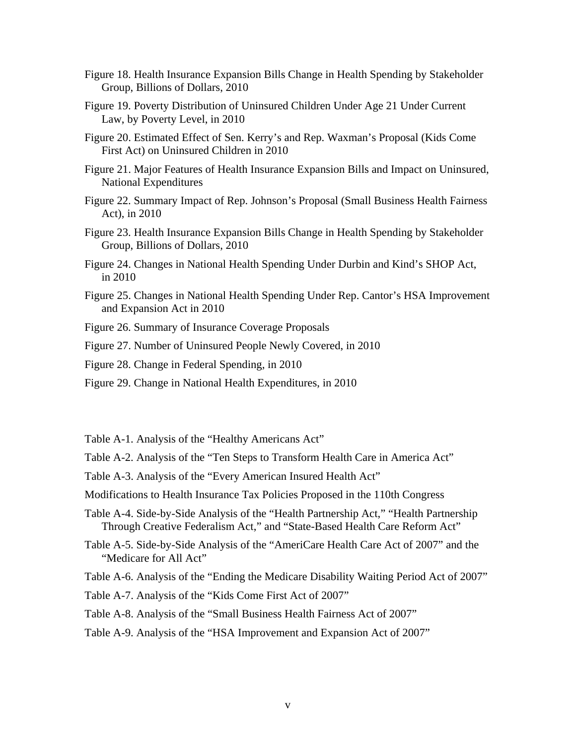- Figure 18. Health Insurance Expansion Bills Change in Health Spending by Stakeholder Group, Billions of Dollars, 2010
- Figure 19. Poverty Distribution of Uninsured Children Under Age 21 Under Current Law, by Poverty Level, in 2010
- Figure 20. Estimated Effect of Sen. Kerry's and Rep. Waxman's Proposal (Kids Come First Act) on Uninsured Children in 2010
- Figure 21. Major Features of Health Insurance Expansion Bills and Impact on Uninsured, National Expenditures
- Figure 22. Summary Impact of Rep. Johnson's Proposal (Small Business Health Fairness Act), in 2010
- Figure 23. Health Insurance Expansion Bills Change in Health Spending by Stakeholder Group, Billions of Dollars, 2010
- Figure 24. Changes in National Health Spending Under Durbin and Kind's SHOP Act, in 2010
- Figure 25. Changes in National Health Spending Under Rep. Cantor's HSA Improvement and Expansion Act in 2010
- Figure 26. Summary of Insurance Coverage Proposals
- Figure 27. Number of Uninsured People Newly Covered, in 2010
- Figure 28. Change in Federal Spending, in 2010
- Figure 29. Change in National Health Expenditures, in 2010
- Table A-1. Analysis of the "Healthy Americans Act"
- Table A-2. Analysis of the "Ten Steps to Transform Health Care in America Act"
- Table A-3. Analysis of the "Every American Insured Health Act"
- Modifications to Health Insurance Tax Policies Proposed in the 110th Congress
- Table A-4. Side-by-Side Analysis of the "Health Partnership Act," "Health Partnership Through Creative Federalism Act," and "State-Based Health Care Reform Act"
- Table A-5. Side-by-Side Analysis of the "AmeriCare Health Care Act of 2007" and the "Medicare for All Act"
- Table A-6. Analysis of the "Ending the Medicare Disability Waiting Period Act of 2007"
- Table A-7. Analysis of the "Kids Come First Act of 2007"
- Table A-8. Analysis of the "Small Business Health Fairness Act of 2007"
- Table A-9. Analysis of the "HSA Improvement and Expansion Act of 2007"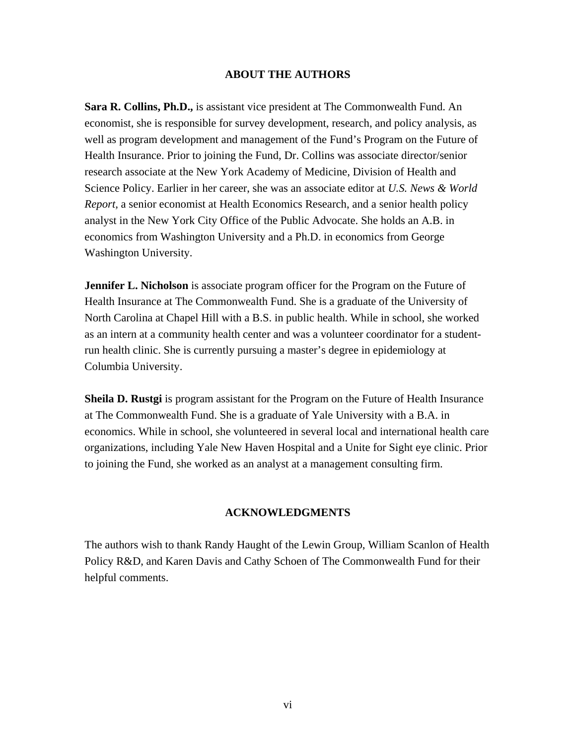#### **ABOUT THE AUTHORS**

**Sara R. Collins, Ph.D.,** is assistant vice president at The Commonwealth Fund. An economist, she is responsible for survey development, research, and policy analysis, as well as program development and management of the Fund's Program on the Future of Health Insurance. Prior to joining the Fund, Dr. Collins was associate director/senior research associate at the New York Academy of Medicine, Division of Health and Science Policy. Earlier in her career, she was an associate editor at *U.S. News & World Report,* a senior economist at Health Economics Research, and a senior health policy analyst in the New York City Office of the Public Advocate. She holds an A.B. in economics from Washington University and a Ph.D. in economics from George Washington University.

**Jennifer L. Nicholson** is associate program officer for the Program on the Future of Health Insurance at The Commonwealth Fund. She is a graduate of the University of North Carolina at Chapel Hill with a B.S. in public health. While in school, she worked as an intern at a community health center and was a volunteer coordinator for a studentrun health clinic. She is currently pursuing a master's degree in epidemiology at Columbia University.

**Sheila D. Rustgi** is program assistant for the Program on the Future of Health Insurance at The Commonwealth Fund. She is a graduate of Yale University with a B.A. in economics. While in school, she volunteered in several local and international health care organizations, including Yale New Haven Hospital and a Unite for Sight eye clinic. Prior to joining the Fund, she worked as an analyst at a management consulting firm.

#### **ACKNOWLEDGMENTS**

The authors wish to thank Randy Haught of the Lewin Group, William Scanlon of Health Policy R&D, and Karen Davis and Cathy Schoen of The Commonwealth Fund for their helpful comments.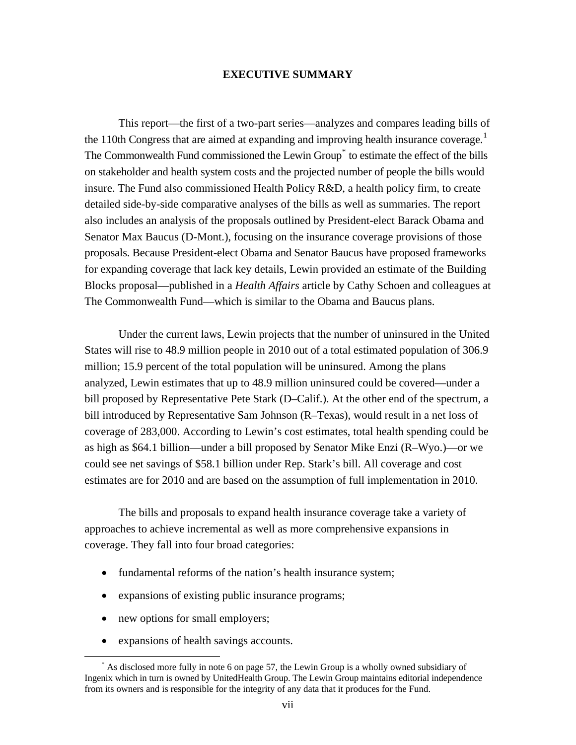#### **EXECUTIVE SUMMARY**

This report—the first of a two-part series—analyzes and compares leading bills of the [1](#page-6-0)10th Congress that are aimed at expanding and improving health insurance coverage.<sup>1</sup> The Commonwealth Fund commissioned the Lewin Group<sup>[\\*](#page-6-0)</sup> to estimate the effect of the bills on stakeholder and health system costs and the projected number of people the bills would insure. The Fund also commissioned Health Policy R&D, a health policy firm, to create detailed side-by-side comparative analyses of the bills as well as summaries. The report also includes an analysis of the proposals outlined by President-elect Barack Obama and Senator Max Baucus (D-Mont.), focusing on the insurance coverage provisions of those proposals. Because President-elect Obama and Senator Baucus have proposed frameworks for expanding coverage that lack key details, Lewin provided an estimate of the Building Blocks proposal—published in a *Health Affairs* article by Cathy Schoen and colleagues at The Commonwealth Fund—which is similar to the Obama and Baucus plans.

Under the current laws, Lewin projects that the number of uninsured in the United States will rise to 48.9 million people in 2010 out of a total estimated population of 306.9 million; 15.9 percent of the total population will be uninsured. Among the plans analyzed, Lewin estimates that up to 48.9 million uninsured could be covered—under a bill proposed by Representative Pete Stark (D–Calif.). At the other end of the spectrum, a bill introduced by Representative Sam Johnson (R–Texas), would result in a net loss of coverage of 283,000. According to Lewin's cost estimates, total health spending could be as high as \$64.1 billion—under a bill proposed by Senator Mike Enzi (R–Wyo.)—or we could see net savings of \$58.1 billion under Rep. Stark's bill. All coverage and cost estimates are for 2010 and are based on the assumption of full implementation in 2010.

The bills and proposals to expand health insurance coverage take a variety of approaches to achieve incremental as well as more comprehensive expansions in coverage. They fall into four broad categories:

- fundamental reforms of the nation's health insurance system;
- expansions of existing public insurance programs;
- new options for small employers;
- expansions of health savings accounts.

<span id="page-6-0"></span> <sup>\*</sup> As disclosed more fully in note 6 on page 57, the Lewin Group is a wholly owned subsidiary of Ingenix which in turn is owned by UnitedHealth Group. The Lewin Group maintains editorial independence from its owners and is responsible for the integrity of any data that it produces for the Fund.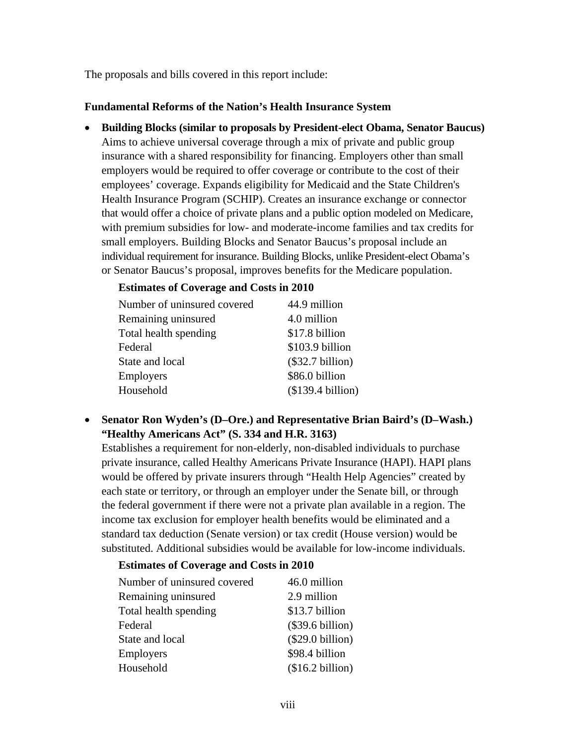The proposals and bills covered in this report include:

## **Fundamental Reforms of the Nation's Health Insurance System**

• **Building Blocks (similar to proposals by President-elect Obama, Senator Baucus)**  Aims to achieve universal coverage through a mix of private and public group insurance with a shared responsibility for financing. Employers other than small employers would be required to offer coverage or contribute to the cost of their employees' coverage. Expands eligibility for Medicaid and the State Children's Health Insurance Program (SCHIP). Creates an insurance exchange or connector that would offer a choice of private plans and a public option modeled on Medicare, with premium subsidies for low- and moderate-income families and tax credits for small employers. Building Blocks and Senator Baucus's proposal include an individual requirement for insurance. Building Blocks, unlike President-elect Obama's or Senator Baucus's proposal, improves benefits for the Medicare population.

## **Estimates of Coverage and Costs in 2010**

| Number of uninsured covered | 44.9 million       |
|-----------------------------|--------------------|
| Remaining uninsured         | 4.0 million        |
| Total health spending       | \$17.8 billion     |
| Federal                     | \$103.9 billion    |
| State and local             | $(\$32.7 billion)$ |
| <b>Employers</b>            | \$86.0 billion     |
| Household                   | (\$139.4 billion)  |

## • **Senator Ron Wyden's (D–Ore.) and Representative Brian Baird's (D–Wash.) "Healthy Americans Act" (S. 334 and H.R. 3163)**

Establishes a requirement for non-elderly, non-disabled individuals to purchase private insurance, called Healthy Americans Private Insurance (HAPI). HAPI plans would be offered by private insurers through "Health Help Agencies" created by each state or territory, or through an employer under the Senate bill, or through the federal government if there were not a private plan available in a region. The income tax exclusion for employer health benefits would be eliminated and a standard tax deduction (Senate version) or tax credit (House version) would be substituted. Additional subsidies would be available for low-income individuals.

### **Estimates of Coverage and Costs in 2010**

| Number of uninsured covered | 46.0 million       |
|-----------------------------|--------------------|
| Remaining uninsured         | 2.9 million        |
| Total health spending       | \$13.7 billion     |
| Federal                     | $(\$39.6 billion)$ |
| State and local             | $(\$29.0 billion)$ |
| <b>Employers</b>            | \$98.4 billion     |
| Household                   | (\$16.2 billion)   |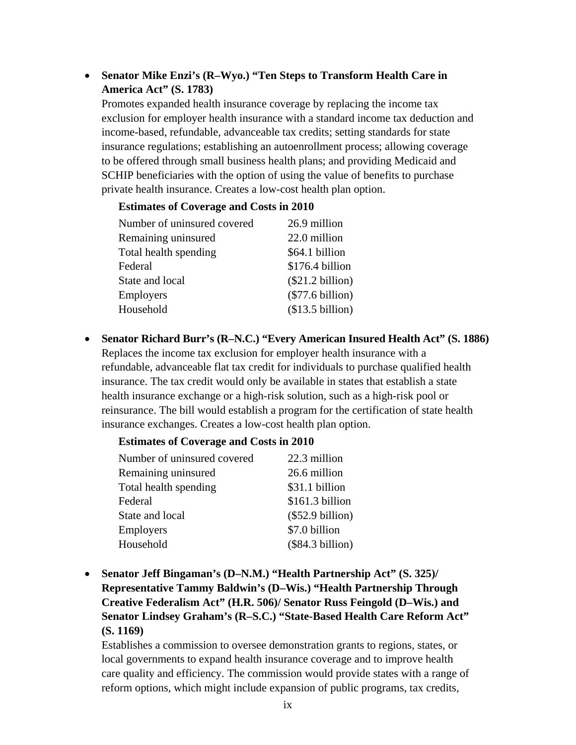## • **Senator Mike Enzi's (R–Wyo.) "Ten Steps to Transform Health Care in America Act" (S. 1783)**

Promotes expanded health insurance coverage by replacing the income tax exclusion for employer health insurance with a standard income tax deduction and income-based, refundable, advanceable tax credits; setting standards for state insurance regulations; establishing an autoenrollment process; allowing coverage to be offered through small business health plans; and providing Medicaid and SCHIP beneficiaries with the option of using the value of benefits to purchase private health insurance. Creates a low-cost health plan option.

### **Estimates of Coverage and Costs in 2010**

| Number of uninsured covered | 26.9 million       |
|-----------------------------|--------------------|
| Remaining uninsured         | 22.0 million       |
| Total health spending       | \$64.1 billion     |
| Federal                     | \$176.4 billion    |
| State and local             | $(\$21.2 billion)$ |
| Employers                   | $(\$77.6 billion)$ |
| Household                   | (\$13.5 billion)   |
|                             |                    |

• **Senator Richard Burr's (R–N.C.) "Every American Insured Health Act" (S. 1886)**  Replaces the income tax exclusion for employer health insurance with a refundable, advanceable flat tax credit for individuals to purchase qualified health insurance. The tax credit would only be available in states that establish a state health insurance exchange or a high-risk solution, such as a high-risk pool or reinsurance. The bill would establish a program for the certification of state health insurance exchanges. Creates a low-cost health plan option.

### **Estimates of Coverage and Costs in 2010**

| Number of uninsured covered | 22.3 million       |
|-----------------------------|--------------------|
| Remaining uninsured         | 26.6 million       |
| Total health spending       | \$31.1 billion     |
| Federal                     | \$161.3 billion    |
| State and local             | $(\$52.9 billion)$ |
| <b>Employers</b>            | \$7.0 billion      |
| Household                   | $(\$84.3 billion)$ |

• **Senator Jeff Bingaman's (D–N.M.) "Health Partnership Act" (S. 325)/ Representative Tammy Baldwin's (D–Wis.) "Health Partnership Through Creative Federalism Act" (H.R. 506)/ Senator Russ Feingold (D–Wis.) and Senator Lindsey Graham's (R–S.C.) "State-Based Health Care Reform Act" (S. 1169)** 

Establishes a commission to oversee demonstration grants to regions, states, or local governments to expand health insurance coverage and to improve health care quality and efficiency. The commission would provide states with a range of reform options, which might include expansion of public programs, tax credits,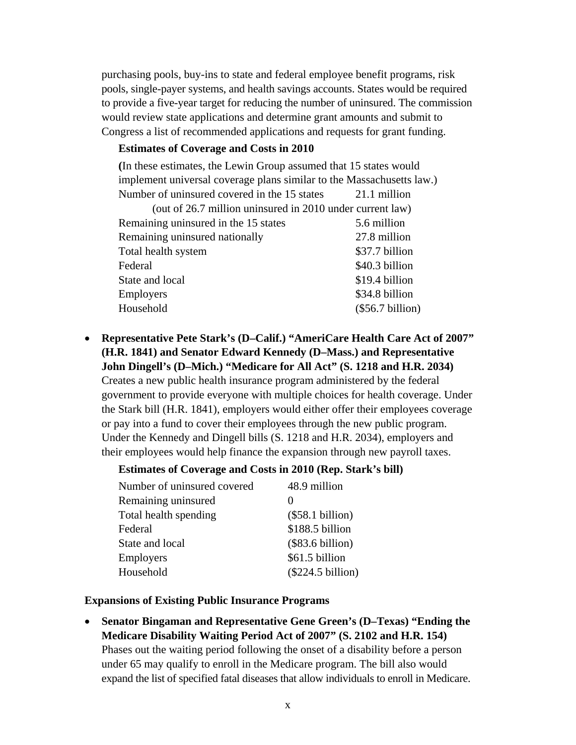purchasing pools, buy-ins to state and federal employee benefit programs, risk pools, single-payer systems, and health savings accounts. States would be required to provide a five-year target for reducing the number of uninsured. The commission would review state applications and determine grant amounts and submit to Congress a list of recommended applications and requests for grant funding.

#### **Estimates of Coverage and Costs in 2010**

**(**In these estimates, the Lewin Group assumed that 15 states would implement universal coverage plans similar to the Massachusetts law.) Number of uninsured covered in the 15 states 21.1 million (out of 26.7 million uninsured in 2010 under current law) Remaining uninsured in the 15 states 5.6 million Remaining uninsured nationally 27.8 million Total health system  $$37.7$  billion Federal \$40.3 billion State and local \$19.4 billion Employers \$34.8 billion Household (\$56.7 billion)

## • **Representative Pete Stark's (D–Calif.) "AmeriCare Health Care Act of 2007" (H.R. 1841) and Senator Edward Kennedy (D–Mass.) and Representative John Dingell's (D–Mich.) "Medicare for All Act" (S. 1218 and H.R. 2034)**

Creates a new public health insurance program administered by the federal government to provide everyone with multiple choices for health coverage. Under the Stark bill (H.R. 1841), employers would either offer their employees coverage or pay into a fund to cover their employees through the new public program. Under the Kennedy and Dingell bills (S. 1218 and H.R. 2034), employers and their employees would help finance the expansion through new payroll taxes.

### **Estimates of Coverage and Costs in 2010 (Rep. Stark's bill)**

| 48.9 million        |
|---------------------|
|                     |
| $(\$58.1 billion)$  |
| \$188.5 billion     |
| $(\$83.6 billion)$  |
| \$61.5 billion      |
| $(\$224.5 billion)$ |
|                     |

#### **Expansions of Existing Public Insurance Programs**

• **Senator Bingaman and Representative Gene Green's (D–Texas) "Ending the Medicare Disability Waiting Period Act of 2007" (S. 2102 and H.R. 154)**  Phases out the waiting period following the onset of a disability before a person under 65 may qualify to enroll in the Medicare program. The bill also would expand the list of specified fatal diseases that allow individuals to enroll in Medicare.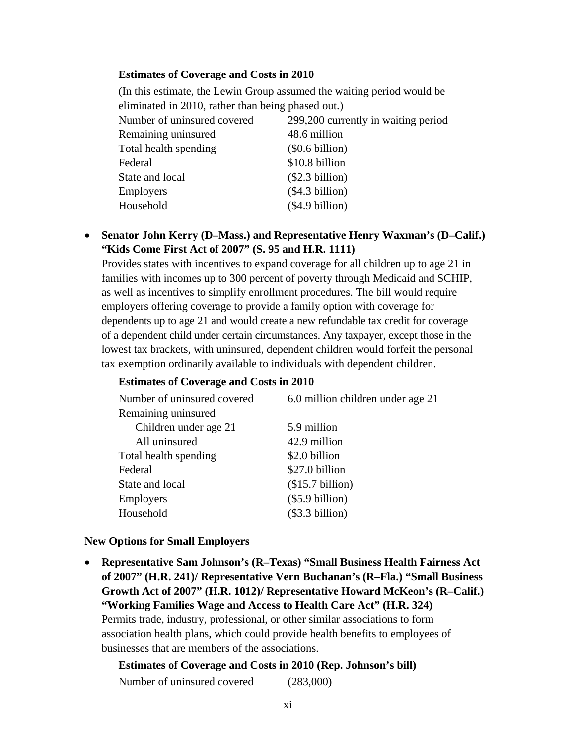### **Estimates of Coverage and Costs in 2010**

(In this estimate, the Lewin Group assumed the waiting period would be eliminated in 2010, rather than being phased out.)

| Number of uninsured covered | 299,200 currently in waiting period |
|-----------------------------|-------------------------------------|
| Remaining uninsured         | 48.6 million                        |
| Total health spending       | $(\$0.6 billion)$                   |
| Federal                     | \$10.8 billion                      |
| State and local             | (\$2.3 billion)                     |
| <b>Employers</b>            | (\$4.3 billion)                     |
| Household                   | (\$4.9 billion)                     |

## • **Senator John Kerry (D–Mass.) and Representative Henry Waxman's (D–Calif.) "Kids Come First Act of 2007" (S. 95 and H.R. 1111)**

Provides states with incentives to expand coverage for all children up to age 21 in families with incomes up to 300 percent of poverty through Medicaid and SCHIP, as well as incentives to simplify enrollment procedures. The bill would require employers offering coverage to provide a family option with coverage for dependents up to age 21 and would create a new refundable tax credit for coverage of a dependent child under certain circumstances. Any taxpayer, except those in the lowest tax brackets, with uninsured, dependent children would forfeit the personal tax exemption ordinarily available to individuals with dependent children.

### **Estimates of Coverage and Costs in 2010**

| Number of uninsured covered | 6.0 million children under age 21 |
|-----------------------------|-----------------------------------|
| Remaining uninsured         |                                   |
| Children under age 21       | 5.9 million                       |
| All uninsured               | 42.9 million                      |
| Total health spending       | \$2.0 billion                     |
| Federal                     | \$27.0 billion                    |
| State and local             | (\$15.7 billion)                  |
| Employers                   | $(\$5.9 billion)$                 |
| Household                   | (\$3.3 billion)                   |

### **New Options for Small Employers**

• **Representative Sam Johnson's (R–Texas) "Small Business Health Fairness Act of 2007" (H.R. 241)/ Representative Vern Buchanan's (R–Fla.) "Small Business Growth Act of 2007" (H.R. 1012)/ Representative Howard McKeon's (R–Calif.) "Working Families Wage and Access to Health Care Act" (H.R. 324)**  Permits trade, industry, professional, or other similar associations to form association health plans, which could provide health benefits to employees of businesses that are members of the associations.

**Estimates of Coverage and Costs in 2010 (Rep. Johnson's bill)** Number of uninsured covered (283,000)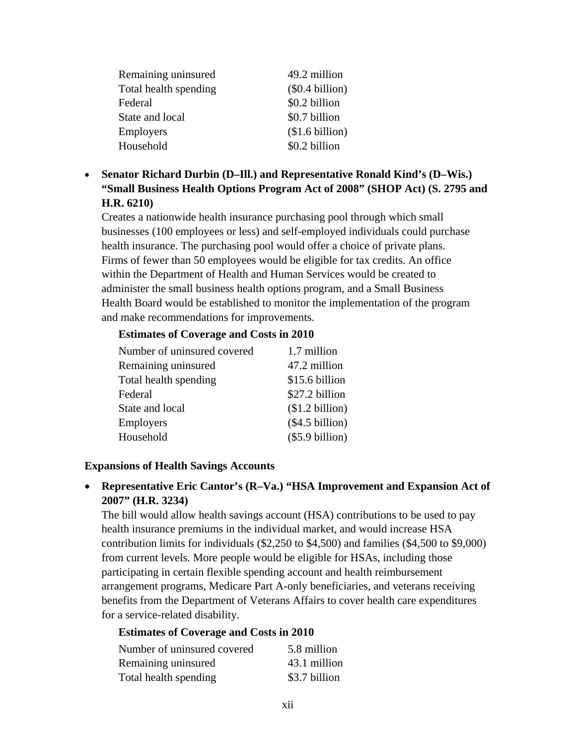| Remaining uninsured   | 49.2 million      |
|-----------------------|-------------------|
| Total health spending | $(\$0.4 billion)$ |
| Federal               | \$0.2 billion     |
| State and local       | \$0.7 billion     |
| Employers             | (\$1.6 billion)   |
| Household             | \$0.2 billion     |

• **Senator Richard Durbin (D–Ill.) and Representative Ronald Kind's (D–Wis.) "Small Business Health Options Program Act of 2008" (SHOP Act) (S. 2795 and H.R. 6210)**

Creates a nationwide health insurance purchasing pool through which small businesses (100 employees or less) and self-employed individuals could purchase health insurance. The purchasing pool would offer a choice of private plans. Firms of fewer than 50 employees would be eligible for tax credits. An office within the Department of Health and Human Services would be created to administer the small business health options program, and a Small Business Health Board would be established to monitor the implementation of the program and make recommendations for improvements.

#### **Estimates of Coverage and Costs in 2010**

| Number of uninsured covered | 1.7 million       |
|-----------------------------|-------------------|
| Remaining uninsured         | 47.2 million      |
| Total health spending       | \$15.6 billion    |
| Federal                     | \$27.2 billion    |
| State and local             | \$1.2 billion)    |
| Employers                   | (\$4.5 billion)   |
| Household                   | $(\$5.9 billion)$ |

### **Expansions of Health Savings Accounts**

• **Representative Eric Cantor's (R–Va.) "HSA Improvement and Expansion Act of 2007" (H.R. 3234)** 

The bill would allow health savings account (HSA) contributions to be used to pay health insurance premiums in the individual market, and would increase HSA contribution limits for individuals (\$2,250 to \$4,500) and families (\$4,500 to \$9,000) from current levels. More people would be eligible for HSAs, including those participating in certain flexible spending account and health reimbursement arrangement programs, Medicare Part A-only beneficiaries, and veterans receiving benefits from the Department of Veterans Affairs to cover health care expenditures for a service-related disability.

### **Estimates of Coverage and Costs in 2010**

| Number of uninsured covered | 5.8 million   |
|-----------------------------|---------------|
| Remaining uninsured         | 43.1 million  |
| Total health spending       | \$3.7 billion |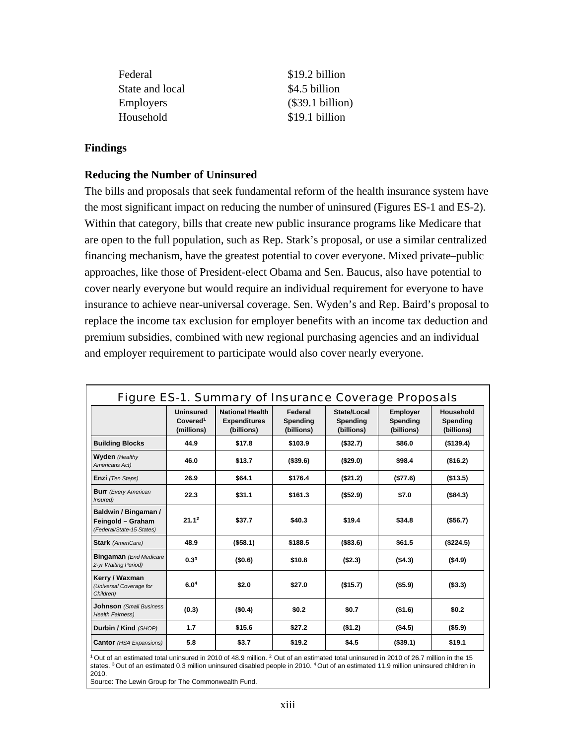| Federal          | \$19.2 billion     |
|------------------|--------------------|
| State and local  | \$4.5 billion      |
| <b>Employers</b> | $(\$39.1 billion)$ |
| Household        | \$19.1 billion     |

#### **Findings**

#### **Reducing the Number of Uninsured**

The bills and proposals that seek fundamental reform of the health insurance system have the most significant impact on reducing the number of uninsured (Figures ES-1 and ES-2). Within that category, bills that create new public insurance programs like Medicare that are open to the full population, such as Rep. Stark's proposal, or use a similar centralized financing mechanism, have the greatest potential to cover everyone. Mixed private–public approaches, like those of President-elect Obama and Sen. Baucus, also have potential to cover nearly everyone but would require an individual requirement for everyone to have insurance to achieve near-universal coverage. Sen. Wyden's and Rep. Baird's proposal to replace the income tax exclusion for employer benefits with an income tax deduction and premium subsidies, combined with new regional purchasing agencies and an individual and employer requirement to participate would also cover nearly everyone.

|                                                                        | <b>Uninsured</b><br>Covered <sup>1</sup><br>(millions) | <b>National Health</b><br><b>Expenditures</b><br>(billions) | Federal<br>Spending<br>(billions) | State/Local<br>Spending<br>(billions) | <b>Employer</b><br>Spending<br>(billions) | Household<br>Spending<br>(billions) |
|------------------------------------------------------------------------|--------------------------------------------------------|-------------------------------------------------------------|-----------------------------------|---------------------------------------|-------------------------------------------|-------------------------------------|
| <b>Building Blocks</b>                                                 | 44.9                                                   | \$17.8                                                      | \$103.9                           | (\$32.7)                              | \$86.0                                    | (\$139.4)                           |
| <b>Wyden</b> (Healthy<br>Americans Act)                                | 46.0                                                   | \$13.7                                                      | ( \$39.6)                         | (\$29.0)                              | \$98.4                                    | (\$16.2)                            |
| Enzi (Ten Steps)                                                       | 26.9                                                   | \$64.1                                                      | \$176.4                           | (\$21.2)                              | ( \$77.6)                                 | (\$13.5)                            |
| <b>Burr</b> (Every American<br>Insured)                                | 22.3                                                   | \$31.1                                                      | \$161.3                           | (\$52.9)                              | \$7.0                                     | (\$84.3)                            |
| Baldwin / Bingaman /<br>Feingold - Graham<br>(Federal/State-15 States) | 21.1 <sup>2</sup>                                      | \$37.7                                                      | \$40.3                            | \$19.4                                | \$34.8                                    | ( \$56.7)                           |
| <b>Stark</b> (AmeriCare)                                               | 48.9                                                   | ( \$58.1)                                                   | \$188.5                           | ( \$83.6)                             | \$61.5                                    | (\$224.5)                           |
| <b>Bingaman</b> (End Medicare<br>2-yr Waiting Period)                  | $0.3^{3}$                                              | (\$0.6)                                                     | \$10.8                            | (S2.3)                                | (\$4.3)                                   | (\$4.9)                             |
| Kerry / Waxman<br>(Universal Coverage for<br>Children)                 | 6.0 <sup>4</sup>                                       | \$2.0                                                       | \$27.0                            | (\$15.7)                              | (\$5.9)                                   | ( \$3.3)                            |
| <b>Johnson</b> (Small Business<br><b>Health Fairness)</b>              | (0.3)                                                  | (\$0.4)                                                     | \$0.2                             | \$0.7                                 | (\$1.6)                                   | \$0.2                               |
| Durbin / Kind (SHOP)                                                   | 1.7                                                    | \$15.6                                                      | \$27.2                            | (\$1.2)                               | (\$4.5)                                   | (\$5.9)                             |
| <b>Cantor</b> (HSA Expansions)                                         | 5.8                                                    | \$3.7                                                       | \$19.2                            | \$4.5                                 | (\$39.1)                                  | \$19.1                              |

states. 3 Out of an estimated 0.3 million uninsured disabled people in 2010. 4 Out of an estimated 11.9 million uninsured children in 2010.

Source: The Lewin Group for The Commonwealth Fund.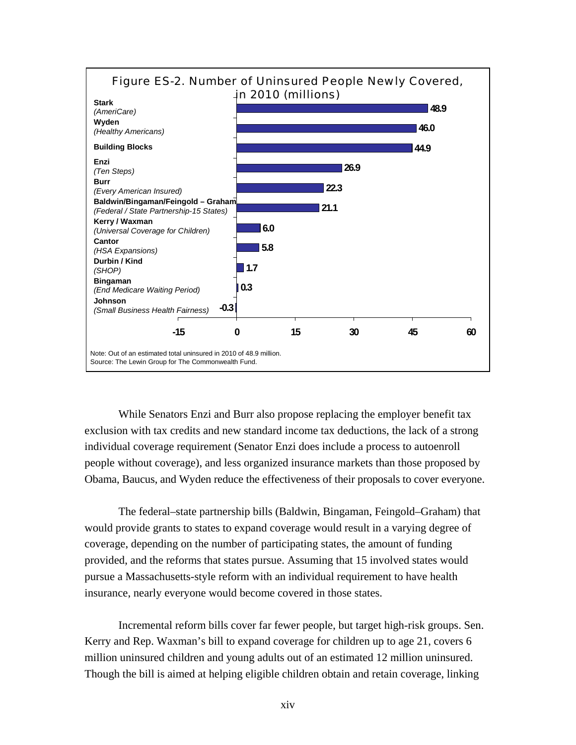

While Senators Enzi and Burr also propose replacing the employer benefit tax exclusion with tax credits and new standard income tax deductions, the lack of a strong individual coverage requirement (Senator Enzi does include a process to autoenroll people without coverage), and less organized insurance markets than those proposed by Obama, Baucus, and Wyden reduce the effectiveness of their proposals to cover everyone.

The federal–state partnership bills (Baldwin, Bingaman, Feingold–Graham) that would provide grants to states to expand coverage would result in a varying degree of coverage, depending on the number of participating states, the amount of funding provided, and the reforms that states pursue. Assuming that 15 involved states would pursue a Massachusetts-style reform with an individual requirement to have health insurance, nearly everyone would become covered in those states.

Incremental reform bills cover far fewer people, but target high-risk groups. Sen. Kerry and Rep. Waxman's bill to expand coverage for children up to age 21, covers 6 million uninsured children and young adults out of an estimated 12 million uninsured. Though the bill is aimed at helping eligible children obtain and retain coverage, linking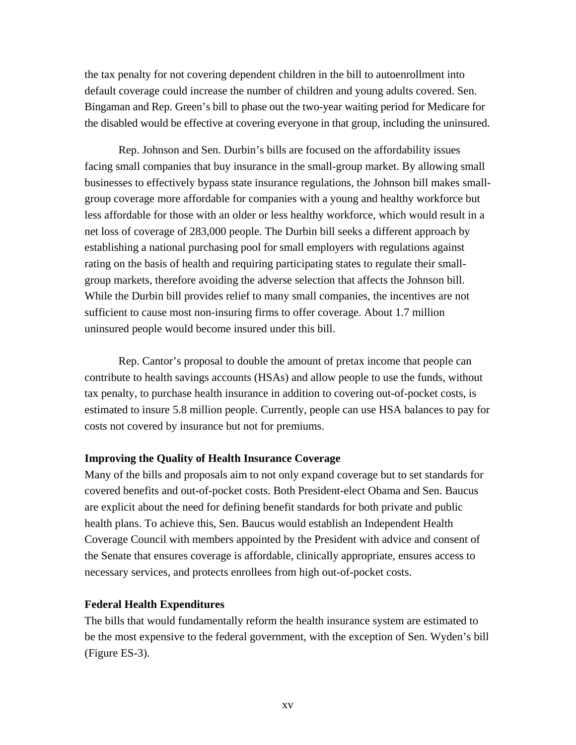the tax penalty for not covering dependent children in the bill to autoenrollment into default coverage could increase the number of children and young adults covered. Sen. Bingaman and Rep. Green's bill to phase out the two-year waiting period for Medicare for the disabled would be effective at covering everyone in that group, including the uninsured.

Rep. Johnson and Sen. Durbin's bills are focused on the affordability issues facing small companies that buy insurance in the small-group market. By allowing small businesses to effectively bypass state insurance regulations, the Johnson bill makes smallgroup coverage more affordable for companies with a young and healthy workforce but less affordable for those with an older or less healthy workforce, which would result in a net loss of coverage of 283,000 people. The Durbin bill seeks a different approach by establishing a national purchasing pool for small employers with regulations against rating on the basis of health and requiring participating states to regulate their smallgroup markets, therefore avoiding the adverse selection that affects the Johnson bill. While the Durbin bill provides relief to many small companies, the incentives are not sufficient to cause most non-insuring firms to offer coverage. About 1.7 million uninsured people would become insured under this bill.

Rep. Cantor's proposal to double the amount of pretax income that people can contribute to health savings accounts (HSAs) and allow people to use the funds, without tax penalty, to purchase health insurance in addition to covering out-of-pocket costs, is estimated to insure 5.8 million people. Currently, people can use HSA balances to pay for costs not covered by insurance but not for premiums.

#### **Improving the Quality of Health Insurance Coverage**

Many of the bills and proposals aim to not only expand coverage but to set standards for covered benefits and out-of-pocket costs. Both President-elect Obama and Sen. Baucus are explicit about the need for defining benefit standards for both private and public health plans. To achieve this, Sen. Baucus would establish an Independent Health Coverage Council with members appointed by the President with advice and consent of the Senate that ensures coverage is affordable, clinically appropriate, ensures access to necessary services, and protects enrollees from high out-of-pocket costs.

#### **Federal Health Expenditures**

The bills that would fundamentally reform the health insurance system are estimated to be the most expensive to the federal government, with the exception of Sen. Wyden's bill (Figure ES-3).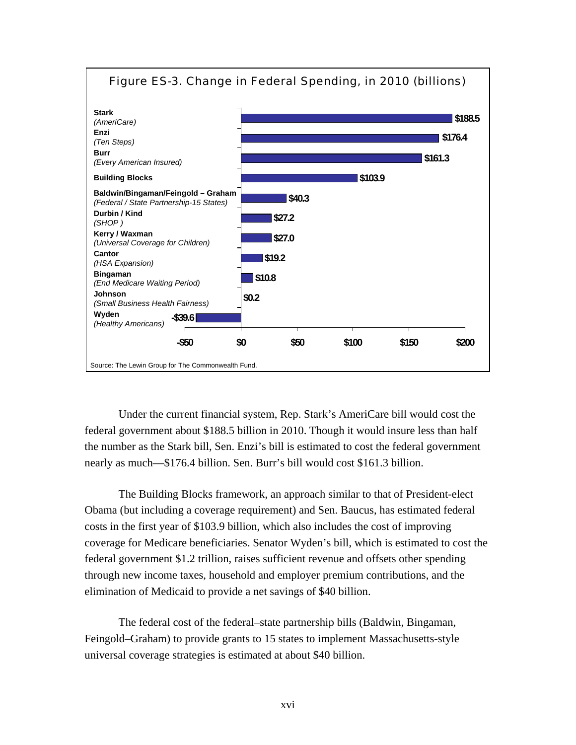

Under the current financial system, Rep. Stark's AmeriCare bill would cost the federal government about \$188.5 billion in 2010. Though it would insure less than half the number as the Stark bill, Sen. Enzi's bill is estimated to cost the federal government nearly as much—\$176.4 billion. Sen. Burr's bill would cost \$161.3 billion.

The Building Blocks framework, an approach similar to that of President-elect Obama (but including a coverage requirement) and Sen. Baucus, has estimated federal costs in the first year of \$103.9 billion, which also includes the cost of improving coverage for Medicare beneficiaries. Senator Wyden's bill, which is estimated to cost the federal government \$1.2 trillion, raises sufficient revenue and offsets other spending through new income taxes, household and employer premium contributions, and the elimination of Medicaid to provide a net savings of \$40 billion.

The federal cost of the federal–state partnership bills (Baldwin, Bingaman, Feingold–Graham) to provide grants to 15 states to implement Massachusetts-style universal coverage strategies is estimated at about \$40 billion.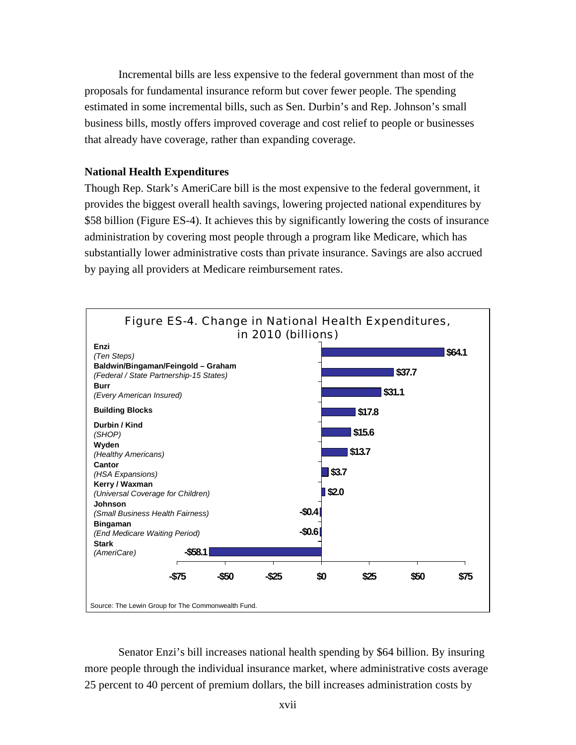Incremental bills are less expensive to the federal government than most of the proposals for fundamental insurance reform but cover fewer people. The spending estimated in some incremental bills, such as Sen. Durbin's and Rep. Johnson's small business bills, mostly offers improved coverage and cost relief to people or businesses that already have coverage, rather than expanding coverage.

### **National Health Expenditures**

Though Rep. Stark's AmeriCare bill is the most expensive to the federal government, it provides the biggest overall health savings, lowering projected national expenditures by \$58 billion (Figure ES-4). It achieves this by significantly lowering the costs of insurance administration by covering most people through a program like Medicare, which has substantially lower administrative costs than private insurance. Savings are also accrued by paying all providers at Medicare reimbursement rates.



Senator Enzi's bill increases national health spending by \$64 billion. By insuring more people through the individual insurance market, where administrative costs average 25 percent to 40 percent of premium dollars, the bill increases administration costs by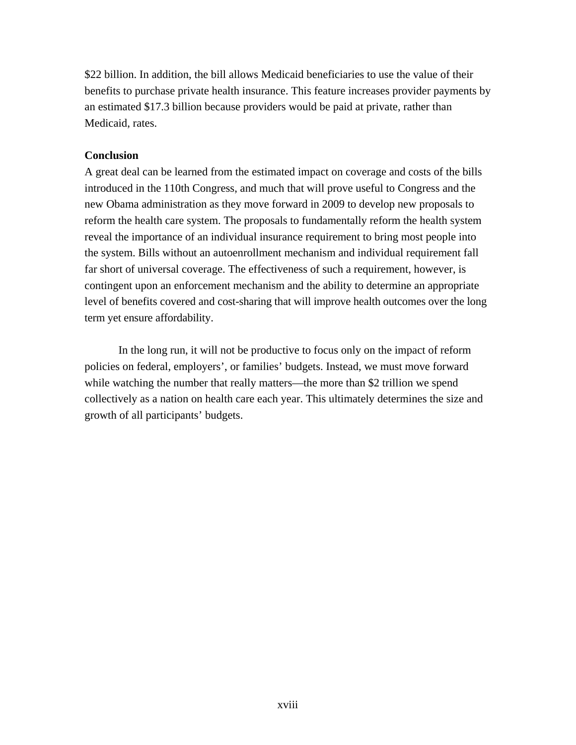\$22 billion. In addition, the bill allows Medicaid beneficiaries to use the value of their benefits to purchase private health insurance. This feature increases provider payments by an estimated \$17.3 billion because providers would be paid at private, rather than Medicaid, rates.

## **Conclusion**

A great deal can be learned from the estimated impact on coverage and costs of the bills introduced in the 110th Congress, and much that will prove useful to Congress and the new Obama administration as they move forward in 2009 to develop new proposals to reform the health care system. The proposals to fundamentally reform the health system reveal the importance of an individual insurance requirement to bring most people into the system. Bills without an autoenrollment mechanism and individual requirement fall far short of universal coverage. The effectiveness of such a requirement, however, is contingent upon an enforcement mechanism and the ability to determine an appropriate level of benefits covered and cost-sharing that will improve health outcomes over the long term yet ensure affordability.

In the long run, it will not be productive to focus only on the impact of reform policies on federal, employers', or families' budgets. Instead, we must move forward while watching the number that really matters—the more than \$2 trillion we spend collectively as a nation on health care each year. This ultimately determines the size and growth of all participants' budgets.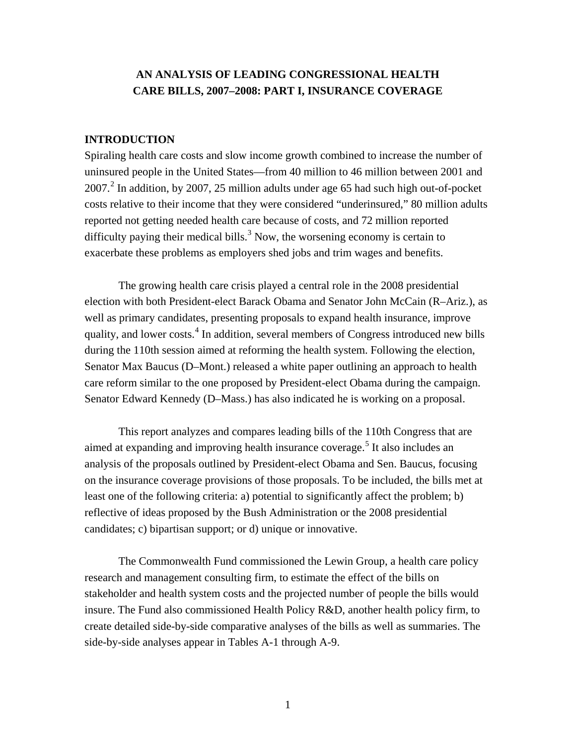## **AN ANALYSIS OF LEADING CONGRESSIONAL HEALTH CARE BILLS, 2007–2008: PART I, INSURANCE COVERAGE**

### **INTRODUCTION**

Spiraling health care costs and slow income growth combined to increase the number of uninsured people in the United States—from 40 million to 46 million between 2001 and  $2007<sup>2</sup>$  $2007<sup>2</sup>$  In addition, by 2007, 25 million adults under age 65 had such high out-of-pocket costs relative to their income that they were considered "underinsured," 80 million adults reported not getting needed health care because of costs, and 72 million reported difficulty paying their medical bills.<sup>[3](#page-84-0)</sup> Now, the worsening economy is certain to exacerbate these problems as employers shed jobs and trim wages and benefits.

The growing health care crisis played a central role in the 2008 presidential election with both President-elect Barack Obama and Senator John McCain (R–Ariz.), as well as primary candidates, presenting proposals to expand health insurance, improve quality, and lower costs.<sup>[4](#page-98-0)</sup> In addition, several members of Congress introduced new bills during the 110th session aimed at reforming the health system. Following the election, Senator Max Baucus (D–Mont.) released a white paper outlining an approach to health care reform similar to the one proposed by President-elect Obama during the campaign. Senator Edward Kennedy (D–Mass.) has also indicated he is working on a proposal.

This report analyzes and compares leading bills of the 110th Congress that are aimed at expanding and improving health insurance coverage.<sup>[5](#page-114-0)</sup> It also includes an analysis of the proposals outlined by President-elect Obama and Sen. Baucus, focusing on the insurance coverage provisions of those proposals. To be included, the bills met at least one of the following criteria: a) potential to significantly affect the problem; b) reflective of ideas proposed by the Bush Administration or the 2008 presidential candidates; c) bipartisan support; or d) unique or innovative.

The Commonwealth Fund commissioned the Lewin Group, a health care policy research and management consulting firm, to estimate the effect of the bills on stakeholder and health system costs and the projected number of people the bills would insure. The Fund also commissioned Health Policy R&D, another health policy firm, to create detailed side-by-side comparative analyses of the bills as well as summaries. The side-by-side analyses appear in Tables A-1 through A-9.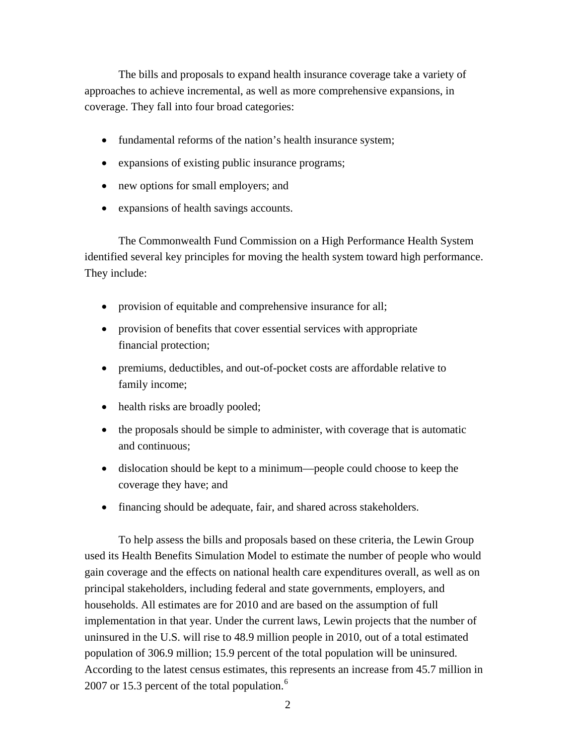The bills and proposals to expand health insurance coverage take a variety of approaches to achieve incremental, as well as more comprehensive expansions, in coverage. They fall into four broad categories:

- fundamental reforms of the nation's health insurance system;
- expansions of existing public insurance programs;
- new options for small employers; and
- expansions of health savings accounts.

The Commonwealth Fund Commission on a High Performance Health System identified several key principles for moving the health system toward high performance. They include:

- provision of equitable and comprehensive insurance for all;
- provision of benefits that cover essential services with appropriate financial protection;
- premiums, deductibles, and out-of-pocket costs are affordable relative to family income;
- health risks are broadly pooled;
- the proposals should be simple to administer, with coverage that is automatic and continuous;
- dislocation should be kept to a minimum—people could choose to keep the coverage they have; and
- financing should be adequate, fair, and shared across stakeholders.

To help assess the bills and proposals based on these criteria, the Lewin Group used its Health Benefits Simulation Model to estimate the number of people who would gain coverage and the effects on national health care expenditures overall, as well as on principal stakeholders, including federal and state governments, employers, and households. All estimates are for 2010 and are based on the assumption of full implementation in that year. Under the current laws, Lewin projects that the number of uninsured in the U.S. will rise to 48.9 million people in 2010, out of a total estimated population of 306.9 million; 15.9 percent of the total population will be uninsured. According to the latest census estimates, this represents an increase from 45.7 million in 2007 or 15.3 percent of the total population. $6$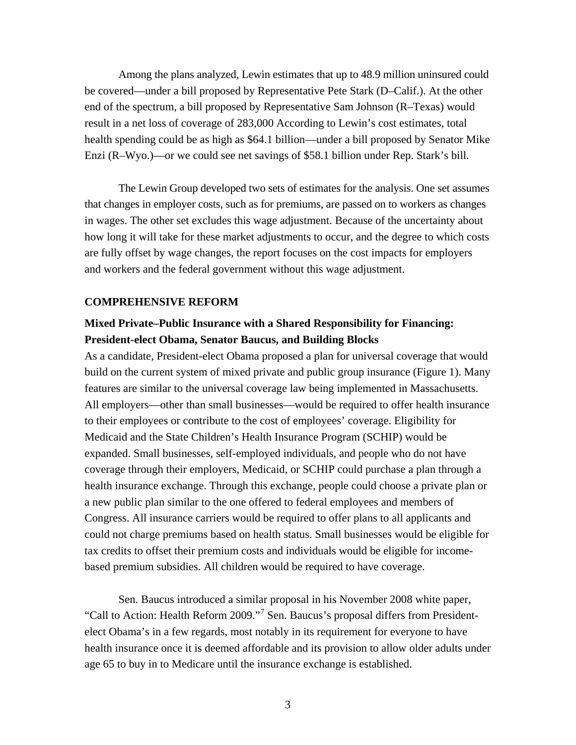Among the plans analyzed, Lewin estimates that up to 48.9 million uninsured could be covered—under a bill proposed by Representative Pete Stark (D–Calif.). At the other end of the spectrum, a bill proposed by Representative Sam Johnson (R–Texas) would result in a net loss of coverage of 283,000 According to Lewin's cost estimates, total health spending could be as high as \$64.1 billion—under a bill proposed by Senator Mike Enzi (R–Wyo.)—or we could see net savings of \$58.1 billion under Rep. Stark's bill.

The Lewin Group developed two sets of estimates for the analysis. One set assumes that changes in employer costs, such as for premiums, are passed on to workers as changes in wages. The other set excludes this wage adjustment. Because of the uncertainty about how long it will take for these market adjustments to occur, and the degree to which costs are fully offset by wage changes, the report focuses on the cost impacts for employers and workers and the federal government without this wage adjustment.

#### **COMPREHENSIVE REFORM**

## **Mixed Private–Public Insurance with a Shared Responsibility for Financing: President-elect Obama, Senator Baucus, and Building Blocks**

As a candidate, President-elect Obama proposed a plan for universal coverage that would build on the current system of mixed private and public group insurance (Figure 1). Many features are similar to the universal coverage law being implemented in Massachusetts. All employers—other than small businesses—would be required to offer health insurance to their employees or contribute to the cost of employees' coverage. Eligibility for Medicaid and the State Children's Health Insurance Program (SCHIP) would be expanded. Small businesses, self-employed individuals, and people who do not have coverage through their employers, Medicaid, or SCHIP could purchase a plan through a health insurance exchange. Through this exchange, people could choose a private plan or a new public plan similar to the one offered to federal employees and members of Congress. All insurance carriers would be required to offer plans to all applicants and could not charge premiums based on health status. Small businesses would be eligible for tax credits to offset their premium costs and individuals would be eligible for incomebased premium subsidies. All children would be required to have coverage.

Sen. Baucus introduced a similar proposal in his November 2008 white paper, "Call to Action: Health Reform 2009."<sup>[7](#page-125-0)</sup> Sen. Baucus's proposal differs from Presidentelect Obama's in a few regards, most notably in its requirement for everyone to have health insurance once it is deemed affordable and its provision to allow older adults under age 65 to buy in to Medicare until the insurance exchange is established.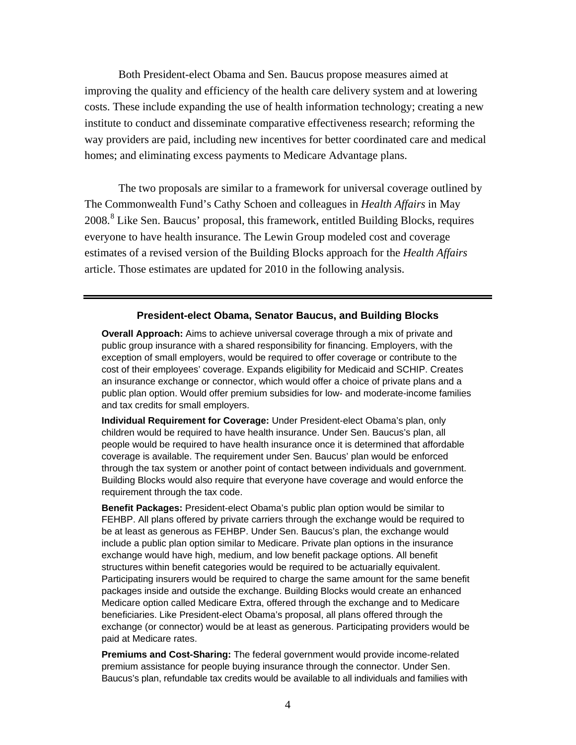Both President-elect Obama and Sen. Baucus propose measures aimed at improving the quality and efficiency of the health care delivery system and at lowering costs. These include expanding the use of health information technology; creating a new institute to conduct and disseminate comparative effectiveness research; reforming the way providers are paid, including new incentives for better coordinated care and medical homes; and eliminating excess payments to Medicare Advantage plans.

The two proposals are similar to a framework for universal coverage outlined by The Commonwealth Fund's Cathy Schoen and colleagues in *Health Affairs* in May 200[8](#page-125-1).<sup>8</sup> Like Sen. Baucus' proposal, this framework, entitled Building Blocks, requires everyone to have health insurance. The Lewin Group modeled cost and coverage estimates of a revised version of the Building Blocks approach for the *Health Affairs*  article. Those estimates are updated for 2010 in the following analysis.

#### **President-elect Obama, Senator Baucus, and Building Blocks**

**Overall Approach:** Aims to achieve universal coverage through a mix of private and public group insurance with a shared responsibility for financing. Employers, with the exception of small employers, would be required to offer coverage or contribute to the cost of their employees' coverage. Expands eligibility for Medicaid and SCHIP. Creates an insurance exchange or connector, which would offer a choice of private plans and a public plan option. Would offer premium subsidies for low- and moderate-income families and tax credits for small employers.

**Individual Requirement for Coverage:** Under President-elect Obama's plan, only children would be required to have health insurance. Under Sen. Baucus's plan, all people would be required to have health insurance once it is determined that affordable coverage is available. The requirement under Sen. Baucus' plan would be enforced through the tax system or another point of contact between individuals and government. Building Blocks would also require that everyone have coverage and would enforce the requirement through the tax code.

**Benefit Packages:** President-elect Obama's public plan option would be similar to FEHBP. All plans offered by private carriers through the exchange would be required to be at least as generous as FEHBP. Under Sen. Baucus's plan, the exchange would include a public plan option similar to Medicare. Private plan options in the insurance exchange would have high, medium, and low benefit package options. All benefit structures within benefit categories would be required to be actuarially equivalent. Participating insurers would be required to charge the same amount for the same benefit packages inside and outside the exchange. Building Blocks would create an enhanced Medicare option called Medicare Extra, offered through the exchange and to Medicare beneficiaries. Like President-elect Obama's proposal, all plans offered through the exchange (or connector) would be at least as generous. Participating providers would be paid at Medicare rates.

**Premiums and Cost-Sharing:** The federal government would provide income-related premium assistance for people buying insurance through the connector. Under Sen. Baucus's plan, refundable tax credits would be available to all individuals and families with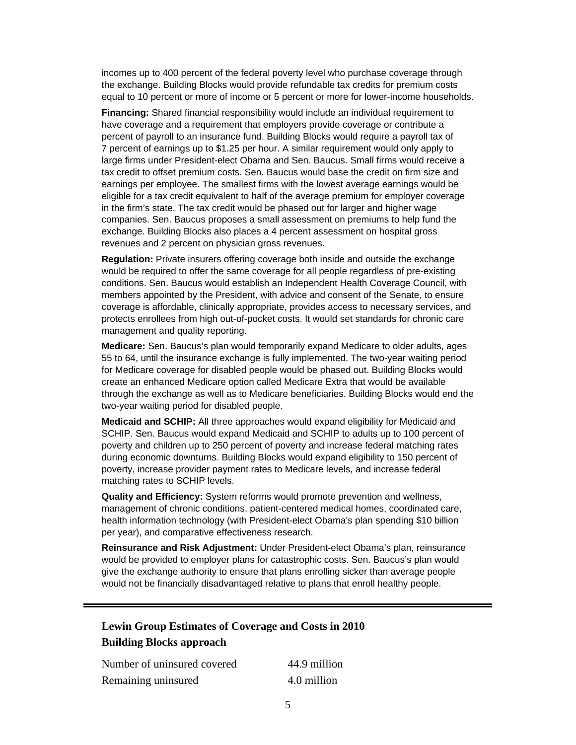incomes up to 400 percent of the federal poverty level who purchase coverage through the exchange. Building Blocks would provide refundable tax credits for premium costs equal to 10 percent or more of income or 5 percent or more for lower-income households.

**Financing:** Shared financial responsibility would include an individual requirement to have coverage and a requirement that employers provide coverage or contribute a percent of payroll to an insurance fund. Building Blocks would require a payroll tax of 7 percent of earnings up to \$1.25 per hour. A similar requirement would only apply to large firms under President-elect Obama and Sen. Baucus. Small firms would receive a tax credit to offset premium costs. Sen. Baucus would base the credit on firm size and earnings per employee. The smallest firms with the lowest average earnings would be eligible for a tax credit equivalent to half of the average premium for employer coverage in the firm's state. The tax credit would be phased out for larger and higher wage companies. Sen. Baucus proposes a small assessment on premiums to help fund the exchange. Building Blocks also places a 4 percent assessment on hospital gross revenues and 2 percent on physician gross revenues.

**Regulation:** Private insurers offering coverage both inside and outside the exchange would be required to offer the same coverage for all people regardless of pre-existing conditions. Sen. Baucus would establish an Independent Health Coverage Council, with members appointed by the President, with advice and consent of the Senate, to ensure coverage is affordable, clinically appropriate, provides access to necessary services, and protects enrollees from high out-of-pocket costs. It would set standards for chronic care management and quality reporting.

**Medicare:** Sen. Baucus's plan would temporarily expand Medicare to older adults, ages 55 to 64, until the insurance exchange is fully implemented. The two-year waiting period for Medicare coverage for disabled people would be phased out. Building Blocks would create an enhanced Medicare option called Medicare Extra that would be available through the exchange as well as to Medicare beneficiaries. Building Blocks would end the two-year waiting period for disabled people.

**Medicaid and SCHIP:** All three approaches would expand eligibility for Medicaid and SCHIP. Sen. Baucus would expand Medicaid and SCHIP to adults up to 100 percent of poverty and children up to 250 percent of poverty and increase federal matching rates during economic downturns. Building Blocks would expand eligibility to 150 percent of poverty, increase provider payment rates to Medicare levels, and increase federal matching rates to SCHIP levels.

**Quality and Efficiency:** System reforms would promote prevention and wellness, management of chronic conditions, patient-centered medical homes, coordinated care, health information technology (with President-elect Obama's plan spending \$10 billion per year), and comparative effectiveness research.

**Reinsurance and Risk Adjustment:** Under President-elect Obama's plan, reinsurance would be provided to employer plans for catastrophic costs. Sen. Baucus's plan would give the exchange authority to ensure that plans enrolling sicker than average people would not be financially disadvantaged relative to plans that enroll healthy people.

## **Lewin Group Estimates of Coverage and Costs in 2010 Building Blocks approach**

| Number of uninsured covered | 44.9 million |
|-----------------------------|--------------|
| Remaining uninsured         | 4.0 million  |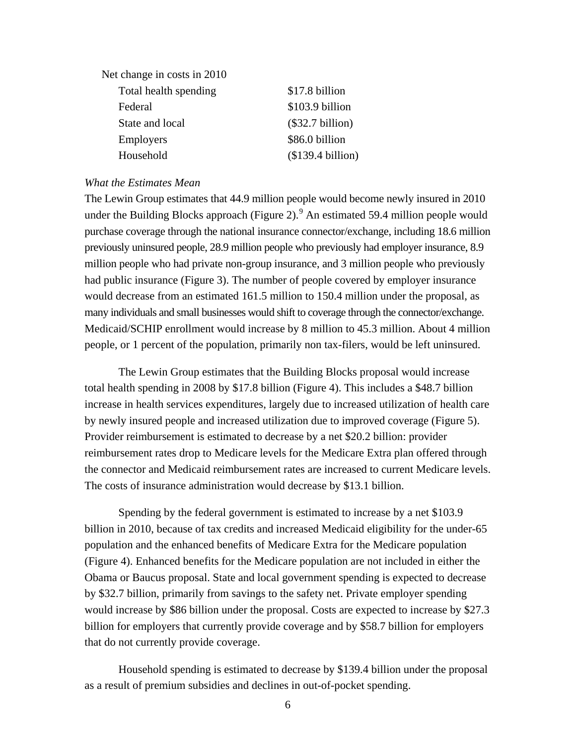| \$17.8 billion     |
|--------------------|
| \$103.9 billion    |
| $(\$32.7 billion)$ |
| \$86.0 billion     |
| (\$139.4 billion)  |
|                    |

#### *What the Estimates Mean*

The Lewin Group estimates that 44.9 million people would become newly insured in 2010 under the Building Blocks approach (Figure 2).  $9$  An estimated 59.4 million people would purchase coverage through the national insurance connector/exchange, including 18.6 million previously uninsured people, 28.9 million people who previously had employer insurance, 8.9 million people who had private non-group insurance, and 3 million people who previously had public insurance (Figure 3). The number of people covered by employer insurance would decrease from an estimated 161.5 million to 150.4 million under the proposal, as many individuals and small businesses would shift to coverage through the connector/exchange. Medicaid/SCHIP enrollment would increase by 8 million to 45.3 million. About 4 million people, or 1 percent of the population, primarily non tax-filers, would be left uninsured.

The Lewin Group estimates that the Building Blocks proposal would increase total health spending in 2008 by \$17.8 billion (Figure 4). This includes a \$48.7 billion increase in health services expenditures, largely due to increased utilization of health care by newly insured people and increased utilization due to improved coverage (Figure 5). Provider reimbursement is estimated to decrease by a net \$20.2 billion: provider reimbursement rates drop to Medicare levels for the Medicare Extra plan offered through the connector and Medicaid reimbursement rates are increased to current Medicare levels. The costs of insurance administration would decrease by \$13.1 billion.

Spending by the federal government is estimated to increase by a net \$103.9 billion in 2010, because of tax credits and increased Medicaid eligibility for the under-65 population and the enhanced benefits of Medicare Extra for the Medicare population (Figure 4). Enhanced benefits for the Medicare population are not included in either the Obama or Baucus proposal. State and local government spending is expected to decrease by \$32.7 billion, primarily from savings to the safety net. Private employer spending would increase by \$86 billion under the proposal. Costs are expected to increase by \$27.3 billion for employers that currently provide coverage and by \$58.7 billion for employers that do not currently provide coverage.

Household spending is estimated to decrease by \$139.4 billion under the proposal as a result of premium subsidies and declines in out-of-pocket spending.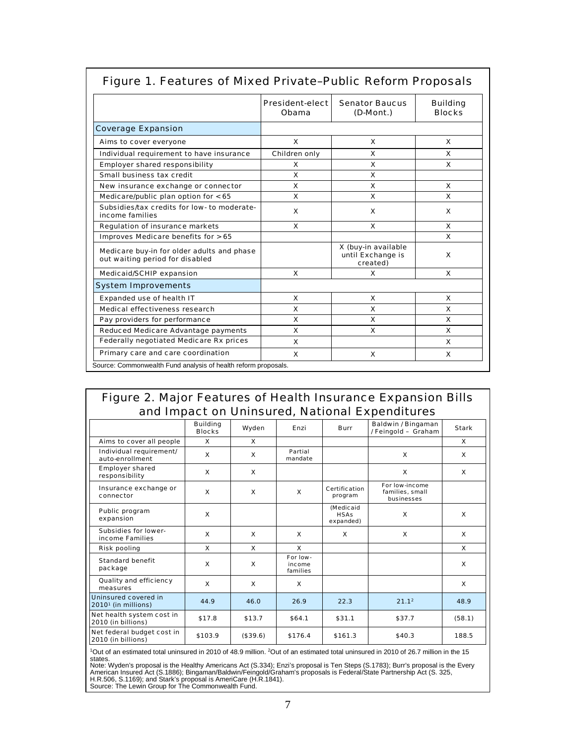|                                                                               | <b>President-elect</b><br>Obama | <b>Senator Baucus</b><br>(D-Mont.)                   | <b>Building</b><br><b>Blocks</b> |
|-------------------------------------------------------------------------------|---------------------------------|------------------------------------------------------|----------------------------------|
| <b>Coverage Expansion</b>                                                     |                                 |                                                      |                                  |
| Aims to cover everyone                                                        | $\mathbf{x}$                    | X                                                    | X                                |
| Individual requirement to have insurance                                      | Children only                   | X                                                    | x                                |
| <b>Employer shared responsibility</b>                                         | x                               | X                                                    | <b>x</b>                         |
| Small business tax credit                                                     | X                               | X                                                    |                                  |
| New insurance exchange or connector                                           | x                               | x                                                    | x                                |
| Medicare/public plan option for $< 65$                                        | X                               | X                                                    | x                                |
| Subsidies/tax credits for low- to moderate-<br>income families                | $\mathbf{x}$                    | $\mathbf{x}$                                         | x                                |
| <b>Regulation of insurance markets</b>                                        | $\mathbf{x}$                    | $\mathbf{x}$                                         | X                                |
| Improves Medicare benefits for > 65                                           |                                 |                                                      | X                                |
| Medicare buy-in for older adults and phase<br>out waiting period for disabled |                                 | X (buy-in available<br>until Exchange is<br>created) | x                                |
| <b>Medicaid/SCHIP expansion</b>                                               | X                               | x                                                    | <b>X</b>                         |
| <b>System Improvements</b>                                                    |                                 |                                                      |                                  |
| <b>Expanded use of health IT</b>                                              | X                               | X                                                    | x                                |
| Medical effectiveness research                                                | X                               | X                                                    | x                                |
| Pay providers for performance                                                 | X                               | X                                                    | X                                |
| <b>Reduced Medicare Advantage payments</b>                                    | X                               | X                                                    | X                                |
| <b>Federally negotiated Medicare Rx prices</b>                                | x                               |                                                      | x                                |
| Primary care and care coordination                                            | X                               | X                                                    | X                                |

## Figure 1. Features of Mixed Private–Public Reform Proposals

## Figure 2. Major Features of Health Insurance Expansion Bills and Impact on Uninsured, National Expenditures

|                                                         | <b>Building</b><br><b>Blocks</b> | Wyden        | Enzi                           | <b>Burr</b>                           | Baldwin / Bingaman<br>/ Feingold - Graham       | <b>Stark</b> |
|---------------------------------------------------------|----------------------------------|--------------|--------------------------------|---------------------------------------|-------------------------------------------------|--------------|
| Aims to cover all people                                | x                                | x            |                                |                                       |                                                 | x            |
| Individual requirement/<br>auto-enrollment              | x                                | x            | Partial<br>mandate             |                                       | $\mathbf{x}$                                    | x            |
| <b>Employer shared</b><br>responsibility                | $\mathbf{x}$                     | x            |                                |                                       | $\boldsymbol{x}$                                | x            |
| Insurance exchange or<br>connector                      | $\boldsymbol{x}$                 | $\mathbf{x}$ | $\mathbf{x}$                   | Certification<br>program              | For low-income<br>families, small<br>businesses |              |
| Public program<br>expansion                             | $\mathbf{x}$                     |              |                                | (Medicaid<br><b>HSAs</b><br>expanded) | $\boldsymbol{x}$                                | x            |
| <b>Subsidies for lower-</b><br>income Families          | $\mathbf{x}$                     | x            | $\mathbf{x}$                   | x                                     | $\boldsymbol{x}$                                | x            |
| <b>Risk pooling</b>                                     | x                                | x            | x                              |                                       |                                                 | x            |
| <b>Standard benefit</b><br>package                      | $\mathbf{x}$                     | x            | For low-<br>income<br>families |                                       |                                                 | x            |
| Quality and efficiency<br>measures                      | $\mathbf{x}$                     | x            | $\mathbf{x}$                   |                                       |                                                 | x            |
| Uninsured covered in<br>2010 <sup>1</sup> (in millions) | 44.9                             | 46.0         | 26.9                           | 22.3                                  | 21.1 <sup>2</sup>                               | 48.9         |
| Net health system cost in<br>2010 (in billions)         | \$17.8                           | \$13.7       | \$64.1                         | \$31.1                                | \$37.7                                          | (58.1)       |
| Net federal budget cost in<br>2010 (in billions)        | \$103.9                          | (\$39.6)     | \$176.4                        | \$161.3                               | \$40.3                                          | 188.5        |

<sup>1</sup>Out of an estimated total uninsured in 2010 of 48.9 million. <sup>2</sup>Out of an estimated total uninsured in 2010 of 26.7 million in the 15 states.

Note: Wyden's proposal is the Healthy Americans Act (S.334); Enzi's proposal is Ten Steps (S.1783); Burr's proposal is the Every<br>American Insured Act (S.1886); Bingaman/Baldwin/Feingold/Graham's proposals is Federal/State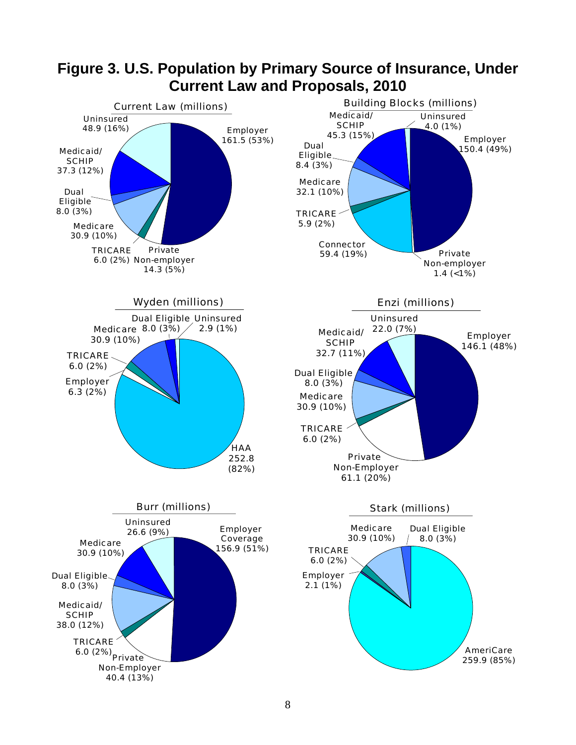

# **Figure 3. U.S. Population by Primary Source of Insurance, Under Current Law and Proposals, 2010**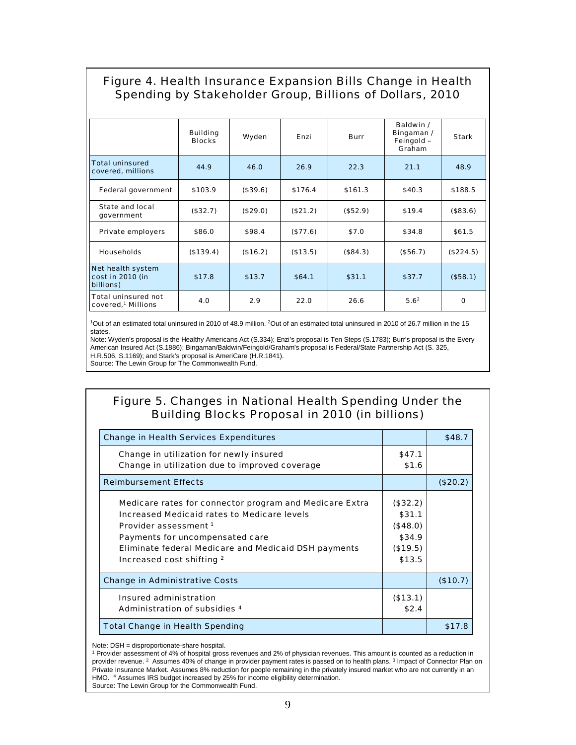## Figure 4. Health Insurance Expansion Bills Change in Health Spending by Stakeholder Group, Billions of Dollars, 2010

|                                                              | <b>Building</b><br><b>Blocks</b> | Wyden    | Enzi     | <b>Burr</b> | Baldwin /<br>Bingaman /<br>Feingold -<br>Graham | <b>Stark</b> |
|--------------------------------------------------------------|----------------------------------|----------|----------|-------------|-------------------------------------------------|--------------|
| <b>Total uninsured</b><br>covered, millions                  | 44.9                             | 46.0     | 26.9     | 22.3        | 21.1                                            | 48.9         |
| <b>Federal government</b>                                    | \$103.9                          | (\$39.6) | \$176.4  | \$161.3     | \$40.3\$                                        | \$188.5      |
| State and local<br>government                                | (\$32.7)                         | (\$29.0) | (\$21.2) | (\$52.9)    | \$19.4                                          | (\$83.6)     |
| <b>Private employers</b>                                     | \$86.0                           | \$98.4   | (\$77.6) | \$7.0       | \$34.8                                          | \$61.5       |
| <b>Households</b>                                            | (\$139.4)                        | (\$16.2) | (\$13.5) | (\$84.3)    | (\$56.7)                                        | (\$224.5)    |
| Net health system<br>cost in 2010 (in<br>billions)           | \$17.8                           | \$13.7   | \$64.1   | \$31.1      | \$37.7                                          | (\$58.1)     |
| <b>Total uninsured not</b><br>covered, <sup>1</sup> Millions | 4.0                              | 2.9      | 22.0     | 26.6        | 5.6 <sup>2</sup>                                | $\mathbf 0$  |

<sup>1</sup>Out of an estimated total uninsured in 2010 of 48.9 million. <sup>2</sup>Out of an estimated total uninsured in 2010 of 26.7 million in the 15 states.

Note: Wyden's proposal is the Healthy Americans Act (S.334); Enzi's proposal is Ten Steps (S.1783); Burr's proposal is the Every American Insured Act (S.1886); Bingaman/Baldwin/Feingold/Graham's proposal is Federal/State Partnership Act (S. 325, H.R.506, S.1169); and Stark's proposal is AmeriCare (H.R.1841). Source: The Lewin Group for The Commonwealth Fund.

## Figure 5. Changes in National Health Spending Under the Building Blocks Proposal in 2010 (in billions)

| <b>Change in Health Services Expenditures</b>               |          | \$48.7   |
|-------------------------------------------------------------|----------|----------|
| Change in utilization for newly insured                     | \$47.1   |          |
| Change in utilization due to improved coverage              | \$1.6    |          |
| <b>Reimbursement Effects</b>                                |          | (\$20.2) |
| Medicare rates for connector program and Medicare Extra     | (\$32.2) |          |
| <b>Increased Medicaid rates to Medicare levels</b>          | \$31.1   |          |
| Provider assessment 1                                       | (\$48.0) |          |
| Payments for uncompensated care                             | \$34.9   |          |
| <b>Eliminate federal Medicare and Medicaid DSH payments</b> | (\$19.5) |          |
| Increased cost shifting 2                                   | \$13.5   |          |
| <b>Change in Administrative Costs</b>                       |          | (\$10.7) |
| Insured administration                                      | (\$13.1) |          |
| Administration of subsidies 4                               | \$2.4    |          |
| <b>Total Change in Health Spending</b>                      |          | \$17.8   |

Note: DSH = disproportionate-share hospital.

<sup>1</sup> Provider assessment of 4% of hospital gross revenues and 2% of physician revenues. This amount is counted as a reduction in provider revenue. 2 Assumes 40% of change in provider payment rates is passed on to health plans. 3 Impact of Connector Plan on Private Insurance Market. Assumes 8% reduction for people remaining in the privately insured market who are not currently in an HMO. <sup>4</sup> Assumes IRS budget increased by 25% for income eligibility determination. Source: The Lewin Group for the Commonwealth Fund.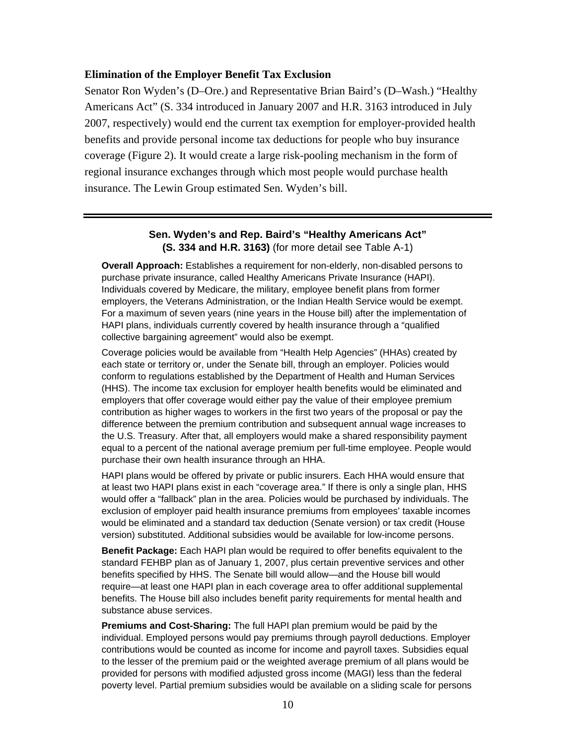#### **Elimination of the Employer Benefit Tax Exclusion**

Senator Ron Wyden's (D–Ore.) and Representative Brian Baird's (D–Wash.) "Healthy Americans Act" (S. 334 introduced in January 2007 and H.R. 3163 introduced in July 2007, respectively) would end the current tax exemption for employer-provided health benefits and provide personal income tax deductions for people who buy insurance coverage (Figure 2). It would create a large risk-pooling mechanism in the form of regional insurance exchanges through which most people would purchase health insurance. The Lewin Group estimated Sen. Wyden's bill.

#### **Sen. Wyden's and Rep. Baird's "Healthy Americans Act" (S. 334 and H.R. 3163)** (for more detail see Table A-1)

**Overall Approach:** Establishes a requirement for non-elderly, non-disabled persons to purchase private insurance, called Healthy Americans Private Insurance (HAPI). Individuals covered by Medicare, the military, employee benefit plans from former employers, the Veterans Administration, or the Indian Health Service would be exempt. For a maximum of seven years (nine years in the House bill) after the implementation of HAPI plans, individuals currently covered by health insurance through a "qualified collective bargaining agreement" would also be exempt.

Coverage policies would be available from "Health Help Agencies" (HHAs) created by each state or territory or, under the Senate bill, through an employer. Policies would conform to regulations established by the Department of Health and Human Services (HHS). The income tax exclusion for employer health benefits would be eliminated and employers that offer coverage would either pay the value of their employee premium contribution as higher wages to workers in the first two years of the proposal or pay the difference between the premium contribution and subsequent annual wage increases to the U.S. Treasury. After that, all employers would make a shared responsibility payment equal to a percent of the national average premium per full-time employee. People would purchase their own health insurance through an HHA.

HAPI plans would be offered by private or public insurers. Each HHA would ensure that at least two HAPI plans exist in each "coverage area." If there is only a single plan, HHS would offer a "fallback" plan in the area. Policies would be purchased by individuals. The exclusion of employer paid health insurance premiums from employees' taxable incomes would be eliminated and a standard tax deduction (Senate version) or tax credit (House version) substituted. Additional subsidies would be available for low-income persons.

**Benefit Package:** Each HAPI plan would be required to offer benefits equivalent to the standard FEHBP plan as of January 1, 2007, plus certain preventive services and other benefits specified by HHS. The Senate bill would allow—and the House bill would require—at least one HAPI plan in each coverage area to offer additional supplemental benefits. The House bill also includes benefit parity requirements for mental health and substance abuse services.

**Premiums and Cost-Sharing:** The full HAPI plan premium would be paid by the individual. Employed persons would pay premiums through payroll deductions. Employer contributions would be counted as income for income and payroll taxes. Subsidies equal to the lesser of the premium paid or the weighted average premium of all plans would be provided for persons with modified adjusted gross income (MAGI) less than the federal poverty level. Partial premium subsidies would be available on a sliding scale for persons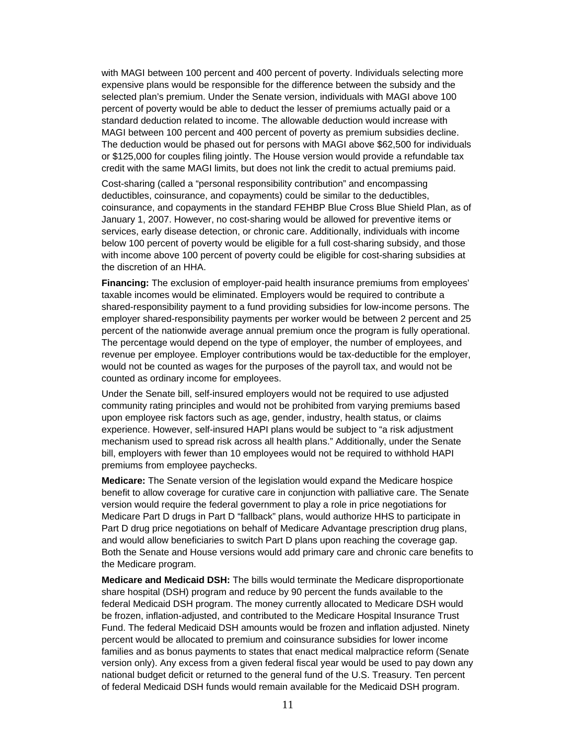with MAGI between 100 percent and 400 percent of poverty. Individuals selecting more expensive plans would be responsible for the difference between the subsidy and the selected plan's premium. Under the Senate version, individuals with MAGI above 100 percent of poverty would be able to deduct the lesser of premiums actually paid or a standard deduction related to income. The allowable deduction would increase with MAGI between 100 percent and 400 percent of poverty as premium subsidies decline. The deduction would be phased out for persons with MAGI above \$62,500 for individuals or \$125,000 for couples filing jointly. The House version would provide a refundable tax credit with the same MAGI limits, but does not link the credit to actual premiums paid.

Cost-sharing (called a "personal responsibility contribution" and encompassing deductibles, coinsurance, and copayments) could be similar to the deductibles, coinsurance, and copayments in the standard FEHBP Blue Cross Blue Shield Plan, as of January 1, 2007. However, no cost-sharing would be allowed for preventive items or services, early disease detection, or chronic care. Additionally, individuals with income below 100 percent of poverty would be eligible for a full cost-sharing subsidy, and those with income above 100 percent of poverty could be eligible for cost-sharing subsidies at the discretion of an HHA.

**Financing:** The exclusion of employer-paid health insurance premiums from employees' taxable incomes would be eliminated. Employers would be required to contribute a shared-responsibility payment to a fund providing subsidies for low-income persons. The employer shared-responsibility payments per worker would be between 2 percent and 25 percent of the nationwide average annual premium once the program is fully operational. The percentage would depend on the type of employer, the number of employees, and revenue per employee. Employer contributions would be tax-deductible for the employer, would not be counted as wages for the purposes of the payroll tax, and would not be counted as ordinary income for employees.

Under the Senate bill, self-insured employers would not be required to use adjusted community rating principles and would not be prohibited from varying premiums based upon employee risk factors such as age, gender, industry, health status, or claims experience. However, self-insured HAPI plans would be subject to "a risk adjustment mechanism used to spread risk across all health plans." Additionally, under the Senate bill, employers with fewer than 10 employees would not be required to withhold HAPI premiums from employee paychecks.

**Medicare:** The Senate version of the legislation would expand the Medicare hospice benefit to allow coverage for curative care in conjunction with palliative care. The Senate version would require the federal government to play a role in price negotiations for Medicare Part D drugs in Part D "fallback" plans, would authorize HHS to participate in Part D drug price negotiations on behalf of Medicare Advantage prescription drug plans, and would allow beneficiaries to switch Part D plans upon reaching the coverage gap. Both the Senate and House versions would add primary care and chronic care benefits to the Medicare program.

**Medicare and Medicaid DSH:** The bills would terminate the Medicare disproportionate share hospital (DSH) program and reduce by 90 percent the funds available to the federal Medicaid DSH program. The money currently allocated to Medicare DSH would be frozen, inflation-adjusted, and contributed to the Medicare Hospital Insurance Trust Fund. The federal Medicaid DSH amounts would be frozen and inflation adjusted. Ninety percent would be allocated to premium and coinsurance subsidies for lower income families and as bonus payments to states that enact medical malpractice reform (Senate version only). Any excess from a given federal fiscal year would be used to pay down any national budget deficit or returned to the general fund of the U.S. Treasury. Ten percent of federal Medicaid DSH funds would remain available for the Medicaid DSH program.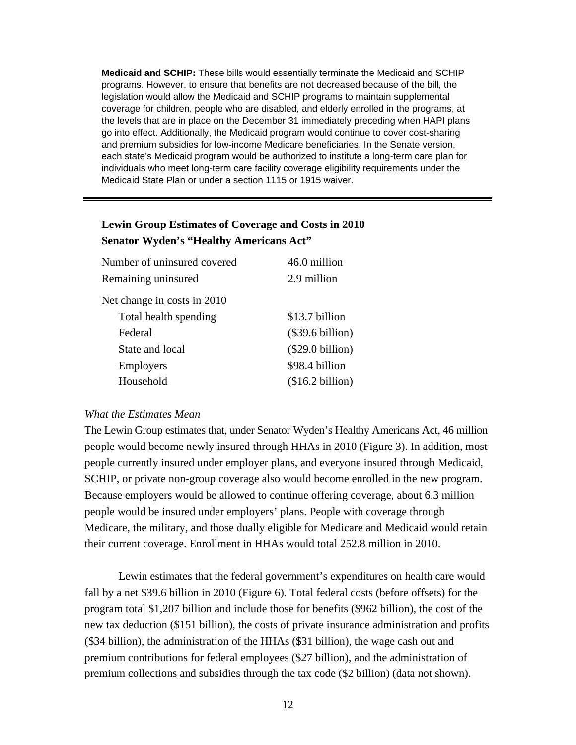**Medicaid and SCHIP:** These bills would essentially terminate the Medicaid and SCHIP programs. However, to ensure that benefits are not decreased because of the bill, the legislation would allow the Medicaid and SCHIP programs to maintain supplemental coverage for children, people who are disabled, and elderly enrolled in the programs, at the levels that are in place on the December 31 immediately preceding when HAPI plans go into effect. Additionally, the Medicaid program would continue to cover cost-sharing and premium subsidies for low-income Medicare beneficiaries. In the Senate version, each state's Medicaid program would be authorized to institute a long-term care plan for individuals who meet long-term care facility coverage eligibility requirements under the Medicaid State Plan or under a section 1115 or 1915 waiver.

## **Lewin Group Estimates of Coverage and Costs in 2010 Senator Wyden's "Healthy Americans Act"**

| Number of uninsured covered | 46.0 million       |
|-----------------------------|--------------------|
| Remaining uninsured         | 2.9 million        |
| Net change in costs in 2010 |                    |
| Total health spending       | \$13.7 billion     |
| Federal                     | $(\$39.6 billion)$ |
| State and local             | $(\$29.0 billion)$ |
| <b>Employers</b>            | \$98.4 billion     |
| Household                   | (\$16.2 billion)   |

### *What the Estimates Mean*

The Lewin Group estimates that, under Senator Wyden's Healthy Americans Act, 46 million people would become newly insured through HHAs in 2010 (Figure 3). In addition, most people currently insured under employer plans, and everyone insured through Medicaid, SCHIP, or private non-group coverage also would become enrolled in the new program. Because employers would be allowed to continue offering coverage, about 6.3 million people would be insured under employers' plans. People with coverage through Medicare, the military, and those dually eligible for Medicare and Medicaid would retain their current coverage. Enrollment in HHAs would total 252.8 million in 2010.

Lewin estimates that the federal government's expenditures on health care would fall by a net \$39.6 billion in 2010 (Figure 6). Total federal costs (before offsets) for the program total \$1,207 billion and include those for benefits (\$962 billion), the cost of the new tax deduction (\$151 billion), the costs of private insurance administration and profits (\$34 billion), the administration of the HHAs (\$31 billion), the wage cash out and premium contributions for federal employees (\$27 billion), and the administration of premium collections and subsidies through the tax code (\$2 billion) (data not shown).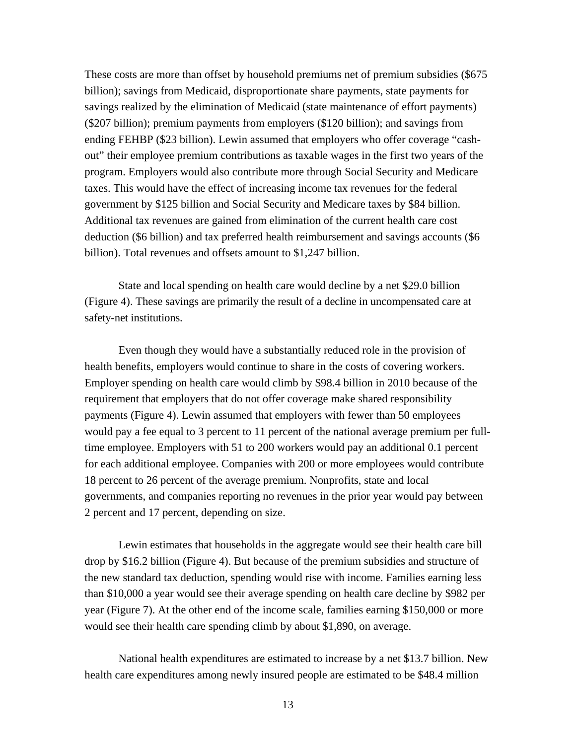These costs are more than offset by household premiums net of premium subsidies (\$675 billion); savings from Medicaid, disproportionate share payments, state payments for savings realized by the elimination of Medicaid (state maintenance of effort payments) (\$207 billion); premium payments from employers (\$120 billion); and savings from ending FEHBP (\$23 billion). Lewin assumed that employers who offer coverage "cashout" their employee premium contributions as taxable wages in the first two years of the program. Employers would also contribute more through Social Security and Medicare taxes. This would have the effect of increasing income tax revenues for the federal government by \$125 billion and Social Security and Medicare taxes by \$84 billion. Additional tax revenues are gained from elimination of the current health care cost deduction (\$6 billion) and tax preferred health reimbursement and savings accounts (\$6 billion). Total revenues and offsets amount to \$1,247 billion.

State and local spending on health care would decline by a net \$29.0 billion (Figure 4). These savings are primarily the result of a decline in uncompensated care at safety-net institutions.

Even though they would have a substantially reduced role in the provision of health benefits, employers would continue to share in the costs of covering workers. Employer spending on health care would climb by \$98.4 billion in 2010 because of the requirement that employers that do not offer coverage make shared responsibility payments (Figure 4). Lewin assumed that employers with fewer than 50 employees would pay a fee equal to 3 percent to 11 percent of the national average premium per fulltime employee. Employers with 51 to 200 workers would pay an additional 0.1 percent for each additional employee. Companies with 200 or more employees would contribute 18 percent to 26 percent of the average premium. Nonprofits, state and local governments, and companies reporting no revenues in the prior year would pay between 2 percent and 17 percent, depending on size.

Lewin estimates that households in the aggregate would see their health care bill drop by \$16.2 billion (Figure 4). But because of the premium subsidies and structure of the new standard tax deduction, spending would rise with income. Families earning less than \$10,000 a year would see their average spending on health care decline by \$982 per year (Figure 7). At the other end of the income scale, families earning \$150,000 or more would see their health care spending climb by about \$1,890, on average.

National health expenditures are estimated to increase by a net \$13.7 billion. New health care expenditures among newly insured people are estimated to be \$48.4 million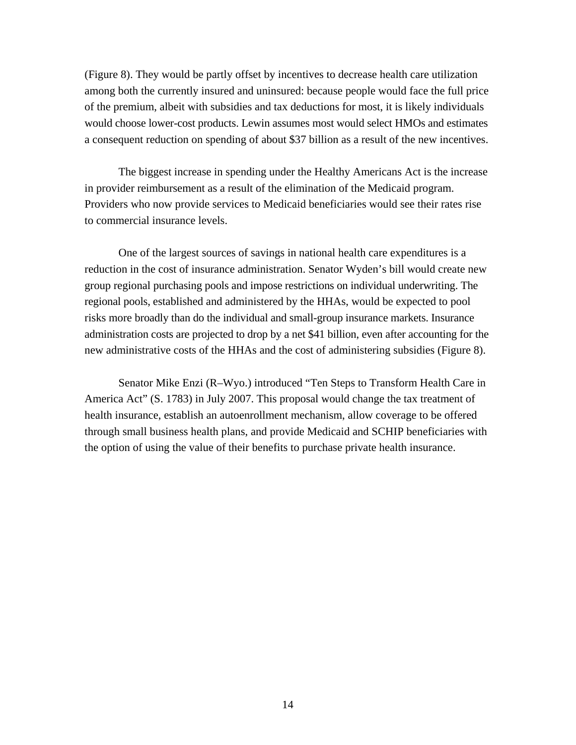(Figure 8). They would be partly offset by incentives to decrease health care utilization among both the currently insured and uninsured: because people would face the full price of the premium, albeit with subsidies and tax deductions for most, it is likely individuals would choose lower-cost products. Lewin assumes most would select HMOs and estimates a consequent reduction on spending of about \$37 billion as a result of the new incentives.

The biggest increase in spending under the Healthy Americans Act is the increase in provider reimbursement as a result of the elimination of the Medicaid program. Providers who now provide services to Medicaid beneficiaries would see their rates rise to commercial insurance levels.

One of the largest sources of savings in national health care expenditures is a reduction in the cost of insurance administration. Senator Wyden's bill would create new group regional purchasing pools and impose restrictions on individual underwriting. The regional pools, established and administered by the HHAs, would be expected to pool risks more broadly than do the individual and small-group insurance markets. Insurance administration costs are projected to drop by a net \$41 billion, even after accounting for the new administrative costs of the HHAs and the cost of administering subsidies (Figure 8).

Senator Mike Enzi (R–Wyo.) introduced "Ten Steps to Transform Health Care in America Act" (S. 1783) in July 2007. This proposal would change the tax treatment of health insurance, establish an autoenrollment mechanism, allow coverage to be offered through small business health plans, and provide Medicaid and SCHIP beneficiaries with the option of using the value of their benefits to purchase private health insurance.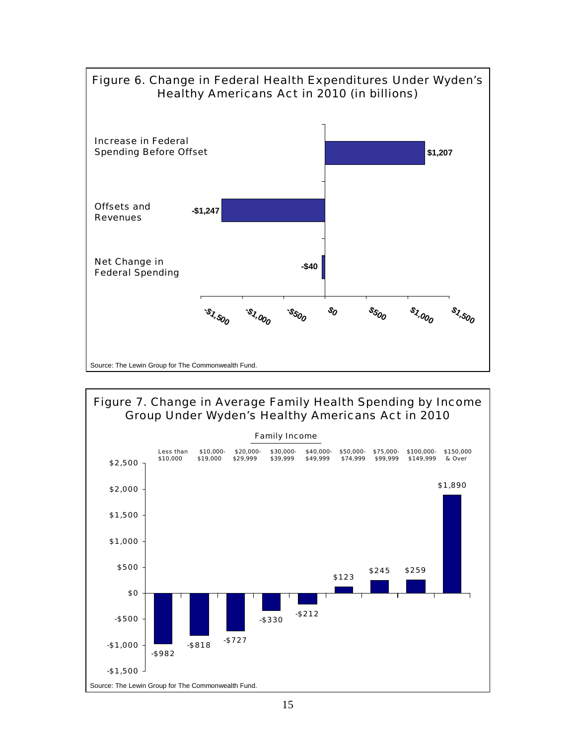

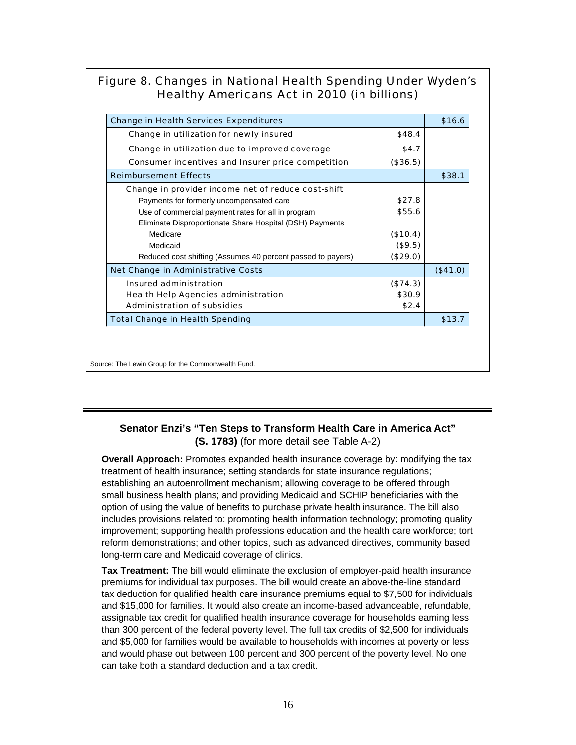## Figure 8. Changes in National Health Spending Under Wyden's Healthy Americans Act in 2010 (in billions)

| <b>Change in Health Services Expenditures</b>               |          | \$16.6   |
|-------------------------------------------------------------|----------|----------|
| Change in utilization for newly insured                     | \$48.4   |          |
| Change in utilization due to improved coverage              | \$4.7    |          |
| Consumer incentives and Insurer price competition           | (\$36.5) |          |
| <b>Reimbursement Effects</b>                                |          | \$38.1   |
| Change in provider income net of reduce cost-shift          |          |          |
| Payments for formerly uncompensated care                    | \$27.8   |          |
| Use of commercial payment rates for all in program          | \$55.6   |          |
| Eliminate Disproportionate Share Hospital (DSH) Payments    |          |          |
| Medicare                                                    | (\$10.4) |          |
| Medicaid                                                    | (\$9.5)  |          |
| Reduced cost shifting (Assumes 40 percent passed to payers) | (\$29.0) |          |
| <b>Net Change in Administrative Costs</b>                   |          | (\$41.0) |
| Insured administration                                      | (\$74.3) |          |
| <b>Health Help Agencies administration</b>                  | \$30.9   |          |
| <b>Administration of subsidies</b>                          | \$2.4    |          |
| <b>Total Change in Health Spending</b>                      |          | \$13.7   |

Source: The Lewin Group for the Commonwealth Fund.

## **Senator Enzi's "Ten Steps to Transform Health Care in America Act" (S. 1783)** (for more detail see Table A-2)

**Overall Approach:** Promotes expanded health insurance coverage by: modifying the tax treatment of health insurance; setting standards for state insurance regulations; establishing an autoenrollment mechanism; allowing coverage to be offered through small business health plans; and providing Medicaid and SCHIP beneficiaries with the option of using the value of benefits to purchase private health insurance. The bill also includes provisions related to: promoting health information technology; promoting quality improvement; supporting health professions education and the health care workforce; tort reform demonstrations; and other topics, such as advanced directives, community based long-term care and Medicaid coverage of clinics.

**Tax Treatment:** The bill would eliminate the exclusion of employer-paid health insurance premiums for individual tax purposes. The bill would create an above-the-line standard tax deduction for qualified health care insurance premiums equal to \$7,500 for individuals and \$15,000 for families. It would also create an income-based advanceable, refundable, assignable tax credit for qualified health insurance coverage for households earning less than 300 percent of the federal poverty level. The full tax credits of \$2,500 for individuals and \$5,000 for families would be available to households with incomes at poverty or less and would phase out between 100 percent and 300 percent of the poverty level. No one can take both a standard deduction and a tax credit.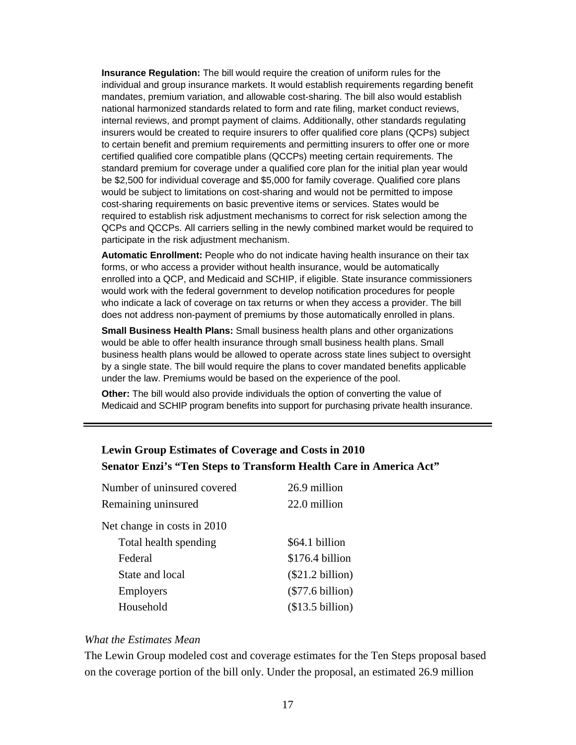**Insurance Regulation:** The bill would require the creation of uniform rules for the individual and group insurance markets. It would establish requirements regarding benefit mandates, premium variation, and allowable cost-sharing. The bill also would establish national harmonized standards related to form and rate filing, market conduct reviews, internal reviews, and prompt payment of claims. Additionally, other standards regulating insurers would be created to require insurers to offer qualified core plans (QCPs) subject to certain benefit and premium requirements and permitting insurers to offer one or more certified qualified core compatible plans (QCCPs) meeting certain requirements. The standard premium for coverage under a qualified core plan for the initial plan year would be \$2,500 for individual coverage and \$5,000 for family coverage. Qualified core plans would be subject to limitations on cost-sharing and would not be permitted to impose cost-sharing requirements on basic preventive items or services. States would be required to establish risk adjustment mechanisms to correct for risk selection among the QCPs and QCCPs. All carriers selling in the newly combined market would be required to participate in the risk adjustment mechanism.

**Automatic Enrollment:** People who do not indicate having health insurance on their tax forms, or who access a provider without health insurance, would be automatically enrolled into a QCP, and Medicaid and SCHIP, if eligible. State insurance commissioners would work with the federal government to develop notification procedures for people who indicate a lack of coverage on tax returns or when they access a provider. The bill does not address non-payment of premiums by those automatically enrolled in plans.

**Small Business Health Plans:** Small business health plans and other organizations would be able to offer health insurance through small business health plans. Small business health plans would be allowed to operate across state lines subject to oversight by a single state. The bill would require the plans to cover mandated benefits applicable under the law. Premiums would be based on the experience of the pool.

**Other:** The bill would also provide individuals the option of converting the value of Medicaid and SCHIP program benefits into support for purchasing private health insurance.

## **Lewin Group Estimates of Coverage and Costs in 2010 Senator Enzi's "Ten Steps to Transform Health Care in America Act"**

| Number of uninsured covered | 26.9 million       |
|-----------------------------|--------------------|
| Remaining uninsured         | 22.0 million       |
| Net change in costs in 2010 |                    |
| Total health spending       | \$64.1 billion     |
| Federal                     | \$176.4 billion    |
| State and local             | (\$21.2 billion)   |
| <b>Employers</b>            | $(\$77.6 billion)$ |
| Household                   | (\$13.5 billion)   |

#### *What the Estimates Mean*

The Lewin Group modeled cost and coverage estimates for the Ten Steps proposal based on the coverage portion of the bill only. Under the proposal, an estimated 26.9 million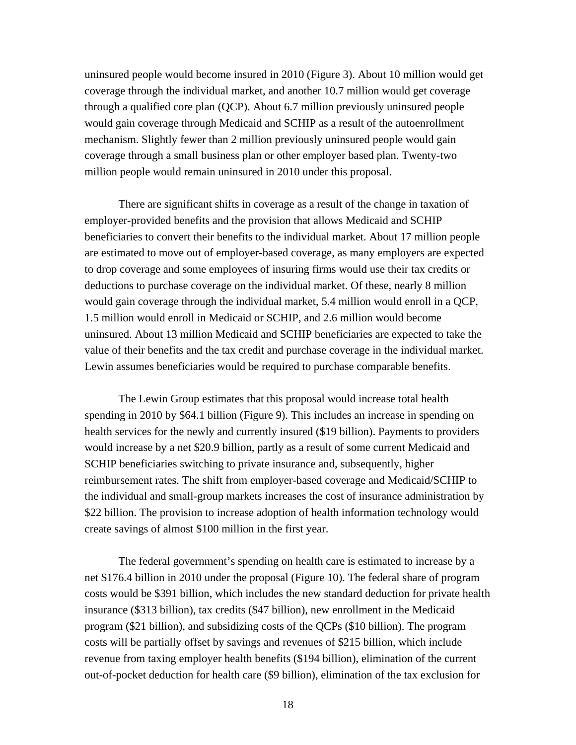uninsured people would become insured in 2010 (Figure 3). About 10 million would get coverage through the individual market, and another 10.7 million would get coverage through a qualified core plan (QCP). About 6.7 million previously uninsured people would gain coverage through Medicaid and SCHIP as a result of the autoenrollment mechanism. Slightly fewer than 2 million previously uninsured people would gain coverage through a small business plan or other employer based plan. Twenty-two million people would remain uninsured in 2010 under this proposal.

There are significant shifts in coverage as a result of the change in taxation of employer-provided benefits and the provision that allows Medicaid and SCHIP beneficiaries to convert their benefits to the individual market. About 17 million people are estimated to move out of employer-based coverage, as many employers are expected to drop coverage and some employees of insuring firms would use their tax credits or deductions to purchase coverage on the individual market. Of these, nearly 8 million would gain coverage through the individual market, 5.4 million would enroll in a QCP, 1.5 million would enroll in Medicaid or SCHIP, and 2.6 million would become uninsured. About 13 million Medicaid and SCHIP beneficiaries are expected to take the value of their benefits and the tax credit and purchase coverage in the individual market. Lewin assumes beneficiaries would be required to purchase comparable benefits.

The Lewin Group estimates that this proposal would increase total health spending in 2010 by \$64.1 billion (Figure 9). This includes an increase in spending on health services for the newly and currently insured (\$19 billion). Payments to providers would increase by a net \$20.9 billion, partly as a result of some current Medicaid and SCHIP beneficiaries switching to private insurance and, subsequently, higher reimbursement rates. The shift from employer-based coverage and Medicaid/SCHIP to the individual and small-group markets increases the cost of insurance administration by \$22 billion. The provision to increase adoption of health information technology would create savings of almost \$100 million in the first year.

The federal government's spending on health care is estimated to increase by a net \$176.4 billion in 2010 under the proposal (Figure 10). The federal share of program costs would be \$391 billion, which includes the new standard deduction for private health insurance (\$313 billion), tax credits (\$47 billion), new enrollment in the Medicaid program (\$21 billion), and subsidizing costs of the QCPs (\$10 billion). The program costs will be partially offset by savings and revenues of \$215 billion, which include revenue from taxing employer health benefits (\$194 billion), elimination of the current out-of-pocket deduction for health care (\$9 billion), elimination of the tax exclusion for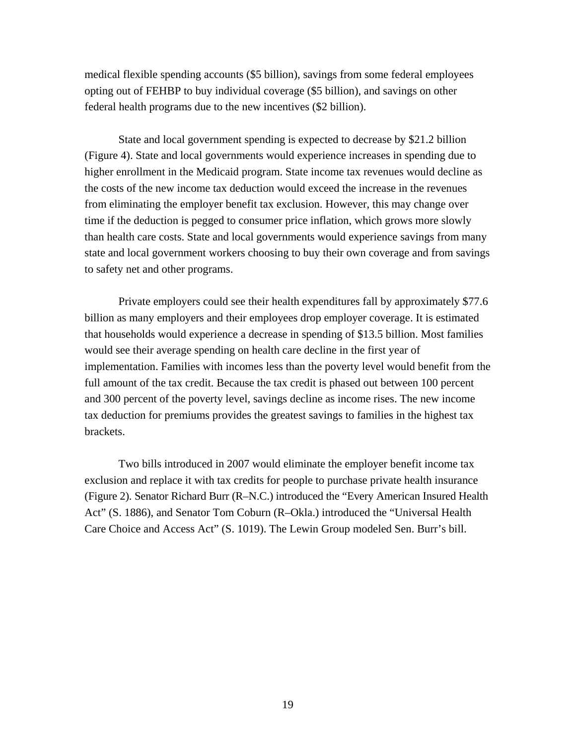medical flexible spending accounts (\$5 billion), savings from some federal employees opting out of FEHBP to buy individual coverage (\$5 billion), and savings on other federal health programs due to the new incentives (\$2 billion).

State and local government spending is expected to decrease by \$21.2 billion (Figure 4). State and local governments would experience increases in spending due to higher enrollment in the Medicaid program. State income tax revenues would decline as the costs of the new income tax deduction would exceed the increase in the revenues from eliminating the employer benefit tax exclusion. However, this may change over time if the deduction is pegged to consumer price inflation, which grows more slowly than health care costs. State and local governments would experience savings from many state and local government workers choosing to buy their own coverage and from savings to safety net and other programs.

Private employers could see their health expenditures fall by approximately \$77.6 billion as many employers and their employees drop employer coverage. It is estimated that households would experience a decrease in spending of \$13.5 billion. Most families would see their average spending on health care decline in the first year of implementation. Families with incomes less than the poverty level would benefit from the full amount of the tax credit. Because the tax credit is phased out between 100 percent and 300 percent of the poverty level, savings decline as income rises. The new income tax deduction for premiums provides the greatest savings to families in the highest tax brackets.

Two bills introduced in 2007 would eliminate the employer benefit income tax exclusion and replace it with tax credits for people to purchase private health insurance (Figure 2). Senator Richard Burr (R–N.C.) introduced the "Every American Insured Health Act" (S. 1886), and Senator Tom Coburn (R–Okla.) introduced the "Universal Health Care Choice and Access Act" (S. 1019). The Lewin Group modeled Sen. Burr's bill.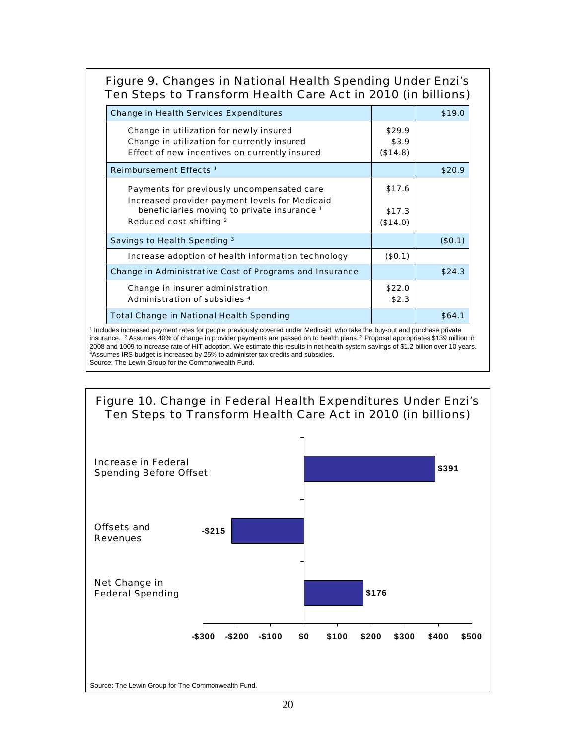# Figure 9. Changes in National Health Spending Under Enzi's Ten Steps to Transform Health Care Act in 2010 (in billions)

| <b>Change in Health Services Expenditures</b>                  |          | \$19.0  |
|----------------------------------------------------------------|----------|---------|
| Change in utilization for newly insured                        | \$29.9   |         |
| Change in utilization for currently insured                    | \$3.9    |         |
| Effect of new incentives on currently insured                  | (\$14.8) |         |
| Reimbursement Effects <sup>1</sup>                             |          | \$20.9  |
| Payments for previously uncompensated care                     | \$17.6   |         |
| Increased provider payment levels for Medicaid                 |          |         |
| beneficiaries moving to private insurance 1                    | \$17.3   |         |
| Reduced cost shifting 2                                        | (\$14.0) |         |
| Savings to Health Spending 3                                   |          | (\$0.1) |
| Increase adoption of health information technology             | (\$0.1)  |         |
| <b>Change in Administrative Cost of Programs and Insurance</b> |          | \$24.3  |
| Change in insurer administration                               | \$22.0   |         |
| <b>Administration of subsidies 4</b>                           | \$2.3    |         |
| <b>Total Change in National Health Spending</b>                |          | \$64.1  |

<sup>1</sup> Includes increased payment rates for people previously covered under Medicaid, who take the buy-out and purchase private insurance. <sup>2</sup> Assumes 40% of change in provider payments are passed on to health plans. <sup>3</sup> Proposal appropriates \$139 million in 2008 and 1009 to increase rate of HIT adoption. We estimate this results in net health system savings of \$1.2 billion over 10 years. 4Assumes IRS budget is increased by 25% to administer tax credits and subsidies. Source: The Lewin Group for the Commonwealth Fund.

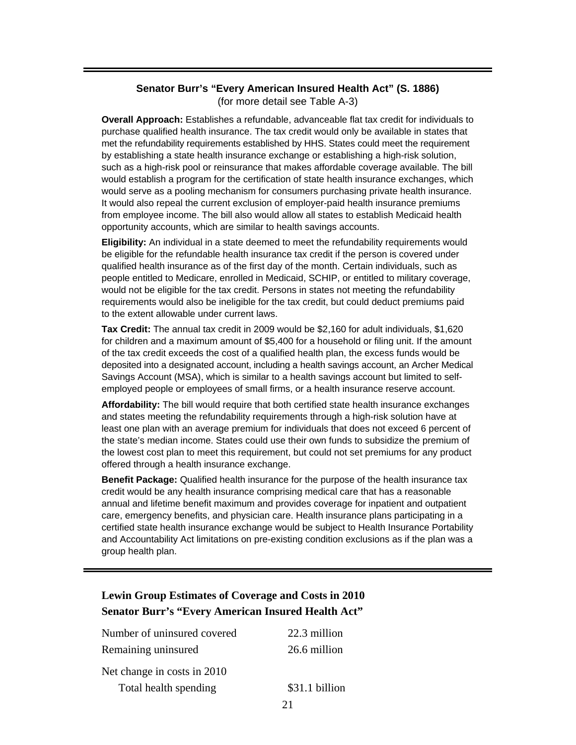### **Senator Burr's "Every American Insured Health Act" (S. 1886)**  (for more detail see Table A-3)

**Overall Approach:** Establishes a refundable, advanceable flat tax credit for individuals to purchase qualified health insurance. The tax credit would only be available in states that met the refundability requirements established by HHS. States could meet the requirement by establishing a state health insurance exchange or establishing a high-risk solution, such as a high-risk pool or reinsurance that makes affordable coverage available. The bill would establish a program for the certification of state health insurance exchanges, which would serve as a pooling mechanism for consumers purchasing private health insurance. It would also repeal the current exclusion of employer-paid health insurance premiums from employee income. The bill also would allow all states to establish Medicaid health opportunity accounts, which are similar to health savings accounts.

**Eligibility:** An individual in a state deemed to meet the refundability requirements would be eligible for the refundable health insurance tax credit if the person is covered under qualified health insurance as of the first day of the month. Certain individuals, such as people entitled to Medicare, enrolled in Medicaid, SCHIP, or entitled to military coverage, would not be eligible for the tax credit. Persons in states not meeting the refundability requirements would also be ineligible for the tax credit, but could deduct premiums paid to the extent allowable under current laws.

**Tax Credit:** The annual tax credit in 2009 would be \$2,160 for adult individuals, \$1,620 for children and a maximum amount of \$5,400 for a household or filing unit. If the amount of the tax credit exceeds the cost of a qualified health plan, the excess funds would be deposited into a designated account, including a health savings account, an Archer Medical Savings Account (MSA), which is similar to a health savings account but limited to selfemployed people or employees of small firms, or a health insurance reserve account.

**Affordability:** The bill would require that both certified state health insurance exchanges and states meeting the refundability requirements through a high-risk solution have at least one plan with an average premium for individuals that does not exceed 6 percent of the state's median income. States could use their own funds to subsidize the premium of the lowest cost plan to meet this requirement, but could not set premiums for any product offered through a health insurance exchange.

**Benefit Package:** Qualified health insurance for the purpose of the health insurance tax credit would be any health insurance comprising medical care that has a reasonable annual and lifetime benefit maximum and provides coverage for inpatient and outpatient care, emergency benefits, and physician care. Health insurance plans participating in a certified state health insurance exchange would be subject to Health Insurance Portability and Accountability Act limitations on pre-existing condition exclusions as if the plan was a group health plan.

# **Lewin Group Estimates of Coverage and Costs in 2010 Senator Burr's "Every American Insured Health Act"**

| Total health spending       | \$31.1 billion |
|-----------------------------|----------------|
| Net change in costs in 2010 |                |
| Remaining uninsured         | 26.6 million   |
| Number of uninsured covered | 22.3 million   |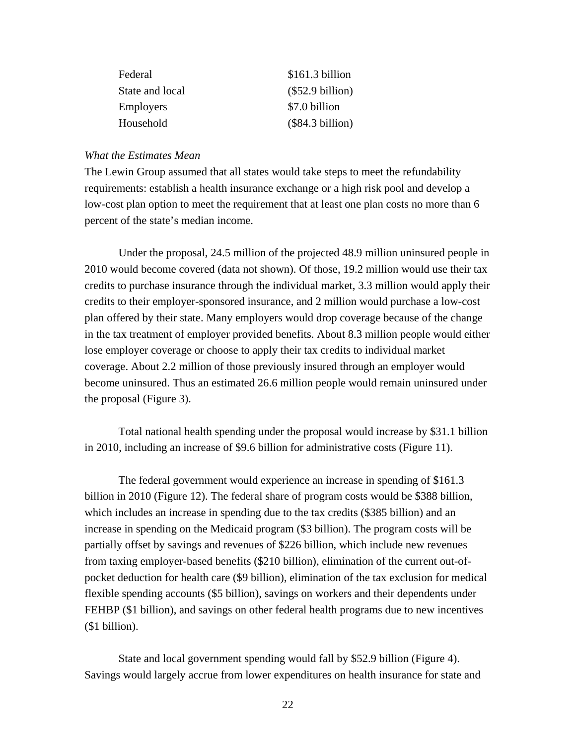| Federal          | \$161.3 billion    |
|------------------|--------------------|
| State and local  | $(\$52.9 billion)$ |
| <b>Employers</b> | \$7.0 billion      |
| Household        | (\$84.3 billion)   |

#### *What the Estimates Mean*

The Lewin Group assumed that all states would take steps to meet the refundability requirements: establish a health insurance exchange or a high risk pool and develop a low-cost plan option to meet the requirement that at least one plan costs no more than 6 percent of the state's median income.

Under the proposal, 24.5 million of the projected 48.9 million uninsured people in 2010 would become covered (data not shown). Of those, 19.2 million would use their tax credits to purchase insurance through the individual market, 3.3 million would apply their credits to their employer-sponsored insurance, and 2 million would purchase a low-cost plan offered by their state. Many employers would drop coverage because of the change in the tax treatment of employer provided benefits. About 8.3 million people would either lose employer coverage or choose to apply their tax credits to individual market coverage. About 2.2 million of those previously insured through an employer would become uninsured. Thus an estimated 26.6 million people would remain uninsured under the proposal (Figure 3).

Total national health spending under the proposal would increase by \$31.1 billion in 2010, including an increase of \$9.6 billion for administrative costs (Figure 11).

The federal government would experience an increase in spending of \$161.3 billion in 2010 (Figure 12). The federal share of program costs would be \$388 billion, which includes an increase in spending due to the tax credits (\$385 billion) and an increase in spending on the Medicaid program (\$3 billion). The program costs will be partially offset by savings and revenues of \$226 billion, which include new revenues from taxing employer-based benefits (\$210 billion), elimination of the current out-ofpocket deduction for health care (\$9 billion), elimination of the tax exclusion for medical flexible spending accounts (\$5 billion), savings on workers and their dependents under FEHBP (\$1 billion), and savings on other federal health programs due to new incentives (\$1 billion).

State and local government spending would fall by \$52.9 billion (Figure 4). Savings would largely accrue from lower expenditures on health insurance for state and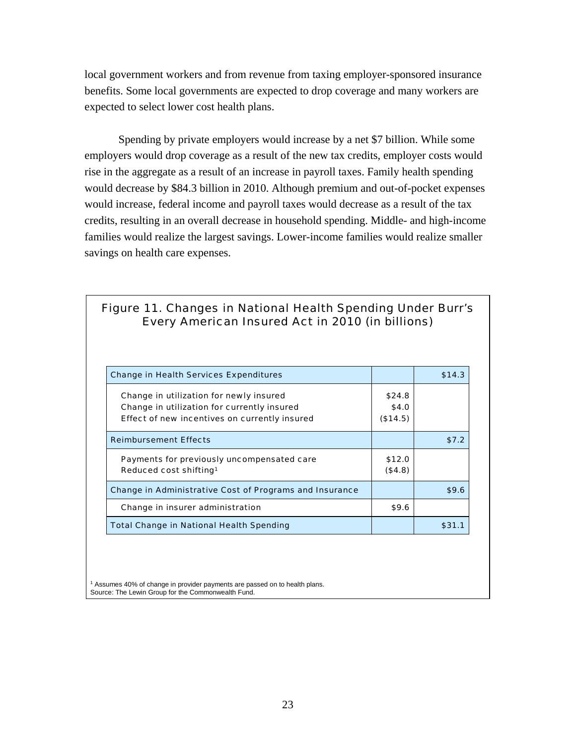local government workers and from revenue from taxing employer-sponsored insurance benefits. Some local governments are expected to drop coverage and many workers are expected to select lower cost health plans.

Spending by private employers would increase by a net \$7 billion. While some employers would drop coverage as a result of the new tax credits, employer costs would rise in the aggregate as a result of an increase in payroll taxes. Family health spending would decrease by \$84.3 billion in 2010. Although premium and out-of-pocket expenses would increase, federal income and payroll taxes would decrease as a result of the tax credits, resulting in an overall decrease in household spending. Middle- and high-income families would realize the largest savings. Lower-income families would realize smaller savings on health care expenses.

# Figure 11. Changes in National Health Spending Under Burr's Every American Insured Act in 2010 (in billions)

| <b>Change in Health Services Expenditures</b>                                                                                           |                             | \$14.3 |
|-----------------------------------------------------------------------------------------------------------------------------------------|-----------------------------|--------|
| Change in utilization for newly insured<br>Change in utilization for currently insured<br>Effect of new incentives on currently insured | \$24.8<br>\$4.0<br>(\$14.5) |        |
| <b>Reimbursement Effects</b>                                                                                                            |                             | \$7.2  |
| Payments for previously uncompensated care<br>Reduced cost shifting <sup>1</sup>                                                        | \$12.0<br>(\$4.8)           |        |
| <b>Change in Administrative Cost of Programs and Insurance</b>                                                                          |                             | \$9.6  |
| Change in insurer administration                                                                                                        | \$9.6                       |        |
| <b>Total Change in National Health Spending</b>                                                                                         |                             | \$31.1 |

 $1$  Assumes 40% of change in provider payments are passed on to health plans. Source: The Lewin Group for the Commonwealth Fund.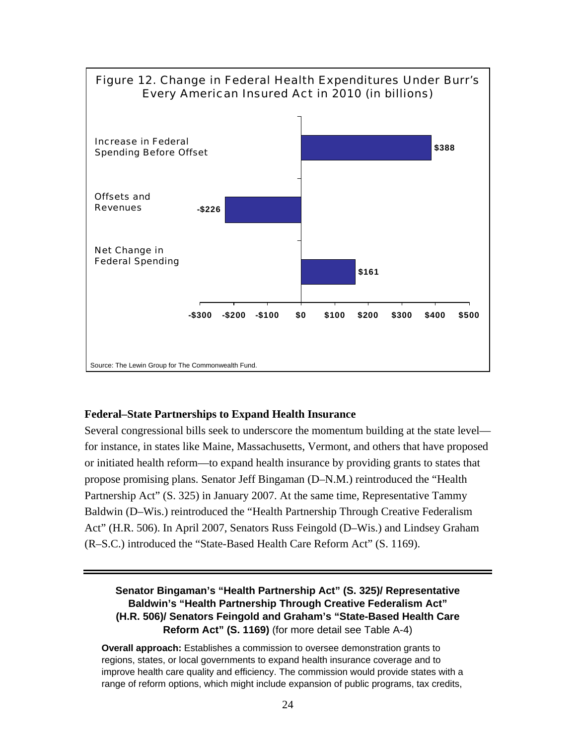

#### **Federal–State Partnerships to Expand Health Insurance**

Several congressional bills seek to underscore the momentum building at the state level for instance, in states like Maine, Massachusetts, Vermont, and others that have proposed or initiated health reform—to expand health insurance by providing grants to states that propose promising plans. Senator Jeff Bingaman (D–N.M.) reintroduced the "Health Partnership Act" (S. 325) in January 2007. At the same time, Representative Tammy Baldwin (D–Wis.) reintroduced the "Health Partnership Through Creative Federalism Act" (H.R. 506). In April 2007, Senators Russ Feingold (D–Wis.) and Lindsey Graham (R–S.C.) introduced the "State-Based Health Care Reform Act" (S. 1169).

## **Senator Bingaman's "Health Partnership Act" (S. 325)/ Representative Baldwin's "Health Partnership Through Creative Federalism Act" (H.R. 506)/ Senators Feingold and Graham's "State-Based Health Care Reform Act" (S. 1169)** (for more detail see Table A-4)

**Overall approach:** Establishes a commission to oversee demonstration grants to regions, states, or local governments to expand health insurance coverage and to improve health care quality and efficiency. The commission would provide states with a range of reform options, which might include expansion of public programs, tax credits,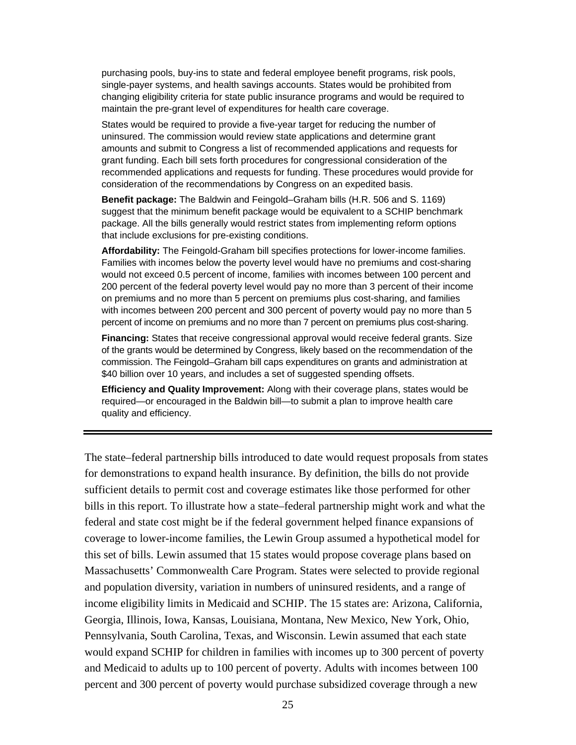purchasing pools, buy-ins to state and federal employee benefit programs, risk pools, single-payer systems, and health savings accounts. States would be prohibited from changing eligibility criteria for state public insurance programs and would be required to maintain the pre-grant level of expenditures for health care coverage.

States would be required to provide a five-year target for reducing the number of uninsured. The commission would review state applications and determine grant amounts and submit to Congress a list of recommended applications and requests for grant funding. Each bill sets forth procedures for congressional consideration of the recommended applications and requests for funding. These procedures would provide for consideration of the recommendations by Congress on an expedited basis.

**Benefit package:** The Baldwin and Feingold–Graham bills (H.R. 506 and S. 1169) suggest that the minimum benefit package would be equivalent to a SCHIP benchmark package. All the bills generally would restrict states from implementing reform options that include exclusions for pre-existing conditions.

**Affordability:** The Feingold-Graham bill specifies protections for lower-income families. Families with incomes below the poverty level would have no premiums and cost-sharing would not exceed 0.5 percent of income, families with incomes between 100 percent and 200 percent of the federal poverty level would pay no more than 3 percent of their income on premiums and no more than 5 percent on premiums plus cost-sharing, and families with incomes between 200 percent and 300 percent of poverty would pay no more than 5 percent of income on premiums and no more than 7 percent on premiums plus cost-sharing.

**Financing:** States that receive congressional approval would receive federal grants. Size of the grants would be determined by Congress, likely based on the recommendation of the commission. The Feingold–Graham bill caps expenditures on grants and administration at \$40 billion over 10 years, and includes a set of suggested spending offsets.

**Efficiency and Quality Improvement:** Along with their coverage plans, states would be required—or encouraged in the Baldwin bill—to submit a plan to improve health care quality and efficiency.

The state–federal partnership bills introduced to date would request proposals from states for demonstrations to expand health insurance. By definition, the bills do not provide sufficient details to permit cost and coverage estimates like those performed for other bills in this report. To illustrate how a state–federal partnership might work and what the federal and state cost might be if the federal government helped finance expansions of coverage to lower-income families, the Lewin Group assumed a hypothetical model for this set of bills. Lewin assumed that 15 states would propose coverage plans based on Massachusetts' Commonwealth Care Program. States were selected to provide regional and population diversity, variation in numbers of uninsured residents, and a range of income eligibility limits in Medicaid and SCHIP. The 15 states are: Arizona, California, Georgia, Illinois, Iowa, Kansas, Louisiana, Montana, New Mexico, New York, Ohio, Pennsylvania, South Carolina, Texas, and Wisconsin. Lewin assumed that each state would expand SCHIP for children in families with incomes up to 300 percent of poverty and Medicaid to adults up to 100 percent of poverty. Adults with incomes between 100 percent and 300 percent of poverty would purchase subsidized coverage through a new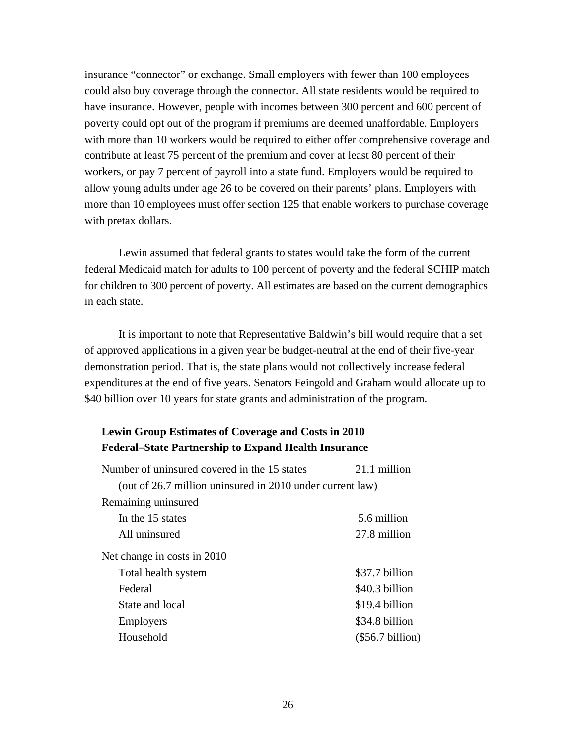insurance "connector" or exchange. Small employers with fewer than 100 employees could also buy coverage through the connector. All state residents would be required to have insurance. However, people with incomes between 300 percent and 600 percent of poverty could opt out of the program if premiums are deemed unaffordable. Employers with more than 10 workers would be required to either offer comprehensive coverage and contribute at least 75 percent of the premium and cover at least 80 percent of their workers, or pay 7 percent of payroll into a state fund. Employers would be required to allow young adults under age 26 to be covered on their parents' plans. Employers with more than 10 employees must offer section 125 that enable workers to purchase coverage with pretax dollars.

Lewin assumed that federal grants to states would take the form of the current federal Medicaid match for adults to 100 percent of poverty and the federal SCHIP match for children to 300 percent of poverty. All estimates are based on the current demographics in each state.

It is important to note that Representative Baldwin's bill would require that a set of approved applications in a given year be budget-neutral at the end of their five-year demonstration period. That is, the state plans would not collectively increase federal expenditures at the end of five years. Senators Feingold and Graham would allocate up to \$40 billion over 10 years for state grants and administration of the program.

# **Lewin Group Estimates of Coverage and Costs in 2010 Federal–State Partnership to Expand Health Insurance**

| Number of uninsured covered in the 15 states              | 21.1 million       |
|-----------------------------------------------------------|--------------------|
| (out of 26.7 million uninsured in 2010 under current law) |                    |
| Remaining uninsured                                       |                    |
| In the 15 states                                          | 5.6 million        |
| All uninsured                                             | 27.8 million       |
| Net change in costs in 2010                               |                    |
| Total health system                                       | \$37.7 billion     |
| Federal                                                   | \$40.3 billion     |
| State and local                                           | \$19.4 billion     |
| <b>Employers</b>                                          | \$34.8 billion     |
| Household                                                 | $(\$56.7 billion)$ |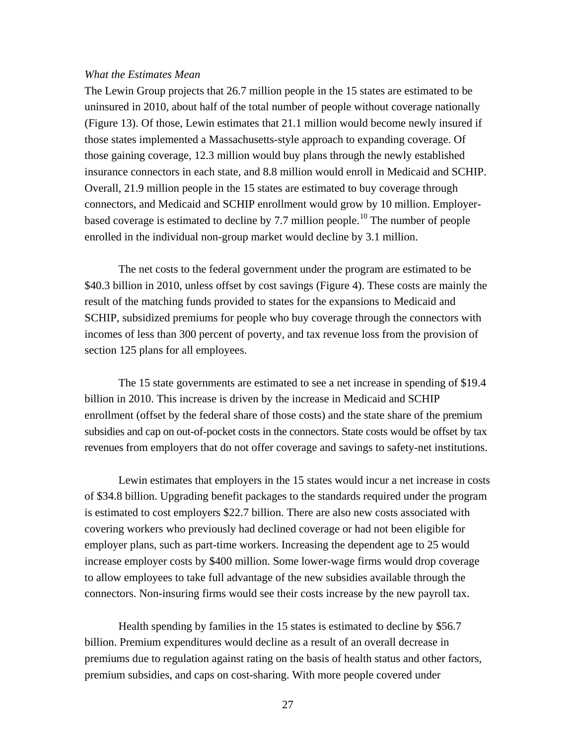#### *What the Estimates Mean*

The Lewin Group projects that 26.7 million people in the 15 states are estimated to be uninsured in 2010, about half of the total number of people without coverage nationally (Figure 13). Of those, Lewin estimates that 21.1 million would become newly insured if those states implemented a Massachusetts-style approach to expanding coverage. Of those gaining coverage, 12.3 million would buy plans through the newly established insurance connectors in each state, and 8.8 million would enroll in Medicaid and SCHIP. Overall, 21.9 million people in the 15 states are estimated to buy coverage through connectors, and Medicaid and SCHIP enrollment would grow by 10 million. Employer-based coverage is estimated to decline by 7.7 million people.<sup>[10](#page-127-0)</sup> The number of people enrolled in the individual non-group market would decline by 3.1 million.

The net costs to the federal government under the program are estimated to be \$40.3 billion in 2010, unless offset by cost savings (Figure 4). These costs are mainly the result of the matching funds provided to states for the expansions to Medicaid and SCHIP, subsidized premiums for people who buy coverage through the connectors with incomes of less than 300 percent of poverty, and tax revenue loss from the provision of section 125 plans for all employees.

The 15 state governments are estimated to see a net increase in spending of \$19.4 billion in 2010. This increase is driven by the increase in Medicaid and SCHIP enrollment (offset by the federal share of those costs) and the state share of the premium subsidies and cap on out-of-pocket costs in the connectors. State costs would be offset by tax revenues from employers that do not offer coverage and savings to safety-net institutions.

Lewin estimates that employers in the 15 states would incur a net increase in costs of \$34.8 billion. Upgrading benefit packages to the standards required under the program is estimated to cost employers \$22.7 billion. There are also new costs associated with covering workers who previously had declined coverage or had not been eligible for employer plans, such as part-time workers. Increasing the dependent age to 25 would increase employer costs by \$400 million. Some lower-wage firms would drop coverage to allow employees to take full advantage of the new subsidies available through the connectors. Non-insuring firms would see their costs increase by the new payroll tax.

Health spending by families in the 15 states is estimated to decline by \$56.7 billion. Premium expenditures would decline as a result of an overall decrease in premiums due to regulation against rating on the basis of health status and other factors, premium subsidies, and caps on cost-sharing. With more people covered under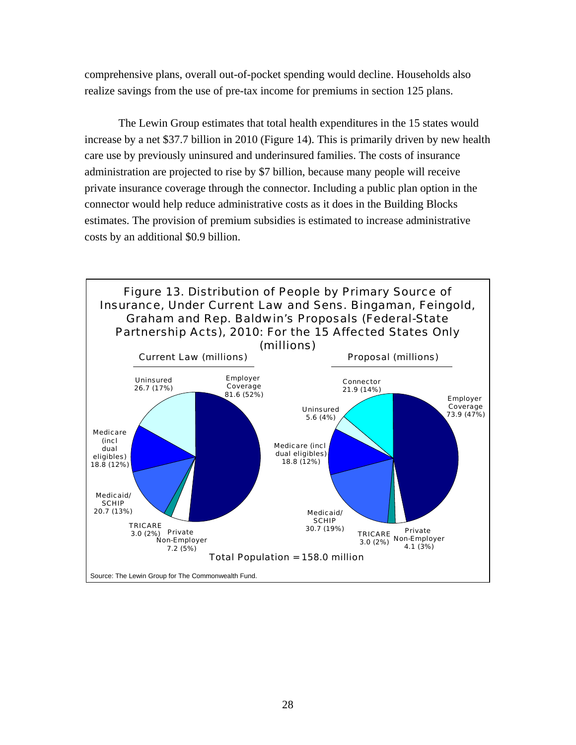comprehensive plans, overall out-of-pocket spending would decline. Households also realize savings from the use of pre-tax income for premiums in section 125 plans.

The Lewin Group estimates that total health expenditures in the 15 states would increase by a net \$37.7 billion in 2010 (Figure 14). This is primarily driven by new health care use by previously uninsured and underinsured families. The costs of insurance administration are projected to rise by \$7 billion, because many people will receive private insurance coverage through the connector. Including a public plan option in the connector would help reduce administrative costs as it does in the Building Blocks estimates. The provision of premium subsidies is estimated to increase administrative costs by an additional \$0.9 billion.

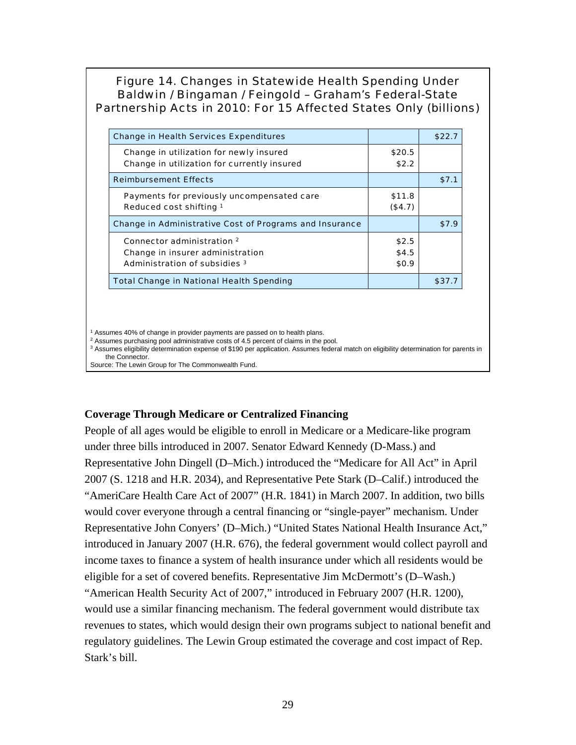# Figure 14. Changes in Statewide Health Spending Under Baldwin / Bingaman / Feingold – Graham's Federal-State Partnership Acts in 2010: For 15 Affected States Only (billions)

| <b>Change in Health Services Expenditures</b>                  |          | \$22.7 |
|----------------------------------------------------------------|----------|--------|
| Change in utilization for newly insured                        | \$20.5   |        |
| Change in utilization for currently insured                    | \$2.2    |        |
| <b>Reimbursement Effects</b>                                   |          | \$7.1  |
| Payments for previously uncompensated care                     | \$11.8   |        |
| Reduced cost shifting 1                                        | ( \$4.7) |        |
| <b>Change in Administrative Cost of Programs and Insurance</b> |          | \$7.9  |
| Connector administration 2                                     | \$2.5    |        |
| Change in insurer administration                               | \$4.5    |        |
| Administration of subsidies 3                                  | \$0.9    |        |
| <b>Total Change in National Health Spending</b>                |          | \$37.7 |

<sup>1</sup> Assumes 40% of change in provider payments are passed on to health plans.

<sup>2</sup> Assumes purchasing pool administrative costs of 4.5 percent of claims in the pool.

<sup>3</sup> Assumes eligibility determination expense of \$190 per application. Assumes federal match on eligibility determination for parents in the Connector.

Source: The Lewin Group for The Commonwealth Fund.

## **Coverage Through Medicare or Centralized Financing**

People of all ages would be eligible to enroll in Medicare or a Medicare-like program under three bills introduced in 2007. Senator Edward Kennedy (D-Mass.) and Representative John Dingell (D–Mich.) introduced the "Medicare for All Act" in April 2007 (S. 1218 and H.R. 2034), and Representative Pete Stark (D–Calif.) introduced the "AmeriCare Health Care Act of 2007" (H.R. 1841) in March 2007. In addition, two bills would cover everyone through a central financing or "single-payer" mechanism. Under Representative John Conyers' (D–Mich.) "United States National Health Insurance Act," introduced in January 2007 (H.R. 676), the federal government would collect payroll and income taxes to finance a system of health insurance under which all residents would be eligible for a set of covered benefits. Representative Jim McDermott's (D–Wash.) "American Health Security Act of 2007," introduced in February 2007 (H.R. 1200), would use a similar financing mechanism. The federal government would distribute tax revenues to states, which would design their own programs subject to national benefit and regulatory guidelines. The Lewin Group estimated the coverage and cost impact of Rep. Stark's bill.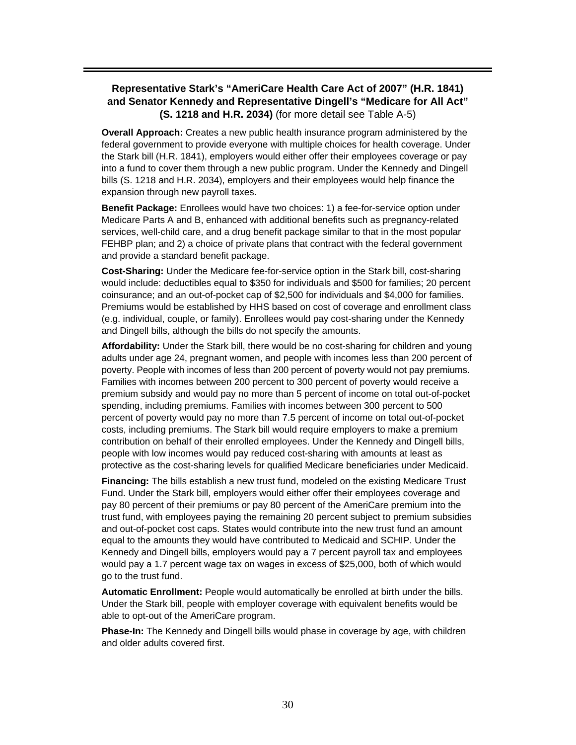## **Representative Stark's "AmeriCare Health Care Act of 2007" (H.R. 1841) and Senator Kennedy and Representative Dingell's "Medicare for All Act" (S. 1218 and H.R. 2034)** (for more detail see Table A-5)

**Overall Approach:** Creates a new public health insurance program administered by the federal government to provide everyone with multiple choices for health coverage. Under the Stark bill (H.R. 1841), employers would either offer their employees coverage or pay into a fund to cover them through a new public program. Under the Kennedy and Dingell bills (S. 1218 and H.R. 2034), employers and their employees would help finance the expansion through new payroll taxes.

**Benefit Package:** Enrollees would have two choices: 1) a fee-for-service option under Medicare Parts A and B, enhanced with additional benefits such as pregnancy-related services, well-child care, and a drug benefit package similar to that in the most popular FEHBP plan; and 2) a choice of private plans that contract with the federal government and provide a standard benefit package.

**Cost-Sharing:** Under the Medicare fee-for-service option in the Stark bill, cost-sharing would include: deductibles equal to \$350 for individuals and \$500 for families; 20 percent coinsurance; and an out-of-pocket cap of \$2,500 for individuals and \$4,000 for families. Premiums would be established by HHS based on cost of coverage and enrollment class (e.g. individual, couple, or family). Enrollees would pay cost-sharing under the Kennedy and Dingell bills, although the bills do not specify the amounts.

**Affordability:** Under the Stark bill, there would be no cost-sharing for children and young adults under age 24, pregnant women, and people with incomes less than 200 percent of poverty. People with incomes of less than 200 percent of poverty would not pay premiums. Families with incomes between 200 percent to 300 percent of poverty would receive a premium subsidy and would pay no more than 5 percent of income on total out-of-pocket spending, including premiums. Families with incomes between 300 percent to 500 percent of poverty would pay no more than 7.5 percent of income on total out-of-pocket costs, including premiums. The Stark bill would require employers to make a premium contribution on behalf of their enrolled employees. Under the Kennedy and Dingell bills, people with low incomes would pay reduced cost-sharing with amounts at least as protective as the cost-sharing levels for qualified Medicare beneficiaries under Medicaid.

**Financing:** The bills establish a new trust fund, modeled on the existing Medicare Trust Fund. Under the Stark bill, employers would either offer their employees coverage and pay 80 percent of their premiums or pay 80 percent of the AmeriCare premium into the trust fund, with employees paying the remaining 20 percent subject to premium subsidies and out-of-pocket cost caps. States would contribute into the new trust fund an amount equal to the amounts they would have contributed to Medicaid and SCHIP. Under the Kennedy and Dingell bills, employers would pay a 7 percent payroll tax and employees would pay a 1.7 percent wage tax on wages in excess of \$25,000, both of which would go to the trust fund.

**Automatic Enrollment:** People would automatically be enrolled at birth under the bills. Under the Stark bill, people with employer coverage with equivalent benefits would be able to opt-out of the AmeriCare program.

**Phase-In:** The Kennedy and Dingell bills would phase in coverage by age, with children and older adults covered first.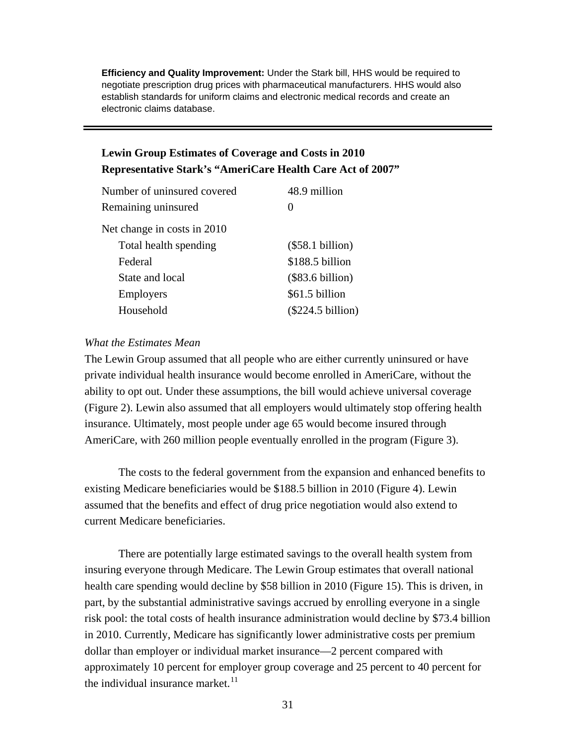**Efficiency and Quality Improvement:** Under the Stark bill, HHS would be required to negotiate prescription drug prices with pharmaceutical manufacturers. HHS would also establish standards for uniform claims and electronic medical records and create an electronic claims database.

# **Lewin Group Estimates of Coverage and Costs in 2010 Representative Stark's "AmeriCare Health Care Act of 2007"**

| Number of uninsured covered | 48.9 million        |
|-----------------------------|---------------------|
| Remaining uninsured         | $\mathbf{0}$        |
| Net change in costs in 2010 |                     |
| Total health spending       | $(\$58.1 billion)$  |
| Federal                     | \$188.5 billion     |
| State and local             | $(\$83.6 billion)$  |
| <b>Employers</b>            | \$61.5 billion      |
| Household                   | $(\$224.5 billion)$ |
|                             |                     |

#### *What the Estimates Mean*

The Lewin Group assumed that all people who are either currently uninsured or have private individual health insurance would become enrolled in AmeriCare, without the ability to opt out. Under these assumptions, the bill would achieve universal coverage (Figure 2). Lewin also assumed that all employers would ultimately stop offering health insurance. Ultimately, most people under age 65 would become insured through AmeriCare, with 260 million people eventually enrolled in the program (Figure 3).

The costs to the federal government from the expansion and enhanced benefits to existing Medicare beneficiaries would be \$188.5 billion in 2010 (Figure 4). Lewin assumed that the benefits and effect of drug price negotiation would also extend to current Medicare beneficiaries.

There are potentially large estimated savings to the overall health system from insuring everyone through Medicare. The Lewin Group estimates that overall national health care spending would decline by \$58 billion in 2010 (Figure 15). This is driven, in part, by the substantial administrative savings accrued by enrolling everyone in a single risk pool: the total costs of health insurance administration would decline by \$73.4 billion in 2010. Currently, Medicare has significantly lower administrative costs per premium dollar than employer or individual market insurance—2 percent compared with approximately 10 percent for employer group coverage and 25 percent to 40 percent for the individual insurance market.  $11$  $11$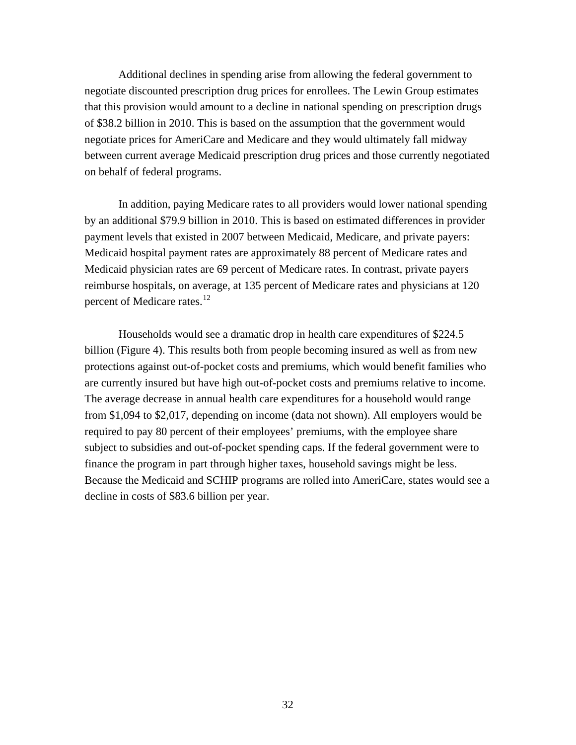Additional declines in spending arise from allowing the federal government to negotiate discounted prescription drug prices for enrollees. The Lewin Group estimates that this provision would amount to a decline in national spending on prescription drugs of \$38.2 billion in 2010. This is based on the assumption that the government would negotiate prices for AmeriCare and Medicare and they would ultimately fall midway between current average Medicaid prescription drug prices and those currently negotiated on behalf of federal programs.

In addition, paying Medicare rates to all providers would lower national spending by an additional \$79.9 billion in 2010. This is based on estimated differences in provider payment levels that existed in 2007 between Medicaid, Medicare, and private payers: Medicaid hospital payment rates are approximately 88 percent of Medicare rates and Medicaid physician rates are 69 percent of Medicare rates. In contrast, private payers reimburse hospitals, on average, at 135 percent of Medicare rates and physicians at 120 percent of Medicare rates.<sup>[12](#page-75-1)</sup>

Households would see a dramatic drop in health care expenditures of \$224.5 billion (Figure 4). This results both from people becoming insured as well as from new protections against out-of-pocket costs and premiums, which would benefit families who are currently insured but have high out-of-pocket costs and premiums relative to income. The average decrease in annual health care expenditures for a household would range from \$1,094 to \$2,017, depending on income (data not shown). All employers would be required to pay 80 percent of their employees' premiums, with the employee share subject to subsidies and out-of-pocket spending caps. If the federal government were to finance the program in part through higher taxes, household savings might be less. Because the Medicaid and SCHIP programs are rolled into AmeriCare, states would see a decline in costs of \$83.6 billion per year.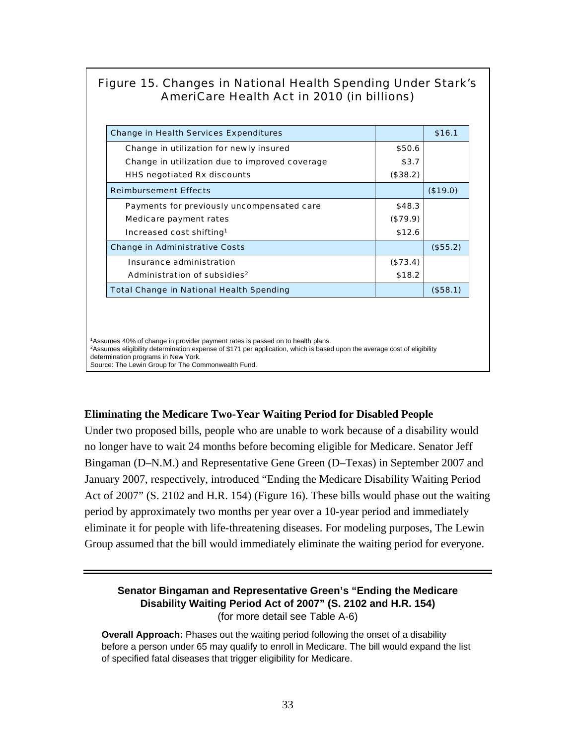# Figure 15. Changes in National Health Spending Under Stark's AmeriCare Health Act in 2010 (in billions)

| <b>Change in Health Services Expenditures</b>   |          | \$16.1      |
|-------------------------------------------------|----------|-------------|
| Change in utilization for newly insured         | \$50.6   |             |
| Change in utilization due to improved coverage  | \$3.7    |             |
| <b>HHS negotiated Rx discounts</b>              | (\$38.2) |             |
| <b>Reimbursement Effects</b>                    |          | (\$19.0)    |
| Payments for previously uncompensated care      | \$48.3   |             |
| Medicare payment rates                          | (\$79.9) |             |
| Increased cost shifting <sup>1</sup>            | \$12.6   |             |
| <b>Change in Administrative Costs</b>           |          | (\$55.2)    |
| Insurance administration                        | (\$73.4) |             |
| Administration of subsidies <sup>2</sup>        | \$18.2   |             |
| <b>Total Change in National Health Spending</b> |          | $($ \$58.1) |

1Assumes 40% of change in provider payment rates is passed on to health plans. 2Assumes eligibility determination expense of \$171 per application, which is based upon the average cost of eligibility determination programs in New York. Source: The Lewin Group for The Commonwealth Fund.

## **Eliminating the Medicare Two-Year Waiting Period for Disabled People**

Under two proposed bills, people who are unable to work because of a disability would no longer have to wait 24 months before becoming eligible for Medicare. Senator Jeff Bingaman (D–N.M.) and Representative Gene Green (D–Texas) in September 2007 and January 2007, respectively, introduced "Ending the Medicare Disability Waiting Period Act of 2007" (S. 2102 and H.R. 154) (Figure 16). These bills would phase out the waiting period by approximately two months per year over a 10-year period and immediately eliminate it for people with life-threatening diseases. For modeling purposes, The Lewin Group assumed that the bill would immediately eliminate the waiting period for everyone.

### **Senator Bingaman and Representative Green's "Ending the Medicare Disability Waiting Period Act of 2007" (S. 2102 and H.R. 154)** (for more detail see Table A-6)

**Overall Approach:** Phases out the waiting period following the onset of a disability before a person under 65 may qualify to enroll in Medicare. The bill would expand the list of specified fatal diseases that trigger eligibility for Medicare.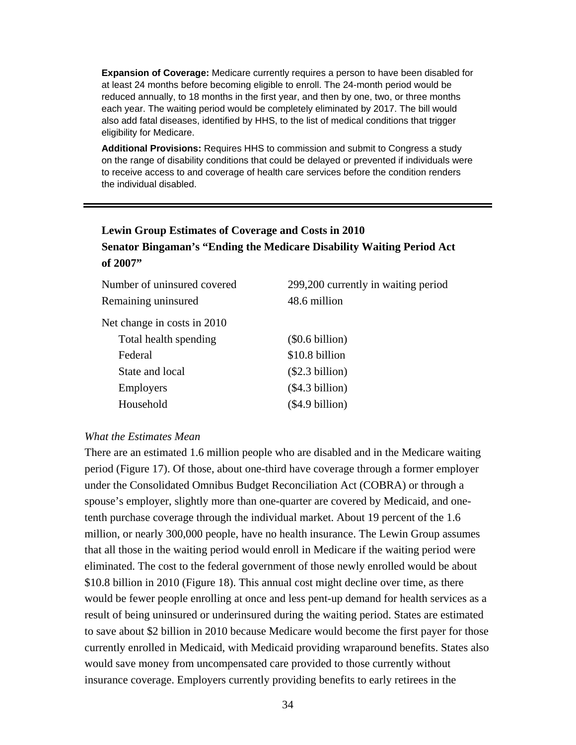**Expansion of Coverage:** Medicare currently requires a person to have been disabled for at least 24 months before becoming eligible to enroll. The 24-month period would be reduced annually, to 18 months in the first year, and then by one, two, or three months each year. The waiting period would be completely eliminated by 2017. The bill would also add fatal diseases, identified by HHS, to the list of medical conditions that trigger eligibility for Medicare.

**Additional Provisions:** Requires HHS to commission and submit to Congress a study on the range of disability conditions that could be delayed or prevented if individuals were to receive access to and coverage of health care services before the condition renders the individual disabled.

# **Lewin Group Estimates of Coverage and Costs in 2010 Senator Bingaman's "Ending the Medicare Disability Waiting Period Act of 2007"**

| Number of uninsured covered | 299,200 currently in waiting period |
|-----------------------------|-------------------------------------|
| Remaining uninsured         | 48.6 million                        |
| Net change in costs in 2010 |                                     |
| Total health spending       | $(\$0.6 billion)$                   |
| Federal                     | \$10.8 billion                      |
| State and local             | (\$2.3 billion)                     |
| <b>Employers</b>            | (\$4.3 billion)                     |
| Household                   | (\$4.9 billion)                     |

#### *What the Estimates Mean*

There are an estimated 1.6 million people who are disabled and in the Medicare waiting period (Figure 17). Of those, about one-third have coverage through a former employer under the Consolidated Omnibus Budget Reconciliation Act (COBRA) or through a spouse's employer, slightly more than one-quarter are covered by Medicaid, and onetenth purchase coverage through the individual market. About 19 percent of the 1.6 million, or nearly 300,000 people, have no health insurance. The Lewin Group assumes that all those in the waiting period would enroll in Medicare if the waiting period were eliminated. The cost to the federal government of those newly enrolled would be about \$10.8 billion in 2010 (Figure 18). This annual cost might decline over time, as there would be fewer people enrolling at once and less pent-up demand for health services as a result of being uninsured or underinsured during the waiting period. States are estimated to save about \$2 billion in 2010 because Medicare would become the first payer for those currently enrolled in Medicaid, with Medicaid providing wraparound benefits. States also would save money from uncompensated care provided to those currently without insurance coverage. Employers currently providing benefits to early retirees in the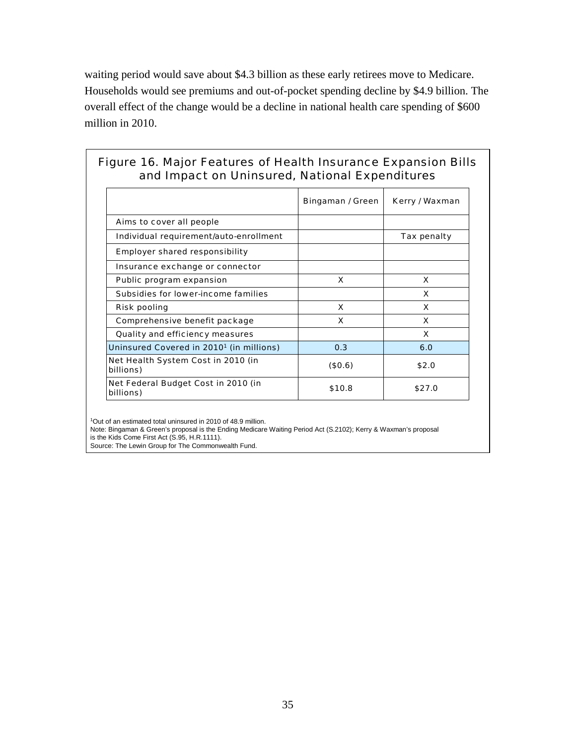waiting period would save about \$4.3 billion as these early retirees move to Medicare. Households would see premiums and out-of-pocket spending decline by \$4.9 billion. The overall effect of the change would be a decline in national health care spending of \$600 million in 2010.

# Figure 16. Major Features of Health Insurance Expansion Bills and Impact on Uninsured, National Expenditures

|                                                      | Bingaman / Green | Kerry / Waxman |
|------------------------------------------------------|------------------|----------------|
| Aims to cover all people                             |                  |                |
| Individual requirement/auto-enrollment               |                  | Tax penalty    |
| <b>Employer shared responsibility</b>                |                  |                |
| Insurance exchange or connector                      |                  |                |
| Public program expansion                             | X                | x              |
| Subsidies for lower-income families                  |                  | <b>X</b>       |
| <b>Risk pooling</b>                                  | X                | x              |
| Comprehensive benefit package                        | X                | X              |
| <b>Quality and efficiency measures</b>               |                  | x              |
| Uninsured Covered in 2010 <sup>1</sup> (in millions) | 0.3              | 6.0            |
| Net Health System Cost in 2010 (in<br>billions)      | (\$0.6)          | \$2.0          |
| Net Federal Budget Cost in 2010 (in<br>billions)     | \$10.8           | \$27.0         |

1Out of an estimated total uninsured in 2010 of 48.9 million.

Note: Bingaman & Green's proposal is the Ending Medicare Waiting Period Act (S.2102); Kerry & Waxman's proposal

is the Kids Come First Act (S.95, H.R.1111).

Source: The Lewin Group for The Commonwealth Fund.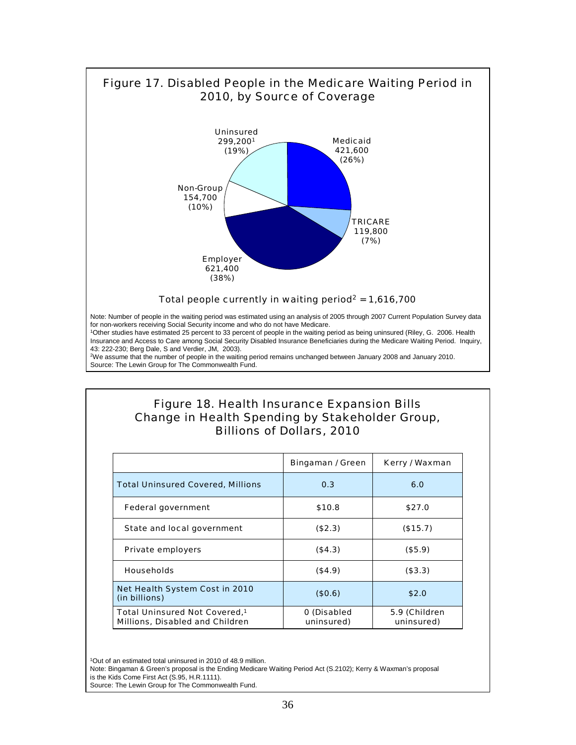

## Figure 18. Health Insurance Expansion Bills Change in Health Spending by Stakeholder Group, Billions of Dollars, 2010

|                                                                              | Bingaman / Green          | Kerry / Waxman              |
|------------------------------------------------------------------------------|---------------------------|-----------------------------|
| <b>Total Uninsured Covered, Millions</b>                                     | 0.3                       | 6.0                         |
| <b>Federal government</b>                                                    | \$10.8                    | \$27.0                      |
| State and local government                                                   | (\$2.3)                   | (\$15.7)                    |
| <b>Private employers</b>                                                     | ( \$4.3)                  | (\$5.9)                     |
| <b>Households</b>                                                            | (\$4.9)                   | (\$3.3)                     |
| Net Health System Cost in 2010<br>(in billions)                              | (\$0.6)                   | \$2.0                       |
| Total Uninsured Not Covered, <sup>1</sup><br>Millions, Disabled and Children | 0 (Disabled<br>uninsured) | 5.9 (Children<br>uninsured) |

1Out of an estimated total uninsured in 2010 of 48.9 million.

Note: Bingaman & Green's proposal is the Ending Medicare Waiting Period Act (S.2102); Kerry & Waxman's proposal is the Kids Come First Act (S.95, H.R.1111).

Source: The Lewin Group for The Commonwealth Fund.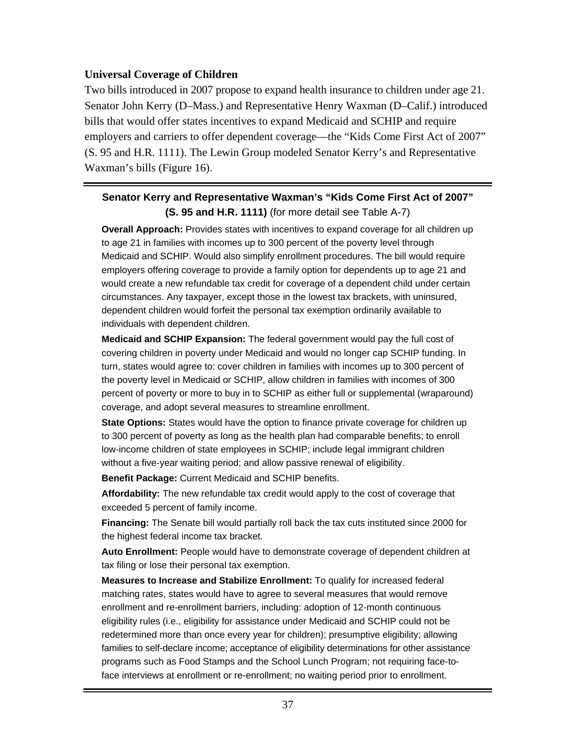# **Universal Coverage of Children**

Two bills introduced in 2007 propose to expand health insurance to children under age 21. Senator John Kerry (D–Mass.) and Representative Henry Waxman (D–Calif.) introduced bills that would offer states incentives to expand Medicaid and SCHIP and require employers and carriers to offer dependent coverage—the "Kids Come First Act of 2007" (S. 95 and H.R. 1111). The Lewin Group modeled Senator Kerry's and Representative Waxman's bills (Figure 16).

# **Senator Kerry and Representative Waxman's "Kids Come First Act of 2007" (S. 95 and H.R. 1111)** (for more detail see Table A-7)

**Overall Approach:** Provides states with incentives to expand coverage for all children up to age 21 in families with incomes up to 300 percent of the poverty level through Medicaid and SCHIP. Would also simplify enrollment procedures. The bill would require employers offering coverage to provide a family option for dependents up to age 21 and would create a new refundable tax credit for coverage of a dependent child under certain circumstances. Any taxpayer, except those in the lowest tax brackets, with uninsured, dependent children would forfeit the personal tax exemption ordinarily available to individuals with dependent children.

**Medicaid and SCHIP Expansion:** The federal government would pay the full cost of covering children in poverty under Medicaid and would no longer cap SCHIP funding. In turn, states would agree to: cover children in families with incomes up to 300 percent of the poverty level in Medicaid or SCHIP, allow children in families with incomes of 300 percent of poverty or more to buy in to SCHIP as either full or supplemental (wraparound) coverage, and adopt several measures to streamline enrollment.

**State Options:** States would have the option to finance private coverage for children up to 300 percent of poverty as long as the health plan had comparable benefits; to enroll low-income children of state employees in SCHIP; include legal immigrant children without a five-year waiting period; and allow passive renewal of eligibility.

**Benefit Package:** Current Medicaid and SCHIP benefits.

**Affordability:** The new refundable tax credit would apply to the cost of coverage that exceeded 5 percent of family income.

**Financing:** The Senate bill would partially roll back the tax cuts instituted since 2000 for the highest federal income tax bracket.

**Auto Enrollment:** People would have to demonstrate coverage of dependent children at tax filing or lose their personal tax exemption.

**Measures to Increase and Stabilize Enrollment:** To qualify for increased federal matching rates, states would have to agree to several measures that would remove enrollment and re-enrollment barriers, including: adoption of 12-month continuous eligibility rules (i.e., eligibility for assistance under Medicaid and SCHIP could not be redetermined more than once every year for children); presumptive eligibility; allowing families to self-declare income; acceptance of eligibility determinations for other assistance programs such as Food Stamps and the School Lunch Program; not requiring face-toface interviews at enrollment or re-enrollment; no waiting period prior to enrollment.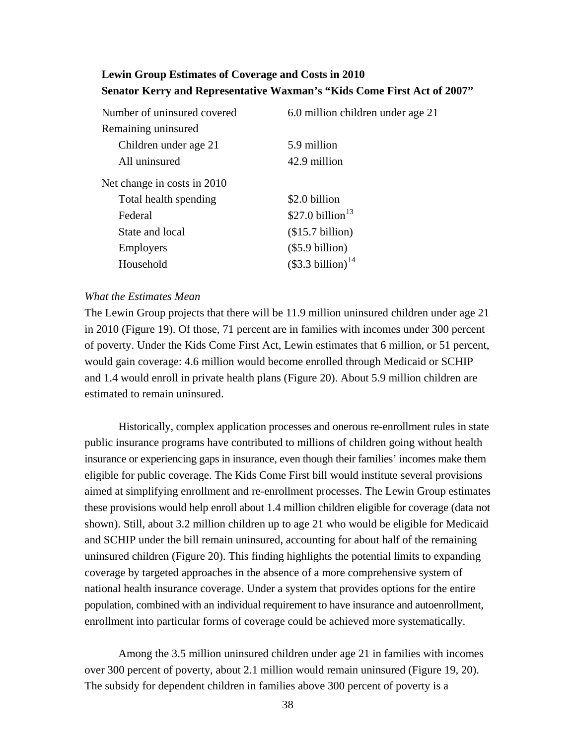# **Lewin Group Estimates of Coverage and Costs in 2010 Senator Kerry and Representative Waxman's "Kids Come First Act of 2007"**

| Number of uninsured covered | 6.0 million children under age 21 |
|-----------------------------|-----------------------------------|
| Remaining uninsured         |                                   |
| Children under age 21       | 5.9 million                       |
| All uninsured               | 42.9 million                      |
| Net change in costs in 2010 |                                   |
| Total health spending       | \$2.0 billion                     |
| Federal                     | \$27.0 billion $13$               |
| State and local             | (\$15.7 billion)                  |
| Employers                   | $(\$5.9 billion)$                 |
| Household                   | $$3.3\,$ billion) <sup>14</sup>   |

#### *What the Estimates Mean*

The Lewin Group projects that there will be 11.9 million uninsured children under age 21 in 2010 (Figure 19). Of those, 71 percent are in families with incomes under 300 percent of poverty. Under the Kids Come First Act, Lewin estimates that 6 million, or 51 percent, would gain coverage: 4.6 million would become enrolled through Medicaid or SCHIP and 1.4 would enroll in private health plans (Figure 20). About 5.9 million children are estimated to remain uninsured.

Historically, complex application processes and onerous re-enrollment rules in state public insurance programs have contributed to millions of children going without health insurance or experiencing gaps in insurance, even though their families' incomes make them eligible for public coverage. The Kids Come First bill would institute several provisions aimed at simplifying enrollment and re-enrollment processes. The Lewin Group estimates these provisions would help enroll about 1.4 million children eligible for coverage (data not shown). Still, about 3.2 million children up to age 21 who would be eligible for Medicaid and SCHIP under the bill remain uninsured, accounting for about half of the remaining uninsured children (Figure 20). This finding highlights the potential limits to expanding coverage by targeted approaches in the absence of a more comprehensive system of national health insurance coverage. Under a system that provides options for the entire population, combined with an individual requirement to have insurance and autoenrollment, enrollment into particular forms of coverage could be achieved more systematically.

Among the 3.5 million uninsured children under age 21 in families with incomes over 300 percent of poverty, about 2.1 million would remain uninsured (Figure 19, 20). The subsidy for dependent children in families above 300 percent of poverty is a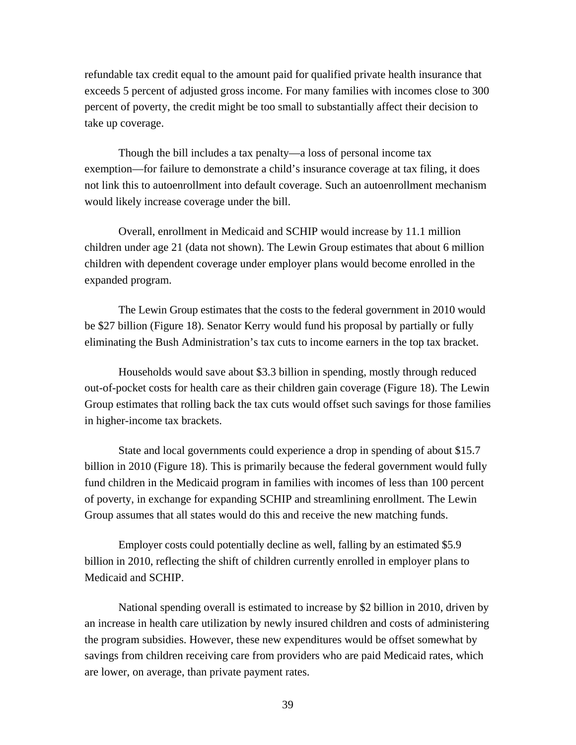refundable tax credit equal to the amount paid for qualified private health insurance that exceeds 5 percent of adjusted gross income. For many families with incomes close to 300 percent of poverty, the credit might be too small to substantially affect their decision to take up coverage.

Though the bill includes a tax penalty—a loss of personal income tax exemption—for failure to demonstrate a child's insurance coverage at tax filing, it does not link this to autoenrollment into default coverage. Such an autoenrollment mechanism would likely increase coverage under the bill.

Overall, enrollment in Medicaid and SCHIP would increase by 11.1 million children under age 21 (data not shown). The Lewin Group estimates that about 6 million children with dependent coverage under employer plans would become enrolled in the expanded program.

The Lewin Group estimates that the costs to the federal government in 2010 would be \$27 billion (Figure 18). Senator Kerry would fund his proposal by partially or fully eliminating the Bush Administration's tax cuts to income earners in the top tax bracket.

Households would save about \$3.3 billion in spending, mostly through reduced out-of-pocket costs for health care as their children gain coverage (Figure 18). The Lewin Group estimates that rolling back the tax cuts would offset such savings for those families in higher-income tax brackets.

State and local governments could experience a drop in spending of about \$15.7 billion in 2010 (Figure 18). This is primarily because the federal government would fully fund children in the Medicaid program in families with incomes of less than 100 percent of poverty, in exchange for expanding SCHIP and streamlining enrollment. The Lewin Group assumes that all states would do this and receive the new matching funds.

Employer costs could potentially decline as well, falling by an estimated \$5.9 billion in 2010, reflecting the shift of children currently enrolled in employer plans to Medicaid and SCHIP.

National spending overall is estimated to increase by \$2 billion in 2010, driven by an increase in health care utilization by newly insured children and costs of administering the program subsidies. However, these new expenditures would be offset somewhat by savings from children receiving care from providers who are paid Medicaid rates, which are lower, on average, than private payment rates.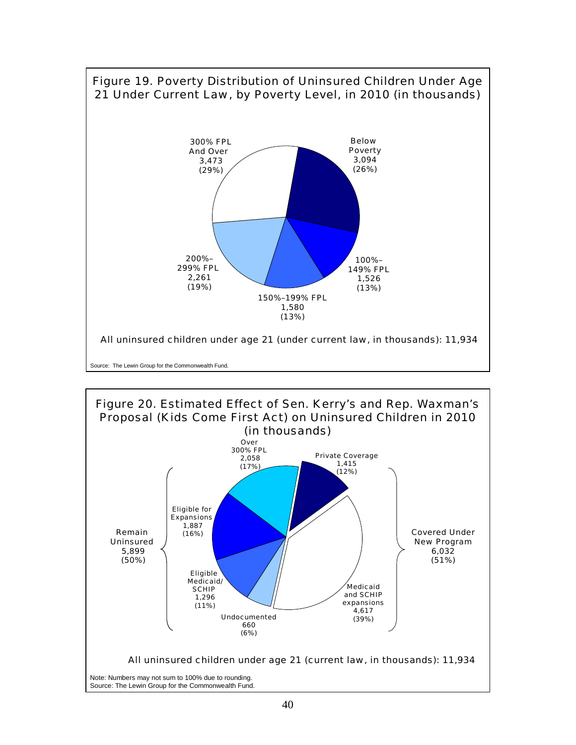

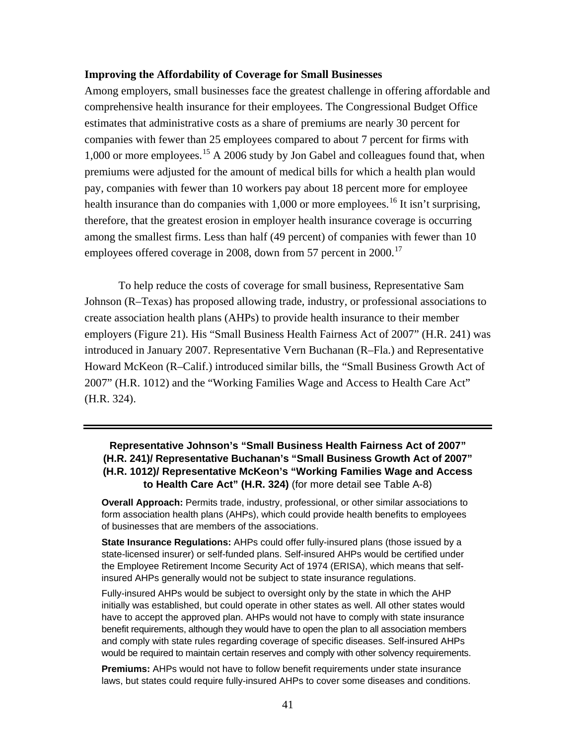#### **Improving the Affordability of Coverage for Small Businesses**

Among employers, small businesses face the greatest challenge in offering affordable and comprehensive health insurance for their employees. The Congressional Budget Office estimates that administrative costs as a share of premiums are nearly 30 percent for companies with fewer than 25 employees compared to about 7 percent for firms with 1,000 or more employees.[1](#page-75-1)5 A 2006 study by Jon Gabel and colleagues found that, when premiums were adjusted for the amount of medical bills for which a health plan would pay, companies with fewer than 10 workers pay about 18 percent more for employee health insurance than do companies with  $1,000$  $1,000$  or more employees.<sup>16</sup> It isn't surprising, therefore, that the greatest erosion in employer health insurance coverage is occurring among the smallest firms. Less than half (49 percent) of companies with fewer than 10 employees offered coverage in 2008, down from 57 percent in 2000.<sup>[17](#page-75-1)</sup>

To help reduce the costs of coverage for small business, Representative Sam Johnson (R–Texas) has proposed allowing trade, industry, or professional associations to create association health plans (AHPs) to provide health insurance to their member employers (Figure 21). His "Small Business Health Fairness Act of 2007" (H.R. 241) was introduced in January 2007. Representative Vern Buchanan (R–Fla.) and Representative Howard McKeon (R–Calif.) introduced similar bills, the "Small Business Growth Act of 2007" (H.R. 1012) and the "Working Families Wage and Access to Health Care Act" (H.R. 324).

### **Representative Johnson's "Small Business Health Fairness Act of 2007" (H.R. 241)/ Representative Buchanan's "Small Business Growth Act of 2007" (H.R. 1012)/ Representative McKeon's "Working Families Wage and Access to Health Care Act" (H.R. 324)** (for more detail see Table A-8)

**Overall Approach:** Permits trade, industry, professional, or other similar associations to form association health plans (AHPs), which could provide health benefits to employees of businesses that are members of the associations.

**State Insurance Regulations:** AHPs could offer fully-insured plans (those issued by a state-licensed insurer) or self-funded plans. Self-insured AHPs would be certified under the Employee Retirement Income Security Act of 1974 (ERISA), which means that selfinsured AHPs generally would not be subject to state insurance regulations.

Fully-insured AHPs would be subject to oversight only by the state in which the AHP initially was established, but could operate in other states as well. All other states would have to accept the approved plan. AHPs would not have to comply with state insurance benefit requirements, although they would have to open the plan to all association members and comply with state rules regarding coverage of specific diseases. Self-insured AHPs would be required to maintain certain reserves and comply with other solvency requirements.

**Premiums:** AHPs would not have to follow benefit requirements under state insurance laws, but states could require fully-insured AHPs to cover some diseases and conditions.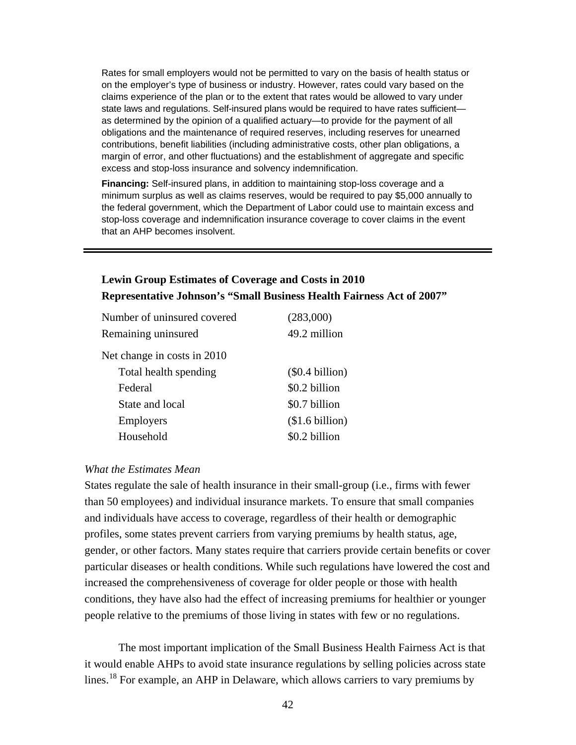Rates for small employers would not be permitted to vary on the basis of health status or on the employer's type of business or industry. However, rates could vary based on the claims experience of the plan or to the extent that rates would be allowed to vary under state laws and regulations. Self-insured plans would be required to have rates sufficient as determined by the opinion of a qualified actuary—to provide for the payment of all obligations and the maintenance of required reserves, including reserves for unearned contributions, benefit liabilities (including administrative costs, other plan obligations, a margin of error, and other fluctuations) and the establishment of aggregate and specific excess and stop-loss insurance and solvency indemnification.

**Financing:** Self-insured plans, in addition to maintaining stop-loss coverage and a minimum surplus as well as claims reserves, would be required to pay \$5,000 annually to the federal government, which the Department of Labor could use to maintain excess and stop-loss coverage and indemnification insurance coverage to cover claims in the event that an AHP becomes insolvent.

# **Lewin Group Estimates of Coverage and Costs in 2010 Representative Johnson's "Small Business Health Fairness Act of 2007"**

| Number of uninsured covered | (283,000)         |
|-----------------------------|-------------------|
| Remaining uninsured         | 49.2 million      |
| Net change in costs in 2010 |                   |
| Total health spending       | $(\$0.4 billion)$ |
| Federal                     | \$0.2 billion     |
| State and local             | \$0.7 billion     |
| <b>Employers</b>            | $$1.6\,$ billion) |
| Household                   | \$0.2 billion     |

#### *What the Estimates Mean*

States regulate the sale of health insurance in their small-group (i.e., firms with fewer than 50 employees) and individual insurance markets. To ensure that small companies and individuals have access to coverage, regardless of their health or demographic profiles, some states prevent carriers from varying premiums by health status, age, gender, or other factors. Many states require that carriers provide certain benefits or cover particular diseases or health conditions. While such regulations have lowered the cost and increased the comprehensiveness of coverage for older people or those with health conditions, they have also had the effect of increasing premiums for healthier or younger people relative to the premiums of those living in states with few or no regulations.

The most important implication of the Small Business Health Fairness Act is that it would enable AHPs to avoid state insurance regulations by selling policies across state lines.[1](#page-75-1)8 For example, an AHP in Delaware, which allows carriers to vary premiums by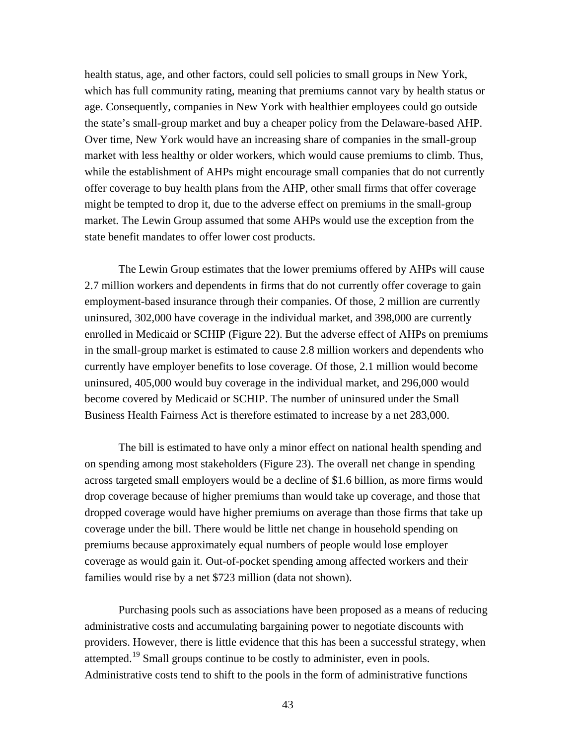health status, age, and other factors, could sell policies to small groups in New York, which has full community rating, meaning that premiums cannot vary by health status or age. Consequently, companies in New York with healthier employees could go outside the state's small-group market and buy a cheaper policy from the Delaware-based AHP. Over time, New York would have an increasing share of companies in the small-group market with less healthy or older workers, which would cause premiums to climb. Thus, while the establishment of AHPs might encourage small companies that do not currently offer coverage to buy health plans from the AHP, other small firms that offer coverage might be tempted to drop it, due to the adverse effect on premiums in the small-group market. The Lewin Group assumed that some AHPs would use the exception from the state benefit mandates to offer lower cost products.

The Lewin Group estimates that the lower premiums offered by AHPs will cause 2.7 million workers and dependents in firms that do not currently offer coverage to gain employment-based insurance through their companies. Of those, 2 million are currently uninsured, 302,000 have coverage in the individual market, and 398,000 are currently enrolled in Medicaid or SCHIP (Figure 22). But the adverse effect of AHPs on premiums in the small-group market is estimated to cause 2.8 million workers and dependents who currently have employer benefits to lose coverage. Of those, 2.1 million would become uninsured, 405,000 would buy coverage in the individual market, and 296,000 would become covered by Medicaid or SCHIP. The number of uninsured under the Small Business Health Fairness Act is therefore estimated to increase by a net 283,000.

The bill is estimated to have only a minor effect on national health spending and on spending among most stakeholders (Figure 23). The overall net change in spending across targeted small employers would be a decline of \$1.6 billion, as more firms would drop coverage because of higher premiums than would take up coverage, and those that dropped coverage would have higher premiums on average than those firms that take up coverage under the bill. There would be little net change in household spending on premiums because approximately equal numbers of people would lose employer coverage as would gain it. Out-of-pocket spending among affected workers and their families would rise by a net \$723 million (data not shown).

Purchasing pools such as associations have been proposed as a means of reducing administrative costs and accumulating bargaining power to negotiate discounts with providers. However, there is little evidence that this has been a successful strategy, when attempted.<sup>[19](#page-75-1)</sup> Small groups continue to be costly to administer, even in pools. Administrative costs tend to shift to the pools in the form of administrative functions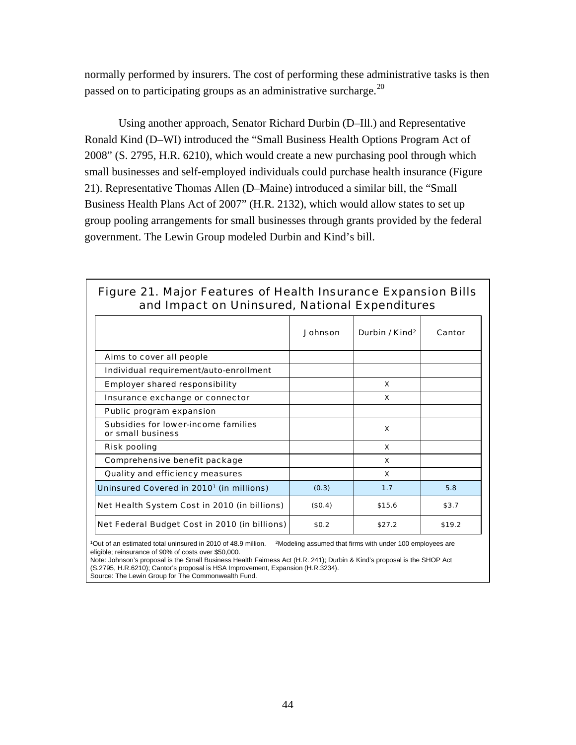normally performed by insurers. The cost of performing these administrative tasks is then passed on to participating groups as an administrative surcharge.<sup>[20](#page-75-1)</sup>

Using another approach, Senator Richard Durbin (D–Ill.) and Representative Ronald Kind (D–WI) introduced the "Small Business Health Options Program Act of 2008" (S. 2795, H.R. 6210), which would create a new purchasing pool through which small businesses and self-employed individuals could purchase health insurance (Figure 21). Representative Thomas Allen (D–Maine) introduced a similar bill, the "Small Business Health Plans Act of 2007" (H.R. 2132), which would allow states to set up group pooling arrangements for small businesses through grants provided by the federal government. The Lewin Group modeled Durbin and Kind's bill.

| and impact on Uninsured, National Experience es          |                |                            |        |  |
|----------------------------------------------------------|----------------|----------------------------|--------|--|
|                                                          | <b>Johnson</b> | Durbin / Kind <sup>2</sup> | Cantor |  |
| Aims to cover all people                                 |                |                            |        |  |
| Individual requirement/auto-enrollment                   |                |                            |        |  |
| <b>Employer shared responsibility</b>                    |                | x                          |        |  |
| Insurance exchange or connector                          |                | x                          |        |  |
| Public program expansion                                 |                |                            |        |  |
| Subsidies for lower-income families<br>or small business |                | $\boldsymbol{\mathsf{x}}$  |        |  |
| <b>Risk pooling</b>                                      |                | x                          |        |  |
| Comprehensive benefit package                            |                | x                          |        |  |
| Quality and efficiency measures                          |                | x                          |        |  |
| Uninsured Covered in 2010 <sup>1</sup> (in millions)     | (0.3)          | 1.7                        | 5.8    |  |
| Net Health System Cost in 2010 (in billions)             | (\$0.4)        | \$15.6                     | \$3.7  |  |
| Net Federal Budget Cost in 2010 (in billions)            | \$0.2\$        | \$27.2                     | \$19.2 |  |
|                                                          |                |                            |        |  |

## Figure 21. Major Features of Health Insurance Expansion Bills and Impact on Uninsured, National Expenditures

1Out of an estimated total uninsured in 2010 of 48.9 million. 2Modeling assumed that firms with under 100 employees are eligible; reinsurance of 90% of costs over \$50,000.

Note: Johnson's proposal is the Small Business Health Fairness Act (H.R. 241); Durbin & Kind's proposal is the SHOP Act (S.2795, H.R.6210); Cantor's proposal is HSA Improvement, Expansion (H.R.3234).

Source: The Lewin Group for The Commonwealth Fund.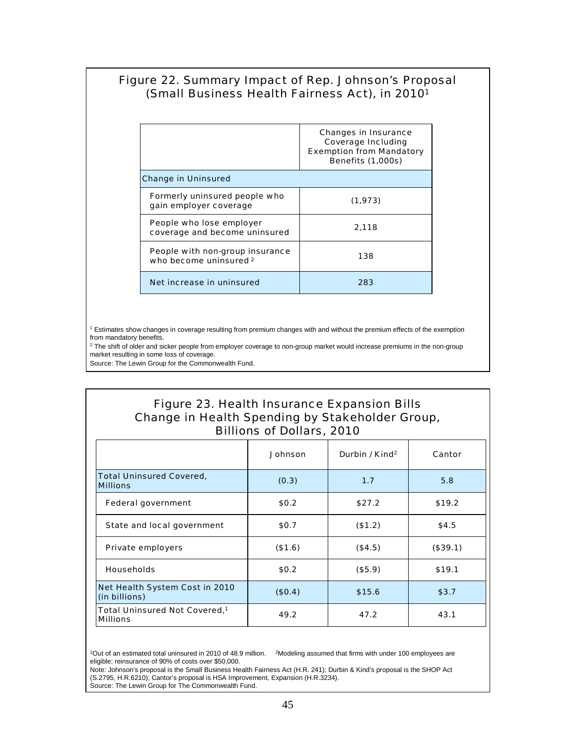## Figure 22. Summary Impact of Rep. Johnson's Proposal (Small Business Health Fairness Act), in 20101

|                                                           | <b>Changes in Insurance</b><br><b>Coverage Including</b><br><b>Exemption from Mandatory</b><br><b>Benefits (1,000s)</b> |
|-----------------------------------------------------------|-------------------------------------------------------------------------------------------------------------------------|
| <b>Change in Uninsured</b>                                |                                                                                                                         |
| Formerly uninsured people who<br>gain employer coverage   | (1, 973)                                                                                                                |
| People who lose employer<br>coverage and become uninsured | 2,118                                                                                                                   |
| People with non-group insurance<br>who become uninsured 2 | 138                                                                                                                     |
| Net increase in uninsured                                 | 283                                                                                                                     |

<sup>1</sup> Estimates show changes in coverage resulting from premium changes with and without the premium effects of the exemption from mandatory benefits.

<sup>2</sup> The shift of older and sicker people from employer coverage to non-group market would increase premiums in the non-group market resulting in some loss of coverage.

Source: The Lewin Group for the Commonwealth Fund.

## Figure 23. Health Insurance Expansion Bills Change in Health Spending by Stakeholder Group, Billions of Dollars, 2010

|                                                              | <b>Johnson</b> | Durbin / Kind <sup>2</sup> | Cantor   |
|--------------------------------------------------------------|----------------|----------------------------|----------|
| <b>Total Uninsured Covered,</b><br><b>Millions</b>           | (0.3)          | 1.7                        | 5.8      |
| <b>Federal government</b>                                    | \$0.2\$        | \$27.2                     | \$19.2   |
| State and local government                                   | \$0.7          | (\$1.2)                    | \$4.5    |
| <b>Private employers</b>                                     | (\$1.6)        | (\$4.5)                    | (\$39.1) |
| <b>Households</b>                                            | \$0.2\$        | (\$5.9)                    | \$19.1   |
| <b>Net Health System Cost in 2010</b><br>(in billions)       | (\$0.4)        | \$15.6                     | \$3.7    |
| Total Uninsured Not Covered, <sup>1</sup><br><b>Millions</b> | 49.2           | 47.2                       | 43.1     |

 $10$ ut of an estimated total uninsured in 2010 of 48.9 million.  $2M$ odeling assumed that firms with under 100 employees are eligible; reinsurance of 90% of costs over \$50,000.

Note: Johnson's proposal is the Small Business Health Fairness Act (H.R. 241); Durbin & Kind's proposal is the SHOP Act (S.2795, H.R.6210); Cantor's proposal is HSA Improvement, Expansion (H.R.3234).

Source: The Lewin Group for The Commonwealth Fund.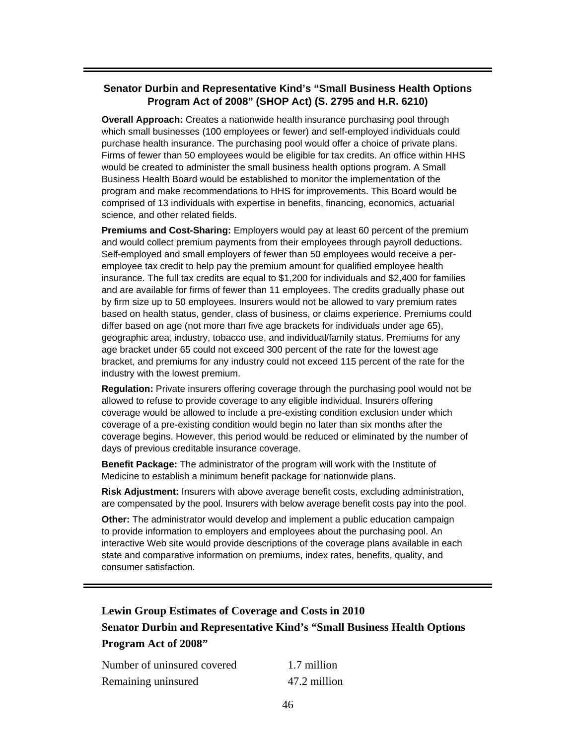### **Senator Durbin and Representative Kind's "Small Business Health Options Program Act of 2008" (SHOP Act) (S. 2795 and H.R. 6210)**

**Overall Approach:** Creates a nationwide health insurance purchasing pool through which small businesses (100 employees or fewer) and self-employed individuals could purchase health insurance. The purchasing pool would offer a choice of private plans. Firms of fewer than 50 employees would be eligible for tax credits. An office within HHS would be created to administer the small business health options program. A Small Business Health Board would be established to monitor the implementation of the program and make recommendations to HHS for improvements. This Board would be comprised of 13 individuals with expertise in benefits, financing, economics, actuarial science, and other related fields.

**Premiums and Cost-Sharing:** Employers would pay at least 60 percent of the premium and would collect premium payments from their employees through payroll deductions. Self-employed and small employers of fewer than 50 employees would receive a peremployee tax credit to help pay the premium amount for qualified employee health insurance. The full tax credits are equal to \$1,200 for individuals and \$2,400 for families and are available for firms of fewer than 11 employees. The credits gradually phase out by firm size up to 50 employees. Insurers would not be allowed to vary premium rates based on health status, gender, class of business, or claims experience. Premiums could differ based on age (not more than five age brackets for individuals under age 65), geographic area, industry, tobacco use, and individual/family status. Premiums for any age bracket under 65 could not exceed 300 percent of the rate for the lowest age bracket, and premiums for any industry could not exceed 115 percent of the rate for the industry with the lowest premium.

**Regulation:** Private insurers offering coverage through the purchasing pool would not be allowed to refuse to provide coverage to any eligible individual. Insurers offering coverage would be allowed to include a pre-existing condition exclusion under which coverage of a pre-existing condition would begin no later than six months after the coverage begins. However, this period would be reduced or eliminated by the number of days of previous creditable insurance coverage.

**Benefit Package:** The administrator of the program will work with the Institute of Medicine to establish a minimum benefit package for nationwide plans.

**Risk Adjustment:** Insurers with above average benefit costs, excluding administration, are compensated by the pool. Insurers with below average benefit costs pay into the pool.

**Other:** The administrator would develop and implement a public education campaign to provide information to employers and employees about the purchasing pool. An interactive Web site would provide descriptions of the coverage plans available in each state and comparative information on premiums, index rates, benefits, quality, and consumer satisfaction.

# **Lewin Group Estimates of Coverage and Costs in 2010 Senator Durbin and Representative Kind's "Small Business Health Options Program Act of 2008"**

| Number of uninsured covered | 1.7 million  |
|-----------------------------|--------------|
| Remaining uninsured         | 47.2 million |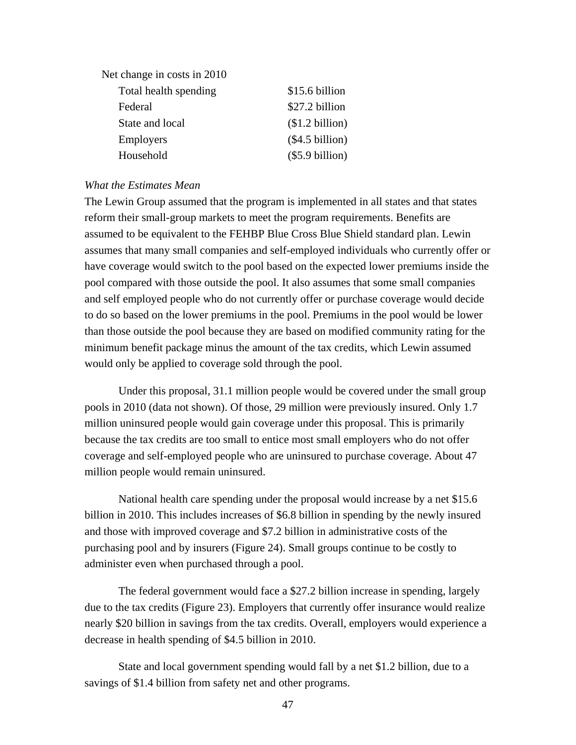| Net change in costs in 2010 |                 |
|-----------------------------|-----------------|
| Total health spending       | \$15.6 billion  |
| Federal                     | \$27.2 billion  |
| State and local             | \$1.2 billion)  |
| <b>Employers</b>            | (\$4.5 billion) |
| Household                   | (\$5.9 billion) |

#### *What the Estimates Mean*

The Lewin Group assumed that the program is implemented in all states and that states reform their small-group markets to meet the program requirements. Benefits are assumed to be equivalent to the FEHBP Blue Cross Blue Shield standard plan. Lewin assumes that many small companies and self-employed individuals who currently offer or have coverage would switch to the pool based on the expected lower premiums inside the pool compared with those outside the pool. It also assumes that some small companies and self employed people who do not currently offer or purchase coverage would decide to do so based on the lower premiums in the pool. Premiums in the pool would be lower than those outside the pool because they are based on modified community rating for the minimum benefit package minus the amount of the tax credits, which Lewin assumed would only be applied to coverage sold through the pool.

Under this proposal, 31.1 million people would be covered under the small group pools in 2010 (data not shown). Of those, 29 million were previously insured. Only 1.7 million uninsured people would gain coverage under this proposal. This is primarily because the tax credits are too small to entice most small employers who do not offer coverage and self-employed people who are uninsured to purchase coverage. About 47 million people would remain uninsured.

National health care spending under the proposal would increase by a net \$15.6 billion in 2010. This includes increases of \$6.8 billion in spending by the newly insured and those with improved coverage and \$7.2 billion in administrative costs of the purchasing pool and by insurers (Figure 24). Small groups continue to be costly to administer even when purchased through a pool.

The federal government would face a \$27.2 billion increase in spending, largely due to the tax credits (Figure 23). Employers that currently offer insurance would realize nearly \$20 billion in savings from the tax credits. Overall, employers would experience a decrease in health spending of \$4.5 billion in 2010.

State and local government spending would fall by a net \$1.2 billion, due to a savings of \$1.4 billion from safety net and other programs.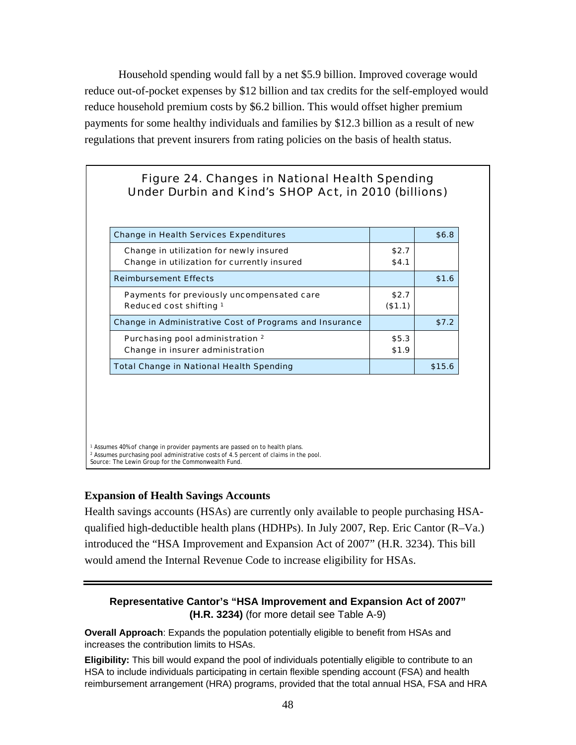Household spending would fall by a net \$5.9 billion. Improved coverage would reduce out-of-pocket expenses by \$12 billion and tax credits for the self-employed would reduce household premium costs by \$6.2 billion. This would offset higher premium payments for some healthy individuals and families by \$12.3 billion as a result of new regulations that prevent insurers from rating policies on the basis of health status.

## Figure 24. Changes in National Health Spending Under Durbin and Kind's SHOP Act, in 2010 (billions)

| <b>Change in Health Services Expenditures</b>           |         | \$6.8  |
|---------------------------------------------------------|---------|--------|
| Change in utilization for newly insured                 | \$2.7   |        |
| Change in utilization for currently insured             | \$4.1   |        |
| <b>Reimbursement Effects</b>                            |         | \$1.6  |
| Payments for previously uncompensated care              | \$2.7   |        |
| Reduced cost shifting 1                                 | (\$1.1) |        |
| Change in Administrative Cost of Programs and Insurance |         | \$7.2  |
| Purchasing pool administration 2                        | \$5.3   |        |
| Change in insurer administration                        | \$1.9   |        |
| <b>Total Change in National Health Spending</b>         |         | \$15.6 |

<sup>1</sup> Assumes 40% of change in provider payments are passed on to health plans. <sup>2</sup> Assumes purchasing pool administrative costs of 4.5 percent of claims in the pool. Source: The Lewin Group for the Commonwealth Fund.

#### **Expansion of Health Savings Accounts**

Health savings accounts (HSAs) are currently only available to people purchasing HSAqualified high-deductible health plans (HDHPs). In July 2007, Rep. Eric Cantor (R–Va.) introduced the "HSA Improvement and Expansion Act of 2007" (H.R. 3234). This bill would amend the Internal Revenue Code to increase eligibility for HSAs.

### **Representative Cantor's "HSA Improvement and Expansion Act of 2007" (H.R. 3234)** (for more detail see Table A-9)

**Overall Approach**: Expands the population potentially eligible to benefit from HSAs and increases the contribution limits to HSAs.

**Eligibility:** This bill would expand the pool of individuals potentially eligible to contribute to an HSA to include individuals participating in certain flexible spending account (FSA) and health reimbursement arrangement (HRA) programs, provided that the total annual HSA, FSA and HRA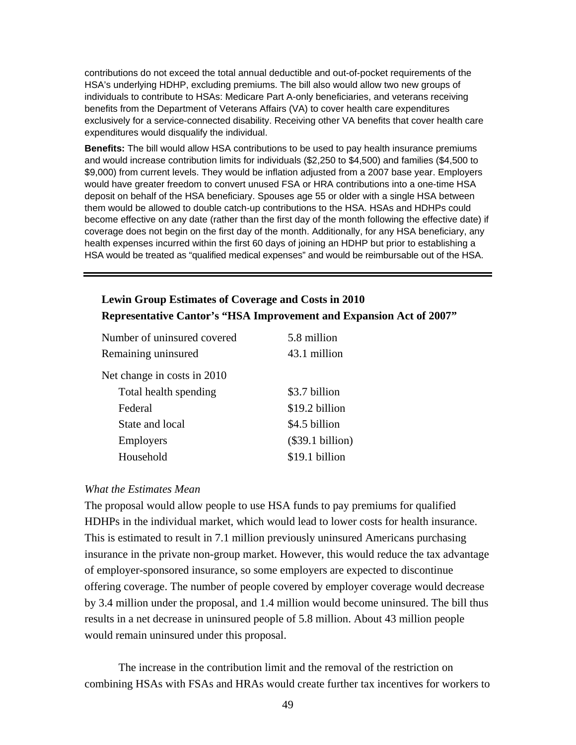contributions do not exceed the total annual deductible and out-of-pocket requirements of the HSA's underlying HDHP, excluding premiums. The bill also would allow two new groups of individuals to contribute to HSAs: Medicare Part A-only beneficiaries, and veterans receiving benefits from the Department of Veterans Affairs (VA) to cover health care expenditures exclusively for a service-connected disability. Receiving other VA benefits that cover health care expenditures would disqualify the individual.

**Benefits:** The bill would allow HSA contributions to be used to pay health insurance premiums and would increase contribution limits for individuals (\$2,250 to \$4,500) and families (\$4,500 to \$9,000) from current levels. They would be inflation adjusted from a 2007 base year. Employers would have greater freedom to convert unused FSA or HRA contributions into a one-time HSA deposit on behalf of the HSA beneficiary. Spouses age 55 or older with a single HSA between them would be allowed to double catch-up contributions to the HSA. HSAs and HDHPs could become effective on any date (rather than the first day of the month following the effective date) if coverage does not begin on the first day of the month. Additionally, for any HSA beneficiary, any health expenses incurred within the first 60 days of joining an HDHP but prior to establishing a HSA would be treated as "qualified medical expenses" and would be reimbursable out of the HSA.

# **Lewin Group Estimates of Coverage and Costs in 2010 Representative Cantor's "HSA Improvement and Expansion Act of 2007"**

| Number of uninsured covered | 5.8 million        |
|-----------------------------|--------------------|
| Remaining uninsured         | 43.1 million       |
| Net change in costs in 2010 |                    |
| Total health spending       | \$3.7 billion      |
| Federal                     | \$19.2 billion     |
| State and local             | \$4.5 billion      |
| <b>Employers</b>            | $(\$39.1 billion)$ |
| Household                   | \$19.1 billion     |

#### *What the Estimates Mean*

The proposal would allow people to use HSA funds to pay premiums for qualified HDHPs in the individual market, which would lead to lower costs for health insurance. This is estimated to result in 7.1 million previously uninsured Americans purchasing insurance in the private non-group market. However, this would reduce the tax advantage of employer-sponsored insurance, so some employers are expected to discontinue offering coverage. The number of people covered by employer coverage would decrease by 3.4 million under the proposal, and 1.4 million would become uninsured. The bill thus results in a net decrease in uninsured people of 5.8 million. About 43 million people would remain uninsured under this proposal.

The increase in the contribution limit and the removal of the restriction on combining HSAs with FSAs and HRAs would create further tax incentives for workers to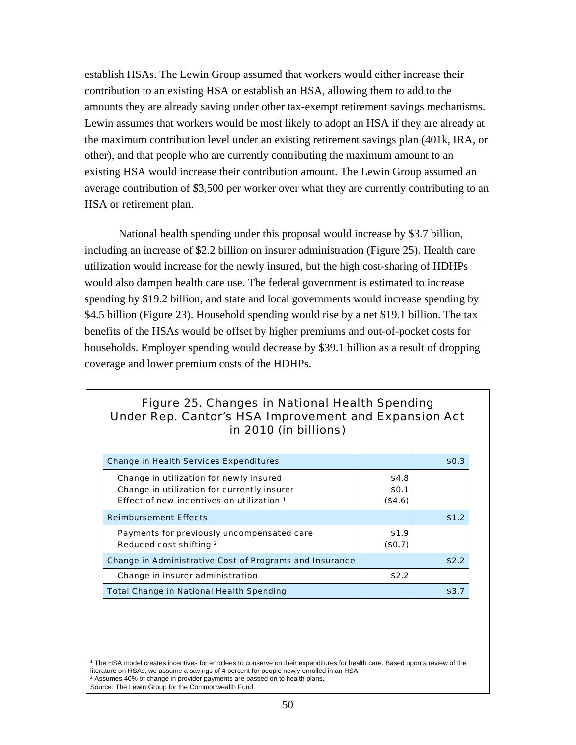establish HSAs. The Lewin Group assumed that workers would either increase their contribution to an existing HSA or establish an HSA, allowing them to add to the amounts they are already saving under other tax-exempt retirement savings mechanisms. Lewin assumes that workers would be most likely to adopt an HSA if they are already at the maximum contribution level under an existing retirement savings plan (401k, IRA, or other), and that people who are currently contributing the maximum amount to an existing HSA would increase their contribution amount. The Lewin Group assumed an average contribution of \$3,500 per worker over what they are currently contributing to an HSA or retirement plan.

National health spending under this proposal would increase by \$3.7 billion, including an increase of \$2.2 billion on insurer administration (Figure 25). Health care utilization would increase for the newly insured, but the high cost-sharing of HDHPs would also dampen health care use. The federal government is estimated to increase spending by \$19.2 billion, and state and local governments would increase spending by \$4.5 billion (Figure 23). Household spending would rise by a net \$19.1 billion. The tax benefits of the HSAs would be offset by higher premiums and out-of-pocket costs for households. Employer spending would decrease by \$39.1 billion as a result of dropping coverage and lower premium costs of the HDHPs.

# Figure 25. Changes in National Health Spending Under Rep. Cantor's HSA Improvement and Expansion Act in 2010 (in billions)

| <b>Change in Health Services Expenditures</b>           |         | \$0.3 |
|---------------------------------------------------------|---------|-------|
| Change in utilization for newly insured                 | \$4.8   |       |
| Change in utilization for currently insurer             | \$0.1   |       |
| Effect of new incentives on utilization 1               | (\$4.6) |       |
| <b>Reimbursement Effects</b>                            |         | \$1.2 |
| Payments for previously uncompensated care              | \$1.9   |       |
| Reduced cost shifting 2                                 | (\$0.7) |       |
| Change in Administrative Cost of Programs and Insurance |         | \$2.2 |
| Change in insurer administration                        | \$2.2   |       |
| <b>Total Change in National Health Spending</b>         |         | \$3.7 |

<sup>1</sup> The HSA model creates incentives for enrollees to conserve on their expenditures for health care. Based upon a review of the literature on HSAs, we assume a savings of 4 percent for people newly enrolled in an HSA.  $2$  Assumes 40% of change in provider payments are passed on to health plans. Source: The Lewin Group for the Commonwealth Fund.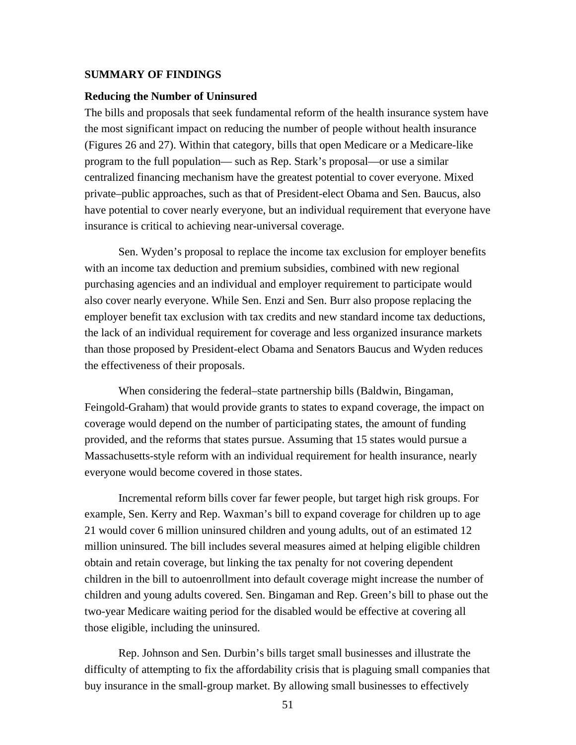#### **SUMMARY OF FINDINGS**

#### **Reducing the Number of Uninsured**

The bills and proposals that seek fundamental reform of the health insurance system have the most significant impact on reducing the number of people without health insurance (Figures 26 and 27). Within that category, bills that open Medicare or a Medicare-like program to the full population— such as Rep. Stark's proposal—or use a similar centralized financing mechanism have the greatest potential to cover everyone. Mixed private–public approaches, such as that of President-elect Obama and Sen. Baucus, also have potential to cover nearly everyone, but an individual requirement that everyone have insurance is critical to achieving near-universal coverage.

Sen. Wyden's proposal to replace the income tax exclusion for employer benefits with an income tax deduction and premium subsidies, combined with new regional purchasing agencies and an individual and employer requirement to participate would also cover nearly everyone. While Sen. Enzi and Sen. Burr also propose replacing the employer benefit tax exclusion with tax credits and new standard income tax deductions, the lack of an individual requirement for coverage and less organized insurance markets than those proposed by President-elect Obama and Senators Baucus and Wyden reduces the effectiveness of their proposals.

When considering the federal–state partnership bills (Baldwin, Bingaman, Feingold-Graham) that would provide grants to states to expand coverage, the impact on coverage would depend on the number of participating states, the amount of funding provided, and the reforms that states pursue. Assuming that 15 states would pursue a Massachusetts-style reform with an individual requirement for health insurance, nearly everyone would become covered in those states.

Incremental reform bills cover far fewer people, but target high risk groups. For example, Sen. Kerry and Rep. Waxman's bill to expand coverage for children up to age 21 would cover 6 million uninsured children and young adults, out of an estimated 12 million uninsured. The bill includes several measures aimed at helping eligible children obtain and retain coverage, but linking the tax penalty for not covering dependent children in the bill to autoenrollment into default coverage might increase the number of children and young adults covered. Sen. Bingaman and Rep. Green's bill to phase out the two-year Medicare waiting period for the disabled would be effective at covering all those eligible, including the uninsured.

Rep. Johnson and Sen. Durbin's bills target small businesses and illustrate the difficulty of attempting to fix the affordability crisis that is plaguing small companies that buy insurance in the small-group market. By allowing small businesses to effectively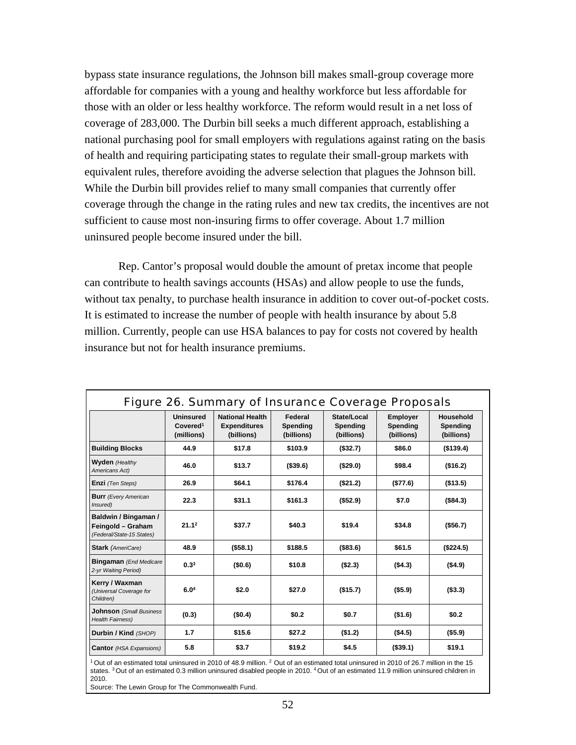bypass state insurance regulations, the Johnson bill makes small-group coverage more affordable for companies with a young and healthy workforce but less affordable for those with an older or less healthy workforce. The reform would result in a net loss of coverage of 283,000. The Durbin bill seeks a much different approach, establishing a national purchasing pool for small employers with regulations against rating on the basis of health and requiring participating states to regulate their small-group markets with equivalent rules, therefore avoiding the adverse selection that plagues the Johnson bill. While the Durbin bill provides relief to many small companies that currently offer coverage through the change in the rating rules and new tax credits, the incentives are not sufficient to cause most non-insuring firms to offer coverage. About 1.7 million uninsured people become insured under the bill.

Rep. Cantor's proposal would double the amount of pretax income that people can contribute to health savings accounts (HSAs) and allow people to use the funds, without tax penalty, to purchase health insurance in addition to cover out-of-pocket costs. It is estimated to increase the number of people with health insurance by about 5.8 million. Currently, people can use HSA balances to pay for costs not covered by health insurance but not for health insurance premiums.

| <b>Figure 26. Summary of Insurance Coverage Proposals</b>              |                                                        |                                                             |                                   |                                       |                                           |                                     |
|------------------------------------------------------------------------|--------------------------------------------------------|-------------------------------------------------------------|-----------------------------------|---------------------------------------|-------------------------------------------|-------------------------------------|
|                                                                        | <b>Uninsured</b><br>Covered <sup>1</sup><br>(millions) | <b>National Health</b><br><b>Expenditures</b><br>(billions) | Federal<br>Spending<br>(billions) | State/Local<br>Spending<br>(billions) | <b>Employer</b><br>Spending<br>(billions) | Household<br>Spending<br>(billions) |
| <b>Building Blocks</b>                                                 | 44.9                                                   | \$17.8                                                      | \$103.9                           | (\$32.7)                              | \$86.0                                    | ( \$139.4)                          |
| <b>Wyden</b> (Healthy<br>Americans Act)                                | 46.0                                                   | \$13.7                                                      | ( \$39.6)                         | ( \$29.0)                             | \$98.4                                    | (\$16.2)                            |
| <b>Enzi</b> (Ten Steps)                                                | 26.9                                                   | \$64.1                                                      | \$176.4                           | (\$21.2)                              | (\$77.6)                                  | (\$13.5)                            |
| <b>Burr</b> (Every American<br>Insured)                                | 22.3                                                   | \$31.1                                                      | \$161.3                           | (\$52.9)                              | \$7.0                                     | (\$84.3)                            |
| Baldwin / Bingaman /<br>Feingold - Graham<br>(Federal/State-15 States) | 21.1 <sup>2</sup>                                      | \$37.7                                                      | \$40.3                            | \$19.4                                | \$34.8                                    | ( \$56.7)                           |
| <b>Stark</b> (AmeriCare)                                               | 48.9                                                   | ( \$58.1)                                                   | \$188.5                           | ( \$83.6)                             | \$61.5                                    | (\$224.5)                           |
| <b>Bingaman</b> (End Medicare<br>2-yr Waiting Period)                  | 0.3 <sup>3</sup>                                       | (\$0.6)                                                     | \$10.8                            | (S2.3)                                | (\$4.3)                                   | (\$4.9)                             |
| Kerry / Waxman<br>(Universal Coverage for<br>Children)                 | 6.0 <sup>4</sup>                                       | \$2.0                                                       | \$27.0                            | (\$15.7)                              | (\$5.9)                                   | ( \$3.3)                            |
| <b>Johnson</b> (Small Business<br><b>Health Fairness)</b>              | (0.3)                                                  | (\$0.4)                                                     | \$0.2\$                           | \$0.7                                 | (\$1.6)                                   | \$0.2\$                             |
| Durbin / Kind (SHOP)                                                   | 1.7                                                    | \$15.6                                                      | \$27.2                            | ( \$1.2)                              | (S4.5)                                    | $($ \$5.9)                          |
| <b>Cantor</b> (HSA Expansions)                                         | 5.8                                                    | \$3.7                                                       | \$19.2                            | \$4.5                                 | ( \$39.1)                                 | \$19.1                              |

 $1$  Out of an estimated total uninsured in 2010 of 48.9 million.  $2$  Out of an estimated total uninsured in 2010 of 26.7 million in the 15 states. <sup>3</sup> Out of an estimated 0.3 million uninsured disabled people in 2010. <sup>4</sup> Out of an estimated 11.9 million uninsured children in 2010.

Source: The Lewin Group for The Commonwealth Fund.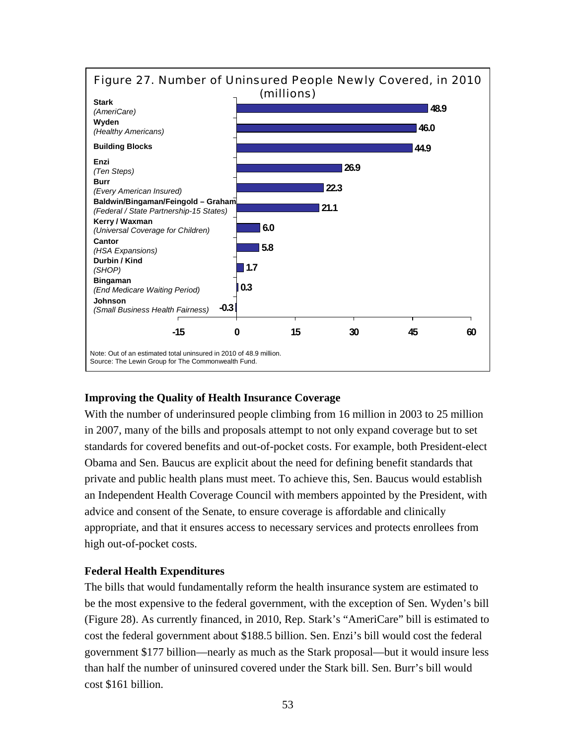

## **Improving the Quality of Health Insurance Coverage**

With the number of underinsured people climbing from 16 million in 2003 to 25 million in 2007, many of the bills and proposals attempt to not only expand coverage but to set standards for covered benefits and out-of-pocket costs. For example, both President-elect Obama and Sen. Baucus are explicit about the need for defining benefit standards that private and public health plans must meet. To achieve this, Sen. Baucus would establish an Independent Health Coverage Council with members appointed by the President, with advice and consent of the Senate, to ensure coverage is affordable and clinically appropriate, and that it ensures access to necessary services and protects enrollees from high out-of-pocket costs.

## **Federal Health Expenditures**

The bills that would fundamentally reform the health insurance system are estimated to be the most expensive to the federal government, with the exception of Sen. Wyden's bill (Figure 28). As currently financed, in 2010, Rep. Stark's "AmeriCare" bill is estimated to cost the federal government about \$188.5 billion. Sen. Enzi's bill would cost the federal government \$177 billion—nearly as much as the Stark proposal—but it would insure less than half the number of uninsured covered under the Stark bill. Sen. Burr's bill would cost \$161 billion.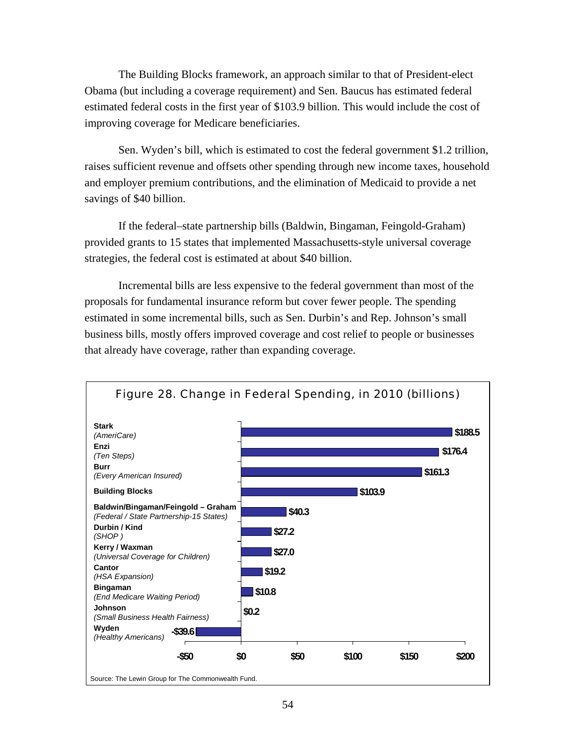The Building Blocks framework, an approach similar to that of President-elect Obama (but including a coverage requirement) and Sen. Baucus has estimated federal estimated federal costs in the first year of \$103.9 billion. This would include the cost of improving coverage for Medicare beneficiaries.

Sen. Wyden's bill, which is estimated to cost the federal government \$1.2 trillion, raises sufficient revenue and offsets other spending through new income taxes, household and employer premium contributions, and the elimination of Medicaid to provide a net savings of \$40 billion.

If the federal–state partnership bills (Baldwin, Bingaman, Feingold-Graham) provided grants to 15 states that implemented Massachusetts-style universal coverage strategies, the federal cost is estimated at about \$40 billion.

Incremental bills are less expensive to the federal government than most of the proposals for fundamental insurance reform but cover fewer people. The spending estimated in some incremental bills, such as Sen. Durbin's and Rep. Johnson's small business bills, mostly offers improved coverage and cost relief to people or businesses that already have coverage, rather than expanding coverage.

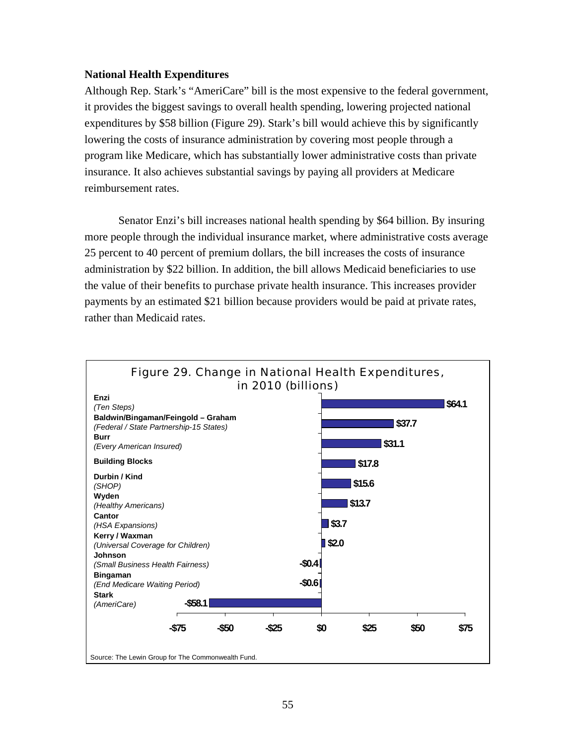#### **National Health Expenditures**

Although Rep. Stark's "AmeriCare" bill is the most expensive to the federal government, it provides the biggest savings to overall health spending, lowering projected national expenditures by \$58 billion (Figure 29). Stark's bill would achieve this by significantly lowering the costs of insurance administration by covering most people through a program like Medicare, which has substantially lower administrative costs than private insurance. It also achieves substantial savings by paying all providers at Medicare reimbursement rates.

Senator Enzi's bill increases national health spending by \$64 billion. By insuring more people through the individual insurance market, where administrative costs average 25 percent to 40 percent of premium dollars, the bill increases the costs of insurance administration by \$22 billion. In addition, the bill allows Medicaid beneficiaries to use the value of their benefits to purchase private health insurance. This increases provider payments by an estimated \$21 billion because providers would be paid at private rates, rather than Medicaid rates.

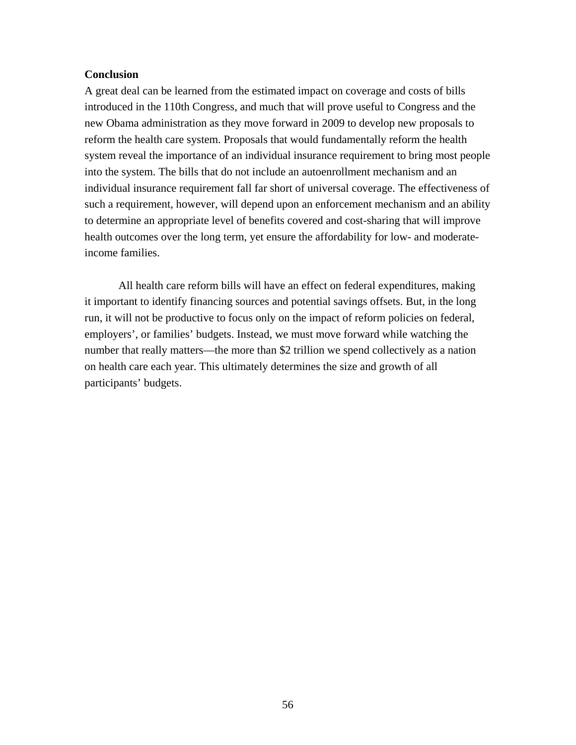#### **Conclusion**

A great deal can be learned from the estimated impact on coverage and costs of bills introduced in the 110th Congress, and much that will prove useful to Congress and the new Obama administration as they move forward in 2009 to develop new proposals to reform the health care system. Proposals that would fundamentally reform the health system reveal the importance of an individual insurance requirement to bring most people into the system. The bills that do not include an autoenrollment mechanism and an individual insurance requirement fall far short of universal coverage. The effectiveness of such a requirement, however, will depend upon an enforcement mechanism and an ability to determine an appropriate level of benefits covered and cost-sharing that will improve health outcomes over the long term, yet ensure the affordability for low- and moderateincome families.

All health care reform bills will have an effect on federal expenditures, making it important to identify financing sources and potential savings offsets. But, in the long run, it will not be productive to focus only on the impact of reform policies on federal, employers', or families' budgets. Instead, we must move forward while watching the number that really matters—the more than \$2 trillion we spend collectively as a nation on health care each year. This ultimately determines the size and growth of all participants' budgets.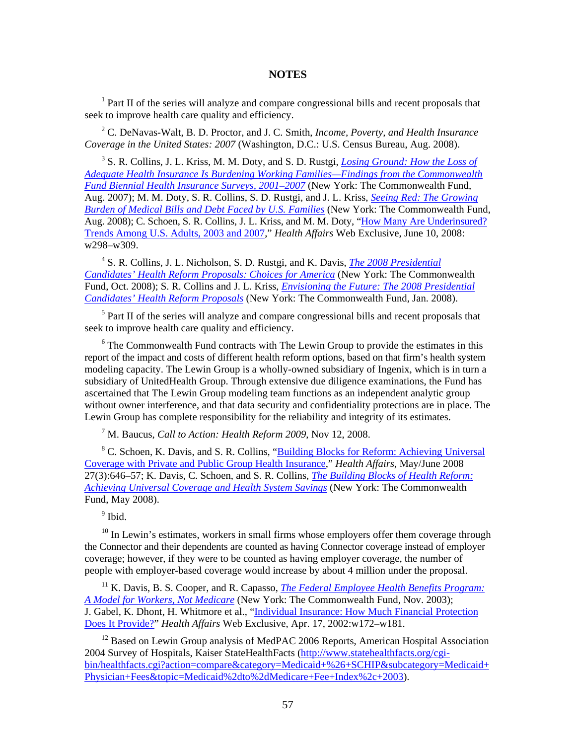#### **NOTES**

<sup>1</sup> Part II of the series will analyze and compare congressional bills and recent proposals that seek to improve health care quality and efficiency.

2 C. DeNavas-Walt, B. D. Proctor, and J. C. Smith, *Income, Poverty, and Health Insurance Coverage in the United States: 2007* (Washington, D.C.: U.S. Census Bureau, Aug. 2008).

3 S. R. Collins, J. L. Kriss, M. M. Doty, and S. D. Rustgi, *[Losing Ground: How the Loss of](http://www.commonwealthfund.org/publications/publications_show.htm?doc_id=700872)  [Adequate Health Insurance Is Burdening Working Families—Findings from the Commonwealth](http://www.commonwealthfund.org/publications/publications_show.htm?doc_id=700872)  [Fund Biennial Health Insurance Surveys, 2001–2007](http://www.commonwealthfund.org/publications/publications_show.htm?doc_id=700872)* (New York: The Commonwealth Fund, Aug. 2007); M. M. Doty, S. R. Collins, S. D. Rustgi, and J. L. Kriss, *[Seeing Red: The Growing](http://www.commonwealthfund.org/publications/publications_show.htm?doc_id=700868)  [Burden of Medical Bills and Debt Faced by U.S. Families](http://www.commonwealthfund.org/publications/publications_show.htm?doc_id=700868)* (New York: The Commonwealth Fund, Aug. 2008); C. Schoen, S. R. Collins, J. L. Kriss, and M. M. Doty, ["How Many Are Underinsured?](http://www.commonwealthfund.org/publications/publications_show.htm?doc_id=688615)  [Trends Among U.S. Adults, 2003 and 2007,](http://www.commonwealthfund.org/publications/publications_show.htm?doc_id=688615)" *Health Affairs* Web Exclusive, June 10, 2008: w298–w309.

<sup>4</sup> S. R. Collins, J. L. Nicholson, S. D. Rustgi, and K. Davis, *The 2008 Presidential [Candidates' Health Reform Proposals: Choices for America](http://www.commonwealthfund.org/publications/publications_show.htm?doc_id=707948)* (New York: The Commonwealth Fund, Oct. 2008); S. R. Collins and J. L. Kriss, *[Envisioning the Future: The 2008 Presidential](http://www.commonwealthfund.org/publications/publications_show.htm?doc_id=647708)  [Candidates' Health Reform Proposals](http://www.commonwealthfund.org/publications/publications_show.htm?doc_id=647708)* (New York: The Commonwealth Fund, Jan. 2008).

<sup>5</sup> Part II of the series will analyze and compare congressional bills and recent proposals that seek to improve health care quality and efficiency.

 $6$  The Commonwealth Fund contracts with The Lewin Group to provide the estimates in this report of the impact and costs of different health reform options, based on that firm's health system modeling capacity. The Lewin Group is a wholly-owned subsidiary of Ingenix, which is in turn a subsidiary of UnitedHealth Group. Through extensive due diligence examinations, the Fund has ascertained that The Lewin Group modeling team functions as an independent analytic group without owner interference, and that data security and confidentiality protections are in place. The Lewin Group has complete responsibility for the reliability and integrity of its estimates.

7 M. Baucus, *Call to Action: Health Reform 2009*, Nov 12, 2008.

<sup>8</sup> C. Schoen, K. Davis, and S. R. Collins, "Building Blocks for Reform: Achieving Universal [Coverage with Private and Public Group Health Insurance](http://www.commonwealthfund.org/publications/publications_show.htm?doc_id=685132)," *Health Affairs,* May/June 2008 27(3):646–57; K. Davis, C. Schoen, and S. R. Collins, *[The Building Blocks of Health Reform:](http://www.commonwealthfund.org/publications/publications_show.htm?doc_id=685128)  [Achieving Universal Coverage and Health System Savings](http://www.commonwealthfund.org/publications/publications_show.htm?doc_id=685128)* (New York: The Commonwealth Fund, May 2008).

<sup>9</sup> Ibid.

 $10$  In Lewin's estimates, workers in small firms whose employers offer them coverage through the Connector and their dependents are counted as having Connector coverage instead of employer coverage; however, if they were to be counted as having employer coverage, the number of people with employer-based coverage would increase by about 4 million under the proposal.

<sup>11</sup> K. Davis, B. S. Cooper, and R. Capasso, *The Federal Employee Health Benefits Program: [A Model for Workers, Not Medicare](http://www.commonwealthfund.org/publications/publications_show.htm?doc_id=221449)* (New York: The Commonwealth Fund, Nov. 2003); J. Gabel, K. Dhont, H. Whitmore et al., "Individual Insurance: How Much Financial Protection [Does It Provide?"](http://www.commonwealthfund.org/publications/publications_show.htm?doc_id=221493) *Health Affairs* Web Exclusive, Apr. 17, 2002:w172–w181.

<sup>12</sup> Based on Lewin Group analysis of MedPAC 2006 Reports, American Hospital Association 2004 Survey of Hospitals, Kaiser StateHealthFacts (http://www.statehealthfacts.org/cgibin/healthfacts.cgi?action=compare&category=Medicaid+%26+SCHIP&subcategory=Medicaid+ Physician+Fees&topic=Medicaid%2dto%2dMedicare+Fee+Index%2c+2003).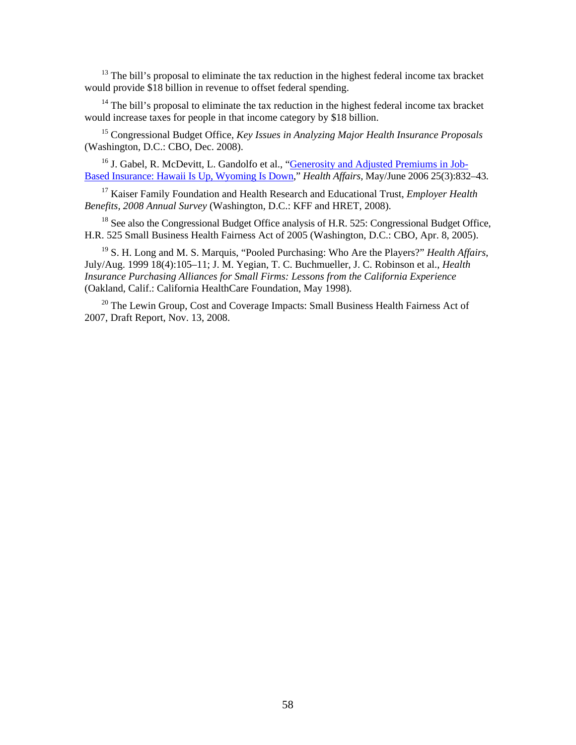<sup>13</sup> The bill's proposal to eliminate the tax reduction in the highest federal income tax bracket would provide \$18 billion in revenue to offset federal spending.

 $14$  The bill's proposal to eliminate the tax reduction in the highest federal income tax bracket would increase taxes for people in that income category by \$18 billion.

15 Congressional Budget Office, *Key Issues in Analyzing Major Health Insurance Proposals* (Washington, D.C.: CBO, Dec. 2008).

<sup>16</sup> J. Gabel, R. McDevitt, L. Gandolfo et al., "**Generosity and Adjusted Premiums in Job-**[Based Insurance: Hawaii Is Up, Wyoming Is Down,](http://www.commonwealthfund.org/publications/publications_show.htm?doc_id=371983)" *Health Affairs,* May/June 2006 25(3):832–43.

17 Kaiser Family Foundation and Health Research and Educational Trust, *Employer Health Benefits, 2008 Annual Survey* (Washington, D.C.: KFF and HRET, 2008).

<sup>18</sup> See also the Congressional Budget Office analysis of H.R. 525: Congressional Budget Office, H.R. 525 Small Business Health Fairness Act of 2005 (Washington, D.C.: CBO, Apr. 8, 2005).

19 S. H. Long and M. S. Marquis, "Pooled Purchasing: Who Are the Players?" *Health Affairs*, July/Aug. 1999 18(4):105–11; J. M. Yegian, T. C. Buchmueller, J. C. Robinson et al., *Health Insurance Purchasing Alliances for Small Firms: Lessons from the California Experience* (Oakland, Calif.: California HealthCare Foundation, May 1998).

<sup>20</sup> The Lewin Group, Cost and Coverage Impacts: Small Business Health Fairness Act of 2007, Draft Report, Nov. 13, 2008.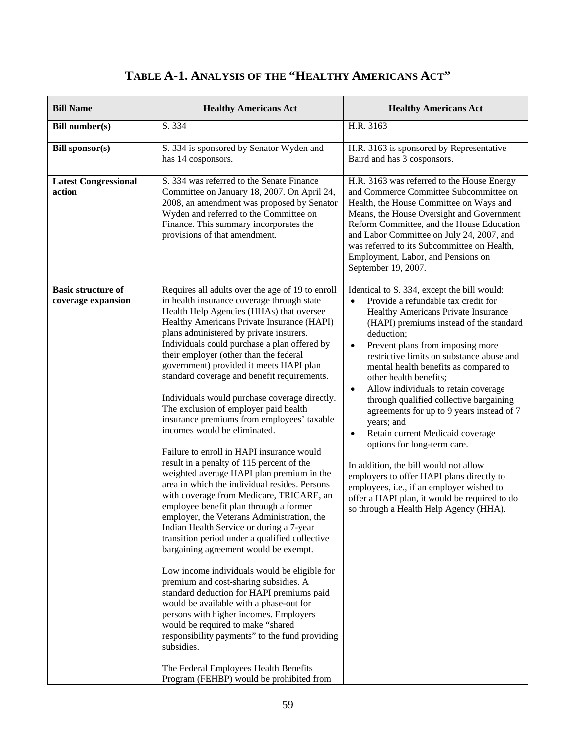## **TABLE A-1. ANALYSIS OF THE "HEALTHY AMERICANS ACT"**

| <b>Bill Name</b>                                | <b>Healthy Americans Act</b>                                                                                                                                                                                                                                                                                                                                                                                                                                                                                                                                                                                                                                                                                                                                                                                                                                                                                                                                                                                                                                                                                                                                                                                                                                                                                                                                                                                                                                                            | <b>Healthy Americans Act</b>                                                                                                                                                                                                                                                                                                                                                                                                                                                                                                                                                                                                                                                                                                                                                                                                              |
|-------------------------------------------------|-----------------------------------------------------------------------------------------------------------------------------------------------------------------------------------------------------------------------------------------------------------------------------------------------------------------------------------------------------------------------------------------------------------------------------------------------------------------------------------------------------------------------------------------------------------------------------------------------------------------------------------------------------------------------------------------------------------------------------------------------------------------------------------------------------------------------------------------------------------------------------------------------------------------------------------------------------------------------------------------------------------------------------------------------------------------------------------------------------------------------------------------------------------------------------------------------------------------------------------------------------------------------------------------------------------------------------------------------------------------------------------------------------------------------------------------------------------------------------------------|-------------------------------------------------------------------------------------------------------------------------------------------------------------------------------------------------------------------------------------------------------------------------------------------------------------------------------------------------------------------------------------------------------------------------------------------------------------------------------------------------------------------------------------------------------------------------------------------------------------------------------------------------------------------------------------------------------------------------------------------------------------------------------------------------------------------------------------------|
| <b>Bill number(s)</b>                           | S. 334                                                                                                                                                                                                                                                                                                                                                                                                                                                                                                                                                                                                                                                                                                                                                                                                                                                                                                                                                                                                                                                                                                                                                                                                                                                                                                                                                                                                                                                                                  | H.R. 3163                                                                                                                                                                                                                                                                                                                                                                                                                                                                                                                                                                                                                                                                                                                                                                                                                                 |
| <b>Bill sponsor(s)</b>                          | S. 334 is sponsored by Senator Wyden and<br>has 14 cosponsors.                                                                                                                                                                                                                                                                                                                                                                                                                                                                                                                                                                                                                                                                                                                                                                                                                                                                                                                                                                                                                                                                                                                                                                                                                                                                                                                                                                                                                          | H.R. 3163 is sponsored by Representative<br>Baird and has 3 cosponsors.                                                                                                                                                                                                                                                                                                                                                                                                                                                                                                                                                                                                                                                                                                                                                                   |
| <b>Latest Congressional</b><br>action           | S. 334 was referred to the Senate Finance<br>Committee on January 18, 2007. On April 24,<br>2008, an amendment was proposed by Senator<br>Wyden and referred to the Committee on<br>Finance. This summary incorporates the<br>provisions of that amendment.                                                                                                                                                                                                                                                                                                                                                                                                                                                                                                                                                                                                                                                                                                                                                                                                                                                                                                                                                                                                                                                                                                                                                                                                                             | H.R. 3163 was referred to the House Energy<br>and Commerce Committee Subcommittee on<br>Health, the House Committee on Ways and<br>Means, the House Oversight and Government<br>Reform Committee, and the House Education<br>and Labor Committee on July 24, 2007, and<br>was referred to its Subcommittee on Health,<br>Employment, Labor, and Pensions on<br>September 19, 2007.                                                                                                                                                                                                                                                                                                                                                                                                                                                        |
| <b>Basic structure of</b><br>coverage expansion | Requires all adults over the age of 19 to enroll<br>in health insurance coverage through state<br>Health Help Agencies (HHAs) that oversee<br>Healthy Americans Private Insurance (HAPI)<br>plans administered by private insurers.<br>Individuals could purchase a plan offered by<br>their employer (other than the federal<br>government) provided it meets HAPI plan<br>standard coverage and benefit requirements.<br>Individuals would purchase coverage directly.<br>The exclusion of employer paid health<br>insurance premiums from employees' taxable<br>incomes would be eliminated.<br>Failure to enroll in HAPI insurance would<br>result in a penalty of 115 percent of the<br>weighted average HAPI plan premium in the<br>area in which the individual resides. Persons<br>with coverage from Medicare, TRICARE, an<br>employee benefit plan through a former<br>employer, the Veterans Administration, the<br>Indian Health Service or during a 7-year<br>transition period under a qualified collective<br>bargaining agreement would be exempt.<br>Low income individuals would be eligible for<br>premium and cost-sharing subsidies. A<br>standard deduction for HAPI premiums paid<br>would be available with a phase-out for<br>persons with higher incomes. Employers<br>would be required to make "shared<br>responsibility payments" to the fund providing<br>subsidies.<br>The Federal Employees Health Benefits<br>Program (FEHBP) would be prohibited from | Identical to S. 334, except the bill would:<br>Provide a refundable tax credit for<br>$\bullet$<br>Healthy Americans Private Insurance<br>(HAPI) premiums instead of the standard<br>deduction;<br>Prevent plans from imposing more<br>$\bullet$<br>restrictive limits on substance abuse and<br>mental health benefits as compared to<br>other health benefits;<br>Allow individuals to retain coverage<br>$\bullet$<br>through qualified collective bargaining<br>agreements for up to 9 years instead of 7<br>years; and<br>Retain current Medicaid coverage<br>$\bullet$<br>options for long-term care.<br>In addition, the bill would not allow<br>employers to offer HAPI plans directly to<br>employees, i.e., if an employer wished to<br>offer a HAPI plan, it would be required to do<br>so through a Health Help Agency (HHA). |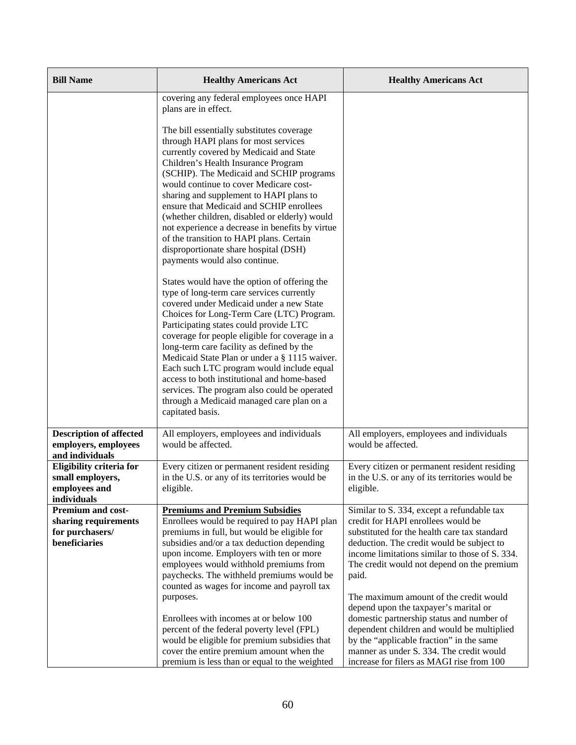| <b>Bill Name</b>                                                                     | <b>Healthy Americans Act</b>                                                                                                                                                                                                                                                                                                                                                                                                                                                                                                                                                                                          | <b>Healthy Americans Act</b>                                                                                                                                                                                                                                                                                                                                                                                                                                                                                                                                                                              |
|--------------------------------------------------------------------------------------|-----------------------------------------------------------------------------------------------------------------------------------------------------------------------------------------------------------------------------------------------------------------------------------------------------------------------------------------------------------------------------------------------------------------------------------------------------------------------------------------------------------------------------------------------------------------------------------------------------------------------|-----------------------------------------------------------------------------------------------------------------------------------------------------------------------------------------------------------------------------------------------------------------------------------------------------------------------------------------------------------------------------------------------------------------------------------------------------------------------------------------------------------------------------------------------------------------------------------------------------------|
|                                                                                      | covering any federal employees once HAPI<br>plans are in effect.                                                                                                                                                                                                                                                                                                                                                                                                                                                                                                                                                      |                                                                                                                                                                                                                                                                                                                                                                                                                                                                                                                                                                                                           |
|                                                                                      | The bill essentially substitutes coverage<br>through HAPI plans for most services<br>currently covered by Medicaid and State<br>Children's Health Insurance Program<br>(SCHIP). The Medicaid and SCHIP programs<br>would continue to cover Medicare cost-<br>sharing and supplement to HAPI plans to<br>ensure that Medicaid and SCHIP enrollees<br>(whether children, disabled or elderly) would<br>not experience a decrease in benefits by virtue<br>of the transition to HAPI plans. Certain<br>disproportionate share hospital (DSH)<br>payments would also continue.                                            |                                                                                                                                                                                                                                                                                                                                                                                                                                                                                                                                                                                                           |
|                                                                                      | States would have the option of offering the<br>type of long-term care services currently<br>covered under Medicaid under a new State<br>Choices for Long-Term Care (LTC) Program.<br>Participating states could provide LTC<br>coverage for people eligible for coverage in a<br>long-term care facility as defined by the<br>Medicaid State Plan or under a § 1115 waiver.<br>Each such LTC program would include equal<br>access to both institutional and home-based<br>services. The program also could be operated<br>through a Medicaid managed care plan on a<br>capitated basis.                             |                                                                                                                                                                                                                                                                                                                                                                                                                                                                                                                                                                                                           |
| <b>Description of affected</b><br>employers, employees<br>and individuals            | All employers, employees and individuals<br>would be affected.                                                                                                                                                                                                                                                                                                                                                                                                                                                                                                                                                        | All employers, employees and individuals<br>would be affected.                                                                                                                                                                                                                                                                                                                                                                                                                                                                                                                                            |
| Eligibility criteria for<br>small employers,<br>employees and<br>individuals         | Every citizen or permanent resident residing<br>in the U.S. or any of its territories would be<br>eligible.                                                                                                                                                                                                                                                                                                                                                                                                                                                                                                           | Every citizen or permanent resident residing<br>in the U.S. or any of its territories would be<br>eligible.                                                                                                                                                                                                                                                                                                                                                                                                                                                                                               |
| <b>Premium and cost-</b><br>sharing requirements<br>for purchasers/<br>beneficiaries | <b>Premiums and Premium Subsidies</b><br>Enrollees would be required to pay HAPI plan<br>premiums in full, but would be eligible for<br>subsidies and/or a tax deduction depending<br>upon income. Employers with ten or more<br>employees would withhold premiums from<br>paychecks. The withheld premiums would be<br>counted as wages for income and payroll tax<br>purposes.<br>Enrollees with incomes at or below 100<br>percent of the federal poverty level (FPL)<br>would be eligible for premium subsidies that<br>cover the entire premium amount when the<br>premium is less than or equal to the weighted | Similar to S. 334, except a refundable tax<br>credit for HAPI enrollees would be<br>substituted for the health care tax standard<br>deduction. The credit would be subject to<br>income limitations similar to those of S. 334.<br>The credit would not depend on the premium<br>paid.<br>The maximum amount of the credit would<br>depend upon the taxpayer's marital or<br>domestic partnership status and number of<br>dependent children and would be multiplied<br>by the "applicable fraction" in the same<br>manner as under S. 334. The credit would<br>increase for filers as MAGI rise from 100 |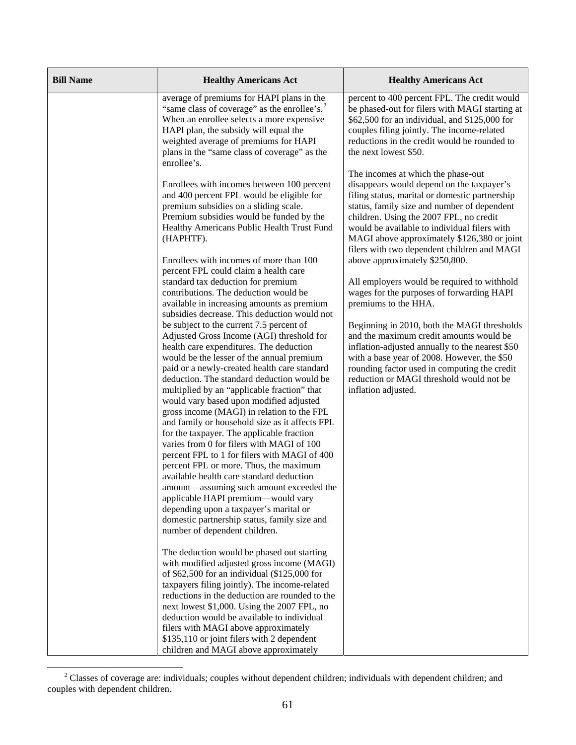| <b>Bill Name</b> | <b>Healthy Americans Act</b>                                                                                                                                                                                                                                                                                                                                                                                                                                                                                                                                                                                                                                                                                                                                                                                                                                                                                                                                                                                                                                                                       | <b>Healthy Americans Act</b>                                                                                                                                                                                                                                                                                                                                                                                                                                      |
|------------------|----------------------------------------------------------------------------------------------------------------------------------------------------------------------------------------------------------------------------------------------------------------------------------------------------------------------------------------------------------------------------------------------------------------------------------------------------------------------------------------------------------------------------------------------------------------------------------------------------------------------------------------------------------------------------------------------------------------------------------------------------------------------------------------------------------------------------------------------------------------------------------------------------------------------------------------------------------------------------------------------------------------------------------------------------------------------------------------------------|-------------------------------------------------------------------------------------------------------------------------------------------------------------------------------------------------------------------------------------------------------------------------------------------------------------------------------------------------------------------------------------------------------------------------------------------------------------------|
|                  | average of premiums for HAPI plans in the<br>"same class of coverage" as the enrollee's. <sup>2</sup><br>When an enrollee selects a more expensive<br>HAPI plan, the subsidy will equal the<br>weighted average of premiums for HAPI<br>plans in the "same class of coverage" as the<br>enrollee's.                                                                                                                                                                                                                                                                                                                                                                                                                                                                                                                                                                                                                                                                                                                                                                                                | percent to 400 percent FPL. The credit would<br>be phased-out for filers with MAGI starting at<br>\$62,500 for an individual, and \$125,000 for<br>couples filing jointly. The income-related<br>reductions in the credit would be rounded to<br>the next lowest \$50.                                                                                                                                                                                            |
|                  | Enrollees with incomes between 100 percent<br>and 400 percent FPL would be eligible for<br>premium subsidies on a sliding scale.<br>Premium subsidies would be funded by the<br>Healthy Americans Public Health Trust Fund<br>(HAPHTF).                                                                                                                                                                                                                                                                                                                                                                                                                                                                                                                                                                                                                                                                                                                                                                                                                                                            | The incomes at which the phase-out<br>disappears would depend on the taxpayer's<br>filing status, marital or domestic partnership<br>status, family size and number of dependent<br>children. Using the 2007 FPL, no credit<br>would be available to individual filers with<br>MAGI above approximately \$126,380 or joint<br>filers with two dependent children and MAGI                                                                                         |
|                  | Enrollees with incomes of more than 100<br>percent FPL could claim a health care<br>standard tax deduction for premium<br>contributions. The deduction would be<br>available in increasing amounts as premium<br>subsidies decrease. This deduction would not<br>be subject to the current 7.5 percent of<br>Adjusted Gross Income (AGI) threshold for<br>health care expenditures. The deduction<br>would be the lesser of the annual premium<br>paid or a newly-created health care standard<br>deduction. The standard deduction would be<br>multiplied by an "applicable fraction" that<br>would vary based upon modified adjusted<br>gross income (MAGI) in relation to the FPL<br>and family or household size as it affects FPL<br>for the taxpayer. The applicable fraction<br>varies from 0 for filers with MAGI of 100<br>percent FPL to 1 for filers with MAGI of 400<br>percent FPL or more. Thus, the maximum<br>available health care standard deduction<br>amount—assuming such amount exceeded the<br>applicable HAPI premium-would vary<br>depending upon a taxpayer's marital or | above approximately \$250,800.<br>All employers would be required to withhold<br>wages for the purposes of forwarding HAPI<br>premiums to the HHA.<br>Beginning in 2010, both the MAGI thresholds<br>and the maximum credit amounts would be<br>inflation-adjusted annually to the nearest \$50<br>with a base year of 2008. However, the \$50<br>rounding factor used in computing the credit<br>reduction or MAGI threshold would not be<br>inflation adjusted. |
|                  | domestic partnership status, family size and<br>number of dependent children.<br>The deduction would be phased out starting<br>with modified adjusted gross income (MAGI)<br>of \$62,500 for an individual (\$125,000 for<br>taxpayers filing jointly). The income-related<br>reductions in the deduction are rounded to the<br>next lowest \$1,000. Using the 2007 FPL, no<br>deduction would be available to individual<br>filers with MAGI above approximately<br>\$135,110 or joint filers with 2 dependent<br>children and MAGI above approximately                                                                                                                                                                                                                                                                                                                                                                                                                                                                                                                                           |                                                                                                                                                                                                                                                                                                                                                                                                                                                                   |

<span id="page-78-0"></span><sup>&</sup>lt;sup>2</sup> Classes of coverage are: individuals; couples without dependent children; individuals with dependent children; and couples with dependent children.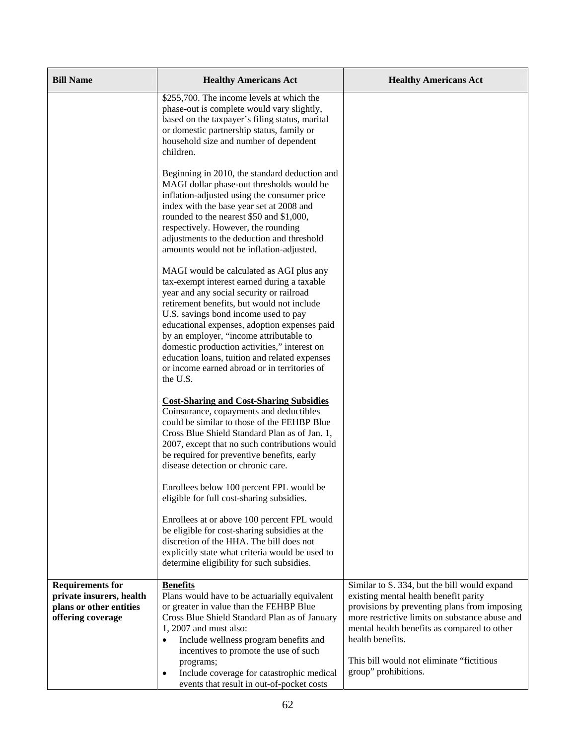| <b>Bill Name</b>                                                                                    | <b>Healthy Americans Act</b>                                                                                                                                                                                                                                                                                                                                                                                                                                                      | <b>Healthy Americans Act</b>                                                                                                                                                                                                                                                                                                     |
|-----------------------------------------------------------------------------------------------------|-----------------------------------------------------------------------------------------------------------------------------------------------------------------------------------------------------------------------------------------------------------------------------------------------------------------------------------------------------------------------------------------------------------------------------------------------------------------------------------|----------------------------------------------------------------------------------------------------------------------------------------------------------------------------------------------------------------------------------------------------------------------------------------------------------------------------------|
|                                                                                                     | \$255,700. The income levels at which the<br>phase-out is complete would vary slightly,<br>based on the taxpayer's filing status, marital<br>or domestic partnership status, family or<br>household size and number of dependent<br>children.                                                                                                                                                                                                                                     |                                                                                                                                                                                                                                                                                                                                  |
|                                                                                                     | Beginning in 2010, the standard deduction and<br>MAGI dollar phase-out thresholds would be<br>inflation-adjusted using the consumer price<br>index with the base year set at 2008 and<br>rounded to the nearest \$50 and \$1,000,<br>respectively. However, the rounding<br>adjustments to the deduction and threshold<br>amounts would not be inflation-adjusted.                                                                                                                |                                                                                                                                                                                                                                                                                                                                  |
|                                                                                                     | MAGI would be calculated as AGI plus any<br>tax-exempt interest earned during a taxable<br>year and any social security or railroad<br>retirement benefits, but would not include<br>U.S. savings bond income used to pay<br>educational expenses, adoption expenses paid<br>by an employer, "income attributable to<br>domestic production activities," interest on<br>education loans, tuition and related expenses<br>or income earned abroad or in territories of<br>the U.S. |                                                                                                                                                                                                                                                                                                                                  |
|                                                                                                     | <b>Cost-Sharing and Cost-Sharing Subsidies</b><br>Coinsurance, copayments and deductibles<br>could be similar to those of the FEHBP Blue<br>Cross Blue Shield Standard Plan as of Jan. 1,<br>2007, except that no such contributions would<br>be required for preventive benefits, early<br>disease detection or chronic care.                                                                                                                                                    |                                                                                                                                                                                                                                                                                                                                  |
|                                                                                                     | Enrollees below 100 percent FPL would be<br>eligible for full cost-sharing subsidies.<br>Enrollees at or above 100 percent FPL would                                                                                                                                                                                                                                                                                                                                              |                                                                                                                                                                                                                                                                                                                                  |
|                                                                                                     | be eligible for cost-sharing subsidies at the<br>discretion of the HHA. The bill does not<br>explicitly state what criteria would be used to<br>determine eligibility for such subsidies.                                                                                                                                                                                                                                                                                         |                                                                                                                                                                                                                                                                                                                                  |
| <b>Requirements for</b><br>private insurers, health<br>plans or other entities<br>offering coverage | <b>Benefits</b><br>Plans would have to be actuarially equivalent<br>or greater in value than the FEHBP Blue<br>Cross Blue Shield Standard Plan as of January<br>1, 2007 and must also:<br>Include wellness program benefits and<br>$\bullet$<br>incentives to promote the use of such<br>programs;<br>Include coverage for catastrophic medical<br>$\bullet$<br>events that result in out-of-pocket costs                                                                         | Similar to S. 334, but the bill would expand<br>existing mental health benefit parity<br>provisions by preventing plans from imposing<br>more restrictive limits on substance abuse and<br>mental health benefits as compared to other<br>health benefits.<br>This bill would not eliminate "fictitious"<br>group" prohibitions. |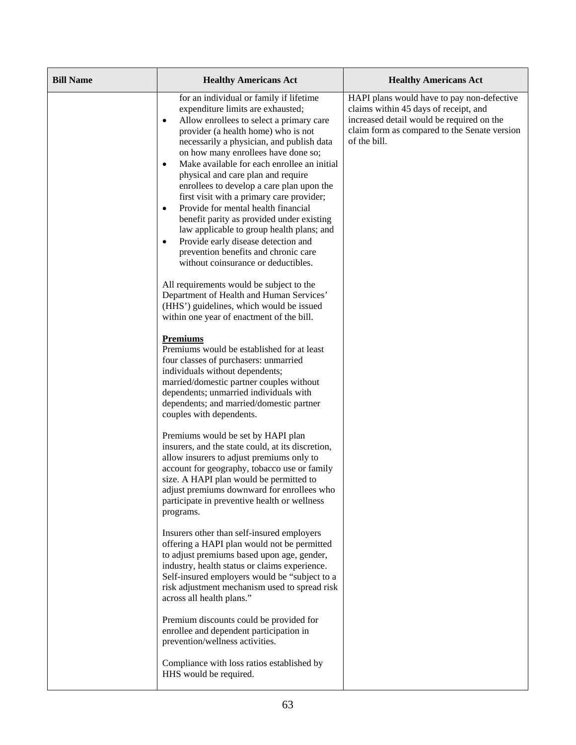| <b>Bill Name</b> | <b>Healthy Americans Act</b>                                                                                                                                                                                                                                                                                                                                                                                                                                                                                                                                                                                                                                                                                                                                                                                                                                              | <b>Healthy Americans Act</b>                                                                                                                                                                     |
|------------------|---------------------------------------------------------------------------------------------------------------------------------------------------------------------------------------------------------------------------------------------------------------------------------------------------------------------------------------------------------------------------------------------------------------------------------------------------------------------------------------------------------------------------------------------------------------------------------------------------------------------------------------------------------------------------------------------------------------------------------------------------------------------------------------------------------------------------------------------------------------------------|--------------------------------------------------------------------------------------------------------------------------------------------------------------------------------------------------|
|                  | for an individual or family if lifetime<br>expenditure limits are exhausted;<br>Allow enrollees to select a primary care<br>٠<br>provider (a health home) who is not<br>necessarily a physician, and publish data<br>on how many enrollees have done so;<br>Make available for each enrollee an initial<br>$\bullet$<br>physical and care plan and require<br>enrollees to develop a care plan upon the<br>first visit with a primary care provider;<br>Provide for mental health financial<br>$\bullet$<br>benefit parity as provided under existing<br>law applicable to group health plans; and<br>Provide early disease detection and<br>$\bullet$<br>prevention benefits and chronic care<br>without coinsurance or deductibles.<br>All requirements would be subject to the<br>Department of Health and Human Services'<br>(HHS') guidelines, which would be issued | HAPI plans would have to pay non-defective<br>claims within 45 days of receipt, and<br>increased detail would be required on the<br>claim form as compared to the Senate version<br>of the bill. |
|                  | within one year of enactment of the bill.<br><b>Premiums</b><br>Premiums would be established for at least<br>four classes of purchasers: unmarried<br>individuals without dependents;<br>married/domestic partner couples without<br>dependents; unmarried individuals with<br>dependents; and married/domestic partner<br>couples with dependents.<br>Premiums would be set by HAPI plan<br>insurers, and the state could, at its discretion,<br>allow insurers to adjust premiums only to<br>account for geography, tobacco use or family<br>size. A HAPI plan would be permitted to<br>adjust premiums downward for enrollees who<br>participate in preventive health or wellness                                                                                                                                                                                     |                                                                                                                                                                                                  |
|                  | programs.<br>Insurers other than self-insured employers<br>offering a HAPI plan would not be permitted<br>to adjust premiums based upon age, gender,<br>industry, health status or claims experience.<br>Self-insured employers would be "subject to a<br>risk adjustment mechanism used to spread risk<br>across all health plans."<br>Premium discounts could be provided for<br>enrollee and dependent participation in<br>prevention/wellness activities.<br>Compliance with loss ratios established by<br>HHS would be required.                                                                                                                                                                                                                                                                                                                                     |                                                                                                                                                                                                  |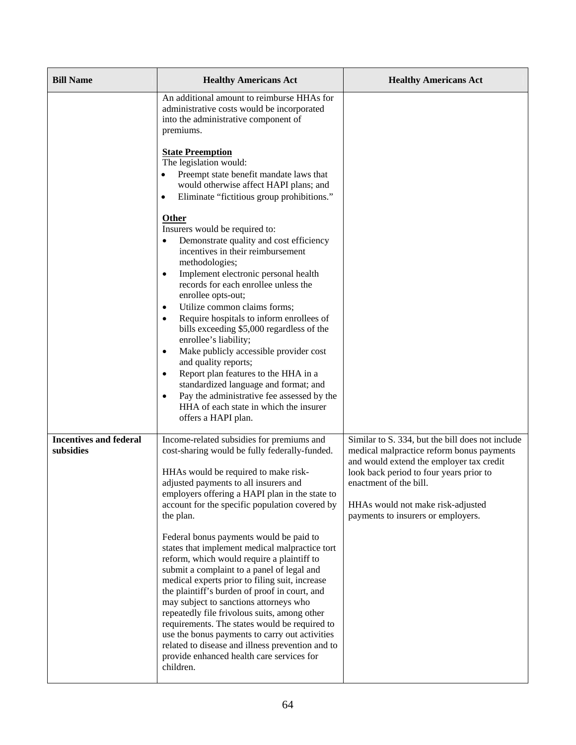| <b>Bill Name</b>                           | <b>Healthy Americans Act</b>                                                                                                                                                                                                                                                                                                                                                                                                                                                                                                                                                                                                                                                                                                                                                                                                                                                                        | <b>Healthy Americans Act</b>                                                                                                                                                                                                                                                              |
|--------------------------------------------|-----------------------------------------------------------------------------------------------------------------------------------------------------------------------------------------------------------------------------------------------------------------------------------------------------------------------------------------------------------------------------------------------------------------------------------------------------------------------------------------------------------------------------------------------------------------------------------------------------------------------------------------------------------------------------------------------------------------------------------------------------------------------------------------------------------------------------------------------------------------------------------------------------|-------------------------------------------------------------------------------------------------------------------------------------------------------------------------------------------------------------------------------------------------------------------------------------------|
|                                            | An additional amount to reimburse HHAs for<br>administrative costs would be incorporated<br>into the administrative component of<br>premiums.                                                                                                                                                                                                                                                                                                                                                                                                                                                                                                                                                                                                                                                                                                                                                       |                                                                                                                                                                                                                                                                                           |
|                                            | <b>State Preemption</b><br>The legislation would:<br>Preempt state benefit mandate laws that<br>would otherwise affect HAPI plans; and<br>Eliminate "fictitious group prohibitions."<br>$\bullet$                                                                                                                                                                                                                                                                                                                                                                                                                                                                                                                                                                                                                                                                                                   |                                                                                                                                                                                                                                                                                           |
|                                            | Other<br>Insurers would be required to:<br>Demonstrate quality and cost efficiency<br>$\bullet$<br>incentives in their reimbursement<br>methodologies;<br>Implement electronic personal health<br>$\bullet$<br>records for each enrollee unless the<br>enrollee opts-out;<br>Utilize common claims forms;<br>$\bullet$<br>Require hospitals to inform enrollees of<br>$\bullet$<br>bills exceeding \$5,000 regardless of the<br>enrollee's liability;<br>Make publicly accessible provider cost<br>$\bullet$<br>and quality reports;<br>Report plan features to the HHA in a<br>$\bullet$<br>standardized language and format; and<br>Pay the administrative fee assessed by the<br>$\bullet$<br>HHA of each state in which the insurer<br>offers a HAPI plan.                                                                                                                                      |                                                                                                                                                                                                                                                                                           |
| <b>Incentives and federal</b><br>subsidies | Income-related subsidies for premiums and<br>cost-sharing would be fully federally-funded.<br>HHAs would be required to make risk-<br>adjusted payments to all insurers and<br>employers offering a HAPI plan in the state to<br>account for the specific population covered by<br>the plan.<br>Federal bonus payments would be paid to<br>states that implement medical malpractice tort<br>reform, which would require a plaintiff to<br>submit a complaint to a panel of legal and<br>medical experts prior to filing suit, increase<br>the plaintiff's burden of proof in court, and<br>may subject to sanctions attorneys who<br>repeatedly file frivolous suits, among other<br>requirements. The states would be required to<br>use the bonus payments to carry out activities<br>related to disease and illness prevention and to<br>provide enhanced health care services for<br>children. | Similar to S. 334, but the bill does not include<br>medical malpractice reform bonus payments<br>and would extend the employer tax credit<br>look back period to four years prior to<br>enactment of the bill.<br>HHAs would not make risk-adjusted<br>payments to insurers or employers. |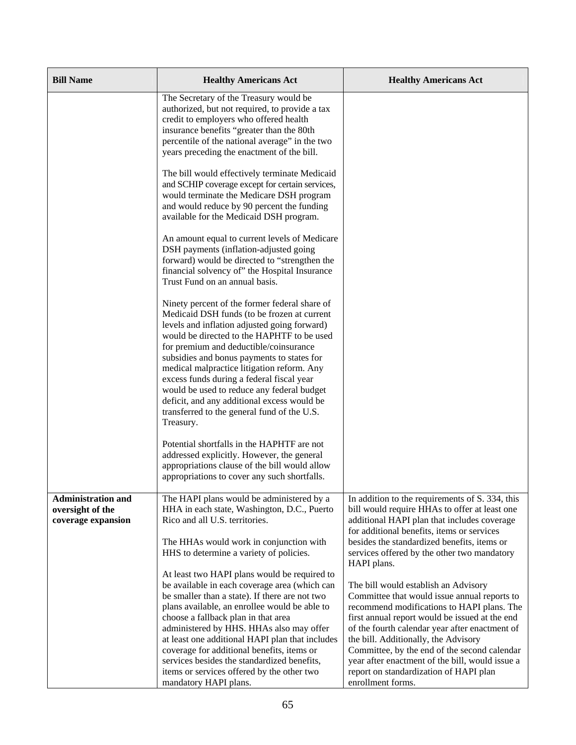| <b>Bill Name</b>                                                    | <b>Healthy Americans Act</b>                                                                                                                                                                                                                                                                                                                                                                                                                                                                                              | <b>Healthy Americans Act</b>                                                                                                                                                                                                                                                                                                                                                                                                                     |
|---------------------------------------------------------------------|---------------------------------------------------------------------------------------------------------------------------------------------------------------------------------------------------------------------------------------------------------------------------------------------------------------------------------------------------------------------------------------------------------------------------------------------------------------------------------------------------------------------------|--------------------------------------------------------------------------------------------------------------------------------------------------------------------------------------------------------------------------------------------------------------------------------------------------------------------------------------------------------------------------------------------------------------------------------------------------|
|                                                                     | The Secretary of the Treasury would be<br>authorized, but not required, to provide a tax<br>credit to employers who offered health<br>insurance benefits "greater than the 80th<br>percentile of the national average" in the two<br>years preceding the enactment of the bill.                                                                                                                                                                                                                                           |                                                                                                                                                                                                                                                                                                                                                                                                                                                  |
|                                                                     | The bill would effectively terminate Medicaid<br>and SCHIP coverage except for certain services,<br>would terminate the Medicare DSH program<br>and would reduce by 90 percent the funding<br>available for the Medicaid DSH program.                                                                                                                                                                                                                                                                                     |                                                                                                                                                                                                                                                                                                                                                                                                                                                  |
|                                                                     | An amount equal to current levels of Medicare<br>DSH payments (inflation-adjusted going<br>forward) would be directed to "strengthen the<br>financial solvency of" the Hospital Insurance<br>Trust Fund on an annual basis.                                                                                                                                                                                                                                                                                               |                                                                                                                                                                                                                                                                                                                                                                                                                                                  |
|                                                                     | Ninety percent of the former federal share of<br>Medicaid DSH funds (to be frozen at current<br>levels and inflation adjusted going forward)<br>would be directed to the HAPHTF to be used<br>for premium and deductible/coinsurance<br>subsidies and bonus payments to states for<br>medical malpractice litigation reform. Any<br>excess funds during a federal fiscal year<br>would be used to reduce any federal budget<br>deficit, and any additional excess would be<br>transferred to the general fund of the U.S. |                                                                                                                                                                                                                                                                                                                                                                                                                                                  |
|                                                                     | Treasury.<br>Potential shortfalls in the HAPHTF are not<br>addressed explicitly. However, the general<br>appropriations clause of the bill would allow<br>appropriations to cover any such shortfalls.                                                                                                                                                                                                                                                                                                                    |                                                                                                                                                                                                                                                                                                                                                                                                                                                  |
| <b>Administration and</b><br>oversight of the<br>coverage expansion | The HAPI plans would be administered by a<br>HHA in each state, Washington, D.C., Puerto<br>Rico and all U.S. territories.<br>The HHAs would work in conjunction with<br>HHS to determine a variety of policies.                                                                                                                                                                                                                                                                                                          | In addition to the requirements of S. 334, this<br>bill would require HHAs to offer at least one<br>additional HAPI plan that includes coverage<br>for additional benefits, items or services<br>besides the standardized benefits, items or<br>services offered by the other two mandatory<br>HAPI plans.                                                                                                                                       |
|                                                                     | At least two HAPI plans would be required to<br>be available in each coverage area (which can<br>be smaller than a state). If there are not two<br>plans available, an enrollee would be able to<br>choose a fallback plan in that area<br>administered by HHS. HHAs also may offer<br>at least one additional HAPI plan that includes<br>coverage for additional benefits, items or<br>services besides the standardized benefits,<br>items or services offered by the other two<br>mandatory HAPI plans.                | The bill would establish an Advisory<br>Committee that would issue annual reports to<br>recommend modifications to HAPI plans. The<br>first annual report would be issued at the end<br>of the fourth calendar year after enactment of<br>the bill. Additionally, the Advisory<br>Committee, by the end of the second calendar<br>year after enactment of the bill, would issue a<br>report on standardization of HAPI plan<br>enrollment forms. |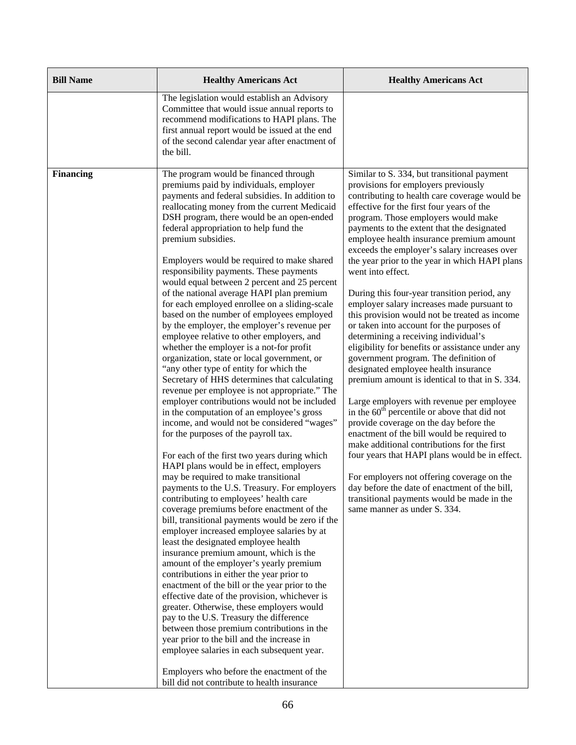| <b>Bill Name</b> | <b>Healthy Americans Act</b>                                                                                                                                                                                                                                                                                                                                                                                                                                                                                                                                                                                                                                                                                                                                                                                                                                                                                                                                                                                                                                                                                                                                                                                                                                                                                                                                                                                                                                                                                                                                                                                                                                                                                                                                                                                                                                                                                                                                                                                                                                                                      | <b>Healthy Americans Act</b>                                                                                                                                                                                                                                                                                                                                                                                                                                                                                                                                                                                                                                                                                                                                                                                                                                                                                                                                                                                                                                                                                                                                                                                                                                                                                                             |
|------------------|---------------------------------------------------------------------------------------------------------------------------------------------------------------------------------------------------------------------------------------------------------------------------------------------------------------------------------------------------------------------------------------------------------------------------------------------------------------------------------------------------------------------------------------------------------------------------------------------------------------------------------------------------------------------------------------------------------------------------------------------------------------------------------------------------------------------------------------------------------------------------------------------------------------------------------------------------------------------------------------------------------------------------------------------------------------------------------------------------------------------------------------------------------------------------------------------------------------------------------------------------------------------------------------------------------------------------------------------------------------------------------------------------------------------------------------------------------------------------------------------------------------------------------------------------------------------------------------------------------------------------------------------------------------------------------------------------------------------------------------------------------------------------------------------------------------------------------------------------------------------------------------------------------------------------------------------------------------------------------------------------------------------------------------------------------------------------------------------------|------------------------------------------------------------------------------------------------------------------------------------------------------------------------------------------------------------------------------------------------------------------------------------------------------------------------------------------------------------------------------------------------------------------------------------------------------------------------------------------------------------------------------------------------------------------------------------------------------------------------------------------------------------------------------------------------------------------------------------------------------------------------------------------------------------------------------------------------------------------------------------------------------------------------------------------------------------------------------------------------------------------------------------------------------------------------------------------------------------------------------------------------------------------------------------------------------------------------------------------------------------------------------------------------------------------------------------------|
|                  | The legislation would establish an Advisory<br>Committee that would issue annual reports to<br>recommend modifications to HAPI plans. The<br>first annual report would be issued at the end<br>of the second calendar year after enactment of<br>the bill.                                                                                                                                                                                                                                                                                                                                                                                                                                                                                                                                                                                                                                                                                                                                                                                                                                                                                                                                                                                                                                                                                                                                                                                                                                                                                                                                                                                                                                                                                                                                                                                                                                                                                                                                                                                                                                        |                                                                                                                                                                                                                                                                                                                                                                                                                                                                                                                                                                                                                                                                                                                                                                                                                                                                                                                                                                                                                                                                                                                                                                                                                                                                                                                                          |
| <b>Financing</b> | The program would be financed through<br>premiums paid by individuals, employer<br>payments and federal subsidies. In addition to<br>reallocating money from the current Medicaid<br>DSH program, there would be an open-ended<br>federal appropriation to help fund the<br>premium subsidies.<br>Employers would be required to make shared<br>responsibility payments. These payments<br>would equal between 2 percent and 25 percent<br>of the national average HAPI plan premium<br>for each employed enrollee on a sliding-scale<br>based on the number of employees employed<br>by the employer, the employer's revenue per<br>employee relative to other employers, and<br>whether the employer is a not-for profit<br>organization, state or local government, or<br>"any other type of entity for which the<br>Secretary of HHS determines that calculating<br>revenue per employee is not appropriate." The<br>employer contributions would not be included<br>in the computation of an employee's gross<br>income, and would not be considered "wages"<br>for the purposes of the payroll tax.<br>For each of the first two years during which<br>HAPI plans would be in effect, employers<br>may be required to make transitional<br>payments to the U.S. Treasury. For employers<br>contributing to employees' health care<br>coverage premiums before enactment of the<br>bill, transitional payments would be zero if the<br>employer increased employee salaries by at<br>least the designated employee health<br>insurance premium amount, which is the<br>amount of the employer's yearly premium<br>contributions in either the year prior to<br>enactment of the bill or the year prior to the<br>effective date of the provision, whichever is<br>greater. Otherwise, these employers would<br>pay to the U.S. Treasury the difference<br>between those premium contributions in the<br>year prior to the bill and the increase in<br>employee salaries in each subsequent year.<br>Employers who before the enactment of the<br>bill did not contribute to health insurance | Similar to S. 334, but transitional payment<br>provisions for employers previously<br>contributing to health care coverage would be<br>effective for the first four years of the<br>program. Those employers would make<br>payments to the extent that the designated<br>employee health insurance premium amount<br>exceeds the employer's salary increases over<br>the year prior to the year in which HAPI plans<br>went into effect.<br>During this four-year transition period, any<br>employer salary increases made pursuant to<br>this provision would not be treated as income<br>or taken into account for the purposes of<br>determining a receiving individual's<br>eligibility for benefits or assistance under any<br>government program. The definition of<br>designated employee health insurance<br>premium amount is identical to that in S. 334.<br>Large employers with revenue per employee<br>in the $60th$ percentile or above that did not<br>provide coverage on the day before the<br>enactment of the bill would be required to<br>make additional contributions for the first<br>four years that HAPI plans would be in effect.<br>For employers not offering coverage on the<br>day before the date of enactment of the bill,<br>transitional payments would be made in the<br>same manner as under S. 334. |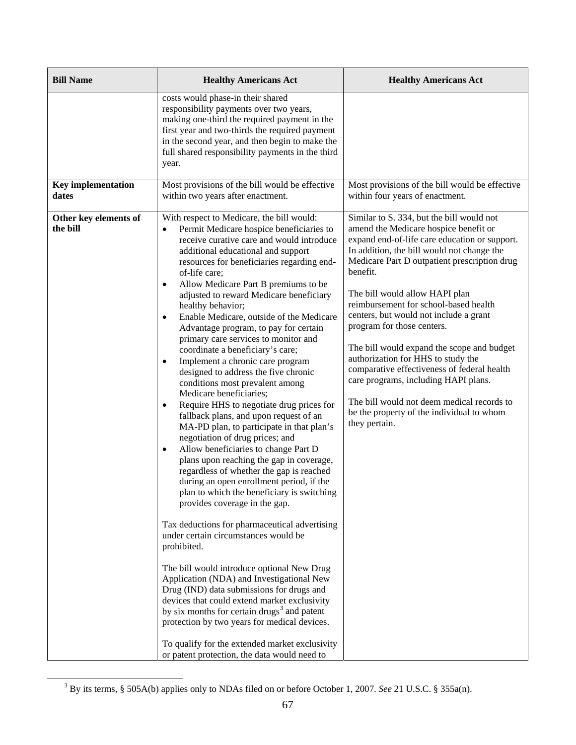| <b>Bill Name</b>                   | <b>Healthy Americans Act</b>                                                                                                                                                                                                                                                                                                                                                                                                                                                                                                                                                                                                                                                                                                                                                                                                                                                                                                                                                                                                                                                                                                                                                                                                                                                                                                                                                                                                                                                                                                                                                                                                                                                           | <b>Healthy Americans Act</b>                                                                                                                                                                                                                                                                                                                                                                                                                                                                                                                                                                                                                                                            |
|------------------------------------|----------------------------------------------------------------------------------------------------------------------------------------------------------------------------------------------------------------------------------------------------------------------------------------------------------------------------------------------------------------------------------------------------------------------------------------------------------------------------------------------------------------------------------------------------------------------------------------------------------------------------------------------------------------------------------------------------------------------------------------------------------------------------------------------------------------------------------------------------------------------------------------------------------------------------------------------------------------------------------------------------------------------------------------------------------------------------------------------------------------------------------------------------------------------------------------------------------------------------------------------------------------------------------------------------------------------------------------------------------------------------------------------------------------------------------------------------------------------------------------------------------------------------------------------------------------------------------------------------------------------------------------------------------------------------------------|-----------------------------------------------------------------------------------------------------------------------------------------------------------------------------------------------------------------------------------------------------------------------------------------------------------------------------------------------------------------------------------------------------------------------------------------------------------------------------------------------------------------------------------------------------------------------------------------------------------------------------------------------------------------------------------------|
|                                    | costs would phase-in their shared<br>responsibility payments over two years,<br>making one-third the required payment in the<br>first year and two-thirds the required payment<br>in the second year, and then begin to make the<br>full shared responsibility payments in the third<br>year.                                                                                                                                                                                                                                                                                                                                                                                                                                                                                                                                                                                                                                                                                                                                                                                                                                                                                                                                                                                                                                                                                                                                                                                                                                                                                                                                                                                          |                                                                                                                                                                                                                                                                                                                                                                                                                                                                                                                                                                                                                                                                                         |
| <b>Key implementation</b><br>dates | Most provisions of the bill would be effective<br>within two years after enactment.                                                                                                                                                                                                                                                                                                                                                                                                                                                                                                                                                                                                                                                                                                                                                                                                                                                                                                                                                                                                                                                                                                                                                                                                                                                                                                                                                                                                                                                                                                                                                                                                    | Most provisions of the bill would be effective<br>within four years of enactment.                                                                                                                                                                                                                                                                                                                                                                                                                                                                                                                                                                                                       |
| Other key elements of<br>the bill  | With respect to Medicare, the bill would:<br>Permit Medicare hospice beneficiaries to<br>$\bullet$<br>receive curative care and would introduce<br>additional educational and support<br>resources for beneficiaries regarding end-<br>of-life care;<br>Allow Medicare Part B premiums to be<br>$\bullet$<br>adjusted to reward Medicare beneficiary<br>healthy behavior;<br>Enable Medicare, outside of the Medicare<br>$\bullet$<br>Advantage program, to pay for certain<br>primary care services to monitor and<br>coordinate a beneficiary's care;<br>Implement a chronic care program<br>$\bullet$<br>designed to address the five chronic<br>conditions most prevalent among<br>Medicare beneficiaries;<br>Require HHS to negotiate drug prices for<br>$\bullet$<br>fallback plans, and upon request of an<br>MA-PD plan, to participate in that plan's<br>negotiation of drug prices; and<br>Allow beneficiaries to change Part D<br>$\bullet$<br>plans upon reaching the gap in coverage,<br>regardless of whether the gap is reached<br>during an open enrollment period, if the<br>plan to which the beneficiary is switching<br>provides coverage in the gap.<br>Tax deductions for pharmaceutical advertising<br>under certain circumstances would be<br>prohibited.<br>The bill would introduce optional New Drug<br>Application (NDA) and Investigational New<br>Drug (IND) data submissions for drugs and<br>devices that could extend market exclusivity<br>by six months for certain drugs <sup>3</sup> and patent<br>protection by two years for medical devices.<br>To qualify for the extended market exclusivity<br>or patent protection, the data would need to | Similar to S. 334, but the bill would not<br>amend the Medicare hospice benefit or<br>expand end-of-life care education or support.<br>In addition, the bill would not change the<br>Medicare Part D outpatient prescription drug<br>benefit.<br>The bill would allow HAPI plan<br>reimbursement for school-based health<br>centers, but would not include a grant<br>program for those centers.<br>The bill would expand the scope and budget<br>authorization for HHS to study the<br>comparative effectiveness of federal health<br>care programs, including HAPI plans.<br>The bill would not deem medical records to<br>be the property of the individual to whom<br>they pertain. |

<span id="page-84-0"></span><sup>&</sup>lt;sup>3</sup> By its terms, § 505A(b) applies only to NDAs filed on or before October 1, 2007. *See* 21 U.S.C. § 355a(n).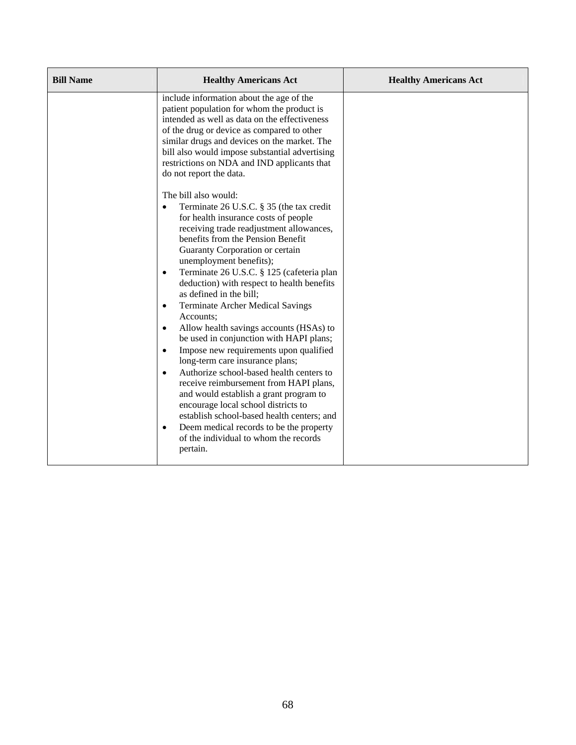| <b>Bill Name</b> | <b>Healthy Americans Act</b>                                                                                                                                                                                                                                                                                                                                                                                                                                                                                                                                                                                                                                                                                                                                                                                           | <b>Healthy Americans Act</b> |
|------------------|------------------------------------------------------------------------------------------------------------------------------------------------------------------------------------------------------------------------------------------------------------------------------------------------------------------------------------------------------------------------------------------------------------------------------------------------------------------------------------------------------------------------------------------------------------------------------------------------------------------------------------------------------------------------------------------------------------------------------------------------------------------------------------------------------------------------|------------------------------|
|                  | include information about the age of the<br>patient population for whom the product is<br>intended as well as data on the effectiveness<br>of the drug or device as compared to other<br>similar drugs and devices on the market. The<br>bill also would impose substantial advertising<br>restrictions on NDA and IND applicants that<br>do not report the data.                                                                                                                                                                                                                                                                                                                                                                                                                                                      |                              |
|                  | The bill also would:<br>Terminate 26 U.S.C. § 35 (the tax credit<br>$\bullet$<br>for health insurance costs of people<br>receiving trade readjustment allowances,<br>benefits from the Pension Benefit<br>Guaranty Corporation or certain<br>unemployment benefits);<br>Terminate 26 U.S.C. § 125 (cafeteria plan<br>$\bullet$<br>deduction) with respect to health benefits<br>as defined in the bill;<br><b>Terminate Archer Medical Savings</b><br>$\bullet$<br>Accounts;<br>Allow health savings accounts (HSAs) to<br>$\bullet$<br>be used in conjunction with HAPI plans;<br>Impose new requirements upon qualified<br>$\bullet$<br>long-term care insurance plans;<br>Authorize school-based health centers to<br>$\bullet$<br>receive reimbursement from HAPI plans,<br>and would establish a grant program to |                              |
|                  | encourage local school districts to<br>establish school-based health centers; and<br>Deem medical records to be the property<br>$\bullet$<br>of the individual to whom the records<br>pertain.                                                                                                                                                                                                                                                                                                                                                                                                                                                                                                                                                                                                                         |                              |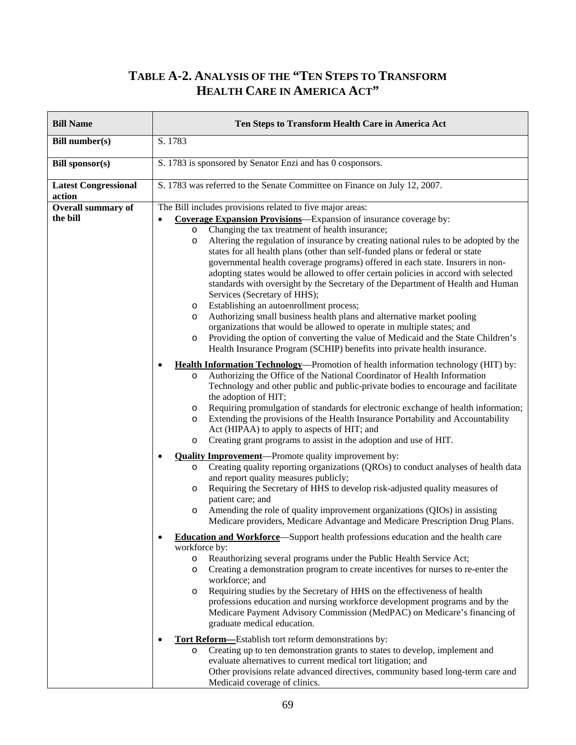## **TABLE A-2. ANALYSIS OF THE "TEN STEPS TO TRANSFORM HEALTH CARE IN AMERICA ACT"**

| <b>Bill Name</b>                      | Ten Steps to Transform Health Care in America Act                                                                                                                                                                                                                                                                                                                                                                                                                                                                                                                                                                                                                                                                                                                                                                                                                                                                                                                                                                                                                                                                                                                                                                                                                       |  |
|---------------------------------------|-------------------------------------------------------------------------------------------------------------------------------------------------------------------------------------------------------------------------------------------------------------------------------------------------------------------------------------------------------------------------------------------------------------------------------------------------------------------------------------------------------------------------------------------------------------------------------------------------------------------------------------------------------------------------------------------------------------------------------------------------------------------------------------------------------------------------------------------------------------------------------------------------------------------------------------------------------------------------------------------------------------------------------------------------------------------------------------------------------------------------------------------------------------------------------------------------------------------------------------------------------------------------|--|
| <b>Bill number(s)</b>                 | S. 1783                                                                                                                                                                                                                                                                                                                                                                                                                                                                                                                                                                                                                                                                                                                                                                                                                                                                                                                                                                                                                                                                                                                                                                                                                                                                 |  |
| <b>Bill sponsor(s)</b>                | S. 1783 is sponsored by Senator Enzi and has 0 cosponsors.                                                                                                                                                                                                                                                                                                                                                                                                                                                                                                                                                                                                                                                                                                                                                                                                                                                                                                                                                                                                                                                                                                                                                                                                              |  |
| <b>Latest Congressional</b><br>action | S. 1783 was referred to the Senate Committee on Finance on July 12, 2007.                                                                                                                                                                                                                                                                                                                                                                                                                                                                                                                                                                                                                                                                                                                                                                                                                                                                                                                                                                                                                                                                                                                                                                                               |  |
| <b>Overall summary of</b><br>the bill | The Bill includes provisions related to five major areas:<br><b>Coverage Expansion Provisions</b> —Expansion of insurance coverage by:<br>Changing the tax treatment of health insurance;<br>$\circ$<br>Altering the regulation of insurance by creating national rules to be adopted by the<br>$\circ$<br>states for all health plans (other than self-funded plans or federal or state<br>governmental health coverage programs) offered in each state. Insurers in non-<br>adopting states would be allowed to offer certain policies in accord with selected<br>standards with oversight by the Secretary of the Department of Health and Human<br>Services (Secretary of HHS);<br>Establishing an autoenrollment process;<br>$\circ$<br>Authorizing small business health plans and alternative market pooling<br>O<br>organizations that would be allowed to operate in multiple states; and<br>Providing the option of converting the value of Medicaid and the State Children's<br>$\circ$<br>Health Insurance Program (SCHIP) benefits into private health insurance.<br><b>Health Information Technology—Promotion of health information technology (HIT) by:</b><br>٠<br>Authorizing the Office of the National Coordinator of Health Information<br>$\circ$ |  |
|                                       | Technology and other public and public-private bodies to encourage and facilitate<br>the adoption of HIT;<br>Requiring promulgation of standards for electronic exchange of health information;<br>O<br>Extending the provisions of the Health Insurance Portability and Accountability<br>$\circ$<br>Act (HIPAA) to apply to aspects of HIT; and<br>Creating grant programs to assist in the adoption and use of HIT.<br>$\circ$<br><b>Quality Improvement</b> —Promote quality improvement by:<br>٠<br>Creating quality reporting organizations (QROs) to conduct analyses of health data<br>$\circ$<br>and report quality measures publicly;<br>Requiring the Secretary of HHS to develop risk-adjusted quality measures of<br>O<br>patient care; and<br>Amending the role of quality improvement organizations (QIOs) in assisting<br>$\circ$<br>Medicare providers, Medicare Advantage and Medicare Prescription Drug Plans.                                                                                                                                                                                                                                                                                                                                       |  |
|                                       | <b>Education and Workforce</b> —Support health professions education and the health care<br>$\bullet$<br>workforce by:<br>Reauthorizing several programs under the Public Health Service Act;<br>$\circ$<br>Creating a demonstration program to create incentives for nurses to re-enter the<br>$\circ$<br>workforce; and<br>Requiring studies by the Secretary of HHS on the effectiveness of health<br>$\circ$<br>professions education and nursing workforce development programs and by the<br>Medicare Payment Advisory Commission (MedPAC) on Medicare's financing of<br>graduate medical education.<br><b>Tort Reform</b> -Establish tort reform demonstrations by:<br>$\bullet$<br>Creating up to ten demonstration grants to states to develop, implement and<br>$\circ$<br>evaluate alternatives to current medical tort litigation; and<br>Other provisions relate advanced directives, community based long-term care and<br>Medicaid coverage of clinics.                                                                                                                                                                                                                                                                                                  |  |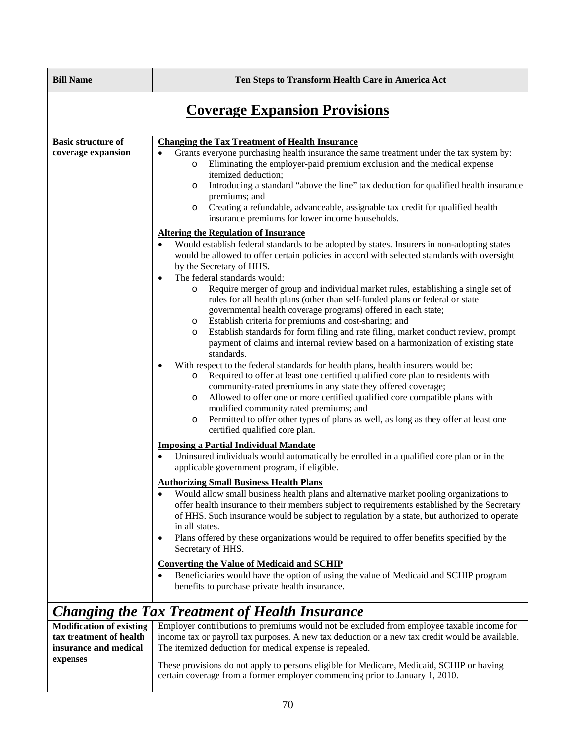**Ten Steps to Transform Health Care in America Act** 

# **Coverage Expansion Provisions**

| <b>Basic structure of</b><br>coverage expansion                                                 | <b>Changing the Tax Treatment of Health Insurance</b><br>Grants everyone purchasing health insurance the same treatment under the tax system by:<br>$\bullet$<br>Eliminating the employer-paid premium exclusion and the medical expense<br>$\circ$<br>itemized deduction;<br>Introducing a standard "above the line" tax deduction for qualified health insurance<br>$\circ$<br>premiums; and<br>Creating a refundable, advanceable, assignable tax credit for qualified health<br>$\circ$<br>insurance premiums for lower income households.                                                                                                                                                                                                                                                                                                                                                                                                                                                                                                                                                                                                                                                                                         |
|-------------------------------------------------------------------------------------------------|----------------------------------------------------------------------------------------------------------------------------------------------------------------------------------------------------------------------------------------------------------------------------------------------------------------------------------------------------------------------------------------------------------------------------------------------------------------------------------------------------------------------------------------------------------------------------------------------------------------------------------------------------------------------------------------------------------------------------------------------------------------------------------------------------------------------------------------------------------------------------------------------------------------------------------------------------------------------------------------------------------------------------------------------------------------------------------------------------------------------------------------------------------------------------------------------------------------------------------------|
|                                                                                                 | <b>Altering the Regulation of Insurance</b><br>Would establish federal standards to be adopted by states. Insurers in non-adopting states<br>would be allowed to offer certain policies in accord with selected standards with oversight<br>by the Secretary of HHS.<br>The federal standards would:<br>$\bullet$<br>Require merger of group and individual market rules, establishing a single set of<br>$\circ$<br>rules for all health plans (other than self-funded plans or federal or state<br>governmental health coverage programs) offered in each state;<br>Establish criteria for premiums and cost-sharing; and<br>O<br>Establish standards for form filing and rate filing, market conduct review, prompt<br>$\circ$<br>payment of claims and internal review based on a harmonization of existing state<br>standards.<br>With respect to the federal standards for health plans, health insurers would be:<br>$\bullet$<br>Required to offer at least one certified qualified core plan to residents with<br>$\circ$<br>community-rated premiums in any state they offered coverage;<br>Allowed to offer one or more certified qualified core compatible plans with<br>$\circ$<br>modified community rated premiums; and |
|                                                                                                 | Permitted to offer other types of plans as well, as long as they offer at least one<br>$\circ$<br>certified qualified core plan.<br><b>Imposing a Partial Individual Mandate</b><br>Uninsured individuals would automatically be enrolled in a qualified core plan or in the<br>$\bullet$<br>applicable government program, if eligible.<br><b>Authorizing Small Business Health Plans</b><br>Would allow small business health plans and alternative market pooling organizations to<br>$\bullet$<br>offer health insurance to their members subject to requirements established by the Secretary<br>of HHS. Such insurance would be subject to regulation by a state, but authorized to operate<br>in all states.<br>Plans offered by these organizations would be required to offer benefits specified by the<br>$\bullet$<br>Secretary of HHS.<br><b>Converting the Value of Medicaid and SCHIP</b><br>Beneficiaries would have the option of using the value of Medicaid and SCHIP program                                                                                                                                                                                                                                        |
|                                                                                                 | benefits to purchase private health insurance.<br><b>Changing the Tax Treatment of Health Insurance</b>                                                                                                                                                                                                                                                                                                                                                                                                                                                                                                                                                                                                                                                                                                                                                                                                                                                                                                                                                                                                                                                                                                                                |
| <b>Modification of existing</b><br>tax treatment of health<br>insurance and medical<br>expenses | Employer contributions to premiums would not be excluded from employee taxable income for<br>income tax or payroll tax purposes. A new tax deduction or a new tax credit would be available.<br>The itemized deduction for medical expense is repealed.<br>These provisions do not apply to persons eligible for Medicare, Medicaid, SCHIP or having                                                                                                                                                                                                                                                                                                                                                                                                                                                                                                                                                                                                                                                                                                                                                                                                                                                                                   |

certain coverage from a former employer commencing prior to January 1, 2010.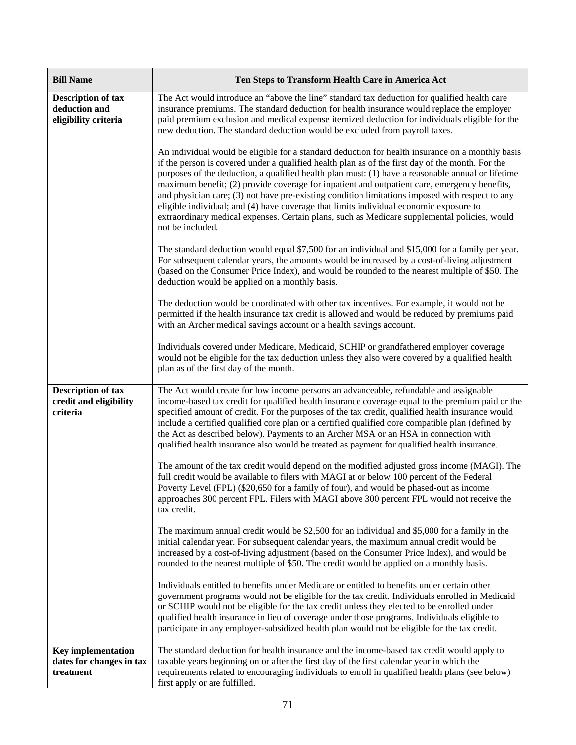| <b>Bill Name</b>                                                   | Ten Steps to Transform Health Care in America Act                                                                                                                                                                                                                                                                                                                                                                                                                                                                                                                                                                                                                                                                          |
|--------------------------------------------------------------------|----------------------------------------------------------------------------------------------------------------------------------------------------------------------------------------------------------------------------------------------------------------------------------------------------------------------------------------------------------------------------------------------------------------------------------------------------------------------------------------------------------------------------------------------------------------------------------------------------------------------------------------------------------------------------------------------------------------------------|
| <b>Description of tax</b><br>deduction and<br>eligibility criteria | The Act would introduce an "above the line" standard tax deduction for qualified health care<br>insurance premiums. The standard deduction for health insurance would replace the employer<br>paid premium exclusion and medical expense itemized deduction for individuals eligible for the<br>new deduction. The standard deduction would be excluded from payroll taxes.                                                                                                                                                                                                                                                                                                                                                |
|                                                                    | An individual would be eligible for a standard deduction for health insurance on a monthly basis<br>if the person is covered under a qualified health plan as of the first day of the month. For the<br>purposes of the deduction, a qualified health plan must: (1) have a reasonable annual or lifetime<br>maximum benefit; (2) provide coverage for inpatient and outpatient care, emergency benefits,<br>and physician care; (3) not have pre-existing condition limitations imposed with respect to any<br>eligible individual; and (4) have coverage that limits individual economic exposure to<br>extraordinary medical expenses. Certain plans, such as Medicare supplemental policies, would<br>not be included. |
|                                                                    | The standard deduction would equal \$7,500 for an individual and \$15,000 for a family per year.<br>For subsequent calendar years, the amounts would be increased by a cost-of-living adjustment<br>(based on the Consumer Price Index), and would be rounded to the nearest multiple of \$50. The<br>deduction would be applied on a monthly basis.                                                                                                                                                                                                                                                                                                                                                                       |
|                                                                    | The deduction would be coordinated with other tax incentives. For example, it would not be<br>permitted if the health insurance tax credit is allowed and would be reduced by premiums paid<br>with an Archer medical savings account or a health savings account.                                                                                                                                                                                                                                                                                                                                                                                                                                                         |
|                                                                    | Individuals covered under Medicare, Medicaid, SCHIP or grandfathered employer coverage<br>would not be eligible for the tax deduction unless they also were covered by a qualified health<br>plan as of the first day of the month.                                                                                                                                                                                                                                                                                                                                                                                                                                                                                        |
| <b>Description of tax</b><br>credit and eligibility<br>criteria    | The Act would create for low income persons an advanceable, refundable and assignable<br>income-based tax credit for qualified health insurance coverage equal to the premium paid or the<br>specified amount of credit. For the purposes of the tax credit, qualified health insurance would<br>include a certified qualified core plan or a certified qualified core compatible plan (defined by<br>the Act as described below). Payments to an Archer MSA or an HSA in connection with<br>qualified health insurance also would be treated as payment for qualified health insurance.                                                                                                                                   |
|                                                                    | The amount of the tax credit would depend on the modified adjusted gross income (MAGI). The<br>full credit would be available to filers with MAGI at or below 100 percent of the Federal<br>Poverty Level (FPL) (\$20,650 for a family of four), and would be phased-out as income<br>approaches 300 percent FPL. Filers with MAGI above 300 percent FPL would not receive the<br>tax credit.                                                                                                                                                                                                                                                                                                                              |
|                                                                    | The maximum annual credit would be $$2,500$ for an individual and $$5,000$ for a family in the<br>initial calendar year. For subsequent calendar years, the maximum annual credit would be<br>increased by a cost-of-living adjustment (based on the Consumer Price Index), and would be<br>rounded to the nearest multiple of \$50. The credit would be applied on a monthly basis.                                                                                                                                                                                                                                                                                                                                       |
|                                                                    | Individuals entitled to benefits under Medicare or entitled to benefits under certain other<br>government programs would not be eligible for the tax credit. Individuals enrolled in Medicaid<br>or SCHIP would not be eligible for the tax credit unless they elected to be enrolled under<br>qualified health insurance in lieu of coverage under those programs. Individuals eligible to<br>participate in any employer-subsidized health plan would not be eligible for the tax credit.                                                                                                                                                                                                                                |
| <b>Key implementation</b><br>dates for changes in tax<br>treatment | The standard deduction for health insurance and the income-based tax credit would apply to<br>taxable years beginning on or after the first day of the first calendar year in which the<br>requirements related to encouraging individuals to enroll in qualified health plans (see below)<br>first apply or are fulfilled.                                                                                                                                                                                                                                                                                                                                                                                                |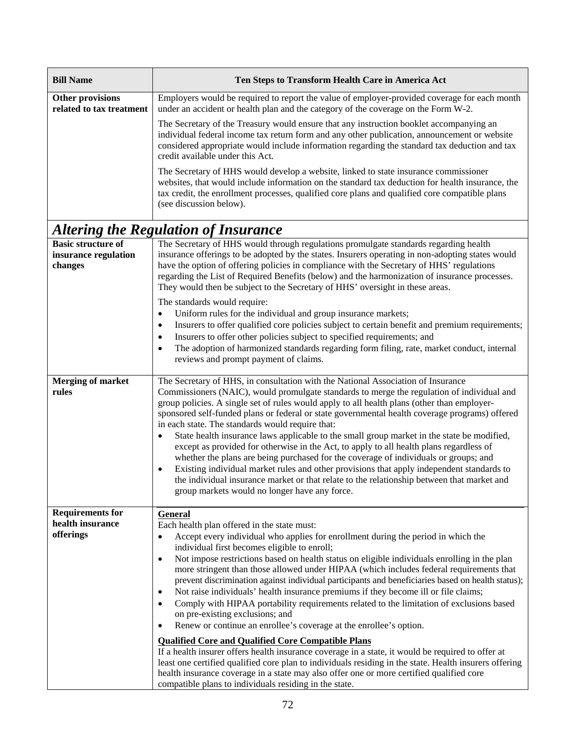| <b>Bill Name</b>                                    | Ten Steps to Transform Health Care in America Act                                                                                                                                                                                                                                                                                                                                                                                                                                                                                                                                                                                                                                                                                                                                                                                                                                                                                                                                          |
|-----------------------------------------------------|--------------------------------------------------------------------------------------------------------------------------------------------------------------------------------------------------------------------------------------------------------------------------------------------------------------------------------------------------------------------------------------------------------------------------------------------------------------------------------------------------------------------------------------------------------------------------------------------------------------------------------------------------------------------------------------------------------------------------------------------------------------------------------------------------------------------------------------------------------------------------------------------------------------------------------------------------------------------------------------------|
| <b>Other provisions</b><br>related to tax treatment | Employers would be required to report the value of employer-provided coverage for each month<br>under an accident or health plan and the category of the coverage on the Form W-2.                                                                                                                                                                                                                                                                                                                                                                                                                                                                                                                                                                                                                                                                                                                                                                                                         |
|                                                     | The Secretary of the Treasury would ensure that any instruction booklet accompanying an<br>individual federal income tax return form and any other publication, announcement or website<br>considered appropriate would include information regarding the standard tax deduction and tax<br>credit available under this Act.                                                                                                                                                                                                                                                                                                                                                                                                                                                                                                                                                                                                                                                               |
|                                                     | The Secretary of HHS would develop a website, linked to state insurance commissioner<br>websites, that would include information on the standard tax deduction for health insurance, the<br>tax credit, the enrollment processes, qualified core plans and qualified core compatible plans<br>(see discussion below).                                                                                                                                                                                                                                                                                                                                                                                                                                                                                                                                                                                                                                                                      |
|                                                     | <b>Altering the Regulation of Insurance</b>                                                                                                                                                                                                                                                                                                                                                                                                                                                                                                                                                                                                                                                                                                                                                                                                                                                                                                                                                |
| <b>Basic structure of</b>                           | The Secretary of HHS would through regulations promulgate standards regarding health                                                                                                                                                                                                                                                                                                                                                                                                                                                                                                                                                                                                                                                                                                                                                                                                                                                                                                       |
| insurance regulation<br>changes                     | insurance offerings to be adopted by the states. Insurers operating in non-adopting states would<br>have the option of offering policies in compliance with the Secretary of HHS' regulations<br>regarding the List of Required Benefits (below) and the harmonization of insurance processes.<br>They would then be subject to the Secretary of HHS' oversight in these areas.                                                                                                                                                                                                                                                                                                                                                                                                                                                                                                                                                                                                            |
|                                                     | The standards would require:                                                                                                                                                                                                                                                                                                                                                                                                                                                                                                                                                                                                                                                                                                                                                                                                                                                                                                                                                               |
|                                                     | Uniform rules for the individual and group insurance markets;<br>$\bullet$                                                                                                                                                                                                                                                                                                                                                                                                                                                                                                                                                                                                                                                                                                                                                                                                                                                                                                                 |
|                                                     | Insurers to offer qualified core policies subject to certain benefit and premium requirements;<br>$\bullet$                                                                                                                                                                                                                                                                                                                                                                                                                                                                                                                                                                                                                                                                                                                                                                                                                                                                                |
|                                                     | Insurers to offer other policies subject to specified requirements; and<br>$\bullet$                                                                                                                                                                                                                                                                                                                                                                                                                                                                                                                                                                                                                                                                                                                                                                                                                                                                                                       |
|                                                     | The adoption of harmonized standards regarding form filing, rate, market conduct, internal<br>reviews and prompt payment of claims.                                                                                                                                                                                                                                                                                                                                                                                                                                                                                                                                                                                                                                                                                                                                                                                                                                                        |
| <b>Merging of market</b><br>rules                   | The Secretary of HHS, in consultation with the National Association of Insurance<br>Commissioners (NAIC), would promulgate standards to merge the regulation of individual and<br>group policies. A single set of rules would apply to all health plans (other than employer-<br>sponsored self-funded plans or federal or state governmental health coverage programs) offered<br>in each state. The standards would require that:<br>State health insurance laws applicable to the small group market in the state be modified,<br>$\bullet$<br>except as provided for otherwise in the Act, to apply to all health plans regardless of<br>whether the plans are being purchased for the coverage of individuals or groups; and<br>Existing individual market rules and other provisions that apply independent standards to<br>$\bullet$<br>the individual insurance market or that relate to the relationship between that market and<br>group markets would no longer have any force. |
| <b>Requirements for</b>                             | <b>General</b>                                                                                                                                                                                                                                                                                                                                                                                                                                                                                                                                                                                                                                                                                                                                                                                                                                                                                                                                                                             |
| health insurance<br>offerings                       | Each health plan offered in the state must:<br>Accept every individual who applies for enrollment during the period in which the<br>$\bullet$<br>individual first becomes eligible to enroll;                                                                                                                                                                                                                                                                                                                                                                                                                                                                                                                                                                                                                                                                                                                                                                                              |
|                                                     | Not impose restrictions based on health status on eligible individuals enrolling in the plan<br>$\bullet$<br>more stringent than those allowed under HIPAA (which includes federal requirements that<br>prevent discrimination against individual participants and beneficiaries based on health status);<br>Not raise individuals' health insurance premiums if they become ill or file claims;<br>$\bullet$<br>Comply with HIPAA portability requirements related to the limitation of exclusions based<br>$\bullet$<br>on pre-existing exclusions; and<br>Renew or continue an enrollee's coverage at the enrollee's option.<br>$\bullet$                                                                                                                                                                                                                                                                                                                                               |
|                                                     | <b>Qualified Core and Qualified Core Compatible Plans</b><br>If a health insurer offers health insurance coverage in a state, it would be required to offer at<br>least one certified qualified core plan to individuals residing in the state. Health insurers offering<br>health insurance coverage in a state may also offer one or more certified qualified core<br>compatible plans to individuals residing in the state.                                                                                                                                                                                                                                                                                                                                                                                                                                                                                                                                                             |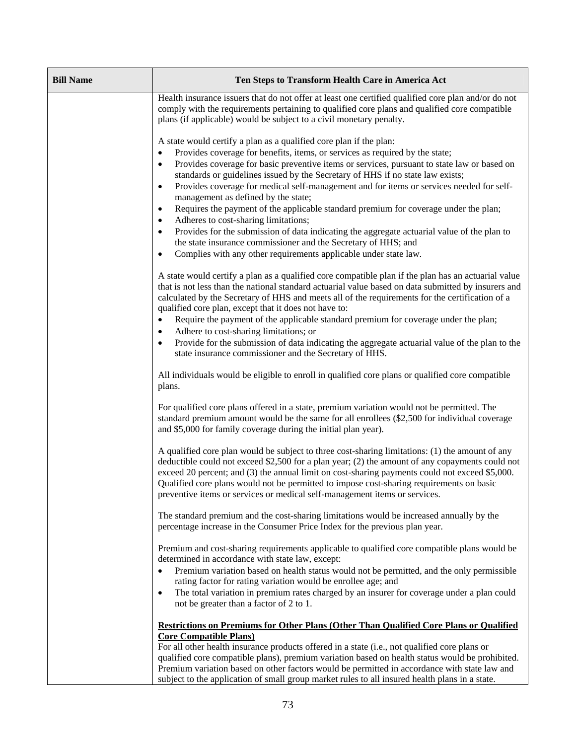| <b>Bill Name</b> | Ten Steps to Transform Health Care in America Act                                                                                                                                                                                                                                                                                                                                                                                                                              |
|------------------|--------------------------------------------------------------------------------------------------------------------------------------------------------------------------------------------------------------------------------------------------------------------------------------------------------------------------------------------------------------------------------------------------------------------------------------------------------------------------------|
|                  |                                                                                                                                                                                                                                                                                                                                                                                                                                                                                |
|                  | Health insurance issuers that do not offer at least one certified qualified core plan and/or do not<br>comply with the requirements pertaining to qualified core plans and qualified core compatible<br>plans (if applicable) would be subject to a civil monetary penalty.                                                                                                                                                                                                    |
|                  | A state would certify a plan as a qualified core plan if the plan:                                                                                                                                                                                                                                                                                                                                                                                                             |
|                  | Provides coverage for benefits, items, or services as required by the state;<br>٠                                                                                                                                                                                                                                                                                                                                                                                              |
|                  | Provides coverage for basic preventive items or services, pursuant to state law or based on<br>٠                                                                                                                                                                                                                                                                                                                                                                               |
|                  | standards or guidelines issued by the Secretary of HHS if no state law exists;                                                                                                                                                                                                                                                                                                                                                                                                 |
|                  | Provides coverage for medical self-management and for items or services needed for self-<br>٠<br>management as defined by the state;                                                                                                                                                                                                                                                                                                                                           |
|                  | Requires the payment of the applicable standard premium for coverage under the plan;<br>٠                                                                                                                                                                                                                                                                                                                                                                                      |
|                  | Adheres to cost-sharing limitations;<br>٠                                                                                                                                                                                                                                                                                                                                                                                                                                      |
|                  | Provides for the submission of data indicating the aggregate actuarial value of the plan to                                                                                                                                                                                                                                                                                                                                                                                    |
|                  | the state insurance commissioner and the Secretary of HHS; and                                                                                                                                                                                                                                                                                                                                                                                                                 |
|                  | Complies with any other requirements applicable under state law.<br>٠                                                                                                                                                                                                                                                                                                                                                                                                          |
|                  | A state would certify a plan as a qualified core compatible plan if the plan has an actuarial value<br>that is not less than the national standard actuarial value based on data submitted by insurers and<br>calculated by the Secretary of HHS and meets all of the requirements for the certification of a<br>qualified core plan, except that it does not have to:                                                                                                         |
|                  | Require the payment of the applicable standard premium for coverage under the plan;                                                                                                                                                                                                                                                                                                                                                                                            |
|                  | Adhere to cost-sharing limitations; or<br>٠                                                                                                                                                                                                                                                                                                                                                                                                                                    |
|                  | Provide for the submission of data indicating the aggregate actuarial value of the plan to the<br>٠<br>state insurance commissioner and the Secretary of HHS.                                                                                                                                                                                                                                                                                                                  |
|                  | All individuals would be eligible to enroll in qualified core plans or qualified core compatible<br>plans.                                                                                                                                                                                                                                                                                                                                                                     |
|                  | For qualified core plans offered in a state, premium variation would not be permitted. The<br>standard premium amount would be the same for all enrollees (\$2,500 for individual coverage<br>and \$5,000 for family coverage during the initial plan year).                                                                                                                                                                                                                   |
|                  | A qualified core plan would be subject to three cost-sharing limitations: (1) the amount of any<br>deductible could not exceed \$2,500 for a plan year; (2) the amount of any copayments could not<br>exceed 20 percent; and (3) the annual limit on cost-sharing payments could not exceed \$5,000.<br>Qualified core plans would not be permitted to impose cost-sharing requirements on basic<br>preventive items or services or medical self-management items or services. |
|                  | The standard premium and the cost-sharing limitations would be increased annually by the<br>percentage increase in the Consumer Price Index for the previous plan year.                                                                                                                                                                                                                                                                                                        |
|                  | Premium and cost-sharing requirements applicable to qualified core compatible plans would be<br>determined in accordance with state law, except:                                                                                                                                                                                                                                                                                                                               |
|                  | Premium variation based on health status would not be permitted, and the only permissible                                                                                                                                                                                                                                                                                                                                                                                      |
|                  | rating factor for rating variation would be enrollee age; and                                                                                                                                                                                                                                                                                                                                                                                                                  |
|                  | The total variation in premium rates charged by an insurer for coverage under a plan could<br>not be greater than a factor of 2 to 1.                                                                                                                                                                                                                                                                                                                                          |
|                  | <b>Restrictions on Premiums for Other Plans (Other Than Qualified Core Plans or Qualified</b>                                                                                                                                                                                                                                                                                                                                                                                  |
|                  | <b>Core Compatible Plans</b> )                                                                                                                                                                                                                                                                                                                                                                                                                                                 |
|                  | For all other health insurance products offered in a state (i.e., not qualified core plans or<br>qualified core compatible plans), premium variation based on health status would be prohibited.                                                                                                                                                                                                                                                                               |
|                  | Premium variation based on other factors would be permitted in accordance with state law and                                                                                                                                                                                                                                                                                                                                                                                   |
|                  | subject to the application of small group market rules to all insured health plans in a state.                                                                                                                                                                                                                                                                                                                                                                                 |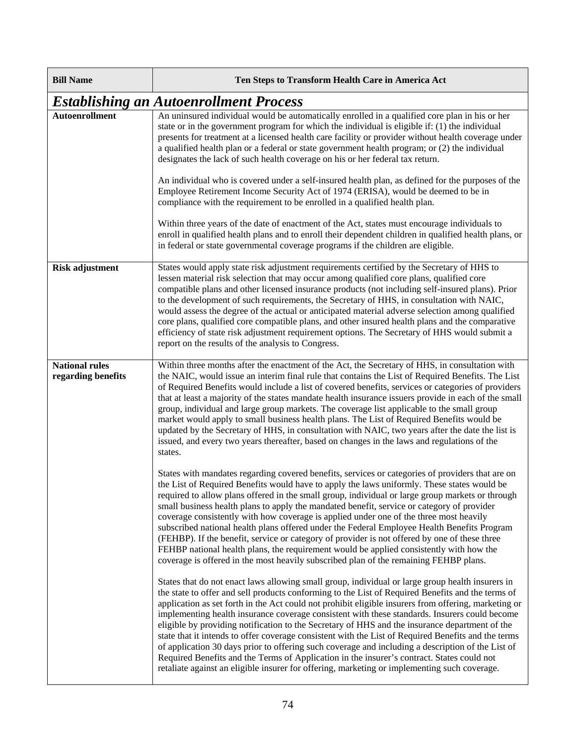| <b>Bill Name</b>                            | Ten Steps to Transform Health Care in America Act                                                                                                                                                                                                                                                                                                                                                                                                                                                                                                                                                                                                                                                                                                                                                                                                                                                                          |
|---------------------------------------------|----------------------------------------------------------------------------------------------------------------------------------------------------------------------------------------------------------------------------------------------------------------------------------------------------------------------------------------------------------------------------------------------------------------------------------------------------------------------------------------------------------------------------------------------------------------------------------------------------------------------------------------------------------------------------------------------------------------------------------------------------------------------------------------------------------------------------------------------------------------------------------------------------------------------------|
|                                             | <b>Establishing an Autoenrollment Process</b>                                                                                                                                                                                                                                                                                                                                                                                                                                                                                                                                                                                                                                                                                                                                                                                                                                                                              |
| <b>Autoenrollment</b>                       | An uninsured individual would be automatically enrolled in a qualified core plan in his or her<br>state or in the government program for which the individual is eligible if: (1) the individual<br>presents for treatment at a licensed health care facility or provider without health coverage under<br>a qualified health plan or a federal or state government health program; or (2) the individual<br>designates the lack of such health coverage on his or her federal tax return.                                                                                                                                                                                                                                                                                                                                                                                                                                 |
|                                             | An individual who is covered under a self-insured health plan, as defined for the purposes of the<br>Employee Retirement Income Security Act of 1974 (ERISA), would be deemed to be in<br>compliance with the requirement to be enrolled in a qualified health plan.                                                                                                                                                                                                                                                                                                                                                                                                                                                                                                                                                                                                                                                       |
|                                             | Within three years of the date of enactment of the Act, states must encourage individuals to<br>enroll in qualified health plans and to enroll their dependent children in qualified health plans, or<br>in federal or state governmental coverage programs if the children are eligible.                                                                                                                                                                                                                                                                                                                                                                                                                                                                                                                                                                                                                                  |
| <b>Risk adjustment</b>                      | States would apply state risk adjustment requirements certified by the Secretary of HHS to<br>lessen material risk selection that may occur among qualified core plans, qualified core<br>compatible plans and other licensed insurance products (not including self-insured plans). Prior<br>to the development of such requirements, the Secretary of HHS, in consultation with NAIC,<br>would assess the degree of the actual or anticipated material adverse selection among qualified<br>core plans, qualified core compatible plans, and other insured health plans and the comparative<br>efficiency of state risk adjustment requirement options. The Secretary of HHS would submit a<br>report on the results of the analysis to Congress.                                                                                                                                                                        |
| <b>National rules</b><br>regarding benefits | Within three months after the enactment of the Act, the Secretary of HHS, in consultation with<br>the NAIC, would issue an interim final rule that contains the List of Required Benefits. The List<br>of Required Benefits would include a list of covered benefits, services or categories of providers<br>that at least a majority of the states mandate health insurance issuers provide in each of the small<br>group, individual and large group markets. The coverage list applicable to the small group<br>market would apply to small business health plans. The List of Required Benefits would be<br>updated by the Secretary of HHS, in consultation with NAIC, two years after the date the list is<br>issued, and every two years thereafter, based on changes in the laws and regulations of the<br>states.                                                                                                 |
|                                             | States with mandates regarding covered benefits, services or categories of providers that are on<br>the List of Required Benefits would have to apply the laws uniformly. These states would be<br>required to allow plans offered in the small group, individual or large group markets or through<br>small business health plans to apply the mandated benefit, service or category of provider<br>coverage consistently with how coverage is applied under one of the three most heavily<br>subscribed national health plans offered under the Federal Employee Health Benefits Program<br>(FEHBP). If the benefit, service or category of provider is not offered by one of these three<br>FEHBP national health plans, the requirement would be applied consistently with how the<br>coverage is offered in the most heavily subscribed plan of the remaining FEHBP plans.                                            |
|                                             | States that do not enact laws allowing small group, individual or large group health insurers in<br>the state to offer and sell products conforming to the List of Required Benefits and the terms of<br>application as set forth in the Act could not prohibit eligible insurers from offering, marketing or<br>implementing health insurance coverage consistent with these standards. Insurers could become<br>eligible by providing notification to the Secretary of HHS and the insurance department of the<br>state that it intends to offer coverage consistent with the List of Required Benefits and the terms<br>of application 30 days prior to offering such coverage and including a description of the List of<br>Required Benefits and the Terms of Application in the insurer's contract. States could not<br>retaliate against an eligible insurer for offering, marketing or implementing such coverage. |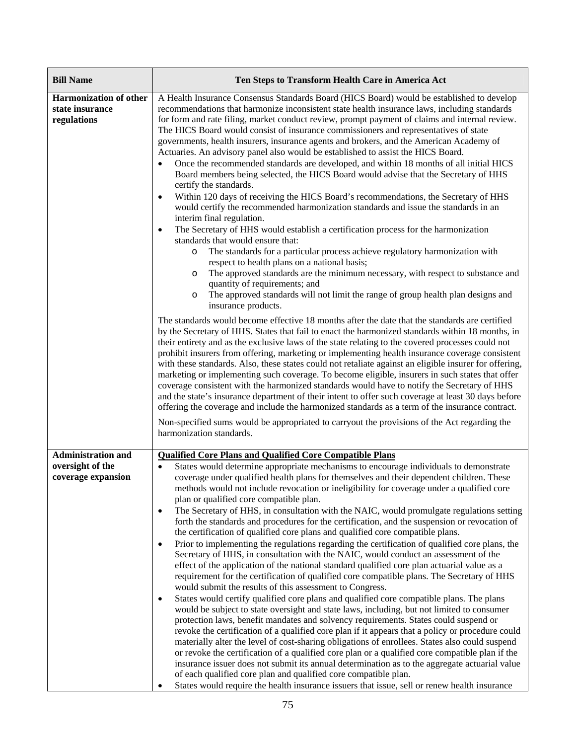| <b>Bill Name</b>                                                | Ten Steps to Transform Health Care in America Act                                                                                                                                                                                                                                                                                                                                                                                                                                                                                                                                                                                                                                                                                                                                                                                                                                                                                                                                                                                                                                                                                                                                                                                                                                                                                                                                                                                                                                                                                                                                                                                                                                                                                                                                                                                                                                                                                                                                           |
|-----------------------------------------------------------------|---------------------------------------------------------------------------------------------------------------------------------------------------------------------------------------------------------------------------------------------------------------------------------------------------------------------------------------------------------------------------------------------------------------------------------------------------------------------------------------------------------------------------------------------------------------------------------------------------------------------------------------------------------------------------------------------------------------------------------------------------------------------------------------------------------------------------------------------------------------------------------------------------------------------------------------------------------------------------------------------------------------------------------------------------------------------------------------------------------------------------------------------------------------------------------------------------------------------------------------------------------------------------------------------------------------------------------------------------------------------------------------------------------------------------------------------------------------------------------------------------------------------------------------------------------------------------------------------------------------------------------------------------------------------------------------------------------------------------------------------------------------------------------------------------------------------------------------------------------------------------------------------------------------------------------------------------------------------------------------------|
| <b>Harmonization of other</b><br>state insurance<br>regulations | A Health Insurance Consensus Standards Board (HICS Board) would be established to develop<br>recommendations that harmonize inconsistent state health insurance laws, including standards<br>for form and rate filing, market conduct review, prompt payment of claims and internal review.<br>The HICS Board would consist of insurance commissioners and representatives of state<br>governments, health insurers, insurance agents and brokers, and the American Academy of<br>Actuaries. An advisory panel also would be established to assist the HICS Board.<br>Once the recommended standards are developed, and within 18 months of all initial HICS<br>Board members being selected, the HICS Board would advise that the Secretary of HHS<br>certify the standards.<br>Within 120 days of receiving the HICS Board's recommendations, the Secretary of HHS<br>$\bullet$<br>would certify the recommended harmonization standards and issue the standards in an<br>interim final regulation.<br>The Secretary of HHS would establish a certification process for the harmonization<br>$\bullet$<br>standards that would ensure that:<br>The standards for a particular process achieve regulatory harmonization with<br>$\circ$<br>respect to health plans on a national basis;<br>The approved standards are the minimum necessary, with respect to substance and<br>O<br>quantity of requirements; and<br>The approved standards will not limit the range of group health plan designs and<br>$\circ$<br>insurance products.                                                                                                                                                                                                                                                                                                                                                                                                                                                     |
|                                                                 | The standards would become effective 18 months after the date that the standards are certified<br>by the Secretary of HHS. States that fail to enact the harmonized standards within 18 months, in<br>their entirety and as the exclusive laws of the state relating to the covered processes could not<br>prohibit insurers from offering, marketing or implementing health insurance coverage consistent<br>with these standards. Also, these states could not retaliate against an eligible insurer for offering,<br>marketing or implementing such coverage. To become eligible, insurers in such states that offer<br>coverage consistent with the harmonized standards would have to notify the Secretary of HHS<br>and the state's insurance department of their intent to offer such coverage at least 30 days before<br>offering the coverage and include the harmonized standards as a term of the insurance contract.<br>Non-specified sums would be appropriated to carryout the provisions of the Act regarding the<br>harmonization standards.                                                                                                                                                                                                                                                                                                                                                                                                                                                                                                                                                                                                                                                                                                                                                                                                                                                                                                                                |
| <b>Administration and</b>                                       | <b>Qualified Core Plans and Qualified Core Compatible Plans</b>                                                                                                                                                                                                                                                                                                                                                                                                                                                                                                                                                                                                                                                                                                                                                                                                                                                                                                                                                                                                                                                                                                                                                                                                                                                                                                                                                                                                                                                                                                                                                                                                                                                                                                                                                                                                                                                                                                                             |
| oversight of the<br>coverage expansion                          | States would determine appropriate mechanisms to encourage individuals to demonstrate<br>$\bullet$<br>coverage under qualified health plans for themselves and their dependent children. These<br>methods would not include revocation or ineligibility for coverage under a qualified core<br>plan or qualified core compatible plan.<br>The Secretary of HHS, in consultation with the NAIC, would promulgate regulations setting<br>$\bullet$<br>forth the standards and procedures for the certification, and the suspension or revocation of<br>the certification of qualified core plans and qualified core compatible plans.<br>Prior to implementing the regulations regarding the certification of qualified core plans, the<br>$\bullet$<br>Secretary of HHS, in consultation with the NAIC, would conduct an assessment of the<br>effect of the application of the national standard qualified core plan actuarial value as a<br>requirement for the certification of qualified core compatible plans. The Secretary of HHS<br>would submit the results of this assessment to Congress.<br>States would certify qualified core plans and qualified core compatible plans. The plans<br>$\bullet$<br>would be subject to state oversight and state laws, including, but not limited to consumer<br>protection laws, benefit mandates and solvency requirements. States could suspend or<br>revoke the certification of a qualified core plan if it appears that a policy or procedure could<br>materially alter the level of cost-sharing obligations of enrollees. States also could suspend<br>or revoke the certification of a qualified core plan or a qualified core compatible plan if the<br>insurance issuer does not submit its annual determination as to the aggregate actuarial value<br>of each qualified core plan and qualified core compatible plan.<br>States would require the health insurance issuers that issue, sell or renew health insurance<br>$\bullet$ |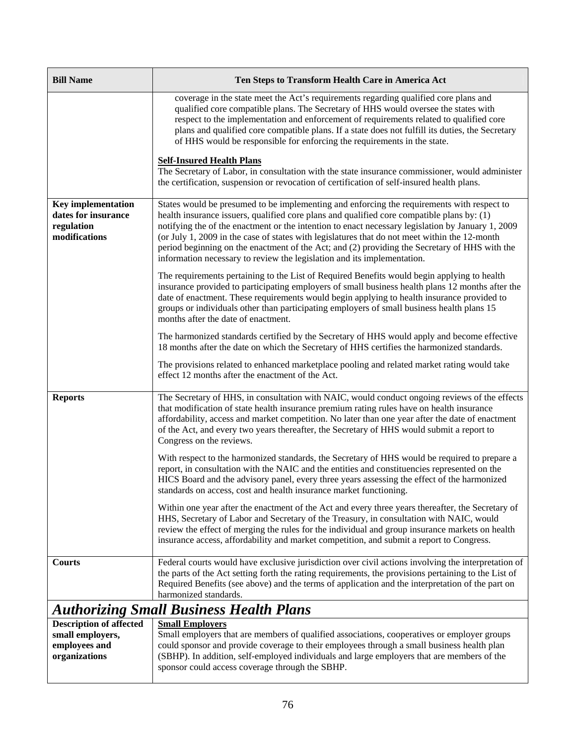| <b>Bill Name</b>                                                                | Ten Steps to Transform Health Care in America Act                                                                                                                                                                                                                                                                                                                                                                                                                                                                                                                          |
|---------------------------------------------------------------------------------|----------------------------------------------------------------------------------------------------------------------------------------------------------------------------------------------------------------------------------------------------------------------------------------------------------------------------------------------------------------------------------------------------------------------------------------------------------------------------------------------------------------------------------------------------------------------------|
|                                                                                 | coverage in the state meet the Act's requirements regarding qualified core plans and<br>qualified core compatible plans. The Secretary of HHS would oversee the states with<br>respect to the implementation and enforcement of requirements related to qualified core<br>plans and qualified core compatible plans. If a state does not fulfill its duties, the Secretary<br>of HHS would be responsible for enforcing the requirements in the state.                                                                                                                     |
|                                                                                 | <b>Self-Insured Health Plans</b><br>The Secretary of Labor, in consultation with the state insurance commissioner, would administer<br>the certification, suspension or revocation of certification of self-insured health plans.                                                                                                                                                                                                                                                                                                                                          |
| <b>Key implementation</b><br>dates for insurance<br>regulation<br>modifications | States would be presumed to be implementing and enforcing the requirements with respect to<br>health insurance issuers, qualified core plans and qualified core compatible plans by: (1)<br>notifying the of the enactment or the intention to enact necessary legislation by January 1, 2009<br>(or July 1, 2009 in the case of states with legislatures that do not meet within the 12-month<br>period beginning on the enactment of the Act; and (2) providing the Secretary of HHS with the<br>information necessary to review the legislation and its implementation. |
|                                                                                 | The requirements pertaining to the List of Required Benefits would begin applying to health<br>insurance provided to participating employers of small business health plans 12 months after the<br>date of enactment. These requirements would begin applying to health insurance provided to<br>groups or individuals other than participating employers of small business health plans 15<br>months after the date of enactment.                                                                                                                                         |
|                                                                                 | The harmonized standards certified by the Secretary of HHS would apply and become effective<br>18 months after the date on which the Secretary of HHS certifies the harmonized standards.                                                                                                                                                                                                                                                                                                                                                                                  |
|                                                                                 | The provisions related to enhanced marketplace pooling and related market rating would take<br>effect 12 months after the enactment of the Act.                                                                                                                                                                                                                                                                                                                                                                                                                            |
| <b>Reports</b>                                                                  | The Secretary of HHS, in consultation with NAIC, would conduct ongoing reviews of the effects<br>that modification of state health insurance premium rating rules have on health insurance<br>affordability, access and market competition. No later than one year after the date of enactment<br>of the Act, and every two years thereafter, the Secretary of HHS would submit a report to<br>Congress on the reviews.                                                                                                                                                    |
|                                                                                 | With respect to the harmonized standards, the Secretary of HHS would be required to prepare a<br>report, in consultation with the NAIC and the entities and constituencies represented on the<br>HICS Board and the advisory panel, every three years assessing the effect of the harmonized<br>standards on access, cost and health insurance market functioning.                                                                                                                                                                                                         |
|                                                                                 | Within one year after the enactment of the Act and every three years thereafter, the Secretary of<br>HHS, Secretary of Labor and Secretary of the Treasury, in consultation with NAIC, would<br>review the effect of merging the rules for the individual and group insurance markets on health<br>insurance access, affordability and market competition, and submit a report to Congress.                                                                                                                                                                                |
| <b>Courts</b>                                                                   | Federal courts would have exclusive jurisdiction over civil actions involving the interpretation of<br>the parts of the Act setting forth the rating requirements, the provisions pertaining to the List of<br>Required Benefits (see above) and the terms of application and the interpretation of the part on<br>harmonized standards.                                                                                                                                                                                                                                   |
|                                                                                 | <b>Authorizing Small Business Health Plans</b>                                                                                                                                                                                                                                                                                                                                                                                                                                                                                                                             |
| <b>Description of affected</b><br>small employers,<br>employees and             | <b>Small Employers</b><br>Small employers that are members of qualified associations, cooperatives or employer groups<br>could sponsor and provide coverage to their employees through a small business health plan                                                                                                                                                                                                                                                                                                                                                        |

| small employers, | Small employers that are members of qualified associations, cooperatives or employer groups |
|------------------|---------------------------------------------------------------------------------------------|
| employees and    | could sponsor and provide coverage to their employees through a small business health plan  |
| organizations    | (SBHP). In addition, self-employed individuals and large employers that are members of the  |
|                  | sponsor could access coverage through the SBHP.                                             |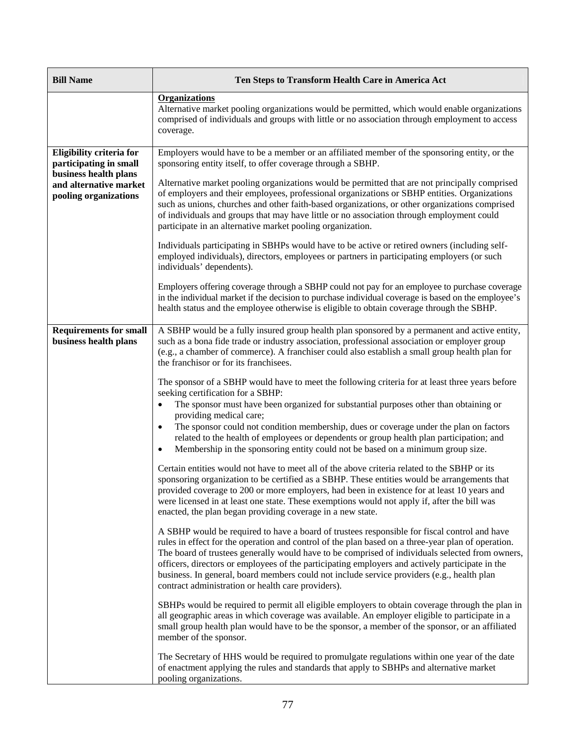| <b>Bill Name</b>                                                                                                               | Ten Steps to Transform Health Care in America Act                                                                                                                                                                                                                                                                                                                                                                                                                                                                                                                                                                                                                                                                                                                                                                                                                                                                                                                                                                                                                                                                                                                                                                                                                                                                                                                                                                                                                                                                                                                                                                                                                                                                                                                                                                                                                                                                                                                                                                                                                                                                                                                                                                                                                                                                                                                                                                                                                                           |
|--------------------------------------------------------------------------------------------------------------------------------|---------------------------------------------------------------------------------------------------------------------------------------------------------------------------------------------------------------------------------------------------------------------------------------------------------------------------------------------------------------------------------------------------------------------------------------------------------------------------------------------------------------------------------------------------------------------------------------------------------------------------------------------------------------------------------------------------------------------------------------------------------------------------------------------------------------------------------------------------------------------------------------------------------------------------------------------------------------------------------------------------------------------------------------------------------------------------------------------------------------------------------------------------------------------------------------------------------------------------------------------------------------------------------------------------------------------------------------------------------------------------------------------------------------------------------------------------------------------------------------------------------------------------------------------------------------------------------------------------------------------------------------------------------------------------------------------------------------------------------------------------------------------------------------------------------------------------------------------------------------------------------------------------------------------------------------------------------------------------------------------------------------------------------------------------------------------------------------------------------------------------------------------------------------------------------------------------------------------------------------------------------------------------------------------------------------------------------------------------------------------------------------------------------------------------------------------------------------------------------------------|
|                                                                                                                                | <b>Organizations</b><br>Alternative market pooling organizations would be permitted, which would enable organizations<br>comprised of individuals and groups with little or no association through employment to access<br>coverage.                                                                                                                                                                                                                                                                                                                                                                                                                                                                                                                                                                                                                                                                                                                                                                                                                                                                                                                                                                                                                                                                                                                                                                                                                                                                                                                                                                                                                                                                                                                                                                                                                                                                                                                                                                                                                                                                                                                                                                                                                                                                                                                                                                                                                                                        |
| Eligibility criteria for<br>participating in small<br>business health plans<br>and alternative market<br>pooling organizations | Employers would have to be a member or an affiliated member of the sponsoring entity, or the<br>sponsoring entity itself, to offer coverage through a SBHP.<br>Alternative market pooling organizations would be permitted that are not principally comprised<br>of employers and their employees, professional organizations or SBHP entities. Organizations<br>such as unions, churches and other faith-based organizations, or other organizations comprised<br>of individuals and groups that may have little or no association through employment could<br>participate in an alternative market pooling organization.<br>Individuals participating in SBHPs would have to be active or retired owners (including self-<br>employed individuals), directors, employees or partners in participating employers (or such<br>individuals' dependents).<br>Employers offering coverage through a SBHP could not pay for an employee to purchase coverage<br>in the individual market if the decision to purchase individual coverage is based on the employee's<br>health status and the employee otherwise is eligible to obtain coverage through the SBHP.                                                                                                                                                                                                                                                                                                                                                                                                                                                                                                                                                                                                                                                                                                                                                                                                                                                                                                                                                                                                                                                                                                                                                                                                                                                                                                                                |
| <b>Requirements for small</b><br>business health plans                                                                         | A SBHP would be a fully insured group health plan sponsored by a permanent and active entity,<br>such as a bona fide trade or industry association, professional association or employer group<br>(e.g., a chamber of commerce). A franchiser could also establish a small group health plan for<br>the franchisor or for its franchisees.<br>The sponsor of a SBHP would have to meet the following criteria for at least three years before<br>seeking certification for a SBHP:<br>The sponsor must have been organized for substantial purposes other than obtaining or<br>٠<br>providing medical care;<br>The sponsor could not condition membership, dues or coverage under the plan on factors<br>$\bullet$<br>related to the health of employees or dependents or group health plan participation; and<br>Membership in the sponsoring entity could not be based on a minimum group size.<br>٠<br>Certain entities would not have to meet all of the above criteria related to the SBHP or its<br>sponsoring organization to be certified as a SBHP. These entities would be arrangements that<br>provided coverage to 200 or more employers, had been in existence for at least 10 years and<br>were licensed in at least one state. These exemptions would not apply if, after the bill was<br>enacted, the plan began providing coverage in a new state.<br>A SBHP would be required to have a board of trustees responsible for fiscal control and have<br>rules in effect for the operation and control of the plan based on a three-year plan of operation.<br>The board of trustees generally would have to be comprised of individuals selected from owners,<br>officers, directors or employees of the participating employers and actively participate in the<br>business. In general, board members could not include service providers (e.g., health plan<br>contract administration or health care providers).<br>SBHPs would be required to permit all eligible employers to obtain coverage through the plan in<br>all geographic areas in which coverage was available. An employer eligible to participate in a<br>small group health plan would have to be the sponsor, a member of the sponsor, or an affiliated<br>member of the sponsor.<br>The Secretary of HHS would be required to promulgate regulations within one year of the date<br>of enactment applying the rules and standards that apply to SBHPs and alternative market<br>pooling organizations. |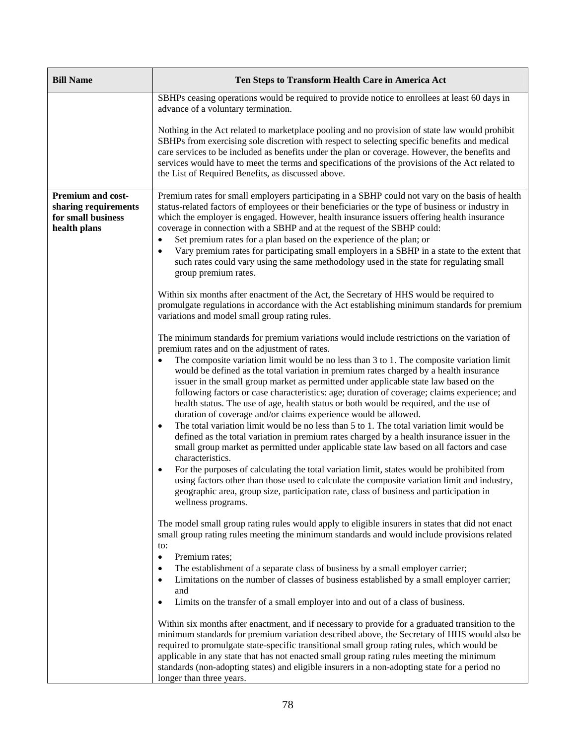| <b>Bill Name</b>                                                                       | Ten Steps to Transform Health Care in America Act                                                                                                                                                                                                                                                                                                                                                                                                                                                                                                                                                                                                                                                                                                                                                                                                                                                                                                                                                                                                                                                                                                                                                                                                                                                                                       |
|----------------------------------------------------------------------------------------|-----------------------------------------------------------------------------------------------------------------------------------------------------------------------------------------------------------------------------------------------------------------------------------------------------------------------------------------------------------------------------------------------------------------------------------------------------------------------------------------------------------------------------------------------------------------------------------------------------------------------------------------------------------------------------------------------------------------------------------------------------------------------------------------------------------------------------------------------------------------------------------------------------------------------------------------------------------------------------------------------------------------------------------------------------------------------------------------------------------------------------------------------------------------------------------------------------------------------------------------------------------------------------------------------------------------------------------------|
|                                                                                        | SBHPs ceasing operations would be required to provide notice to enrollees at least 60 days in<br>advance of a voluntary termination.                                                                                                                                                                                                                                                                                                                                                                                                                                                                                                                                                                                                                                                                                                                                                                                                                                                                                                                                                                                                                                                                                                                                                                                                    |
|                                                                                        | Nothing in the Act related to marketplace pooling and no provision of state law would prohibit<br>SBHPs from exercising sole discretion with respect to selecting specific benefits and medical<br>care services to be included as benefits under the plan or coverage. However, the benefits and<br>services would have to meet the terms and specifications of the provisions of the Act related to<br>the List of Required Benefits, as discussed above.                                                                                                                                                                                                                                                                                                                                                                                                                                                                                                                                                                                                                                                                                                                                                                                                                                                                             |
| <b>Premium and cost-</b><br>sharing requirements<br>for small business<br>health plans | Premium rates for small employers participating in a SBHP could not vary on the basis of health<br>status-related factors of employees or their beneficiaries or the type of business or industry in<br>which the employer is engaged. However, health insurance issuers offering health insurance<br>coverage in connection with a SBHP and at the request of the SBHP could:<br>Set premium rates for a plan based on the experience of the plan; or<br>$\bullet$<br>Vary premium rates for participating small employers in a SBHP in a state to the extent that<br>$\bullet$<br>such rates could vary using the same methodology used in the state for regulating small<br>group premium rates.                                                                                                                                                                                                                                                                                                                                                                                                                                                                                                                                                                                                                                     |
|                                                                                        | Within six months after enactment of the Act, the Secretary of HHS would be required to<br>promulgate regulations in accordance with the Act establishing minimum standards for premium<br>variations and model small group rating rules.                                                                                                                                                                                                                                                                                                                                                                                                                                                                                                                                                                                                                                                                                                                                                                                                                                                                                                                                                                                                                                                                                               |
|                                                                                        | The minimum standards for premium variations would include restrictions on the variation of<br>premium rates and on the adjustment of rates.<br>The composite variation limit would be no less than 3 to 1. The composite variation limit<br>would be defined as the total variation in premium rates charged by a health insurance<br>issuer in the small group market as permitted under applicable state law based on the<br>following factors or case characteristics: age; duration of coverage; claims experience; and<br>health status. The use of age, health status or both would be required, and the use of<br>duration of coverage and/or claims experience would be allowed.<br>The total variation limit would be no less than 5 to 1. The total variation limit would be<br>$\bullet$<br>defined as the total variation in premium rates charged by a health insurance issuer in the<br>small group market as permitted under applicable state law based on all factors and case<br>characteristics.<br>For the purposes of calculating the total variation limit, states would be prohibited from<br>٠<br>using factors other than those used to calculate the composite variation limit and industry,<br>geographic area, group size, participation rate, class of business and participation in<br>wellness programs. |
|                                                                                        | The model small group rating rules would apply to eligible insurers in states that did not enact<br>small group rating rules meeting the minimum standards and would include provisions related<br>to:<br>Premium rates;<br>$\bullet$<br>The establishment of a separate class of business by a small employer carrier;<br>٠<br>Limitations on the number of classes of business established by a small employer carrier;<br>$\bullet$<br>and<br>Limits on the transfer of a small employer into and out of a class of business.<br>٠                                                                                                                                                                                                                                                                                                                                                                                                                                                                                                                                                                                                                                                                                                                                                                                                   |
|                                                                                        | Within six months after enactment, and if necessary to provide for a graduated transition to the<br>minimum standards for premium variation described above, the Secretary of HHS would also be<br>required to promulgate state-specific transitional small group rating rules, which would be<br>applicable in any state that has not enacted small group rating rules meeting the minimum<br>standards (non-adopting states) and eligible insurers in a non-adopting state for a period no<br>longer than three years.                                                                                                                                                                                                                                                                                                                                                                                                                                                                                                                                                                                                                                                                                                                                                                                                                |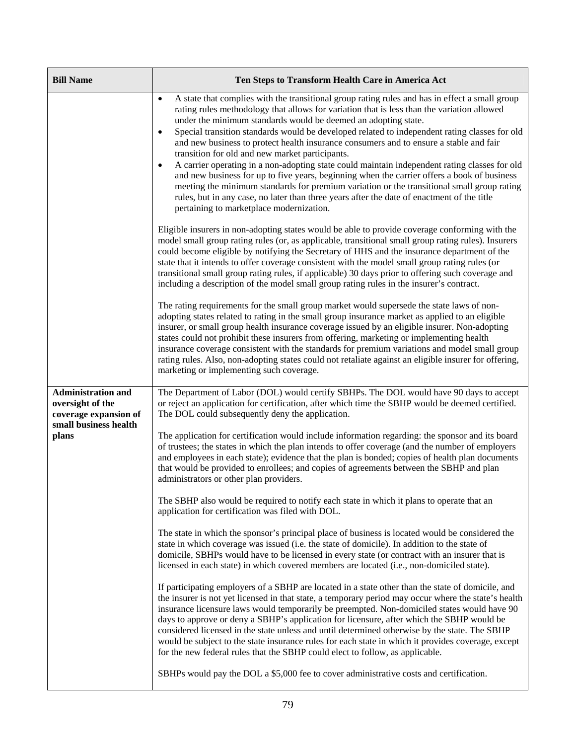| <b>Bill Name</b>                                                       | Ten Steps to Transform Health Care in America Act                                                                                                                                                                                                                                                                                                                                                                                                                                                                                                                                                                                                                                                                                                                                                                                                                                                                                                                                           |
|------------------------------------------------------------------------|---------------------------------------------------------------------------------------------------------------------------------------------------------------------------------------------------------------------------------------------------------------------------------------------------------------------------------------------------------------------------------------------------------------------------------------------------------------------------------------------------------------------------------------------------------------------------------------------------------------------------------------------------------------------------------------------------------------------------------------------------------------------------------------------------------------------------------------------------------------------------------------------------------------------------------------------------------------------------------------------|
|                                                                        | A state that complies with the transitional group rating rules and has in effect a small group<br>$\bullet$<br>rating rules methodology that allows for variation that is less than the variation allowed<br>under the minimum standards would be deemed an adopting state.<br>Special transition standards would be developed related to independent rating classes for old<br>$\bullet$<br>and new business to protect health insurance consumers and to ensure a stable and fair<br>transition for old and new market participants.<br>A carrier operating in a non-adopting state could maintain independent rating classes for old<br>$\bullet$<br>and new business for up to five years, beginning when the carrier offers a book of business<br>meeting the minimum standards for premium variation or the transitional small group rating<br>rules, but in any case, no later than three years after the date of enactment of the title<br>pertaining to marketplace modernization. |
|                                                                        | Eligible insurers in non-adopting states would be able to provide coverage conforming with the<br>model small group rating rules (or, as applicable, transitional small group rating rules). Insurers<br>could become eligible by notifying the Secretary of HHS and the insurance department of the<br>state that it intends to offer coverage consistent with the model small group rating rules (or<br>transitional small group rating rules, if applicable) 30 days prior to offering such coverage and<br>including a description of the model small group rating rules in the insurer's contract.                                                                                                                                                                                                                                                                                                                                                                                     |
|                                                                        | The rating requirements for the small group market would supersede the state laws of non-<br>adopting states related to rating in the small group insurance market as applied to an eligible<br>insurer, or small group health insurance coverage issued by an eligible insurer. Non-adopting<br>states could not prohibit these insurers from offering, marketing or implementing health<br>insurance coverage consistent with the standards for premium variations and model small group<br>rating rules. Also, non-adopting states could not retaliate against an eligible insurer for offering,<br>marketing or implementing such coverage.                                                                                                                                                                                                                                                                                                                                             |
| <b>Administration and</b><br>oversight of the<br>coverage expansion of | The Department of Labor (DOL) would certify SBHPs. The DOL would have 90 days to accept<br>or reject an application for certification, after which time the SBHP would be deemed certified.<br>The DOL could subsequently deny the application.                                                                                                                                                                                                                                                                                                                                                                                                                                                                                                                                                                                                                                                                                                                                             |
| small business health<br>plans                                         | The application for certification would include information regarding: the sponsor and its board<br>of trustees; the states in which the plan intends to offer coverage (and the number of employers<br>and employees in each state); evidence that the plan is bonded; copies of health plan documents<br>that would be provided to enrollees; and copies of agreements between the SBHP and plan<br>administrators or other plan providers.                                                                                                                                                                                                                                                                                                                                                                                                                                                                                                                                               |
|                                                                        | The SBHP also would be required to notify each state in which it plans to operate that an<br>application for certification was filed with DOL.                                                                                                                                                                                                                                                                                                                                                                                                                                                                                                                                                                                                                                                                                                                                                                                                                                              |
|                                                                        | The state in which the sponsor's principal place of business is located would be considered the<br>state in which coverage was issued (i.e. the state of domicile). In addition to the state of<br>domicile, SBHPs would have to be licensed in every state (or contract with an insurer that is<br>licensed in each state) in which covered members are located (i.e., non-domiciled state).                                                                                                                                                                                                                                                                                                                                                                                                                                                                                                                                                                                               |
|                                                                        | If participating employers of a SBHP are located in a state other than the state of domicile, and<br>the insurer is not yet licensed in that state, a temporary period may occur where the state's health<br>insurance licensure laws would temporarily be preempted. Non-domiciled states would have 90<br>days to approve or deny a SBHP's application for licensure, after which the SBHP would be<br>considered licensed in the state unless and until determined otherwise by the state. The SBHP<br>would be subject to the state insurance rules for each state in which it provides coverage, except<br>for the new federal rules that the SBHP could elect to follow, as applicable.                                                                                                                                                                                                                                                                                               |
|                                                                        | SBHPs would pay the DOL a \$5,000 fee to cover administrative costs and certification.                                                                                                                                                                                                                                                                                                                                                                                                                                                                                                                                                                                                                                                                                                                                                                                                                                                                                                      |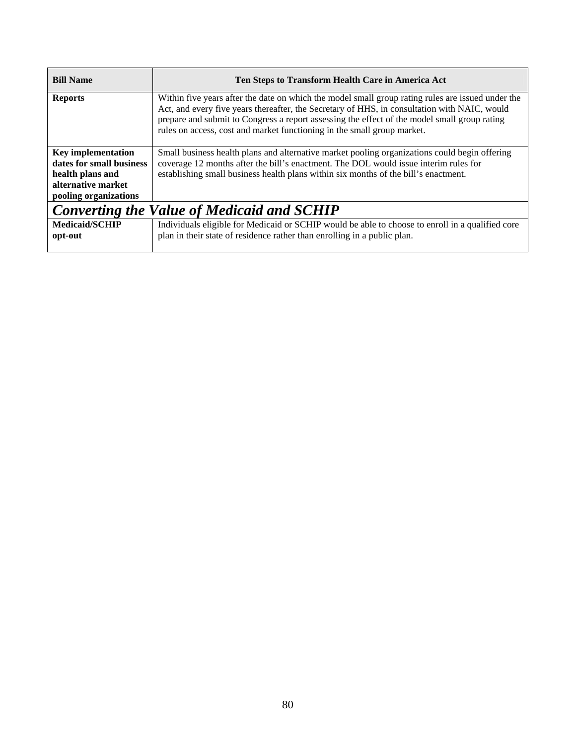| <b>Bill Name</b>                                                                                                         | Ten Steps to Transform Health Care in America Act                                                                                                                                                                                                                                                                                                                            |
|--------------------------------------------------------------------------------------------------------------------------|------------------------------------------------------------------------------------------------------------------------------------------------------------------------------------------------------------------------------------------------------------------------------------------------------------------------------------------------------------------------------|
| <b>Reports</b>                                                                                                           | Within five years after the date on which the model small group rating rules are issued under the<br>Act, and every five years thereafter, the Secretary of HHS, in consultation with NAIC, would<br>prepare and submit to Congress a report assessing the effect of the model small group rating<br>rules on access, cost and market functioning in the small group market. |
| <b>Key implementation</b><br>dates for small business<br>health plans and<br>alternative market<br>pooling organizations | Small business health plans and alternative market pooling organizations could begin offering<br>coverage 12 months after the bill's enactment. The DOL would issue interim rules for<br>establishing small business health plans within six months of the bill's enactment.                                                                                                 |
| <b>Converting the Value of Medicaid and SCHIP</b>                                                                        |                                                                                                                                                                                                                                                                                                                                                                              |
| <b>Medicaid/SCHIP</b><br>opt-out                                                                                         | Individuals eligible for Medicaid or SCHIP would be able to choose to enroll in a qualified core<br>plan in their state of residence rather than enrolling in a public plan.                                                                                                                                                                                                 |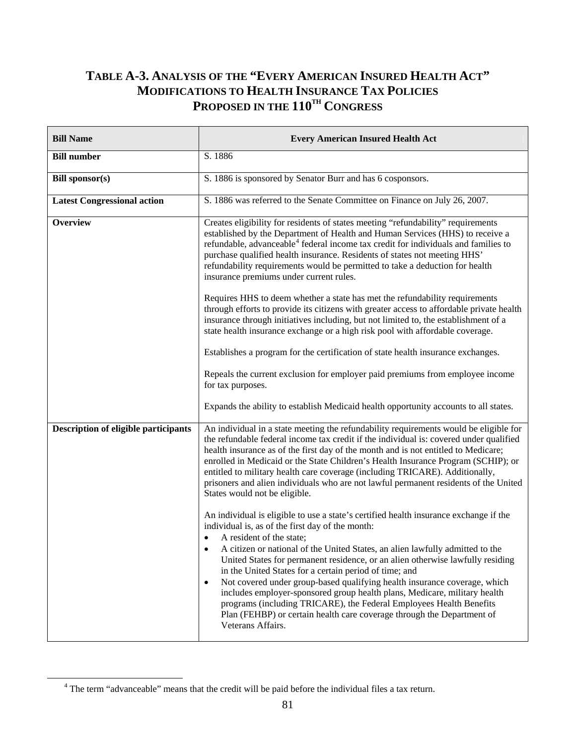## **TABLE A-3. ANALYSIS OF THE "EVERY AMERICAN INSURED HEALTH ACT" MODIFICATIONS TO HEALTH INSURANCE TAX POLICIES** PROPOSED IN THE  $110^{TH}$  CONGRESS

| <b>Bill Name</b>                     | <b>Every American Insured Health Act</b>                                                                                                                                                                                                                                                                                                                                                                                                                                                                                                                                                                                                                                                                                                        |  |  |
|--------------------------------------|-------------------------------------------------------------------------------------------------------------------------------------------------------------------------------------------------------------------------------------------------------------------------------------------------------------------------------------------------------------------------------------------------------------------------------------------------------------------------------------------------------------------------------------------------------------------------------------------------------------------------------------------------------------------------------------------------------------------------------------------------|--|--|
| <b>Bill number</b>                   | S. 1886                                                                                                                                                                                                                                                                                                                                                                                                                                                                                                                                                                                                                                                                                                                                         |  |  |
| <b>Bill sponsor(s)</b>               | S. 1886 is sponsored by Senator Burr and has 6 cosponsors.                                                                                                                                                                                                                                                                                                                                                                                                                                                                                                                                                                                                                                                                                      |  |  |
| <b>Latest Congressional action</b>   | S. 1886 was referred to the Senate Committee on Finance on July 26, 2007.                                                                                                                                                                                                                                                                                                                                                                                                                                                                                                                                                                                                                                                                       |  |  |
| Overview                             | Creates eligibility for residents of states meeting "refundability" requirements<br>established by the Department of Health and Human Services (HHS) to receive a<br>refundable, advanceable <sup>4</sup> federal income tax credit for individuals and families to<br>purchase qualified health insurance. Residents of states not meeting HHS'<br>refundability requirements would be permitted to take a deduction for health<br>insurance premiums under current rules.                                                                                                                                                                                                                                                                     |  |  |
|                                      | Requires HHS to deem whether a state has met the refundability requirements<br>through efforts to provide its citizens with greater access to affordable private health<br>insurance through initiatives including, but not limited to, the establishment of a<br>state health insurance exchange or a high risk pool with affordable coverage.                                                                                                                                                                                                                                                                                                                                                                                                 |  |  |
|                                      | Establishes a program for the certification of state health insurance exchanges.                                                                                                                                                                                                                                                                                                                                                                                                                                                                                                                                                                                                                                                                |  |  |
|                                      | Repeals the current exclusion for employer paid premiums from employee income<br>for tax purposes.                                                                                                                                                                                                                                                                                                                                                                                                                                                                                                                                                                                                                                              |  |  |
|                                      | Expands the ability to establish Medicaid health opportunity accounts to all states.                                                                                                                                                                                                                                                                                                                                                                                                                                                                                                                                                                                                                                                            |  |  |
| Description of eligible participants | An individual in a state meeting the refundability requirements would be eligible for<br>the refundable federal income tax credit if the individual is: covered under qualified<br>health insurance as of the first day of the month and is not entitled to Medicare;<br>enrolled in Medicaid or the State Children's Health Insurance Program (SCHIP); or<br>entitled to military health care coverage (including TRICARE). Additionally,<br>prisoners and alien individuals who are not lawful permanent residents of the United<br>States would not be eligible.                                                                                                                                                                             |  |  |
|                                      | An individual is eligible to use a state's certified health insurance exchange if the<br>individual is, as of the first day of the month:<br>A resident of the state;<br>A citizen or national of the United States, an alien lawfully admitted to the<br>United States for permanent residence, or an alien otherwise lawfully residing<br>in the United States for a certain period of time; and<br>Not covered under group-based qualifying health insurance coverage, which<br>$\bullet$<br>includes employer-sponsored group health plans, Medicare, military health<br>programs (including TRICARE), the Federal Employees Health Benefits<br>Plan (FEHBP) or certain health care coverage through the Department of<br>Veterans Affairs. |  |  |

<span id="page-98-0"></span> <sup>4</sup> The term "advanceable" means that the credit will be paid before the individual files a tax return.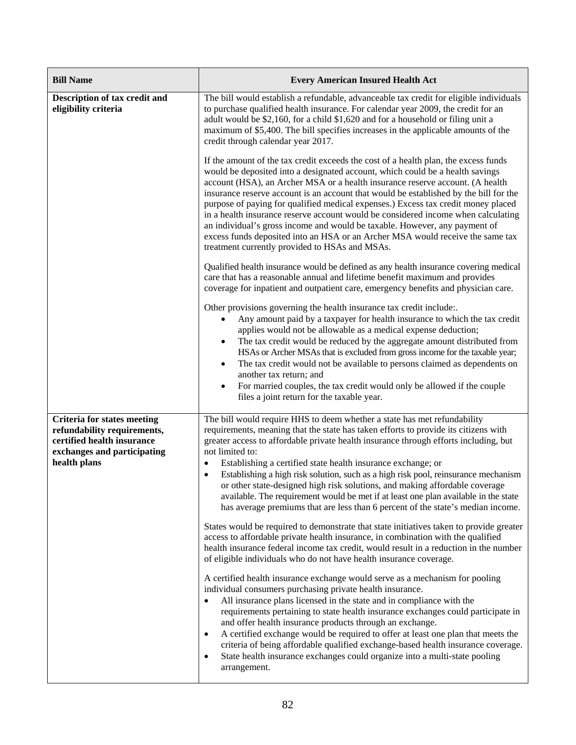| <b>Bill Name</b>                                                                                                                               | <b>Every American Insured Health Act</b>                                                                                                                                                                                                                                                                                                                                                                                                                                                                                                                                                                                                                                                                                                                                                                                                                                                           |  |  |
|------------------------------------------------------------------------------------------------------------------------------------------------|----------------------------------------------------------------------------------------------------------------------------------------------------------------------------------------------------------------------------------------------------------------------------------------------------------------------------------------------------------------------------------------------------------------------------------------------------------------------------------------------------------------------------------------------------------------------------------------------------------------------------------------------------------------------------------------------------------------------------------------------------------------------------------------------------------------------------------------------------------------------------------------------------|--|--|
| Description of tax credit and<br>eligibility criteria                                                                                          | The bill would establish a refundable, advanceable tax credit for eligible individuals<br>to purchase qualified health insurance. For calendar year 2009, the credit for an<br>adult would be \$2,160, for a child \$1,620 and for a household or filing unit a<br>maximum of \$5,400. The bill specifies increases in the applicable amounts of the<br>credit through calendar year 2017.                                                                                                                                                                                                                                                                                                                                                                                                                                                                                                         |  |  |
|                                                                                                                                                | If the amount of the tax credit exceeds the cost of a health plan, the excess funds<br>would be deposited into a designated account, which could be a health savings<br>account (HSA), an Archer MSA or a health insurance reserve account. (A health<br>insurance reserve account is an account that would be established by the bill for the<br>purpose of paying for qualified medical expenses.) Excess tax credit money placed<br>in a health insurance reserve account would be considered income when calculating<br>an individual's gross income and would be taxable. However, any payment of<br>excess funds deposited into an HSA or an Archer MSA would receive the same tax<br>treatment currently provided to HSAs and MSAs.                                                                                                                                                         |  |  |
|                                                                                                                                                | Qualified health insurance would be defined as any health insurance covering medical<br>care that has a reasonable annual and lifetime benefit maximum and provides<br>coverage for inpatient and outpatient care, emergency benefits and physician care.                                                                                                                                                                                                                                                                                                                                                                                                                                                                                                                                                                                                                                          |  |  |
|                                                                                                                                                | Other provisions governing the health insurance tax credit include:.<br>Any amount paid by a taxpayer for health insurance to which the tax credit<br>$\bullet$<br>applies would not be allowable as a medical expense deduction;<br>The tax credit would be reduced by the aggregate amount distributed from<br>$\bullet$<br>HSAs or Archer MSAs that is excluded from gross income for the taxable year;<br>The tax credit would not be available to persons claimed as dependents on<br>٠<br>another tax return; and<br>For married couples, the tax credit would only be allowed if the couple<br>٠<br>files a joint return for the taxable year.                                                                                                                                                                                                                                              |  |  |
| <b>Criteria for states meeting</b><br>refundability requirements,<br>certified health insurance<br>exchanges and participating<br>health plans | The bill would require HHS to deem whether a state has met refundability<br>requirements, meaning that the state has taken efforts to provide its citizens with<br>greater access to affordable private health insurance through efforts including, but<br>not limited to:<br>Establishing a certified state health insurance exchange; or<br>$\bullet$<br>Establishing a high risk solution, such as a high risk pool, reinsurance mechanism<br>$\bullet$<br>or other state-designed high risk solutions, and making affordable coverage<br>available. The requirement would be met if at least one plan available in the state<br>has average premiums that are less than 6 percent of the state's median income.<br>States would be required to demonstrate that state initiatives taken to provide greater<br>access to affordable private health insurance, in combination with the qualified |  |  |
|                                                                                                                                                | health insurance federal income tax credit, would result in a reduction in the number<br>of eligible individuals who do not have health insurance coverage.<br>A certified health insurance exchange would serve as a mechanism for pooling<br>individual consumers purchasing private health insurance.<br>All insurance plans licensed in the state and in compliance with the<br>requirements pertaining to state health insurance exchanges could participate in<br>and offer health insurance products through an exchange.<br>A certified exchange would be required to offer at least one plan that meets the<br>٠<br>criteria of being affordable qualified exchange-based health insurance coverage.<br>State health insurance exchanges could organize into a multi-state pooling<br>$\bullet$<br>arrangement.                                                                           |  |  |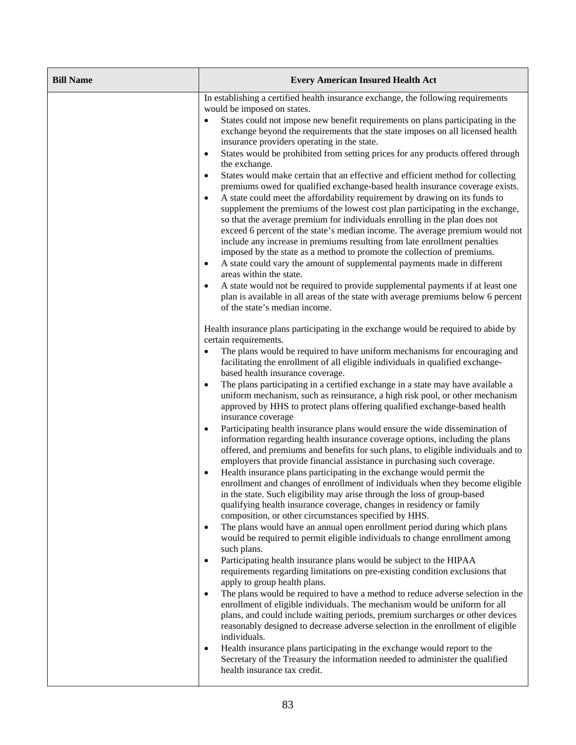| <b>Bill Name</b> | <b>Every American Insured Health Act</b>                                                                                                                                                                                                                                                                                                                                                                                                                                                                                                                                                                                                                                                                                                                                                                                                                                                                                                                                                                                                                                                                                                                                                                                                                                                                                                                                                                                                                                                                                                                                                                                                                                                                                                                                                                                                                                                                                                                                                                                                                                                                                                                                                                                                             |  |  |
|------------------|------------------------------------------------------------------------------------------------------------------------------------------------------------------------------------------------------------------------------------------------------------------------------------------------------------------------------------------------------------------------------------------------------------------------------------------------------------------------------------------------------------------------------------------------------------------------------------------------------------------------------------------------------------------------------------------------------------------------------------------------------------------------------------------------------------------------------------------------------------------------------------------------------------------------------------------------------------------------------------------------------------------------------------------------------------------------------------------------------------------------------------------------------------------------------------------------------------------------------------------------------------------------------------------------------------------------------------------------------------------------------------------------------------------------------------------------------------------------------------------------------------------------------------------------------------------------------------------------------------------------------------------------------------------------------------------------------------------------------------------------------------------------------------------------------------------------------------------------------------------------------------------------------------------------------------------------------------------------------------------------------------------------------------------------------------------------------------------------------------------------------------------------------------------------------------------------------------------------------------------------------|--|--|
|                  | In establishing a certified health insurance exchange, the following requirements<br>would be imposed on states.<br>States could not impose new benefit requirements on plans participating in the<br>exchange beyond the requirements that the state imposes on all licensed health<br>insurance providers operating in the state.<br>States would be prohibited from setting prices for any products offered through<br>the exchange.<br>States would make certain that an effective and efficient method for collecting<br>premiums owed for qualified exchange-based health insurance coverage exists.<br>A state could meet the affordability requirement by drawing on its funds to<br>supplement the premiums of the lowest cost plan participating in the exchange,<br>so that the average premium for individuals enrolling in the plan does not<br>exceed 6 percent of the state's median income. The average premium would not<br>include any increase in premiums resulting from late enrollment penalties<br>imposed by the state as a method to promote the collection of premiums.<br>A state could vary the amount of supplemental payments made in different<br>areas within the state.<br>A state would not be required to provide supplemental payments if at least one<br>plan is available in all areas of the state with average premiums below 6 percent<br>of the state's median income.                                                                                                                                                                                                                                                                                                                                                                                                                                                                                                                                                                                                                                                                                                                                                                                                                                     |  |  |
|                  | Health insurance plans participating in the exchange would be required to abide by<br>certain requirements.<br>The plans would be required to have uniform mechanisms for encouraging and<br>facilitating the enrollment of all eligible individuals in qualified exchange-<br>based health insurance coverage.<br>The plans participating in a certified exchange in a state may have available a<br>uniform mechanism, such as reinsurance, a high risk pool, or other mechanism<br>approved by HHS to protect plans offering qualified exchange-based health<br>insurance coverage<br>Participating health insurance plans would ensure the wide dissemination of<br>$\bullet$<br>information regarding health insurance coverage options, including the plans<br>offered, and premiums and benefits for such plans, to eligible individuals and to<br>employers that provide financial assistance in purchasing such coverage.<br>Health insurance plans participating in the exchange would permit the<br>enrollment and changes of enrollment of individuals when they become eligible<br>in the state. Such eligibility may arise through the loss of group-based<br>qualifying health insurance coverage, changes in residency or family<br>composition, or other circumstances specified by HHS.<br>The plans would have an annual open enrollment period during which plans<br>would be required to permit eligible individuals to change enrollment among<br>such plans.<br>Participating health insurance plans would be subject to the HIPAA<br>requirements regarding limitations on pre-existing condition exclusions that<br>apply to group health plans.<br>The plans would be required to have a method to reduce adverse selection in the<br>$\bullet$<br>enrollment of eligible individuals. The mechanism would be uniform for all<br>plans, and could include waiting periods, premium surcharges or other devices<br>reasonably designed to decrease adverse selection in the enrollment of eligible<br>individuals.<br>Health insurance plans participating in the exchange would report to the<br>$\bullet$<br>Secretary of the Treasury the information needed to administer the qualified<br>health insurance tax credit. |  |  |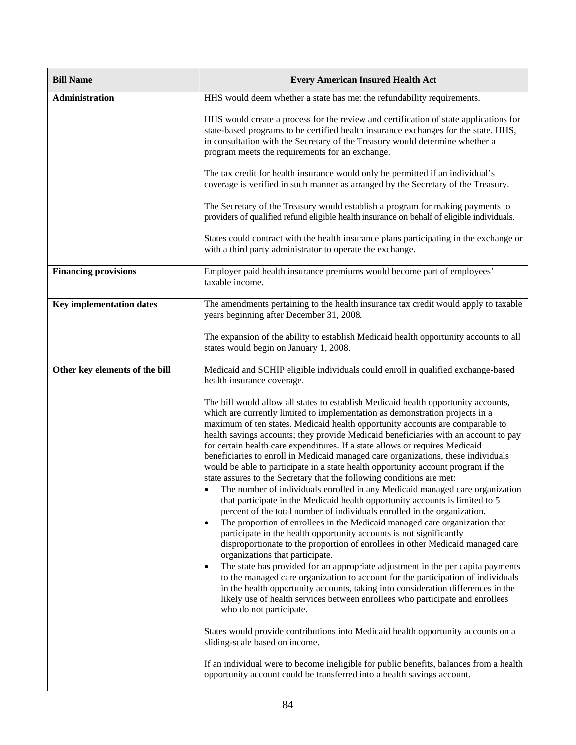| <b>Bill Name</b>                | <b>Every American Insured Health Act</b>                                                                                                                                                                                                                                                                                                                                                                                                                                                                                                                                                                                                                                                                                                                                                                                                                                                                                                                                                                                                                                                                                                                                                                                                                                                                                                                                                                                                                                                                                                                                                             |  |  |
|---------------------------------|------------------------------------------------------------------------------------------------------------------------------------------------------------------------------------------------------------------------------------------------------------------------------------------------------------------------------------------------------------------------------------------------------------------------------------------------------------------------------------------------------------------------------------------------------------------------------------------------------------------------------------------------------------------------------------------------------------------------------------------------------------------------------------------------------------------------------------------------------------------------------------------------------------------------------------------------------------------------------------------------------------------------------------------------------------------------------------------------------------------------------------------------------------------------------------------------------------------------------------------------------------------------------------------------------------------------------------------------------------------------------------------------------------------------------------------------------------------------------------------------------------------------------------------------------------------------------------------------------|--|--|
| Administration                  | HHS would deem whether a state has met the refundability requirements.                                                                                                                                                                                                                                                                                                                                                                                                                                                                                                                                                                                                                                                                                                                                                                                                                                                                                                                                                                                                                                                                                                                                                                                                                                                                                                                                                                                                                                                                                                                               |  |  |
|                                 | HHS would create a process for the review and certification of state applications for<br>state-based programs to be certified health insurance exchanges for the state. HHS,<br>in consultation with the Secretary of the Treasury would determine whether a<br>program meets the requirements for an exchange.                                                                                                                                                                                                                                                                                                                                                                                                                                                                                                                                                                                                                                                                                                                                                                                                                                                                                                                                                                                                                                                                                                                                                                                                                                                                                      |  |  |
|                                 | The tax credit for health insurance would only be permitted if an individual's<br>coverage is verified in such manner as arranged by the Secretary of the Treasury.                                                                                                                                                                                                                                                                                                                                                                                                                                                                                                                                                                                                                                                                                                                                                                                                                                                                                                                                                                                                                                                                                                                                                                                                                                                                                                                                                                                                                                  |  |  |
|                                 | The Secretary of the Treasury would establish a program for making payments to<br>providers of qualified refund eligible health insurance on behalf of eligible individuals.                                                                                                                                                                                                                                                                                                                                                                                                                                                                                                                                                                                                                                                                                                                                                                                                                                                                                                                                                                                                                                                                                                                                                                                                                                                                                                                                                                                                                         |  |  |
|                                 | States could contract with the health insurance plans participating in the exchange or<br>with a third party administrator to operate the exchange.                                                                                                                                                                                                                                                                                                                                                                                                                                                                                                                                                                                                                                                                                                                                                                                                                                                                                                                                                                                                                                                                                                                                                                                                                                                                                                                                                                                                                                                  |  |  |
| <b>Financing provisions</b>     | Employer paid health insurance premiums would become part of employees'<br>taxable income.                                                                                                                                                                                                                                                                                                                                                                                                                                                                                                                                                                                                                                                                                                                                                                                                                                                                                                                                                                                                                                                                                                                                                                                                                                                                                                                                                                                                                                                                                                           |  |  |
| <b>Key implementation dates</b> | The amendments pertaining to the health insurance tax credit would apply to taxable<br>years beginning after December 31, 2008.                                                                                                                                                                                                                                                                                                                                                                                                                                                                                                                                                                                                                                                                                                                                                                                                                                                                                                                                                                                                                                                                                                                                                                                                                                                                                                                                                                                                                                                                      |  |  |
|                                 | The expansion of the ability to establish Medicaid health opportunity accounts to all<br>states would begin on January 1, 2008.                                                                                                                                                                                                                                                                                                                                                                                                                                                                                                                                                                                                                                                                                                                                                                                                                                                                                                                                                                                                                                                                                                                                                                                                                                                                                                                                                                                                                                                                      |  |  |
| Other key elements of the bill  | Medicaid and SCHIP eligible individuals could enroll in qualified exchange-based<br>health insurance coverage.                                                                                                                                                                                                                                                                                                                                                                                                                                                                                                                                                                                                                                                                                                                                                                                                                                                                                                                                                                                                                                                                                                                                                                                                                                                                                                                                                                                                                                                                                       |  |  |
|                                 | The bill would allow all states to establish Medicaid health opportunity accounts,<br>which are currently limited to implementation as demonstration projects in a<br>maximum of ten states. Medicaid health opportunity accounts are comparable to<br>health savings accounts; they provide Medicaid beneficiaries with an account to pay<br>for certain health care expenditures. If a state allows or requires Medicaid<br>beneficiaries to enroll in Medicaid managed care organizations, these individuals<br>would be able to participate in a state health opportunity account program if the<br>state assures to the Secretary that the following conditions are met:<br>The number of individuals enrolled in any Medicaid managed care organization<br>that participate in the Medicaid health opportunity accounts is limited to 5<br>percent of the total number of individuals enrolled in the organization.<br>The proportion of enrollees in the Medicaid managed care organization that<br>$\bullet$<br>participate in the health opportunity accounts is not significantly<br>disproportionate to the proportion of enrollees in other Medicaid managed care<br>organizations that participate.<br>The state has provided for an appropriate adjustment in the per capita payments<br>$\bullet$<br>to the managed care organization to account for the participation of individuals<br>in the health opportunity accounts, taking into consideration differences in the<br>likely use of health services between enrollees who participate and enrollees<br>who do not participate. |  |  |
|                                 | States would provide contributions into Medicaid health opportunity accounts on a<br>sliding-scale based on income.                                                                                                                                                                                                                                                                                                                                                                                                                                                                                                                                                                                                                                                                                                                                                                                                                                                                                                                                                                                                                                                                                                                                                                                                                                                                                                                                                                                                                                                                                  |  |  |
|                                 | If an individual were to become ineligible for public benefits, balances from a health<br>opportunity account could be transferred into a health savings account.                                                                                                                                                                                                                                                                                                                                                                                                                                                                                                                                                                                                                                                                                                                                                                                                                                                                                                                                                                                                                                                                                                                                                                                                                                                                                                                                                                                                                                    |  |  |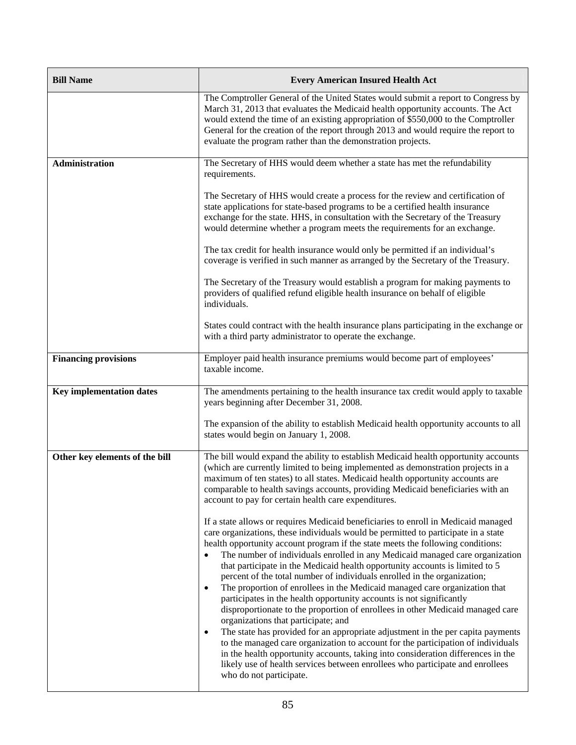| <b>Bill Name</b>                | <b>Every American Insured Health Act</b>                                                                                                                                                                                                                                                                                                                                                                                                                                                                                                                                                                                                                                                                                                                                                                                                                                                                                                                                                                                                                                                                                                                                   |  |  |
|---------------------------------|----------------------------------------------------------------------------------------------------------------------------------------------------------------------------------------------------------------------------------------------------------------------------------------------------------------------------------------------------------------------------------------------------------------------------------------------------------------------------------------------------------------------------------------------------------------------------------------------------------------------------------------------------------------------------------------------------------------------------------------------------------------------------------------------------------------------------------------------------------------------------------------------------------------------------------------------------------------------------------------------------------------------------------------------------------------------------------------------------------------------------------------------------------------------------|--|--|
|                                 | The Comptroller General of the United States would submit a report to Congress by<br>March 31, 2013 that evaluates the Medicaid health opportunity accounts. The Act<br>would extend the time of an existing appropriation of \$550,000 to the Comptroller<br>General for the creation of the report through 2013 and would require the report to<br>evaluate the program rather than the demonstration projects.                                                                                                                                                                                                                                                                                                                                                                                                                                                                                                                                                                                                                                                                                                                                                          |  |  |
| <b>Administration</b>           | The Secretary of HHS would deem whether a state has met the refundability<br>requirements.                                                                                                                                                                                                                                                                                                                                                                                                                                                                                                                                                                                                                                                                                                                                                                                                                                                                                                                                                                                                                                                                                 |  |  |
|                                 | The Secretary of HHS would create a process for the review and certification of<br>state applications for state-based programs to be a certified health insurance<br>exchange for the state. HHS, in consultation with the Secretary of the Treasury<br>would determine whether a program meets the requirements for an exchange.                                                                                                                                                                                                                                                                                                                                                                                                                                                                                                                                                                                                                                                                                                                                                                                                                                          |  |  |
|                                 | The tax credit for health insurance would only be permitted if an individual's<br>coverage is verified in such manner as arranged by the Secretary of the Treasury.                                                                                                                                                                                                                                                                                                                                                                                                                                                                                                                                                                                                                                                                                                                                                                                                                                                                                                                                                                                                        |  |  |
|                                 | The Secretary of the Treasury would establish a program for making payments to<br>providers of qualified refund eligible health insurance on behalf of eligible<br>individuals.                                                                                                                                                                                                                                                                                                                                                                                                                                                                                                                                                                                                                                                                                                                                                                                                                                                                                                                                                                                            |  |  |
|                                 | States could contract with the health insurance plans participating in the exchange or<br>with a third party administrator to operate the exchange.                                                                                                                                                                                                                                                                                                                                                                                                                                                                                                                                                                                                                                                                                                                                                                                                                                                                                                                                                                                                                        |  |  |
| <b>Financing provisions</b>     | Employer paid health insurance premiums would become part of employees'<br>taxable income.                                                                                                                                                                                                                                                                                                                                                                                                                                                                                                                                                                                                                                                                                                                                                                                                                                                                                                                                                                                                                                                                                 |  |  |
| <b>Key implementation dates</b> | The amendments pertaining to the health insurance tax credit would apply to taxable<br>years beginning after December 31, 2008.                                                                                                                                                                                                                                                                                                                                                                                                                                                                                                                                                                                                                                                                                                                                                                                                                                                                                                                                                                                                                                            |  |  |
|                                 | The expansion of the ability to establish Medicaid health opportunity accounts to all<br>states would begin on January 1, 2008.                                                                                                                                                                                                                                                                                                                                                                                                                                                                                                                                                                                                                                                                                                                                                                                                                                                                                                                                                                                                                                            |  |  |
| Other key elements of the bill  | The bill would expand the ability to establish Medicaid health opportunity accounts<br>(which are currently limited to being implemented as demonstration projects in a<br>maximum of ten states) to all states. Medicaid health opportunity accounts are<br>comparable to health savings accounts, providing Medicaid beneficiaries with an<br>account to pay for certain health care expenditures.                                                                                                                                                                                                                                                                                                                                                                                                                                                                                                                                                                                                                                                                                                                                                                       |  |  |
|                                 | If a state allows or requires Medicaid beneficiaries to enroll in Medicaid managed<br>care organizations, these individuals would be permitted to participate in a state<br>health opportunity account program if the state meets the following conditions:<br>The number of individuals enrolled in any Medicaid managed care organization<br>that participate in the Medicaid health opportunity accounts is limited to 5<br>percent of the total number of individuals enrolled in the organization;<br>The proportion of enrollees in the Medicaid managed care organization that<br>$\bullet$<br>participates in the health opportunity accounts is not significantly<br>disproportionate to the proportion of enrollees in other Medicaid managed care<br>organizations that participate; and<br>The state has provided for an appropriate adjustment in the per capita payments<br>to the managed care organization to account for the participation of individuals<br>in the health opportunity accounts, taking into consideration differences in the<br>likely use of health services between enrollees who participate and enrollees<br>who do not participate. |  |  |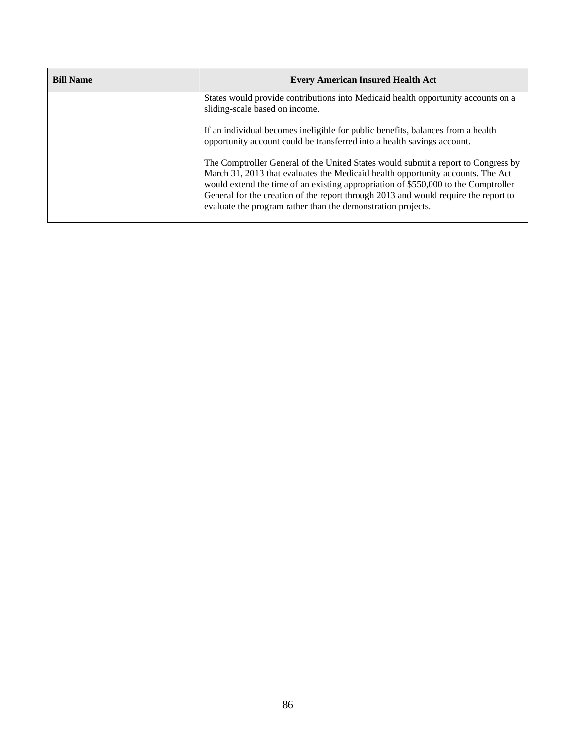| <b>Bill Name</b> | <b>Every American Insured Health Act</b>                                                                                                                                                                                                                                                                                                                                                                          |  |
|------------------|-------------------------------------------------------------------------------------------------------------------------------------------------------------------------------------------------------------------------------------------------------------------------------------------------------------------------------------------------------------------------------------------------------------------|--|
|                  | States would provide contributions into Medicaid health opportunity accounts on a<br>sliding-scale based on income.                                                                                                                                                                                                                                                                                               |  |
|                  | If an individual becomes ineligible for public benefits, balances from a health<br>opportunity account could be transferred into a health savings account.                                                                                                                                                                                                                                                        |  |
|                  | The Comptroller General of the United States would submit a report to Congress by<br>March 31, 2013 that evaluates the Medicaid health opportunity accounts. The Act<br>would extend the time of an existing appropriation of \$550,000 to the Comptroller<br>General for the creation of the report through 2013 and would require the report to<br>evaluate the program rather than the demonstration projects. |  |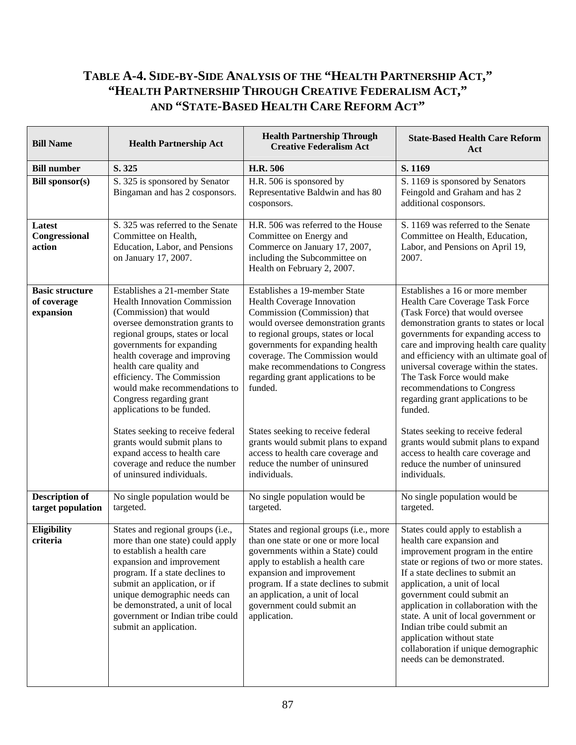## **TABLE A-4. SIDE-BY-SIDE ANALYSIS OF THE "HEALTH PARTNERSHIP ACT," "HEALTH PARTNERSHIP THROUGH CREATIVE FEDERALISM ACT," AND "STATE-BASED HEALTH CARE REFORM ACT"**

| <b>Bill Name</b>                                   | <b>Health Partnership Act</b>                                                                                                                                                                                                                                                                                                                                                            | <b>Health Partnership Through</b><br><b>Creative Federalism Act</b>                                                                                                                                                                                                                                                                 | <b>State-Based Health Care Reform</b><br>Act                                                                                                                                                                                                                                                                                                                                                                                                                        |
|----------------------------------------------------|------------------------------------------------------------------------------------------------------------------------------------------------------------------------------------------------------------------------------------------------------------------------------------------------------------------------------------------------------------------------------------------|-------------------------------------------------------------------------------------------------------------------------------------------------------------------------------------------------------------------------------------------------------------------------------------------------------------------------------------|---------------------------------------------------------------------------------------------------------------------------------------------------------------------------------------------------------------------------------------------------------------------------------------------------------------------------------------------------------------------------------------------------------------------------------------------------------------------|
| <b>Bill number</b>                                 | S. 325                                                                                                                                                                                                                                                                                                                                                                                   | H.R. 506                                                                                                                                                                                                                                                                                                                            | S. 1169                                                                                                                                                                                                                                                                                                                                                                                                                                                             |
| <b>Bill sponsor(s)</b>                             | S. 325 is sponsored by Senator<br>Bingaman and has 2 cosponsors.                                                                                                                                                                                                                                                                                                                         | H.R. 506 is sponsored by<br>Representative Baldwin and has 80<br>cosponsors.                                                                                                                                                                                                                                                        | S. 1169 is sponsored by Senators<br>Feingold and Graham and has 2<br>additional cosponsors.                                                                                                                                                                                                                                                                                                                                                                         |
| Latest<br>Congressional<br>action                  | S. 325 was referred to the Senate<br>Committee on Health,<br>Education, Labor, and Pensions<br>on January 17, 2007.                                                                                                                                                                                                                                                                      | H.R. 506 was referred to the House<br>Committee on Energy and<br>Commerce on January 17, 2007,<br>including the Subcommittee on<br>Health on February 2, 2007.                                                                                                                                                                      | S. 1169 was referred to the Senate<br>Committee on Health, Education,<br>Labor, and Pensions on April 19,<br>2007.                                                                                                                                                                                                                                                                                                                                                  |
| <b>Basic structure</b><br>of coverage<br>expansion | Establishes a 21-member State<br><b>Health Innovation Commission</b><br>(Commission) that would<br>oversee demonstration grants to<br>regional groups, states or local<br>governments for expanding<br>health coverage and improving<br>health care quality and<br>efficiency. The Commission<br>would make recommendations to<br>Congress regarding grant<br>applications to be funded. | Establishes a 19-member State<br>Health Coverage Innovation<br>Commission (Commission) that<br>would oversee demonstration grants<br>to regional groups, states or local<br>governments for expanding health<br>coverage. The Commission would<br>make recommendations to Congress<br>regarding grant applications to be<br>funded. | Establishes a 16 or more member<br>Health Care Coverage Task Force<br>(Task Force) that would oversee<br>demonstration grants to states or local<br>governments for expanding access to<br>care and improving health care quality<br>and efficiency with an ultimate goal of<br>universal coverage within the states.<br>The Task Force would make<br>recommendations to Congress<br>regarding grant applications to be<br>funded.                                  |
|                                                    | States seeking to receive federal<br>grants would submit plans to<br>expand access to health care<br>coverage and reduce the number<br>of uninsured individuals.                                                                                                                                                                                                                         | States seeking to receive federal<br>grants would submit plans to expand<br>access to health care coverage and<br>reduce the number of uninsured<br>individuals.                                                                                                                                                                    | States seeking to receive federal<br>grants would submit plans to expand<br>access to health care coverage and<br>reduce the number of uninsured<br>individuals.                                                                                                                                                                                                                                                                                                    |
| <b>Description of</b><br>target population         | No single population would be<br>targeted.                                                                                                                                                                                                                                                                                                                                               | No single population would be<br>targeted.                                                                                                                                                                                                                                                                                          | No single population would be<br>targeted.                                                                                                                                                                                                                                                                                                                                                                                                                          |
| Eligibility<br>criteria                            | States and regional groups (i.e.,<br>more than one state) could apply<br>to establish a health care<br>expansion and improvement<br>program. If a state declines to<br>submit an application, or if<br>unique demographic needs can<br>be demonstrated, a unit of local<br>government or Indian tribe could<br>submit an application.                                                    | States and regional groups (i.e., more<br>than one state or one or more local<br>governments within a State) could<br>apply to establish a health care<br>expansion and improvement<br>program. If a state declines to submit<br>an application, a unit of local<br>government could submit an<br>application.                      | States could apply to establish a<br>health care expansion and<br>improvement program in the entire<br>state or regions of two or more states.<br>If a state declines to submit an<br>application, a unit of local<br>government could submit an<br>application in collaboration with the<br>state. A unit of local government or<br>Indian tribe could submit an<br>application without state<br>collaboration if unique demographic<br>needs can be demonstrated. |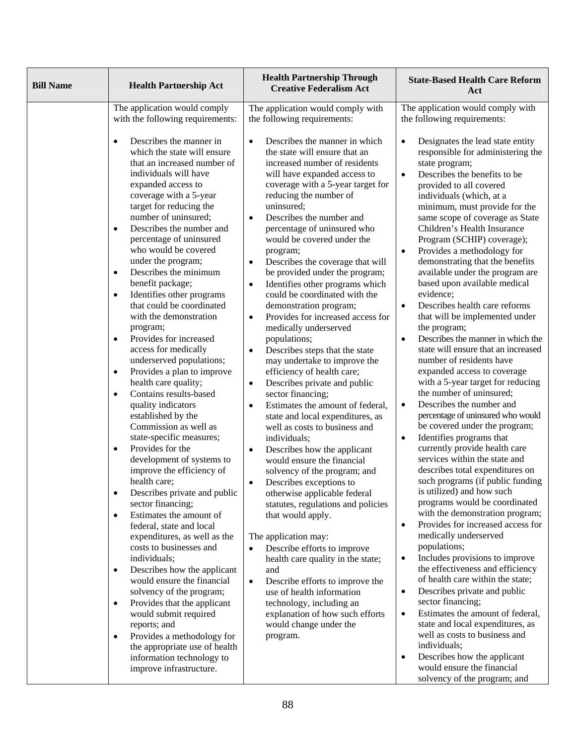| <b>Bill Name</b> | <b>Health Partnership Act</b>                                                                                                                                                                                                                                                                                                                                                                                                                                                                                                                                                                                                                                                                                                                                                                                                                                                                                                                                                                                                                                                                                                                                                                                                                                                                                                                                                                            | <b>Health Partnership Through</b><br><b>Creative Federalism Act</b>                                                                                                                                                                                                                                                                                                                                                                                                                                                                                                                                                                                                                                                                                                                                                                                                                                                                                                                                                                                                                                                                                                                                                                                                                                                                                                                                                                                                                                                                    | <b>State-Based Health Care Reform</b><br>Act                                                                                                                                                                                                                                                                                                                                                                                                                                                                                                                                                                                                                                                                                                                                                                                                                                                                                                                                                                                                                                                                                                                                                                                                                                                                                                                                                                                                                                                                                                                                                                                            |
|------------------|----------------------------------------------------------------------------------------------------------------------------------------------------------------------------------------------------------------------------------------------------------------------------------------------------------------------------------------------------------------------------------------------------------------------------------------------------------------------------------------------------------------------------------------------------------------------------------------------------------------------------------------------------------------------------------------------------------------------------------------------------------------------------------------------------------------------------------------------------------------------------------------------------------------------------------------------------------------------------------------------------------------------------------------------------------------------------------------------------------------------------------------------------------------------------------------------------------------------------------------------------------------------------------------------------------------------------------------------------------------------------------------------------------|----------------------------------------------------------------------------------------------------------------------------------------------------------------------------------------------------------------------------------------------------------------------------------------------------------------------------------------------------------------------------------------------------------------------------------------------------------------------------------------------------------------------------------------------------------------------------------------------------------------------------------------------------------------------------------------------------------------------------------------------------------------------------------------------------------------------------------------------------------------------------------------------------------------------------------------------------------------------------------------------------------------------------------------------------------------------------------------------------------------------------------------------------------------------------------------------------------------------------------------------------------------------------------------------------------------------------------------------------------------------------------------------------------------------------------------------------------------------------------------------------------------------------------------|-----------------------------------------------------------------------------------------------------------------------------------------------------------------------------------------------------------------------------------------------------------------------------------------------------------------------------------------------------------------------------------------------------------------------------------------------------------------------------------------------------------------------------------------------------------------------------------------------------------------------------------------------------------------------------------------------------------------------------------------------------------------------------------------------------------------------------------------------------------------------------------------------------------------------------------------------------------------------------------------------------------------------------------------------------------------------------------------------------------------------------------------------------------------------------------------------------------------------------------------------------------------------------------------------------------------------------------------------------------------------------------------------------------------------------------------------------------------------------------------------------------------------------------------------------------------------------------------------------------------------------------------|
|                  | The application would comply<br>with the following requirements:<br>Describes the manner in<br>$\bullet$<br>which the state will ensure<br>that an increased number of<br>individuals will have<br>expanded access to<br>coverage with a 5-year<br>target for reducing the<br>number of uninsured;<br>Describes the number and<br>$\bullet$<br>percentage of uninsured<br>who would be covered<br>under the program;<br>Describes the minimum<br>$\bullet$<br>benefit package;<br>Identifies other programs<br>$\bullet$<br>that could be coordinated<br>with the demonstration<br>program;<br>Provides for increased<br>$\bullet$<br>access for medically<br>underserved populations;<br>Provides a plan to improve<br>$\bullet$<br>health care quality;<br>Contains results-based<br>$\bullet$<br>quality indicators<br>established by the<br>Commission as well as<br>state-specific measures;<br>Provides for the<br>$\bullet$<br>development of systems to<br>improve the efficiency of<br>health care;<br>Describes private and public<br>$\bullet$<br>sector financing;<br>Estimates the amount of<br>$\bullet$<br>federal, state and local<br>expenditures, as well as the<br>costs to businesses and<br>individuals;<br>Describes how the applicant<br>$\bullet$<br>would ensure the financial<br>solvency of the program;<br>Provides that the applicant<br>$\bullet$<br>would submit required | The application would comply with<br>the following requirements:<br>Describes the manner in which<br>$\bullet$<br>the state will ensure that an<br>increased number of residents<br>will have expanded access to<br>coverage with a 5-year target for<br>reducing the number of<br>uninsured;<br>Describes the number and<br>$\bullet$<br>percentage of uninsured who<br>would be covered under the<br>program;<br>Describes the coverage that will<br>$\bullet$<br>be provided under the program;<br>Identifies other programs which<br>$\bullet$<br>could be coordinated with the<br>demonstration program;<br>Provides for increased access for<br>$\bullet$<br>medically underserved<br>populations;<br>Describes steps that the state<br>$\bullet$<br>may undertake to improve the<br>efficiency of health care;<br>Describes private and public<br>$\bullet$<br>sector financing;<br>Estimates the amount of federal,<br>$\bullet$<br>state and local expenditures, as<br>well as costs to business and<br>individuals;<br>Describes how the applicant<br>$\bullet$<br>would ensure the financial<br>solvency of the program; and<br>Describes exceptions to<br>$\bullet$<br>otherwise applicable federal<br>statutes, regulations and policies<br>that would apply.<br>The application may:<br>Describe efforts to improve<br>$\bullet$<br>health care quality in the state;<br>and<br>Describe efforts to improve the<br>$\bullet$<br>use of health information<br>technology, including an<br>explanation of how such efforts | The application would comply with<br>the following requirements:<br>Designates the lead state entity<br>$\bullet$<br>responsible for administering the<br>state program;<br>Describes the benefits to be<br>$\bullet$<br>provided to all covered<br>individuals (which, at a<br>minimum, must provide for the<br>same scope of coverage as State<br>Children's Health Insurance<br>Program (SCHIP) coverage);<br>Provides a methodology for<br>$\bullet$<br>demonstrating that the benefits<br>available under the program are<br>based upon available medical<br>evidence;<br>Describes health care reforms<br>$\bullet$<br>that will be implemented under<br>the program;<br>Describes the manner in which the<br>$\bullet$<br>state will ensure that an increased<br>number of residents have<br>expanded access to coverage<br>with a 5-year target for reducing<br>the number of uninsured;<br>Describes the number and<br>$\bullet$<br>percentage of uninsured who would<br>be covered under the program;<br>Identifies programs that<br>$\bullet$<br>currently provide health care<br>services within the state and<br>describes total expenditures on<br>such programs (if public funding<br>is utilized) and how such<br>programs would be coordinated<br>with the demonstration program;<br>Provides for increased access for<br>$\bullet$<br>medically underserved<br>populations;<br>Includes provisions to improve<br>$\bullet$<br>the effectiveness and efficiency<br>of health care within the state;<br>Describes private and public<br>$\bullet$<br>sector financing;<br>Estimates the amount of federal,<br>$\bullet$ |
|                  | reports; and<br>Provides a methodology for<br>$\bullet$<br>the appropriate use of health<br>information technology to<br>improve infrastructure.                                                                                                                                                                                                                                                                                                                                                                                                                                                                                                                                                                                                                                                                                                                                                                                                                                                                                                                                                                                                                                                                                                                                                                                                                                                         | would change under the<br>program.                                                                                                                                                                                                                                                                                                                                                                                                                                                                                                                                                                                                                                                                                                                                                                                                                                                                                                                                                                                                                                                                                                                                                                                                                                                                                                                                                                                                                                                                                                     | state and local expenditures, as<br>well as costs to business and<br>individuals;<br>Describes how the applicant<br>$\bullet$<br>would ensure the financial<br>solvency of the program; and                                                                                                                                                                                                                                                                                                                                                                                                                                                                                                                                                                                                                                                                                                                                                                                                                                                                                                                                                                                                                                                                                                                                                                                                                                                                                                                                                                                                                                             |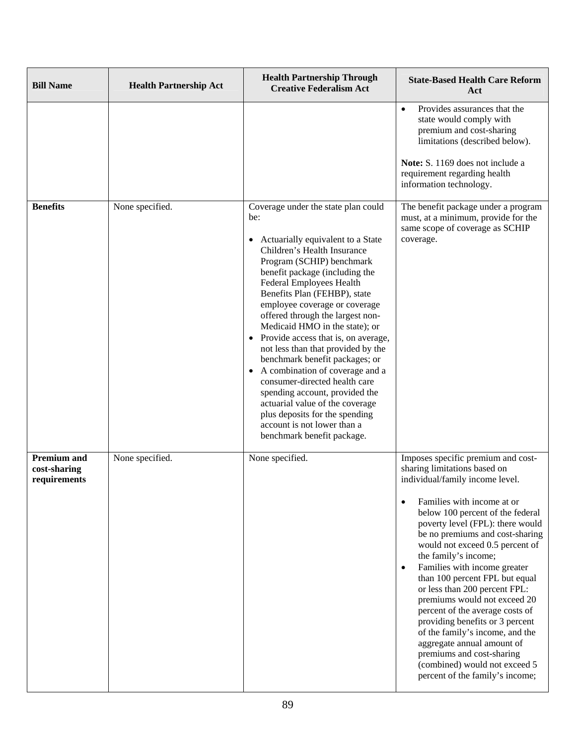| <b>Bill Name</b>                                   | <b>Health Partnership Act</b> | <b>Health Partnership Through</b><br><b>Creative Federalism Act</b>                                                                                                                                                                                                                                                                                                                                                                                                                                                                                                                                                                                                                                                      | <b>State-Based Health Care Reform</b><br>Act                                                                                                                                                                                                                                                                                                                                                                                                                                                                                                                                                                                                                                                                   |
|----------------------------------------------------|-------------------------------|--------------------------------------------------------------------------------------------------------------------------------------------------------------------------------------------------------------------------------------------------------------------------------------------------------------------------------------------------------------------------------------------------------------------------------------------------------------------------------------------------------------------------------------------------------------------------------------------------------------------------------------------------------------------------------------------------------------------------|----------------------------------------------------------------------------------------------------------------------------------------------------------------------------------------------------------------------------------------------------------------------------------------------------------------------------------------------------------------------------------------------------------------------------------------------------------------------------------------------------------------------------------------------------------------------------------------------------------------------------------------------------------------------------------------------------------------|
|                                                    |                               |                                                                                                                                                                                                                                                                                                                                                                                                                                                                                                                                                                                                                                                                                                                          | Provides assurances that the<br>$\bullet$<br>state would comply with<br>premium and cost-sharing<br>limitations (described below).<br>Note: S. 1169 does not include a<br>requirement regarding health<br>information technology.                                                                                                                                                                                                                                                                                                                                                                                                                                                                              |
| <b>Benefits</b>                                    | None specified.               | Coverage under the state plan could<br>be:<br>Actuarially equivalent to a State<br>$\bullet$<br>Children's Health Insurance<br>Program (SCHIP) benchmark<br>benefit package (including the<br>Federal Employees Health<br>Benefits Plan (FEHBP), state<br>employee coverage or coverage<br>offered through the largest non-<br>Medicaid HMO in the state); or<br>• Provide access that is, on average,<br>not less than that provided by the<br>benchmark benefit packages; or<br>• A combination of coverage and a<br>consumer-directed health care<br>spending account, provided the<br>actuarial value of the coverage<br>plus deposits for the spending<br>account is not lower than a<br>benchmark benefit package. | The benefit package under a program<br>must, at a minimum, provide for the<br>same scope of coverage as SCHIP<br>coverage.                                                                                                                                                                                                                                                                                                                                                                                                                                                                                                                                                                                     |
| <b>Premium and</b><br>cost-sharing<br>requirements | None specified.               | None specified.                                                                                                                                                                                                                                                                                                                                                                                                                                                                                                                                                                                                                                                                                                          | Imposes specific premium and cost-<br>sharing limitations based on<br>individual/family income level.<br>Families with income at or<br>$\bullet$<br>below 100 percent of the federal<br>poverty level (FPL): there would<br>be no premiums and cost-sharing<br>would not exceed 0.5 percent of<br>the family's income;<br>Families with income greater<br>$\bullet$<br>than 100 percent FPL but equal<br>or less than 200 percent FPL:<br>premiums would not exceed 20<br>percent of the average costs of<br>providing benefits or 3 percent<br>of the family's income, and the<br>aggregate annual amount of<br>premiums and cost-sharing<br>(combined) would not exceed 5<br>percent of the family's income; |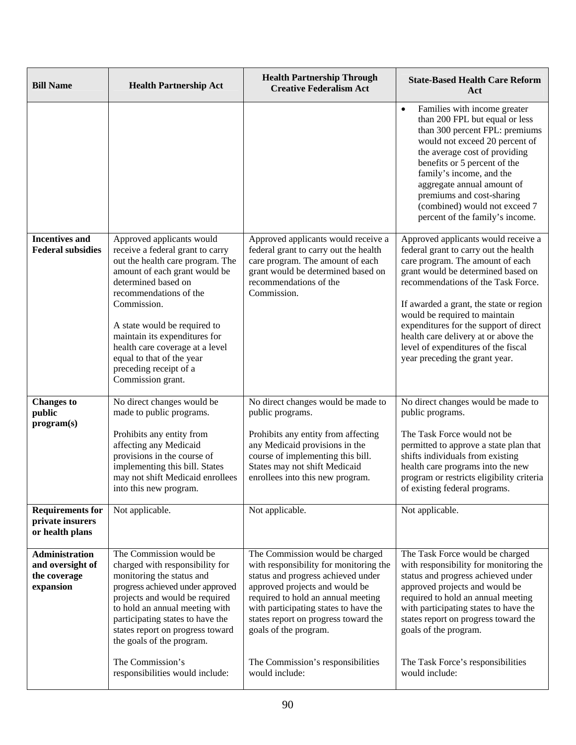| <b>Bill Name</b>                                                       | <b>Health Partnership Act</b>                                                                                                                                                                                                                                                                                                                                                      | <b>Health Partnership Through</b><br><b>Creative Federalism Act</b>                                                                                                                                                                                                                                                                                      | <b>State-Based Health Care Reform</b><br>Act                                                                                                                                                                                                                                                                                                                                                                                        |
|------------------------------------------------------------------------|------------------------------------------------------------------------------------------------------------------------------------------------------------------------------------------------------------------------------------------------------------------------------------------------------------------------------------------------------------------------------------|----------------------------------------------------------------------------------------------------------------------------------------------------------------------------------------------------------------------------------------------------------------------------------------------------------------------------------------------------------|-------------------------------------------------------------------------------------------------------------------------------------------------------------------------------------------------------------------------------------------------------------------------------------------------------------------------------------------------------------------------------------------------------------------------------------|
|                                                                        |                                                                                                                                                                                                                                                                                                                                                                                    |                                                                                                                                                                                                                                                                                                                                                          | Families with income greater<br>$\bullet$<br>than 200 FPL but equal or less<br>than 300 percent FPL: premiums<br>would not exceed 20 percent of<br>the average cost of providing<br>benefits or 5 percent of the<br>family's income, and the<br>aggregate annual amount of<br>premiums and cost-sharing<br>(combined) would not exceed 7<br>percent of the family's income.                                                         |
| <b>Incentives and</b><br><b>Federal subsidies</b>                      | Approved applicants would<br>receive a federal grant to carry<br>out the health care program. The<br>amount of each grant would be<br>determined based on<br>recommendations of the<br>Commission.<br>A state would be required to<br>maintain its expenditures for<br>health care coverage at a level<br>equal to that of the year<br>preceding receipt of a<br>Commission grant. | Approved applicants would receive a<br>federal grant to carry out the health<br>care program. The amount of each<br>grant would be determined based on<br>recommendations of the<br>Commission.                                                                                                                                                          | Approved applicants would receive a<br>federal grant to carry out the health<br>care program. The amount of each<br>grant would be determined based on<br>recommendations of the Task Force.<br>If awarded a grant, the state or region<br>would be required to maintain<br>expenditures for the support of direct<br>health care delivery at or above the<br>level of expenditures of the fiscal<br>year preceding the grant year. |
| <b>Changes to</b><br>public                                            | No direct changes would be<br>made to public programs.                                                                                                                                                                                                                                                                                                                             | No direct changes would be made to<br>public programs.                                                                                                                                                                                                                                                                                                   | No direct changes would be made to<br>public programs.                                                                                                                                                                                                                                                                                                                                                                              |
| program(s)                                                             | Prohibits any entity from<br>affecting any Medicaid<br>provisions in the course of<br>implementing this bill. States<br>may not shift Medicaid enrollees<br>into this new program.                                                                                                                                                                                                 | Prohibits any entity from affecting<br>any Medicaid provisions in the<br>course of implementing this bill.<br>States may not shift Medicaid<br>enrollees into this new program.                                                                                                                                                                          | The Task Force would not be<br>permitted to approve a state plan that<br>shifts individuals from existing<br>health care programs into the new<br>program or restricts eligibility criteria<br>of existing federal programs.                                                                                                                                                                                                        |
| <b>Requirements for</b><br>private insurers<br>or health plans         | Not applicable.                                                                                                                                                                                                                                                                                                                                                                    | Not applicable.                                                                                                                                                                                                                                                                                                                                          | Not applicable.                                                                                                                                                                                                                                                                                                                                                                                                                     |
| <b>Administration</b><br>and oversight of<br>the coverage<br>expansion | The Commission would be<br>charged with responsibility for<br>monitoring the status and<br>progress achieved under approved<br>projects and would be required<br>to hold an annual meeting with<br>participating states to have the<br>states report on progress toward<br>the goals of the program.<br>The Commission's<br>responsibilities would include:                        | The Commission would be charged<br>with responsibility for monitoring the<br>status and progress achieved under<br>approved projects and would be<br>required to hold an annual meeting<br>with participating states to have the<br>states report on progress toward the<br>goals of the program.<br>The Commission's responsibilities<br>would include: | The Task Force would be charged<br>with responsibility for monitoring the<br>status and progress achieved under<br>approved projects and would be<br>required to hold an annual meeting<br>with participating states to have the<br>states report on progress toward the<br>goals of the program.<br>The Task Force's responsibilities<br>would include:                                                                            |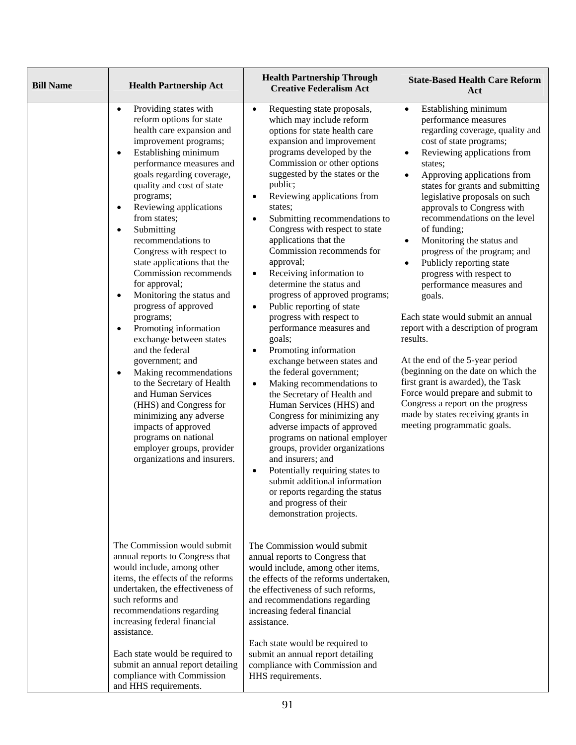| <b>Bill Name</b> | <b>Health Partnership Act</b>                                                                                                                                                                                                                                                                                                                                                                                                                                                                                                                                                                                                                                                                                                                                                                                                                                                                   | <b>Health Partnership Through</b><br><b>Creative Federalism Act</b>                                                                                                                                                                                                                                                                                                                                                                                                                                                                                                                                                                                                                                                                                                                                                                                                                                                                                                                                                                                                                                                                                                                                         | <b>State-Based Health Care Reform</b><br>Act                                                                                                                                                                                                                                                                                                                                                                                                                                                                                                                                                                                                                                                                                                                                                                                                                                                                             |
|------------------|-------------------------------------------------------------------------------------------------------------------------------------------------------------------------------------------------------------------------------------------------------------------------------------------------------------------------------------------------------------------------------------------------------------------------------------------------------------------------------------------------------------------------------------------------------------------------------------------------------------------------------------------------------------------------------------------------------------------------------------------------------------------------------------------------------------------------------------------------------------------------------------------------|-------------------------------------------------------------------------------------------------------------------------------------------------------------------------------------------------------------------------------------------------------------------------------------------------------------------------------------------------------------------------------------------------------------------------------------------------------------------------------------------------------------------------------------------------------------------------------------------------------------------------------------------------------------------------------------------------------------------------------------------------------------------------------------------------------------------------------------------------------------------------------------------------------------------------------------------------------------------------------------------------------------------------------------------------------------------------------------------------------------------------------------------------------------------------------------------------------------|--------------------------------------------------------------------------------------------------------------------------------------------------------------------------------------------------------------------------------------------------------------------------------------------------------------------------------------------------------------------------------------------------------------------------------------------------------------------------------------------------------------------------------------------------------------------------------------------------------------------------------------------------------------------------------------------------------------------------------------------------------------------------------------------------------------------------------------------------------------------------------------------------------------------------|
|                  | Providing states with<br>$\bullet$<br>reform options for state<br>health care expansion and<br>improvement programs;<br>Establishing minimum<br>$\bullet$<br>performance measures and<br>goals regarding coverage,<br>quality and cost of state<br>programs;<br>Reviewing applications<br>from states;<br>Submitting<br>$\bullet$<br>recommendations to<br>Congress with respect to<br>state applications that the<br>Commission recommends<br>for approval;<br>Monitoring the status and<br>$\bullet$<br>progress of approved<br>programs;<br>Promoting information<br>$\bullet$<br>exchange between states<br>and the federal<br>government; and<br>Making recommendations<br>to the Secretary of Health<br>and Human Services<br>(HHS) and Congress for<br>minimizing any adverse<br>impacts of approved<br>programs on national<br>employer groups, provider<br>organizations and insurers. | Requesting state proposals,<br>$\bullet$<br>which may include reform<br>options for state health care<br>expansion and improvement<br>programs developed by the<br>Commission or other options<br>suggested by the states or the<br>public;<br>Reviewing applications from<br>$\bullet$<br>states;<br>Submitting recommendations to<br>$\bullet$<br>Congress with respect to state<br>applications that the<br>Commission recommends for<br>approval;<br>Receiving information to<br>$\bullet$<br>determine the status and<br>progress of approved programs;<br>Public reporting of state<br>$\bullet$<br>progress with respect to<br>performance measures and<br>goals;<br>Promoting information<br>$\bullet$<br>exchange between states and<br>the federal government;<br>Making recommendations to<br>$\bullet$<br>the Secretary of Health and<br>Human Services (HHS) and<br>Congress for minimizing any<br>adverse impacts of approved<br>programs on national employer<br>groups, provider organizations<br>and insurers; and<br>Potentially requiring states to<br>$\bullet$<br>submit additional information<br>or reports regarding the status<br>and progress of their<br>demonstration projects. | Establishing minimum<br>$\bullet$<br>performance measures<br>regarding coverage, quality and<br>cost of state programs;<br>Reviewing applications from<br>$\bullet$<br>states;<br>Approving applications from<br>$\bullet$<br>states for grants and submitting<br>legislative proposals on such<br>approvals to Congress with<br>recommendations on the level<br>of funding;<br>Monitoring the status and<br>$\bullet$<br>progress of the program; and<br>Publicly reporting state<br>$\bullet$<br>progress with respect to<br>performance measures and<br>goals.<br>Each state would submit an annual<br>report with a description of program<br>results.<br>At the end of the 5-year period<br>(beginning on the date on which the<br>first grant is awarded), the Task<br>Force would prepare and submit to<br>Congress a report on the progress<br>made by states receiving grants in<br>meeting programmatic goals. |
|                  | The Commission would submit<br>annual reports to Congress that<br>would include, among other<br>items, the effects of the reforms<br>undertaken, the effectiveness of<br>such reforms and<br>recommendations regarding<br>increasing federal financial<br>assistance.<br>Each state would be required to<br>submit an annual report detailing<br>compliance with Commission<br>and HHS requirements.                                                                                                                                                                                                                                                                                                                                                                                                                                                                                            | The Commission would submit<br>annual reports to Congress that<br>would include, among other items,<br>the effects of the reforms undertaken,<br>the effectiveness of such reforms,<br>and recommendations regarding<br>increasing federal financial<br>assistance.<br>Each state would be required to<br>submit an annual report detailing<br>compliance with Commission and<br>HHS requirements.                                                                                                                                                                                                                                                                                                                                                                                                                                                                                                                                                                                                                                                                                                                                                                                                          |                                                                                                                                                                                                                                                                                                                                                                                                                                                                                                                                                                                                                                                                                                                                                                                                                                                                                                                          |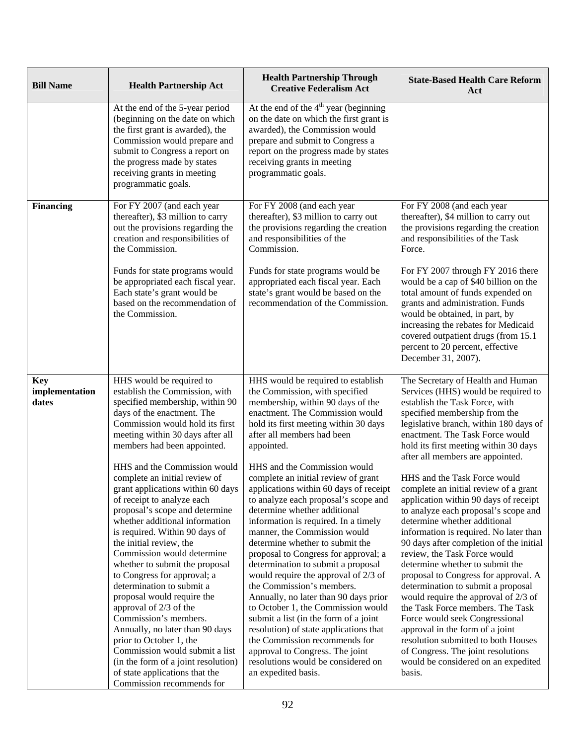| <b>Bill Name</b>                      | <b>Health Partnership Act</b>                                                                                                                                                                                                                                                                                                                                                                                                                                                                                                                                                                                                                                                                                                                                                                                                                                                                                             | <b>Health Partnership Through</b><br><b>Creative Federalism Act</b>                                                                                                                                                                                                                                                                                                                                                                                                                                                                                                                                                                                                                                                                                                                                                                                                                                                                                                                         | <b>State-Based Health Care Reform</b><br>Act                                                                                                                                                                                                                                                                                                                                                                                                                                                                                                                                                                                                                                                                                                                                                                                                                                                                                                                                                                         |
|---------------------------------------|---------------------------------------------------------------------------------------------------------------------------------------------------------------------------------------------------------------------------------------------------------------------------------------------------------------------------------------------------------------------------------------------------------------------------------------------------------------------------------------------------------------------------------------------------------------------------------------------------------------------------------------------------------------------------------------------------------------------------------------------------------------------------------------------------------------------------------------------------------------------------------------------------------------------------|---------------------------------------------------------------------------------------------------------------------------------------------------------------------------------------------------------------------------------------------------------------------------------------------------------------------------------------------------------------------------------------------------------------------------------------------------------------------------------------------------------------------------------------------------------------------------------------------------------------------------------------------------------------------------------------------------------------------------------------------------------------------------------------------------------------------------------------------------------------------------------------------------------------------------------------------------------------------------------------------|----------------------------------------------------------------------------------------------------------------------------------------------------------------------------------------------------------------------------------------------------------------------------------------------------------------------------------------------------------------------------------------------------------------------------------------------------------------------------------------------------------------------------------------------------------------------------------------------------------------------------------------------------------------------------------------------------------------------------------------------------------------------------------------------------------------------------------------------------------------------------------------------------------------------------------------------------------------------------------------------------------------------|
|                                       | At the end of the 5-year period<br>(beginning on the date on which<br>the first grant is awarded), the<br>Commission would prepare and<br>submit to Congress a report on<br>the progress made by states<br>receiving grants in meeting<br>programmatic goals.                                                                                                                                                                                                                                                                                                                                                                                                                                                                                                                                                                                                                                                             | At the end of the $4th$ year (beginning<br>on the date on which the first grant is<br>awarded), the Commission would<br>prepare and submit to Congress a<br>report on the progress made by states<br>receiving grants in meeting<br>programmatic goals.                                                                                                                                                                                                                                                                                                                                                                                                                                                                                                                                                                                                                                                                                                                                     |                                                                                                                                                                                                                                                                                                                                                                                                                                                                                                                                                                                                                                                                                                                                                                                                                                                                                                                                                                                                                      |
| <b>Financing</b>                      | For FY 2007 (and each year<br>thereafter), \$3 million to carry<br>out the provisions regarding the<br>creation and responsibilities of<br>the Commission.<br>Funds for state programs would<br>be appropriated each fiscal year.<br>Each state's grant would be<br>based on the recommendation of<br>the Commission.                                                                                                                                                                                                                                                                                                                                                                                                                                                                                                                                                                                                     | For FY 2008 (and each year<br>thereafter), \$3 million to carry out<br>the provisions regarding the creation<br>and responsibilities of the<br>Commission.<br>Funds for state programs would be<br>appropriated each fiscal year. Each<br>state's grant would be based on the<br>recommendation of the Commission.                                                                                                                                                                                                                                                                                                                                                                                                                                                                                                                                                                                                                                                                          | For FY 2008 (and each year<br>thereafter), \$4 million to carry out<br>the provisions regarding the creation<br>and responsibilities of the Task<br>Force.<br>For FY 2007 through FY 2016 there<br>would be a cap of \$40 billion on the<br>total amount of funds expended on<br>grants and administration. Funds<br>would be obtained, in part, by<br>increasing the rebates for Medicaid<br>covered outpatient drugs (from 15.1<br>percent to 20 percent, effective<br>December 31, 2007).                                                                                                                                                                                                                                                                                                                                                                                                                                                                                                                         |
| <b>Key</b><br>implementation<br>dates | HHS would be required to<br>establish the Commission, with<br>specified membership, within 90<br>days of the enactment. The<br>Commission would hold its first<br>meeting within 30 days after all<br>members had been appointed.<br>HHS and the Commission would<br>complete an initial review of<br>grant applications within 60 days<br>of receipt to analyze each<br>proposal's scope and determine<br>whether additional information<br>is required. Within 90 days of<br>the initial review, the<br>Commission would determine<br>whether to submit the proposal<br>to Congress for approval; a<br>determination to submit a<br>proposal would require the<br>approval of 2/3 of the<br>Commission's members.<br>Annually, no later than 90 days<br>prior to October 1, the<br>Commission would submit a list<br>(in the form of a joint resolution)<br>of state applications that the<br>Commission recommends for | HHS would be required to establish<br>the Commission, with specified<br>membership, within 90 days of the<br>enactment. The Commission would<br>hold its first meeting within 30 days<br>after all members had been<br>appointed.<br>HHS and the Commission would<br>complete an initial review of grant<br>applications within 60 days of receipt<br>to analyze each proposal's scope and<br>determine whether additional<br>information is required. In a timely<br>manner, the Commission would<br>determine whether to submit the<br>proposal to Congress for approval; a<br>determination to submit a proposal<br>would require the approval of 2/3 of<br>the Commission's members.<br>Annually, no later than 90 days prior<br>to October 1, the Commission would<br>submit a list (in the form of a joint<br>resolution) of state applications that<br>the Commission recommends for<br>approval to Congress. The joint<br>resolutions would be considered on<br>an expedited basis. | The Secretary of Health and Human<br>Services (HHS) would be required to<br>establish the Task Force, with<br>specified membership from the<br>legislative branch, within 180 days of<br>enactment. The Task Force would<br>hold its first meeting within 30 days<br>after all members are appointed.<br>HHS and the Task Force would<br>complete an initial review of a grant<br>application within 90 days of receipt<br>to analyze each proposal's scope and<br>determine whether additional<br>information is required. No later than<br>90 days after completion of the initial<br>review, the Task Force would<br>determine whether to submit the<br>proposal to Congress for approval. A<br>determination to submit a proposal<br>would require the approval of 2/3 of<br>the Task Force members. The Task<br>Force would seek Congressional<br>approval in the form of a joint<br>resolution submitted to both Houses<br>of Congress. The joint resolutions<br>would be considered on an expedited<br>basis. |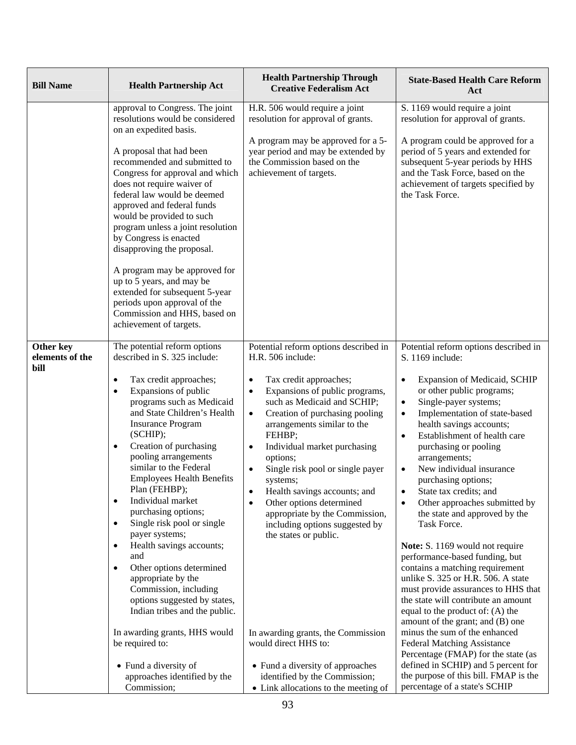| <b>Bill Name</b>             | <b>Health Partnership Act</b>                                                                                                                                                                                                                                                                                                                                                                                                                                                                                                                                                                                                                                                                                                                                                         | <b>Health Partnership Through</b><br><b>Creative Federalism Act</b>                                                                                                                                                                                                                                                                                                                                                                                                                                                                                                                                                                                                 | <b>State-Based Health Care Reform</b><br>Act                                                                                                                                                                                                                                                                                                                                                                                                                                                                                                                                                                                                                                                                                                                                                                                                                                                                                                                                   |
|------------------------------|---------------------------------------------------------------------------------------------------------------------------------------------------------------------------------------------------------------------------------------------------------------------------------------------------------------------------------------------------------------------------------------------------------------------------------------------------------------------------------------------------------------------------------------------------------------------------------------------------------------------------------------------------------------------------------------------------------------------------------------------------------------------------------------|---------------------------------------------------------------------------------------------------------------------------------------------------------------------------------------------------------------------------------------------------------------------------------------------------------------------------------------------------------------------------------------------------------------------------------------------------------------------------------------------------------------------------------------------------------------------------------------------------------------------------------------------------------------------|--------------------------------------------------------------------------------------------------------------------------------------------------------------------------------------------------------------------------------------------------------------------------------------------------------------------------------------------------------------------------------------------------------------------------------------------------------------------------------------------------------------------------------------------------------------------------------------------------------------------------------------------------------------------------------------------------------------------------------------------------------------------------------------------------------------------------------------------------------------------------------------------------------------------------------------------------------------------------------|
|                              | approval to Congress. The joint<br>resolutions would be considered<br>on an expedited basis.                                                                                                                                                                                                                                                                                                                                                                                                                                                                                                                                                                                                                                                                                          | H.R. 506 would require a joint<br>resolution for approval of grants.                                                                                                                                                                                                                                                                                                                                                                                                                                                                                                                                                                                                | S. 1169 would require a joint<br>resolution for approval of grants.                                                                                                                                                                                                                                                                                                                                                                                                                                                                                                                                                                                                                                                                                                                                                                                                                                                                                                            |
|                              | A proposal that had been<br>recommended and submitted to<br>Congress for approval and which<br>does not require waiver of<br>federal law would be deemed<br>approved and federal funds<br>would be provided to such<br>program unless a joint resolution<br>by Congress is enacted<br>disapproving the proposal.<br>A program may be approved for<br>up to 5 years, and may be<br>extended for subsequent 5-year<br>periods upon approval of the<br>Commission and HHS, based on<br>achievement of targets.                                                                                                                                                                                                                                                                           | A program may be approved for a 5-<br>year period and may be extended by<br>the Commission based on the<br>achievement of targets.                                                                                                                                                                                                                                                                                                                                                                                                                                                                                                                                  | A program could be approved for a<br>period of 5 years and extended for<br>subsequent 5-year periods by HHS<br>and the Task Force, based on the<br>achievement of targets specified by<br>the Task Force.                                                                                                                                                                                                                                                                                                                                                                                                                                                                                                                                                                                                                                                                                                                                                                      |
| Other key<br>elements of the | The potential reform options<br>described in S. 325 include:                                                                                                                                                                                                                                                                                                                                                                                                                                                                                                                                                                                                                                                                                                                          | Potential reform options described in<br>H.R. 506 include:                                                                                                                                                                                                                                                                                                                                                                                                                                                                                                                                                                                                          | Potential reform options described in<br>S. 1169 include:                                                                                                                                                                                                                                                                                                                                                                                                                                                                                                                                                                                                                                                                                                                                                                                                                                                                                                                      |
| bill                         | Tax credit approaches;<br>$\bullet$<br>Expansions of public<br>$\bullet$<br>programs such as Medicaid<br>and State Children's Health<br><b>Insurance Program</b><br>(SCHIP);<br>Creation of purchasing<br>$\bullet$<br>pooling arrangements<br>similar to the Federal<br><b>Employees Health Benefits</b><br>Plan (FEHBP);<br>Individual market<br>$\bullet$<br>purchasing options;<br>Single risk pool or single<br>$\bullet$<br>payer systems;<br>Health savings accounts;<br>$\bullet$<br>and<br>Other options determined<br>$\bullet$<br>appropriate by the<br>Commission, including<br>options suggested by states,<br>Indian tribes and the public.<br>In awarding grants, HHS would<br>be required to:<br>• Fund a diversity of<br>approaches identified by the<br>Commission; | Tax credit approaches;<br>$\bullet$<br>Expansions of public programs,<br>$\bullet$<br>such as Medicaid and SCHIP;<br>Creation of purchasing pooling<br>$\bullet$<br>arrangements similar to the<br>FEHBP;<br>Individual market purchasing<br>$\bullet$<br>options;<br>Single risk pool or single payer<br>systems;<br>Health savings accounts; and<br>Other options determined<br>$\bullet$<br>appropriate by the Commission,<br>including options suggested by<br>the states or public.<br>In awarding grants, the Commission<br>would direct HHS to:<br>• Fund a diversity of approaches<br>identified by the Commission;<br>• Link allocations to the meeting of | Expansion of Medicaid, SCHIP<br>$\bullet$<br>or other public programs;<br>Single-payer systems;<br>$\bullet$<br>Implementation of state-based<br>$\bullet$<br>health savings accounts;<br>Establishment of health care<br>$\bullet$<br>purchasing or pooling<br>arrangements;<br>New individual insurance<br>purchasing options;<br>State tax credits; and<br>Other approaches submitted by<br>the state and approved by the<br>Task Force.<br>Note: S. 1169 would not require<br>performance-based funding, but<br>contains a matching requirement<br>unlike S. 325 or H.R. 506. A state<br>must provide assurances to HHS that<br>the state will contribute an amount<br>equal to the product of: (A) the<br>amount of the grant; and (B) one<br>minus the sum of the enhanced<br><b>Federal Matching Assistance</b><br>Percentage (FMAP) for the state (as<br>defined in SCHIP) and 5 percent for<br>the purpose of this bill. FMAP is the<br>percentage of a state's SCHIP |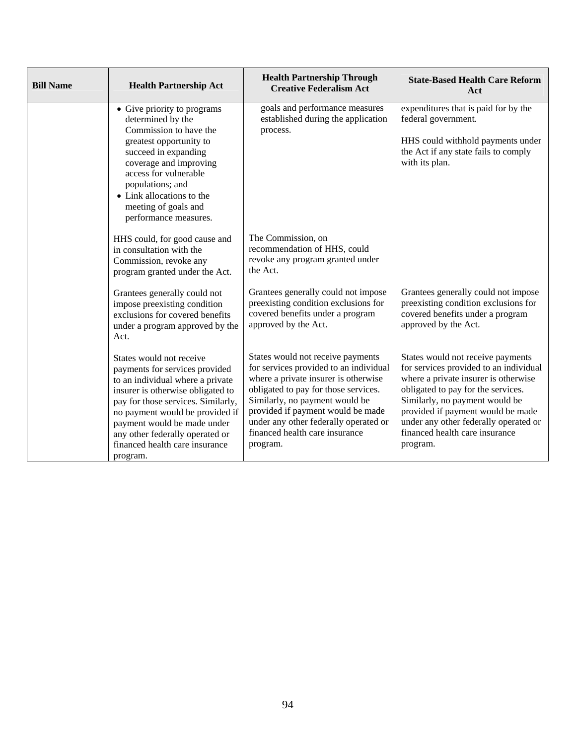| <b>Bill Name</b> | <b>Health Partnership Act</b>                                                                                                                                                                                                                                                                                                | <b>Health Partnership Through</b><br><b>Creative Federalism Act</b>                                                                                                                                                                                                                                                       | <b>State-Based Health Care Reform</b><br>Act                                                                                                                                                                                                                                                                            |
|------------------|------------------------------------------------------------------------------------------------------------------------------------------------------------------------------------------------------------------------------------------------------------------------------------------------------------------------------|---------------------------------------------------------------------------------------------------------------------------------------------------------------------------------------------------------------------------------------------------------------------------------------------------------------------------|-------------------------------------------------------------------------------------------------------------------------------------------------------------------------------------------------------------------------------------------------------------------------------------------------------------------------|
|                  | • Give priority to programs<br>determined by the<br>Commission to have the<br>greatest opportunity to<br>succeed in expanding<br>coverage and improving<br>access for vulnerable<br>populations; and<br>• Link allocations to the<br>meeting of goals and<br>performance measures.                                           | goals and performance measures<br>established during the application<br>process.                                                                                                                                                                                                                                          | expenditures that is paid for by the<br>federal government.<br>HHS could withhold payments under<br>the Act if any state fails to comply<br>with its plan.                                                                                                                                                              |
|                  | HHS could, for good cause and<br>in consultation with the<br>Commission, revoke any<br>program granted under the Act.                                                                                                                                                                                                        | The Commission, on<br>recommendation of HHS, could<br>revoke any program granted under<br>the Act.                                                                                                                                                                                                                        |                                                                                                                                                                                                                                                                                                                         |
|                  | Grantees generally could not<br>impose preexisting condition<br>exclusions for covered benefits<br>under a program approved by the<br>Act.                                                                                                                                                                                   | Grantees generally could not impose<br>preexisting condition exclusions for<br>covered benefits under a program<br>approved by the Act.                                                                                                                                                                                   | Grantees generally could not impose<br>preexisting condition exclusions for<br>covered benefits under a program<br>approved by the Act.                                                                                                                                                                                 |
|                  | States would not receive<br>payments for services provided<br>to an individual where a private<br>insurer is otherwise obligated to<br>pay for those services. Similarly,<br>no payment would be provided if<br>payment would be made under<br>any other federally operated or<br>financed health care insurance<br>program. | States would not receive payments<br>for services provided to an individual<br>where a private insurer is otherwise<br>obligated to pay for those services.<br>Similarly, no payment would be<br>provided if payment would be made<br>under any other federally operated or<br>financed health care insurance<br>program. | States would not receive payments<br>for services provided to an individual<br>where a private insurer is otherwise<br>obligated to pay for the services.<br>Similarly, no payment would be<br>provided if payment would be made<br>under any other federally operated or<br>financed health care insurance<br>program. |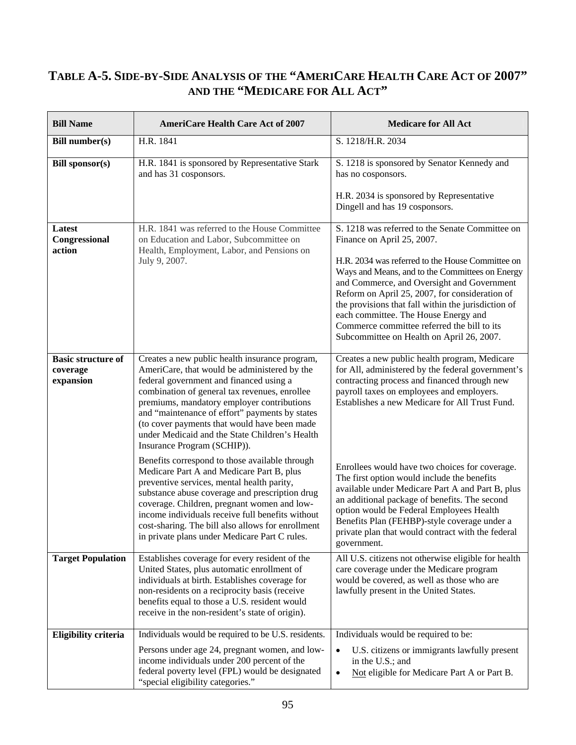#### **TABLE A-5. SIDE-BY-SIDE ANALYSIS OF THE "AMERICARE HEALTH CARE ACT OF 2007" AND THE "MEDICARE FOR ALL ACT"**

| <b>Bill Name</b>                                   | <b>AmeriCare Health Care Act of 2007</b>                                                                                                                                                                                                                                                                                                                                                                                    | <b>Medicare for All Act</b>                                                                                                                                                                                                                                                                                                                                                                                                                                                     |
|----------------------------------------------------|-----------------------------------------------------------------------------------------------------------------------------------------------------------------------------------------------------------------------------------------------------------------------------------------------------------------------------------------------------------------------------------------------------------------------------|---------------------------------------------------------------------------------------------------------------------------------------------------------------------------------------------------------------------------------------------------------------------------------------------------------------------------------------------------------------------------------------------------------------------------------------------------------------------------------|
| <b>Bill number(s)</b>                              | H.R. 1841                                                                                                                                                                                                                                                                                                                                                                                                                   | S. 1218/H.R. 2034                                                                                                                                                                                                                                                                                                                                                                                                                                                               |
| <b>Bill sponsor(s)</b>                             | H.R. 1841 is sponsored by Representative Stark<br>and has 31 cosponsors.                                                                                                                                                                                                                                                                                                                                                    | S. 1218 is sponsored by Senator Kennedy and<br>has no cosponsors.<br>H.R. 2034 is sponsored by Representative<br>Dingell and has 19 cosponsors.                                                                                                                                                                                                                                                                                                                                 |
| Latest<br>Congressional<br>action                  | H.R. 1841 was referred to the House Committee<br>on Education and Labor, Subcommittee on<br>Health, Employment, Labor, and Pensions on<br>July 9, 2007.                                                                                                                                                                                                                                                                     | S. 1218 was referred to the Senate Committee on<br>Finance on April 25, 2007.<br>H.R. 2034 was referred to the House Committee on<br>Ways and Means, and to the Committees on Energy<br>and Commerce, and Oversight and Government<br>Reform on April 25, 2007, for consideration of<br>the provisions that fall within the jurisdiction of<br>each committee. The House Energy and<br>Commerce committee referred the bill to its<br>Subcommittee on Health on April 26, 2007. |
| <b>Basic structure of</b><br>coverage<br>expansion | Creates a new public health insurance program,<br>AmeriCare, that would be administered by the<br>federal government and financed using a<br>combination of general tax revenues, enrollee<br>premiums, mandatory employer contributions<br>and "maintenance of effort" payments by states<br>(to cover payments that would have been made<br>under Medicaid and the State Children's Health<br>Insurance Program (SCHIP)). | Creates a new public health program, Medicare<br>for All, administered by the federal government's<br>contracting process and financed through new<br>payroll taxes on employees and employers.<br>Establishes a new Medicare for All Trust Fund.                                                                                                                                                                                                                               |
|                                                    | Benefits correspond to those available through<br>Medicare Part A and Medicare Part B, plus<br>preventive services, mental health parity,<br>substance abuse coverage and prescription drug<br>coverage. Children, pregnant women and low-<br>income individuals receive full benefits without<br>cost-sharing. The bill also allows for enrollment<br>in private plans under Medicare Part C rules.                        | Enrollees would have two choices for coverage.<br>The first option would include the benefits<br>available under Medicare Part A and Part B, plus<br>an additional package of benefits. The second<br>option would be Federal Employees Health<br>Benefits Plan (FEHBP)-style coverage under a<br>private plan that would contract with the federal<br>government.                                                                                                              |
| <b>Target Population</b>                           | Establishes coverage for every resident of the<br>United States, plus automatic enrollment of<br>individuals at birth. Establishes coverage for<br>non-residents on a reciprocity basis (receive<br>benefits equal to those a U.S. resident would<br>receive in the non-resident's state of origin).                                                                                                                        | All U.S. citizens not otherwise eligible for health<br>care coverage under the Medicare program<br>would be covered, as well as those who are<br>lawfully present in the United States.                                                                                                                                                                                                                                                                                         |
| <b>Eligibility criteria</b>                        | Individuals would be required to be U.S. residents.<br>Persons under age 24, pregnant women, and low-<br>income individuals under 200 percent of the<br>federal poverty level (FPL) would be designated<br>"special eligibility categories."                                                                                                                                                                                | Individuals would be required to be:<br>U.S. citizens or immigrants lawfully present<br>$\bullet$<br>in the U.S.; and<br>Not eligible for Medicare Part A or Part B.<br>$\bullet$                                                                                                                                                                                                                                                                                               |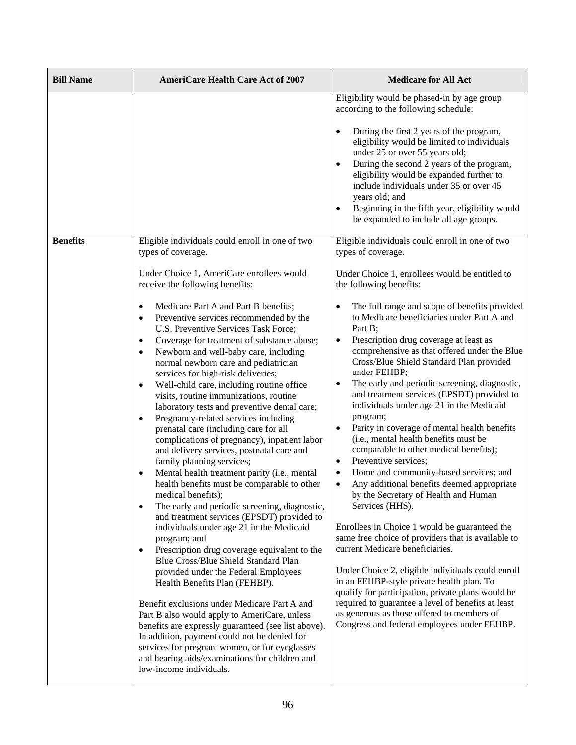| <b>Bill Name</b> | <b>AmeriCare Health Care Act of 2007</b>                                                                                                                                                                                                                                                                                                                                                                                                                                                                                                                                                                                                                                                                                                                                                                                                                                                                                                                                                                                                                                                                                                                                                                                                                                                                                                                                                                                                                                                                                                                                                                                                                                                 | <b>Medicare for All Act</b>                                                                                                                                                                                                                                                                                                                                                                                                                                                                                                                                                                                                                                                                                                                                                                                                                                                                                                                                                                                                                                                                                                                                                                                                                                                                                                                                                                          |
|------------------|------------------------------------------------------------------------------------------------------------------------------------------------------------------------------------------------------------------------------------------------------------------------------------------------------------------------------------------------------------------------------------------------------------------------------------------------------------------------------------------------------------------------------------------------------------------------------------------------------------------------------------------------------------------------------------------------------------------------------------------------------------------------------------------------------------------------------------------------------------------------------------------------------------------------------------------------------------------------------------------------------------------------------------------------------------------------------------------------------------------------------------------------------------------------------------------------------------------------------------------------------------------------------------------------------------------------------------------------------------------------------------------------------------------------------------------------------------------------------------------------------------------------------------------------------------------------------------------------------------------------------------------------------------------------------------------|------------------------------------------------------------------------------------------------------------------------------------------------------------------------------------------------------------------------------------------------------------------------------------------------------------------------------------------------------------------------------------------------------------------------------------------------------------------------------------------------------------------------------------------------------------------------------------------------------------------------------------------------------------------------------------------------------------------------------------------------------------------------------------------------------------------------------------------------------------------------------------------------------------------------------------------------------------------------------------------------------------------------------------------------------------------------------------------------------------------------------------------------------------------------------------------------------------------------------------------------------------------------------------------------------------------------------------------------------------------------------------------------------|
|                  |                                                                                                                                                                                                                                                                                                                                                                                                                                                                                                                                                                                                                                                                                                                                                                                                                                                                                                                                                                                                                                                                                                                                                                                                                                                                                                                                                                                                                                                                                                                                                                                                                                                                                          | Eligibility would be phased-in by age group<br>according to the following schedule:<br>During the first 2 years of the program,<br>eligibility would be limited to individuals<br>under 25 or over 55 years old;<br>During the second 2 years of the program,<br>eligibility would be expanded further to<br>include individuals under 35 or over 45<br>years old; and<br>Beginning in the fifth year, eligibility would<br>$\bullet$<br>be expanded to include all age groups.                                                                                                                                                                                                                                                                                                                                                                                                                                                                                                                                                                                                                                                                                                                                                                                                                                                                                                                      |
| <b>Benefits</b>  | Eligible individuals could enroll in one of two<br>types of coverage.<br>Under Choice 1, AmeriCare enrollees would<br>receive the following benefits:<br>Medicare Part A and Part B benefits;<br>Preventive services recommended by the<br>$\bullet$<br>U.S. Preventive Services Task Force;<br>Coverage for treatment of substance abuse;<br>$\bullet$<br>Newborn and well-baby care, including<br>$\bullet$<br>normal newborn care and pediatrician<br>services for high-risk deliveries;<br>Well-child care, including routine office<br>$\bullet$<br>visits, routine immunizations, routine<br>laboratory tests and preventive dental care;<br>Pregnancy-related services including<br>prenatal care (including care for all<br>complications of pregnancy), inpatient labor<br>and delivery services, postnatal care and<br>family planning services;<br>Mental health treatment parity (i.e., mental<br>$\bullet$<br>health benefits must be comparable to other<br>medical benefits);<br>The early and periodic screening, diagnostic,<br>$\bullet$<br>and treatment services (EPSDT) provided to<br>individuals under age 21 in the Medicaid<br>program; and<br>Prescription drug coverage equivalent to the<br>$\bullet$<br>Blue Cross/Blue Shield Standard Plan<br>provided under the Federal Employees<br>Health Benefits Plan (FEHBP).<br>Benefit exclusions under Medicare Part A and<br>Part B also would apply to AmeriCare, unless<br>benefits are expressly guaranteed (see list above).<br>In addition, payment could not be denied for<br>services for pregnant women, or for eyeglasses<br>and hearing aids/examinations for children and<br>low-income individuals. | Eligible individuals could enroll in one of two<br>types of coverage.<br>Under Choice 1, enrollees would be entitled to<br>the following benefits:<br>The full range and scope of benefits provided<br>to Medicare beneficiaries under Part A and<br>Part B;<br>Prescription drug coverage at least as<br>$\bullet$<br>comprehensive as that offered under the Blue<br>Cross/Blue Shield Standard Plan provided<br>under FEHBP;<br>The early and periodic screening, diagnostic,<br>and treatment services (EPSDT) provided to<br>individuals under age 21 in the Medicaid<br>program;<br>Parity in coverage of mental health benefits<br>$\bullet$<br>(i.e., mental health benefits must be<br>comparable to other medical benefits);<br>Preventive services;<br>$\bullet$<br>Home and community-based services; and<br>٠<br>Any additional benefits deemed appropriate<br>$\bullet$<br>by the Secretary of Health and Human<br>Services (HHS).<br>Enrollees in Choice 1 would be guaranteed the<br>same free choice of providers that is available to<br>current Medicare beneficiaries.<br>Under Choice 2, eligible individuals could enroll<br>in an FEHBP-style private health plan. To<br>qualify for participation, private plans would be<br>required to guarantee a level of benefits at least<br>as generous as those offered to members of<br>Congress and federal employees under FEHBP. |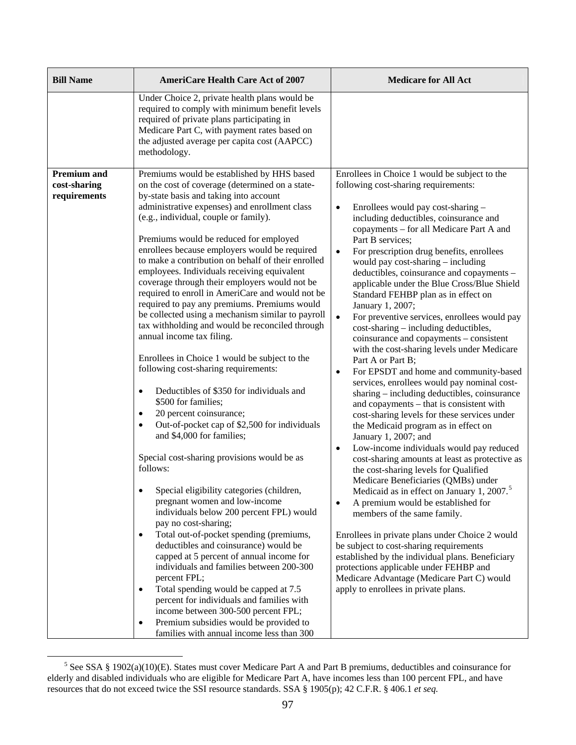| <b>Bill Name</b>                                   | <b>AmeriCare Health Care Act of 2007</b>                                                                                                                                                                                                                                                                                                                                                                                                                                                                                                                                                                                                                                                                                                                                                                                                                                                                                                                                                                                                                                                                                                                                                                                                            | <b>Medicare for All Act</b>                                                                                                                                                                                                                                                                                                                                                                                                                                                                                                                                                                                                                                                                                                                                                                                                                                                                                                                                                                                                                                                                                                                                                                                                                                                                                                                                                             |
|----------------------------------------------------|-----------------------------------------------------------------------------------------------------------------------------------------------------------------------------------------------------------------------------------------------------------------------------------------------------------------------------------------------------------------------------------------------------------------------------------------------------------------------------------------------------------------------------------------------------------------------------------------------------------------------------------------------------------------------------------------------------------------------------------------------------------------------------------------------------------------------------------------------------------------------------------------------------------------------------------------------------------------------------------------------------------------------------------------------------------------------------------------------------------------------------------------------------------------------------------------------------------------------------------------------------|-----------------------------------------------------------------------------------------------------------------------------------------------------------------------------------------------------------------------------------------------------------------------------------------------------------------------------------------------------------------------------------------------------------------------------------------------------------------------------------------------------------------------------------------------------------------------------------------------------------------------------------------------------------------------------------------------------------------------------------------------------------------------------------------------------------------------------------------------------------------------------------------------------------------------------------------------------------------------------------------------------------------------------------------------------------------------------------------------------------------------------------------------------------------------------------------------------------------------------------------------------------------------------------------------------------------------------------------------------------------------------------------|
|                                                    | Under Choice 2, private health plans would be<br>required to comply with minimum benefit levels<br>required of private plans participating in<br>Medicare Part C, with payment rates based on<br>the adjusted average per capita cost (AAPCC)<br>methodology.                                                                                                                                                                                                                                                                                                                                                                                                                                                                                                                                                                                                                                                                                                                                                                                                                                                                                                                                                                                       |                                                                                                                                                                                                                                                                                                                                                                                                                                                                                                                                                                                                                                                                                                                                                                                                                                                                                                                                                                                                                                                                                                                                                                                                                                                                                                                                                                                         |
| <b>Premium and</b><br>cost-sharing<br>requirements | Premiums would be established by HHS based<br>on the cost of coverage (determined on a state-<br>by-state basis and taking into account<br>administrative expenses) and enrollment class<br>(e.g., individual, couple or family).<br>Premiums would be reduced for employed<br>enrollees because employers would be required<br>to make a contribution on behalf of their enrolled<br>employees. Individuals receiving equivalent<br>coverage through their employers would not be<br>required to enroll in AmeriCare and would not be<br>required to pay any premiums. Premiums would<br>be collected using a mechanism similar to payroll<br>tax withholding and would be reconciled through<br>annual income tax filing.<br>Enrollees in Choice 1 would be subject to the<br>following cost-sharing requirements:<br>Deductibles of \$350 for individuals and<br>$\bullet$<br>\$500 for families;<br>20 percent coinsurance;<br>$\bullet$<br>Out-of-pocket cap of \$2,500 for individuals<br>$\bullet$<br>and \$4,000 for families;<br>Special cost-sharing provisions would be as<br>follows:<br>Special eligibility categories (children,<br>pregnant women and low-income<br>individuals below 200 percent FPL) would<br>pay no cost-sharing; | Enrollees in Choice 1 would be subject to the<br>following cost-sharing requirements:<br>Enrollees would pay cost-sharing -<br>$\bullet$<br>including deductibles, coinsurance and<br>copayments - for all Medicare Part A and<br>Part B services;<br>For prescription drug benefits, enrollees<br>$\bullet$<br>would pay cost-sharing – including<br>deductibles, coinsurance and copayments -<br>applicable under the Blue Cross/Blue Shield<br>Standard FEHBP plan as in effect on<br>January 1, 2007;<br>For preventive services, enrollees would pay<br>$\bullet$<br>cost-sharing – including deductibles,<br>coinsurance and copayments - consistent<br>with the cost-sharing levels under Medicare<br>Part A or Part B;<br>For EPSDT and home and community-based<br>$\bullet$<br>services, enrollees would pay nominal cost-<br>sharing - including deductibles, coinsurance<br>and copayments – that is consistent with<br>cost-sharing levels for these services under<br>the Medicaid program as in effect on<br>January 1, 2007; and<br>Low-income individuals would pay reduced<br>$\bullet$<br>cost-sharing amounts at least as protective as<br>the cost-sharing levels for Qualified<br>Medicare Beneficiaries (QMBs) under<br>Medicaid as in effect on January 1, 2007. <sup>5</sup><br>A premium would be established for<br>$\bullet$<br>members of the same family. |
|                                                    | Total out-of-pocket spending (premiums,<br>$\bullet$<br>deductibles and coinsurance) would be<br>capped at 5 percent of annual income for<br>individuals and families between 200-300<br>percent FPL;<br>Total spending would be capped at 7.5<br>$\bullet$<br>percent for individuals and families with                                                                                                                                                                                                                                                                                                                                                                                                                                                                                                                                                                                                                                                                                                                                                                                                                                                                                                                                            | Enrollees in private plans under Choice 2 would<br>be subject to cost-sharing requirements<br>established by the individual plans. Beneficiary<br>protections applicable under FEHBP and<br>Medicare Advantage (Medicare Part C) would<br>apply to enrollees in private plans.                                                                                                                                                                                                                                                                                                                                                                                                                                                                                                                                                                                                                                                                                                                                                                                                                                                                                                                                                                                                                                                                                                          |
|                                                    | income between 300-500 percent FPL;<br>Premium subsidies would be provided to<br>$\bullet$<br>families with annual income less than 300                                                                                                                                                                                                                                                                                                                                                                                                                                                                                                                                                                                                                                                                                                                                                                                                                                                                                                                                                                                                                                                                                                             |                                                                                                                                                                                                                                                                                                                                                                                                                                                                                                                                                                                                                                                                                                                                                                                                                                                                                                                                                                                                                                                                                                                                                                                                                                                                                                                                                                                         |

<span id="page-114-0"></span><sup>&</sup>lt;sup>5</sup> See SSA § 1902(a)(10)(E). States must cover Medicare Part A and Part B premiums, deductibles and coinsurance for elderly and disabled individuals who are eligible for Medicare Part A, have incomes less than 100 percent FPL, and have resources that do not exceed twice the SSI resource standards. SSA § 1905(p); 42 C.F.R. § 406.1 *et seq.*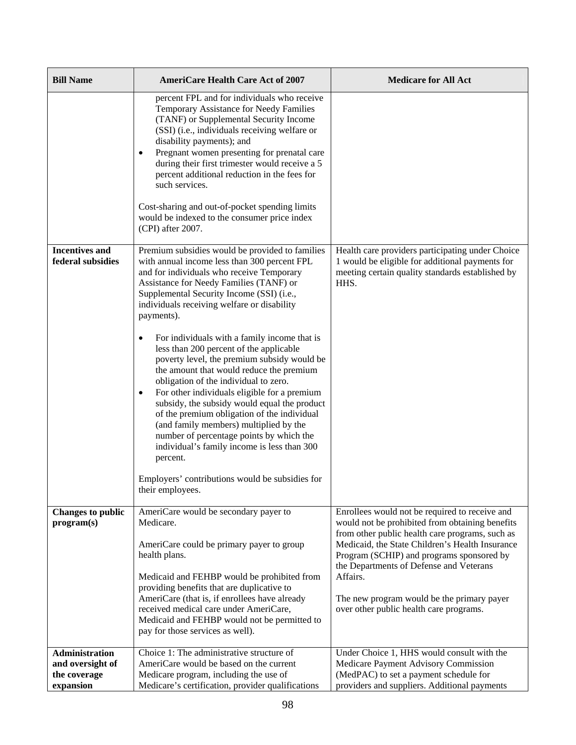| <b>Bill Name</b>                           | <b>AmeriCare Health Care Act of 2007</b>                                                                                                                                                                                                                                                                                                                                                                                                                                                                                                                                                                                                                                                                                                                                                                                                                                                                                  | <b>Medicare for All Act</b>                                                                                                                                                                             |
|--------------------------------------------|---------------------------------------------------------------------------------------------------------------------------------------------------------------------------------------------------------------------------------------------------------------------------------------------------------------------------------------------------------------------------------------------------------------------------------------------------------------------------------------------------------------------------------------------------------------------------------------------------------------------------------------------------------------------------------------------------------------------------------------------------------------------------------------------------------------------------------------------------------------------------------------------------------------------------|---------------------------------------------------------------------------------------------------------------------------------------------------------------------------------------------------------|
|                                            | percent FPL and for individuals who receive<br>Temporary Assistance for Needy Families<br>(TANF) or Supplemental Security Income<br>(SSI) (i.e., individuals receiving welfare or<br>disability payments); and<br>Pregnant women presenting for prenatal care<br>٠<br>during their first trimester would receive a 5<br>percent additional reduction in the fees for<br>such services.<br>Cost-sharing and out-of-pocket spending limits<br>would be indexed to the consumer price index<br>(CPI) after 2007.                                                                                                                                                                                                                                                                                                                                                                                                             |                                                                                                                                                                                                         |
| <b>Incentives and</b><br>federal subsidies | Premium subsidies would be provided to families<br>with annual income less than 300 percent FPL<br>and for individuals who receive Temporary<br>Assistance for Needy Families (TANF) or<br>Supplemental Security Income (SSI) (i.e.,<br>individuals receiving welfare or disability<br>payments).<br>For individuals with a family income that is<br>٠<br>less than 200 percent of the applicable<br>poverty level, the premium subsidy would be<br>the amount that would reduce the premium<br>obligation of the individual to zero.<br>For other individuals eligible for a premium<br>$\bullet$<br>subsidy, the subsidy would equal the product<br>of the premium obligation of the individual<br>(and family members) multiplied by the<br>number of percentage points by which the<br>individual's family income is less than 300<br>percent.<br>Employers' contributions would be subsidies for<br>their employees. | Health care providers participating under Choice<br>1 would be eligible for additional payments for<br>meeting certain quality standards established by<br>HHS.                                         |
| <b>Changes to public</b><br>program(s)     | AmeriCare would be secondary payer to<br>Medicare.<br>AmeriCare could be primary payer to group                                                                                                                                                                                                                                                                                                                                                                                                                                                                                                                                                                                                                                                                                                                                                                                                                           | Enrollees would not be required to receive and<br>would not be prohibited from obtaining benefits<br>from other public health care programs, such as<br>Medicaid, the State Children's Health Insurance |
|                                            | health plans.                                                                                                                                                                                                                                                                                                                                                                                                                                                                                                                                                                                                                                                                                                                                                                                                                                                                                                             | Program (SCHIP) and programs sponsored by<br>the Departments of Defense and Veterans                                                                                                                    |
|                                            | Medicaid and FEHBP would be prohibited from<br>providing benefits that are duplicative to                                                                                                                                                                                                                                                                                                                                                                                                                                                                                                                                                                                                                                                                                                                                                                                                                                 | Affairs.                                                                                                                                                                                                |
|                                            | AmeriCare (that is, if enrollees have already<br>received medical care under AmeriCare,<br>Medicaid and FEHBP would not be permitted to<br>pay for those services as well).                                                                                                                                                                                                                                                                                                                                                                                                                                                                                                                                                                                                                                                                                                                                               | The new program would be the primary payer<br>over other public health care programs.                                                                                                                   |
| <b>Administration</b>                      | Choice 1: The administrative structure of                                                                                                                                                                                                                                                                                                                                                                                                                                                                                                                                                                                                                                                                                                                                                                                                                                                                                 | Under Choice 1, HHS would consult with the                                                                                                                                                              |
| and oversight of                           | AmeriCare would be based on the current                                                                                                                                                                                                                                                                                                                                                                                                                                                                                                                                                                                                                                                                                                                                                                                                                                                                                   | Medicare Payment Advisory Commission                                                                                                                                                                    |
| the coverage                               | Medicare program, including the use of                                                                                                                                                                                                                                                                                                                                                                                                                                                                                                                                                                                                                                                                                                                                                                                                                                                                                    | (MedPAC) to set a payment schedule for                                                                                                                                                                  |
| expansion                                  | Medicare's certification, provider qualifications                                                                                                                                                                                                                                                                                                                                                                                                                                                                                                                                                                                                                                                                                                                                                                                                                                                                         | providers and suppliers. Additional payments                                                                                                                                                            |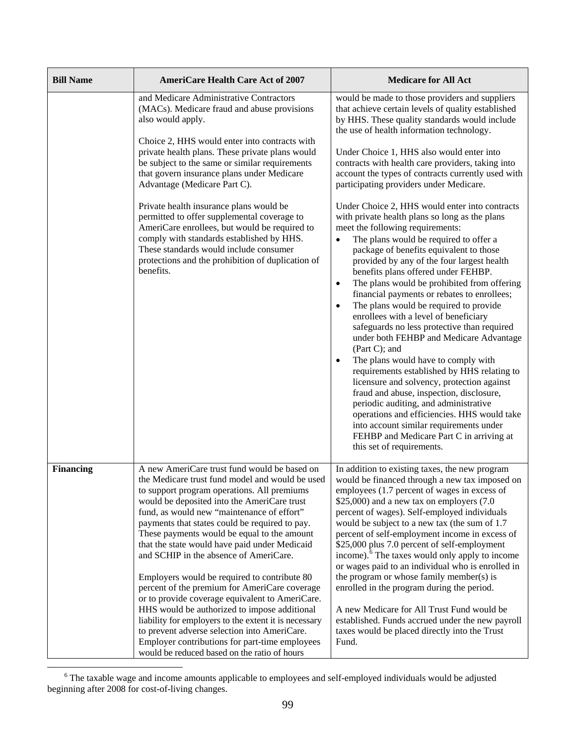| <b>Bill Name</b> | <b>AmeriCare Health Care Act of 2007</b>                                                                                                                                                                                                                                                                                                                                                                                                                                                                                                                                                                                                                                                                                                                                                                                                               | <b>Medicare for All Act</b>                                                                                                                                                                                                                                                                                                                                                                                                                                                                                                                                                                                                                                                                                                                                                                                                                                                                                                                                                                                                                   |
|------------------|--------------------------------------------------------------------------------------------------------------------------------------------------------------------------------------------------------------------------------------------------------------------------------------------------------------------------------------------------------------------------------------------------------------------------------------------------------------------------------------------------------------------------------------------------------------------------------------------------------------------------------------------------------------------------------------------------------------------------------------------------------------------------------------------------------------------------------------------------------|-----------------------------------------------------------------------------------------------------------------------------------------------------------------------------------------------------------------------------------------------------------------------------------------------------------------------------------------------------------------------------------------------------------------------------------------------------------------------------------------------------------------------------------------------------------------------------------------------------------------------------------------------------------------------------------------------------------------------------------------------------------------------------------------------------------------------------------------------------------------------------------------------------------------------------------------------------------------------------------------------------------------------------------------------|
|                  | and Medicare Administrative Contractors<br>(MACs). Medicare fraud and abuse provisions<br>also would apply.                                                                                                                                                                                                                                                                                                                                                                                                                                                                                                                                                                                                                                                                                                                                            | would be made to those providers and suppliers<br>that achieve certain levels of quality established<br>by HHS. These quality standards would include<br>the use of health information technology.                                                                                                                                                                                                                                                                                                                                                                                                                                                                                                                                                                                                                                                                                                                                                                                                                                            |
|                  | Choice 2, HHS would enter into contracts with<br>private health plans. These private plans would<br>be subject to the same or similar requirements<br>that govern insurance plans under Medicare<br>Advantage (Medicare Part C).                                                                                                                                                                                                                                                                                                                                                                                                                                                                                                                                                                                                                       | Under Choice 1, HHS also would enter into<br>contracts with health care providers, taking into<br>account the types of contracts currently used with<br>participating providers under Medicare.                                                                                                                                                                                                                                                                                                                                                                                                                                                                                                                                                                                                                                                                                                                                                                                                                                               |
|                  | Private health insurance plans would be<br>permitted to offer supplemental coverage to<br>AmeriCare enrollees, but would be required to<br>comply with standards established by HHS.<br>These standards would include consumer<br>protections and the prohibition of duplication of<br>benefits.                                                                                                                                                                                                                                                                                                                                                                                                                                                                                                                                                       | Under Choice 2, HHS would enter into contracts<br>with private health plans so long as the plans<br>meet the following requirements:<br>The plans would be required to offer a<br>$\bullet$<br>package of benefits equivalent to those<br>provided by any of the four largest health<br>benefits plans offered under FEHBP.<br>The plans would be prohibited from offering<br>$\bullet$<br>financial payments or rebates to enrollees;<br>The plans would be required to provide<br>$\bullet$<br>enrollees with a level of beneficiary<br>safeguards no less protective than required<br>under both FEHBP and Medicare Advantage<br>(Part C); and<br>The plans would have to comply with<br>requirements established by HHS relating to<br>licensure and solvency, protection against<br>fraud and abuse, inspection, disclosure,<br>periodic auditing, and administrative<br>operations and efficiencies. HHS would take<br>into account similar requirements under<br>FEHBP and Medicare Part C in arriving at<br>this set of requirements. |
| <b>Financing</b> | A new AmeriCare trust fund would be based on<br>the Medicare trust fund model and would be used<br>to support program operations. All premiums<br>would be deposited into the AmeriCare trust<br>fund, as would new "maintenance of effort"<br>payments that states could be required to pay.<br>These payments would be equal to the amount<br>that the state would have paid under Medicaid<br>and SCHIP in the absence of AmeriCare.<br>Employers would be required to contribute 80<br>percent of the premium for AmeriCare coverage<br>or to provide coverage equivalent to AmeriCare.<br>HHS would be authorized to impose additional<br>liability for employers to the extent it is necessary<br>to prevent adverse selection into AmeriCare.<br>Employer contributions for part-time employees<br>would be reduced based on the ratio of hours | In addition to existing taxes, the new program<br>would be financed through a new tax imposed on<br>employees (1.7 percent of wages in excess of<br>\$25,000) and a new tax on employers $(7.0)$<br>percent of wages). Self-employed individuals<br>would be subject to a new tax (the sum of 1.7<br>percent of self-employment income in excess of<br>\$25,000 plus 7.0 percent of self-employment<br>income). <sup>6</sup> The taxes would only apply to income<br>or wages paid to an individual who is enrolled in<br>the program or whose family member(s) is<br>enrolled in the program during the period.<br>A new Medicare for All Trust Fund would be<br>established. Funds accrued under the new payroll<br>taxes would be placed directly into the Trust<br>Fund.                                                                                                                                                                                                                                                                  |

<span id="page-116-0"></span><sup>&</sup>lt;sup>6</sup> The taxable wage and income amounts applicable to employees and self-employed individuals would be adjusted beginning after 2008 for cost-of-living changes.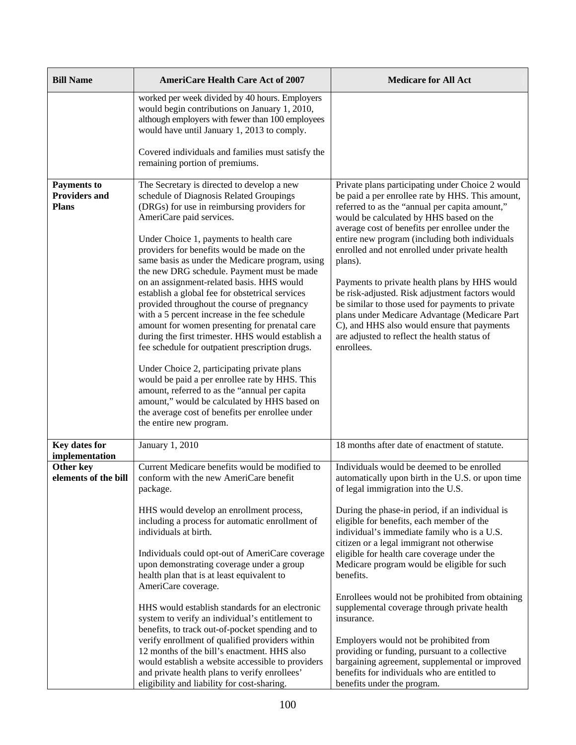| <b>Bill Name</b>                                           | <b>AmeriCare Health Care Act of 2007</b>                                                                                                                                                                                                                                                                                                                                                                                                                                                                                                                                                                                                                                                                                                                                                                                                                                                                                                                                                             | <b>Medicare for All Act</b>                                                                                                                                                                                                                                                                                                                                                                                                                                                                                                                                                                                                                                                                                                                                                                  |
|------------------------------------------------------------|------------------------------------------------------------------------------------------------------------------------------------------------------------------------------------------------------------------------------------------------------------------------------------------------------------------------------------------------------------------------------------------------------------------------------------------------------------------------------------------------------------------------------------------------------------------------------------------------------------------------------------------------------------------------------------------------------------------------------------------------------------------------------------------------------------------------------------------------------------------------------------------------------------------------------------------------------------------------------------------------------|----------------------------------------------------------------------------------------------------------------------------------------------------------------------------------------------------------------------------------------------------------------------------------------------------------------------------------------------------------------------------------------------------------------------------------------------------------------------------------------------------------------------------------------------------------------------------------------------------------------------------------------------------------------------------------------------------------------------------------------------------------------------------------------------|
|                                                            | worked per week divided by 40 hours. Employers<br>would begin contributions on January 1, 2010,<br>although employers with fewer than 100 employees<br>would have until January 1, 2013 to comply.                                                                                                                                                                                                                                                                                                                                                                                                                                                                                                                                                                                                                                                                                                                                                                                                   |                                                                                                                                                                                                                                                                                                                                                                                                                                                                                                                                                                                                                                                                                                                                                                                              |
|                                                            | Covered individuals and families must satisfy the<br>remaining portion of premiums.                                                                                                                                                                                                                                                                                                                                                                                                                                                                                                                                                                                                                                                                                                                                                                                                                                                                                                                  |                                                                                                                                                                                                                                                                                                                                                                                                                                                                                                                                                                                                                                                                                                                                                                                              |
| <b>Payments to</b><br><b>Providers and</b><br><b>Plans</b> | The Secretary is directed to develop a new<br>schedule of Diagnosis Related Groupings<br>(DRGs) for use in reimbursing providers for<br>AmeriCare paid services.<br>Under Choice 1, payments to health care<br>providers for benefits would be made on the<br>same basis as under the Medicare program, using<br>the new DRG schedule. Payment must be made<br>on an assignment-related basis. HHS would<br>establish a global fee for obstetrical services<br>provided throughout the course of pregnancy<br>with a 5 percent increase in the fee schedule<br>amount for women presenting for prenatal care<br>during the first trimester. HHS would establish a<br>fee schedule for outpatient prescription drugs.<br>Under Choice 2, participating private plans<br>would be paid a per enrollee rate by HHS. This<br>amount, referred to as the "annual per capita<br>amount," would be calculated by HHS based on<br>the average cost of benefits per enrollee under<br>the entire new program. | Private plans participating under Choice 2 would<br>be paid a per enrollee rate by HHS. This amount,<br>referred to as the "annual per capita amount,"<br>would be calculated by HHS based on the<br>average cost of benefits per enrollee under the<br>entire new program (including both individuals<br>enrolled and not enrolled under private health<br>plans).<br>Payments to private health plans by HHS would<br>be risk-adjusted. Risk adjustment factors would<br>be similar to those used for payments to private<br>plans under Medicare Advantage (Medicare Part<br>C), and HHS also would ensure that payments<br>are adjusted to reflect the health status of<br>enrollees.                                                                                                    |
| Key dates for<br>implementation                            | January 1, 2010                                                                                                                                                                                                                                                                                                                                                                                                                                                                                                                                                                                                                                                                                                                                                                                                                                                                                                                                                                                      | 18 months after date of enactment of statute.                                                                                                                                                                                                                                                                                                                                                                                                                                                                                                                                                                                                                                                                                                                                                |
| Other key<br>elements of the bill                          | Current Medicare benefits would be modified to<br>conform with the new AmeriCare benefit<br>package.<br>HHS would develop an enrollment process,<br>including a process for automatic enrollment of<br>individuals at birth.<br>Individuals could opt-out of AmeriCare coverage<br>upon demonstrating coverage under a group<br>health plan that is at least equivalent to<br>AmeriCare coverage.<br>HHS would establish standards for an electronic<br>system to verify an individual's entitlement to<br>benefits, to track out-of-pocket spending and to<br>verify enrollment of qualified providers within<br>12 months of the bill's enactment. HHS also<br>would establish a website accessible to providers<br>and private health plans to verify enrollees'<br>eligibility and liability for cost-sharing.                                                                                                                                                                                   | Individuals would be deemed to be enrolled<br>automatically upon birth in the U.S. or upon time<br>of legal immigration into the U.S.<br>During the phase-in period, if an individual is<br>eligible for benefits, each member of the<br>individual's immediate family who is a U.S.<br>citizen or a legal immigrant not otherwise<br>eligible for health care coverage under the<br>Medicare program would be eligible for such<br>benefits.<br>Enrollees would not be prohibited from obtaining<br>supplemental coverage through private health<br>insurance.<br>Employers would not be prohibited from<br>providing or funding, pursuant to a collective<br>bargaining agreement, supplemental or improved<br>benefits for individuals who are entitled to<br>benefits under the program. |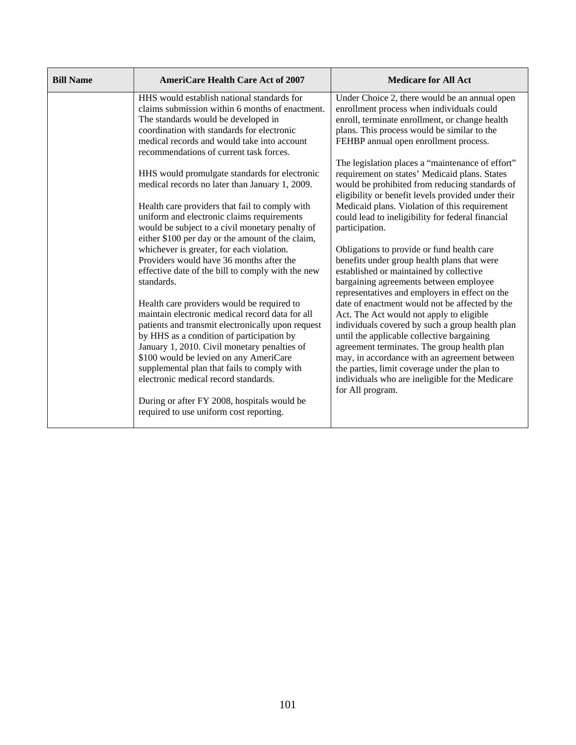| <b>Bill Name</b> | <b>AmeriCare Health Care Act of 2007</b>                                                                                                                                                                                                                                                                                                                                         | <b>Medicare for All Act</b>                                                                                                                                                                                                                                                                                                                                                                                        |
|------------------|----------------------------------------------------------------------------------------------------------------------------------------------------------------------------------------------------------------------------------------------------------------------------------------------------------------------------------------------------------------------------------|--------------------------------------------------------------------------------------------------------------------------------------------------------------------------------------------------------------------------------------------------------------------------------------------------------------------------------------------------------------------------------------------------------------------|
|                  | HHS would establish national standards for<br>claims submission within 6 months of enactment.<br>The standards would be developed in<br>coordination with standards for electronic<br>medical records and would take into account<br>recommendations of current task forces.                                                                                                     | Under Choice 2, there would be an annual open<br>enrollment process when individuals could<br>enroll, terminate enrollment, or change health<br>plans. This process would be similar to the<br>FEHBP annual open enrollment process.                                                                                                                                                                               |
|                  | HHS would promulgate standards for electronic<br>medical records no later than January 1, 2009.<br>Health care providers that fail to comply with<br>uniform and electronic claims requirements<br>would be subject to a civil monetary penalty of<br>either \$100 per day or the amount of the claim,                                                                           | The legislation places a "maintenance of effort"<br>requirement on states' Medicaid plans. States<br>would be prohibited from reducing standards of<br>eligibility or benefit levels provided under their<br>Medicaid plans. Violation of this requirement<br>could lead to ineligibility for federal financial<br>participation.                                                                                  |
|                  | whichever is greater, for each violation.<br>Providers would have 36 months after the<br>effective date of the bill to comply with the new<br>standards.                                                                                                                                                                                                                         | Obligations to provide or fund health care<br>benefits under group health plans that were<br>established or maintained by collective<br>bargaining agreements between employee<br>representatives and employers in effect on the                                                                                                                                                                                   |
|                  | Health care providers would be required to<br>maintain electronic medical record data for all<br>patients and transmit electronically upon request<br>by HHS as a condition of participation by<br>January 1, 2010. Civil monetary penalties of<br>\$100 would be levied on any AmeriCare<br>supplemental plan that fails to comply with<br>electronic medical record standards. | date of enactment would not be affected by the<br>Act. The Act would not apply to eligible<br>individuals covered by such a group health plan<br>until the applicable collective bargaining<br>agreement terminates. The group health plan<br>may, in accordance with an agreement between<br>the parties, limit coverage under the plan to<br>individuals who are ineligible for the Medicare<br>for All program. |
|                  | During or after FY 2008, hospitals would be<br>required to use uniform cost reporting.                                                                                                                                                                                                                                                                                           |                                                                                                                                                                                                                                                                                                                                                                                                                    |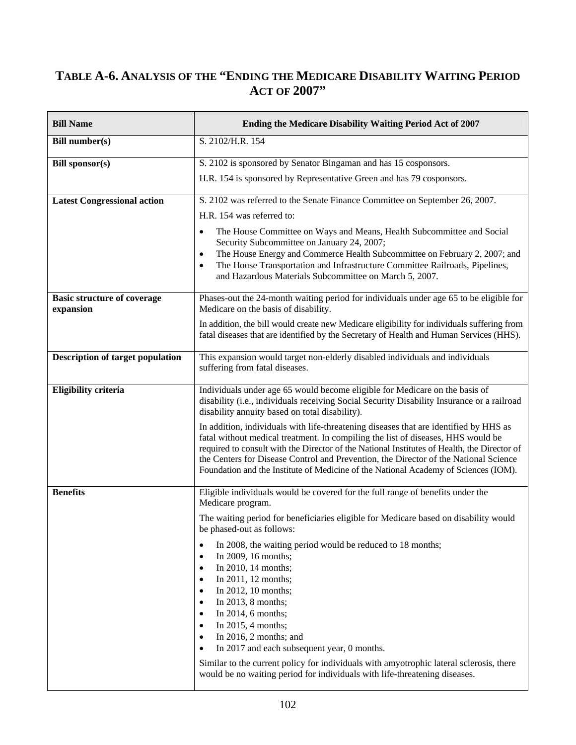# **TABLE A-6. ANALYSIS OF THE "ENDING THE MEDICARE DISABILITY WAITING PERIOD ACT OF 2007"**

| <b>Bill Name</b>                                | Ending the Medicare Disability Waiting Period Act of 2007                                                                                                                                                                                                                                                                                                                                                                                                                                                                                                                                                                                                                                                                                     |
|-------------------------------------------------|-----------------------------------------------------------------------------------------------------------------------------------------------------------------------------------------------------------------------------------------------------------------------------------------------------------------------------------------------------------------------------------------------------------------------------------------------------------------------------------------------------------------------------------------------------------------------------------------------------------------------------------------------------------------------------------------------------------------------------------------------|
| <b>Bill number(s)</b>                           | S. 2102/H.R. 154                                                                                                                                                                                                                                                                                                                                                                                                                                                                                                                                                                                                                                                                                                                              |
| <b>Bill sponsor(s)</b>                          | S. 2102 is sponsored by Senator Bingaman and has 15 cosponsors.<br>H.R. 154 is sponsored by Representative Green and has 79 cosponsors.                                                                                                                                                                                                                                                                                                                                                                                                                                                                                                                                                                                                       |
| <b>Latest Congressional action</b>              | S. 2102 was referred to the Senate Finance Committee on September 26, 2007.<br>H.R. 154 was referred to:<br>The House Committee on Ways and Means, Health Subcommittee and Social<br>٠<br>Security Subcommittee on January 24, 2007;<br>The House Energy and Commerce Health Subcommittee on February 2, 2007; and<br>$\bullet$<br>The House Transportation and Infrastructure Committee Railroads, Pipelines,<br>٠<br>and Hazardous Materials Subcommittee on March 5, 2007.                                                                                                                                                                                                                                                                 |
| <b>Basic structure of coverage</b><br>expansion | Phases-out the 24-month waiting period for individuals under age 65 to be eligible for<br>Medicare on the basis of disability.<br>In addition, the bill would create new Medicare eligibility for individuals suffering from<br>fatal diseases that are identified by the Secretary of Health and Human Services (HHS).                                                                                                                                                                                                                                                                                                                                                                                                                       |
| <b>Description of target population</b>         | This expansion would target non-elderly disabled individuals and individuals<br>suffering from fatal diseases.                                                                                                                                                                                                                                                                                                                                                                                                                                                                                                                                                                                                                                |
| <b>Eligibility criteria</b>                     | Individuals under age 65 would become eligible for Medicare on the basis of<br>disability (i.e., individuals receiving Social Security Disability Insurance or a railroad<br>disability annuity based on total disability).<br>In addition, individuals with life-threatening diseases that are identified by HHS as<br>fatal without medical treatment. In compiling the list of diseases, HHS would be<br>required to consult with the Director of the National Institutes of Health, the Director of<br>the Centers for Disease Control and Prevention, the Director of the National Science<br>Foundation and the Institute of Medicine of the National Academy of Sciences (IOM).                                                        |
| <b>Benefits</b>                                 | Eligible individuals would be covered for the full range of benefits under the<br>Medicare program.<br>The waiting period for beneficiaries eligible for Medicare based on disability would<br>be phased-out as follows:<br>In 2008, the waiting period would be reduced to 18 months;<br>In 2009, 16 months;<br>In 2010, 14 months;<br>In 2011, 12 months;<br>$\bullet$<br>In 2012, 10 months;<br>$\bullet$<br>In 2013, 8 months;<br>$\bullet$<br>In 2014, 6 months;<br>In 2015, 4 months;<br>In 2016, 2 months; and<br>In 2017 and each subsequent year, 0 months.<br>Similar to the current policy for individuals with amyotrophic lateral sclerosis, there<br>would be no waiting period for individuals with life-threatening diseases. |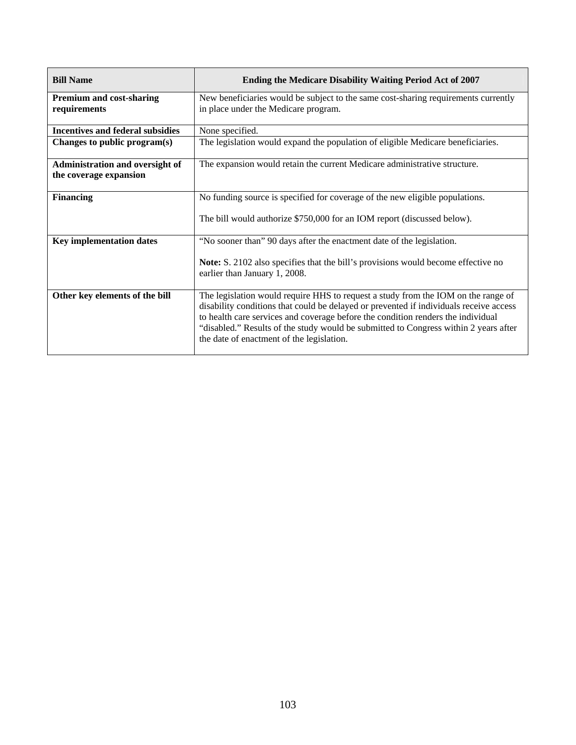| <b>Bill Name</b>                                          | Ending the Medicare Disability Waiting Period Act of 2007                                                                                                                                                                                                                                                                                                                                            |
|-----------------------------------------------------------|------------------------------------------------------------------------------------------------------------------------------------------------------------------------------------------------------------------------------------------------------------------------------------------------------------------------------------------------------------------------------------------------------|
| <b>Premium and cost-sharing</b><br>requirements           | New beneficiaries would be subject to the same cost-sharing requirements currently<br>in place under the Medicare program.                                                                                                                                                                                                                                                                           |
| <b>Incentives and federal subsidies</b>                   | None specified.                                                                                                                                                                                                                                                                                                                                                                                      |
| Changes to public program(s)                              | The legislation would expand the population of eligible Medicare beneficiaries.                                                                                                                                                                                                                                                                                                                      |
| Administration and oversight of<br>the coverage expansion | The expansion would retain the current Medicare administrative structure.                                                                                                                                                                                                                                                                                                                            |
| <b>Financing</b>                                          | No funding source is specified for coverage of the new eligible populations.<br>The bill would authorize \$750,000 for an IOM report (discussed below).                                                                                                                                                                                                                                              |
|                                                           |                                                                                                                                                                                                                                                                                                                                                                                                      |
| <b>Key implementation dates</b>                           | "No sooner than" 90 days after the enactment date of the legislation.<br>Note: S. 2102 also specifies that the bill's provisions would become effective no<br>earlier than January 1, 2008.                                                                                                                                                                                                          |
| Other key elements of the bill                            | The legislation would require HHS to request a study from the IOM on the range of<br>disability conditions that could be delayed or prevented if individuals receive access<br>to health care services and coverage before the condition renders the individual<br>"disabled." Results of the study would be submitted to Congress within 2 years after<br>the date of enactment of the legislation. |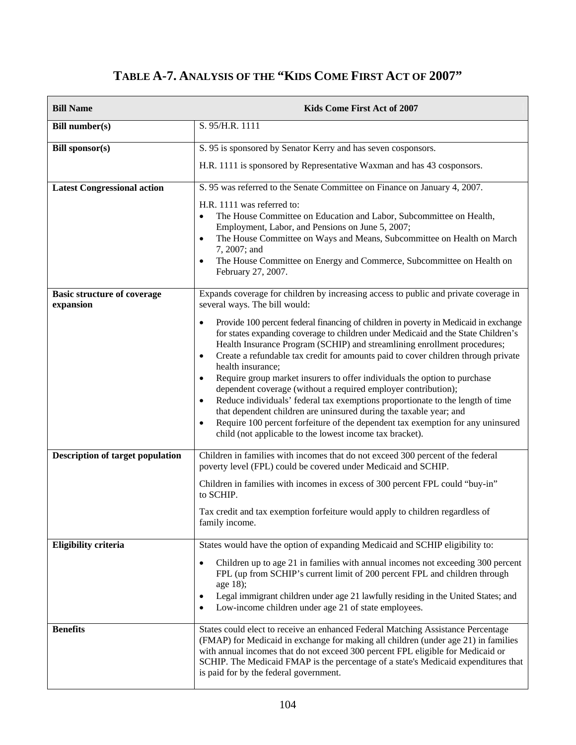# **TABLE A-7. ANALYSIS OF THE "KIDS COME FIRST ACT OF 2007"**

| <b>Bill Name</b>                                | Kids Come First Act of 2007                                                                                                                                                                                                                                                                                                                                                                                                                                                                                                                                                                                                                                                                                                                                                                                                                                                                                                                                                                        |
|-------------------------------------------------|----------------------------------------------------------------------------------------------------------------------------------------------------------------------------------------------------------------------------------------------------------------------------------------------------------------------------------------------------------------------------------------------------------------------------------------------------------------------------------------------------------------------------------------------------------------------------------------------------------------------------------------------------------------------------------------------------------------------------------------------------------------------------------------------------------------------------------------------------------------------------------------------------------------------------------------------------------------------------------------------------|
| <b>Bill number(s)</b>                           | S. 95/H.R. 1111                                                                                                                                                                                                                                                                                                                                                                                                                                                                                                                                                                                                                                                                                                                                                                                                                                                                                                                                                                                    |
| <b>Bill sponsor(s)</b>                          | S. 95 is sponsored by Senator Kerry and has seven cosponsors.<br>H.R. 1111 is sponsored by Representative Waxman and has 43 cosponsors.                                                                                                                                                                                                                                                                                                                                                                                                                                                                                                                                                                                                                                                                                                                                                                                                                                                            |
| <b>Latest Congressional action</b>              | S. 95 was referred to the Senate Committee on Finance on January 4, 2007.<br>H.R. 1111 was referred to:<br>The House Committee on Education and Labor, Subcommittee on Health,<br>$\bullet$<br>Employment, Labor, and Pensions on June 5, 2007;<br>The House Committee on Ways and Means, Subcommittee on Health on March<br>$\bullet$<br>7, 2007; and<br>The House Committee on Energy and Commerce, Subcommittee on Health on<br>$\bullet$<br>February 27, 2007.                                                                                                                                                                                                                                                                                                                                                                                                                                                                                                                                 |
| <b>Basic structure of coverage</b><br>expansion | Expands coverage for children by increasing access to public and private coverage in<br>several ways. The bill would:<br>Provide 100 percent federal financing of children in poverty in Medicaid in exchange<br>$\bullet$<br>for states expanding coverage to children under Medicaid and the State Children's<br>Health Insurance Program (SCHIP) and streamlining enrollment procedures;<br>Create a refundable tax credit for amounts paid to cover children through private<br>$\bullet$<br>health insurance;<br>Require group market insurers to offer individuals the option to purchase<br>$\bullet$<br>dependent coverage (without a required employer contribution);<br>Reduce individuals' federal tax exemptions proportionate to the length of time<br>that dependent children are uninsured during the taxable year; and<br>Require 100 percent forfeiture of the dependent tax exemption for any uninsured<br>$\bullet$<br>child (not applicable to the lowest income tax bracket). |
| <b>Description of target population</b>         | Children in families with incomes that do not exceed 300 percent of the federal<br>poverty level (FPL) could be covered under Medicaid and SCHIP.<br>Children in families with incomes in excess of 300 percent FPL could "buy-in"<br>to SCHIP.<br>Tax credit and tax exemption forfeiture would apply to children regardless of<br>family income.                                                                                                                                                                                                                                                                                                                                                                                                                                                                                                                                                                                                                                                 |
| <b>Eligibility criteria</b>                     | States would have the option of expanding Medicaid and SCHIP eligibility to:<br>Children up to age 21 in families with annual incomes not exceeding 300 percent<br>٠<br>FPL (up from SCHIP's current limit of 200 percent FPL and children through<br>age 18);<br>Legal immigrant children under age 21 lawfully residing in the United States; and<br>$\bullet$<br>Low-income children under age 21 of state employees.<br>$\bullet$                                                                                                                                                                                                                                                                                                                                                                                                                                                                                                                                                              |
| <b>Benefits</b>                                 | States could elect to receive an enhanced Federal Matching Assistance Percentage<br>(FMAP) for Medicaid in exchange for making all children (under age 21) in families<br>with annual incomes that do not exceed 300 percent FPL eligible for Medicaid or<br>SCHIP. The Medicaid FMAP is the percentage of a state's Medicaid expenditures that<br>is paid for by the federal government.                                                                                                                                                                                                                                                                                                                                                                                                                                                                                                                                                                                                          |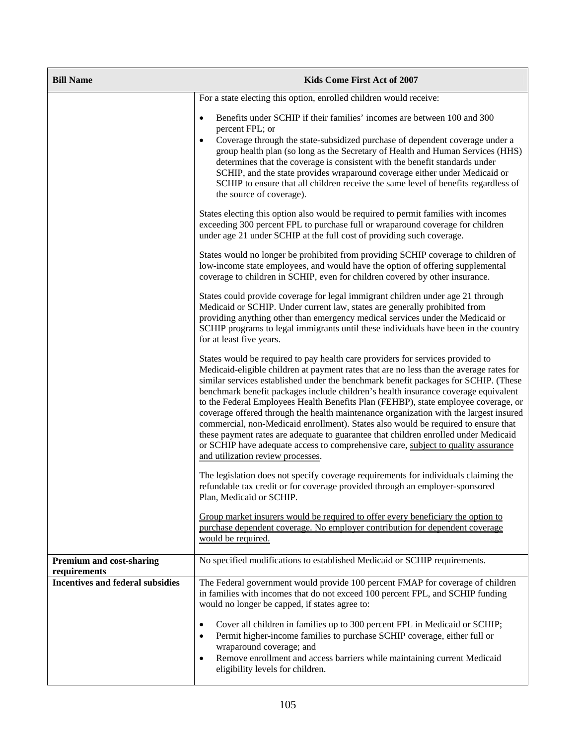| <b>Bill Name</b>                                | Kids Come First Act of 2007                                                                                                                                                                                                                                                                                                                                                                                                                                                                                                                                                                                                                                                                                                                                                                                                                  |
|-------------------------------------------------|----------------------------------------------------------------------------------------------------------------------------------------------------------------------------------------------------------------------------------------------------------------------------------------------------------------------------------------------------------------------------------------------------------------------------------------------------------------------------------------------------------------------------------------------------------------------------------------------------------------------------------------------------------------------------------------------------------------------------------------------------------------------------------------------------------------------------------------------|
|                                                 | For a state electing this option, enrolled children would receive:                                                                                                                                                                                                                                                                                                                                                                                                                                                                                                                                                                                                                                                                                                                                                                           |
|                                                 | Benefits under SCHIP if their families' incomes are between 100 and 300<br>$\bullet$<br>percent FPL; or<br>Coverage through the state-subsidized purchase of dependent coverage under a<br>$\bullet$<br>group health plan (so long as the Secretary of Health and Human Services (HHS)<br>determines that the coverage is consistent with the benefit standards under<br>SCHIP, and the state provides wraparound coverage either under Medicaid or<br>SCHIP to ensure that all children receive the same level of benefits regardless of<br>the source of coverage).                                                                                                                                                                                                                                                                        |
|                                                 | States electing this option also would be required to permit families with incomes<br>exceeding 300 percent FPL to purchase full or wraparound coverage for children<br>under age 21 under SCHIP at the full cost of providing such coverage.                                                                                                                                                                                                                                                                                                                                                                                                                                                                                                                                                                                                |
|                                                 | States would no longer be prohibited from providing SCHIP coverage to children of<br>low-income state employees, and would have the option of offering supplemental<br>coverage to children in SCHIP, even for children covered by other insurance.                                                                                                                                                                                                                                                                                                                                                                                                                                                                                                                                                                                          |
|                                                 | States could provide coverage for legal immigrant children under age 21 through<br>Medicaid or SCHIP. Under current law, states are generally prohibited from<br>providing anything other than emergency medical services under the Medicaid or<br>SCHIP programs to legal immigrants until these individuals have been in the country<br>for at least five years.                                                                                                                                                                                                                                                                                                                                                                                                                                                                           |
|                                                 | States would be required to pay health care providers for services provided to<br>Medicaid-eligible children at payment rates that are no less than the average rates for<br>similar services established under the benchmark benefit packages for SCHIP. (These<br>benchmark benefit packages include children's health insurance coverage equivalent<br>to the Federal Employees Health Benefits Plan (FEHBP), state employee coverage, or<br>coverage offered through the health maintenance organization with the largest insured<br>commercial, non-Medicaid enrollment). States also would be required to ensure that<br>these payment rates are adequate to guarantee that children enrolled under Medicaid<br>or SCHIP have adequate access to comprehensive care, subject to quality assurance<br>and utilization review processes. |
|                                                 | The legislation does not specify coverage requirements for individuals claiming the<br>refundable tax credit or for coverage provided through an employer-sponsored<br>Plan, Medicaid or SCHIP.                                                                                                                                                                                                                                                                                                                                                                                                                                                                                                                                                                                                                                              |
|                                                 | Group market insurers would be required to offer every beneficiary the option to<br>purchase dependent coverage. No employer contribution for dependent coverage<br>would be required.                                                                                                                                                                                                                                                                                                                                                                                                                                                                                                                                                                                                                                                       |
| <b>Premium and cost-sharing</b><br>requirements | No specified modifications to established Medicaid or SCHIP requirements.                                                                                                                                                                                                                                                                                                                                                                                                                                                                                                                                                                                                                                                                                                                                                                    |
| <b>Incentives and federal subsidies</b>         | The Federal government would provide 100 percent FMAP for coverage of children<br>in families with incomes that do not exceed 100 percent FPL, and SCHIP funding<br>would no longer be capped, if states agree to:                                                                                                                                                                                                                                                                                                                                                                                                                                                                                                                                                                                                                           |
|                                                 | Cover all children in families up to 300 percent FPL in Medicaid or SCHIP;<br>$\bullet$<br>Permit higher-income families to purchase SCHIP coverage, either full or<br>wraparound coverage; and<br>Remove enrollment and access barriers while maintaining current Medicaid<br>eligibility levels for children.                                                                                                                                                                                                                                                                                                                                                                                                                                                                                                                              |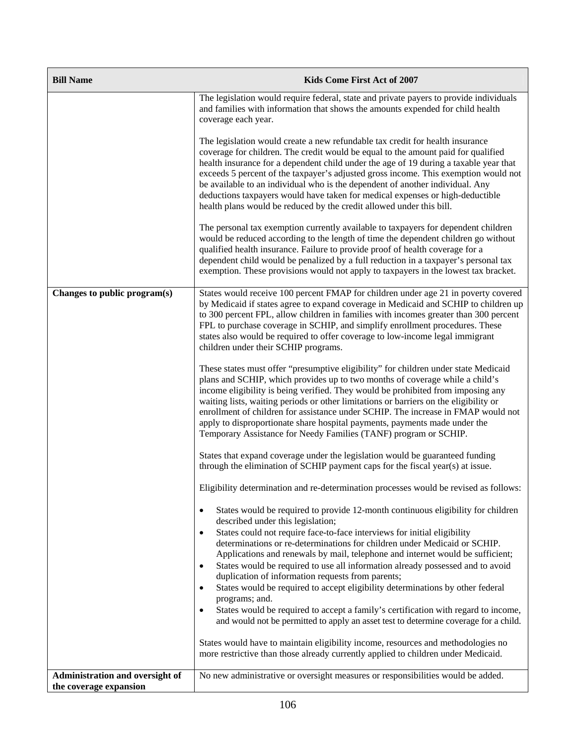| <b>Bill Name</b>                | Kids Come First Act of 2007                                                                                                                                                                                                                                                                                                                                                                                                                                                                                                                                                                                                                                      |
|---------------------------------|------------------------------------------------------------------------------------------------------------------------------------------------------------------------------------------------------------------------------------------------------------------------------------------------------------------------------------------------------------------------------------------------------------------------------------------------------------------------------------------------------------------------------------------------------------------------------------------------------------------------------------------------------------------|
|                                 | The legislation would require federal, state and private payers to provide individuals<br>and families with information that shows the amounts expended for child health<br>coverage each year.                                                                                                                                                                                                                                                                                                                                                                                                                                                                  |
|                                 | The legislation would create a new refundable tax credit for health insurance<br>coverage for children. The credit would be equal to the amount paid for qualified<br>health insurance for a dependent child under the age of 19 during a taxable year that<br>exceeds 5 percent of the taxpayer's adjusted gross income. This exemption would not<br>be available to an individual who is the dependent of another individual. Any<br>deductions taxpayers would have taken for medical expenses or high-deductible<br>health plans would be reduced by the credit allowed under this bill.                                                                     |
|                                 | The personal tax exemption currently available to taxpayers for dependent children<br>would be reduced according to the length of time the dependent children go without<br>qualified health insurance. Failure to provide proof of health coverage for a<br>dependent child would be penalized by a full reduction in a taxpayer's personal tax<br>exemption. These provisions would not apply to taxpayers in the lowest tax bracket.                                                                                                                                                                                                                          |
| Changes to public program(s)    | States would receive 100 percent FMAP for children under age 21 in poverty covered<br>by Medicaid if states agree to expand coverage in Medicaid and SCHIP to children up<br>to 300 percent FPL, allow children in families with incomes greater than 300 percent<br>FPL to purchase coverage in SCHIP, and simplify enrollment procedures. These<br>states also would be required to offer coverage to low-income legal immigrant<br>children under their SCHIP programs.                                                                                                                                                                                       |
|                                 | These states must offer "presumptive eligibility" for children under state Medicaid<br>plans and SCHIP, which provides up to two months of coverage while a child's<br>income eligibility is being verified. They would be prohibited from imposing any<br>waiting lists, waiting periods or other limitations or barriers on the eligibility or<br>enrollment of children for assistance under SCHIP. The increase in FMAP would not<br>apply to disproportionate share hospital payments, payments made under the<br>Temporary Assistance for Needy Families (TANF) program or SCHIP.                                                                          |
|                                 | States that expand coverage under the legislation would be guaranteed funding<br>through the elimination of SCHIP payment caps for the fiscal year(s) at issue.                                                                                                                                                                                                                                                                                                                                                                                                                                                                                                  |
|                                 | Eligibility determination and re-determination processes would be revised as follows:                                                                                                                                                                                                                                                                                                                                                                                                                                                                                                                                                                            |
|                                 | States would be required to provide 12-month continuous eligibility for children<br>described under this legislation;                                                                                                                                                                                                                                                                                                                                                                                                                                                                                                                                            |
|                                 | States could not require face-to-face interviews for initial eligibility<br>determinations or re-determinations for children under Medicaid or SCHIP.<br>Applications and renewals by mail, telephone and internet would be sufficient;<br>States would be required to use all information already possessed and to avoid<br>duplication of information requests from parents;<br>States would be required to accept eligibility determinations by other federal<br>programs; and.<br>States would be required to accept a family's certification with regard to income,<br>and would not be permitted to apply an asset test to determine coverage for a child. |
|                                 | States would have to maintain eligibility income, resources and methodologies no<br>more restrictive than those already currently applied to children under Medicaid.                                                                                                                                                                                                                                                                                                                                                                                                                                                                                            |
| Administration and oversight of | No new administrative or oversight measures or responsibilities would be added.                                                                                                                                                                                                                                                                                                                                                                                                                                                                                                                                                                                  |
| the coverage expansion          |                                                                                                                                                                                                                                                                                                                                                                                                                                                                                                                                                                                                                                                                  |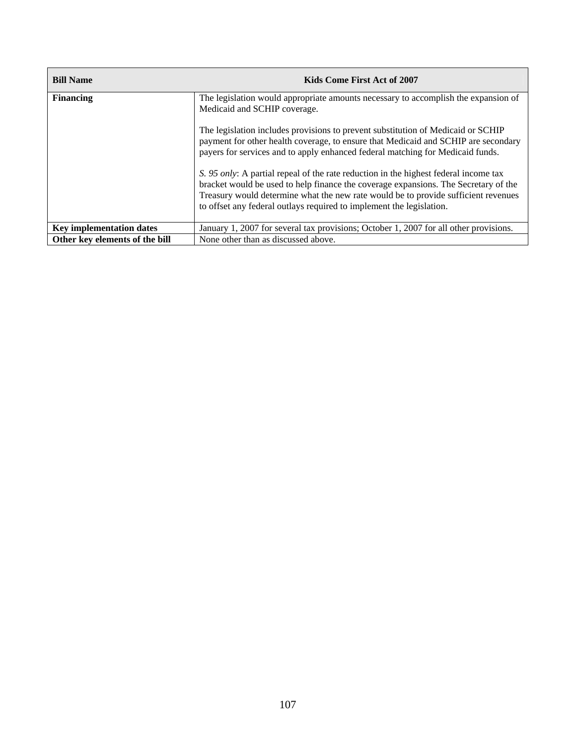| <b>Bill Name</b>                | Kids Come First Act of 2007                                                                                                                                                                                                                                                                                                               |
|---------------------------------|-------------------------------------------------------------------------------------------------------------------------------------------------------------------------------------------------------------------------------------------------------------------------------------------------------------------------------------------|
| <b>Financing</b>                | The legislation would appropriate amounts necessary to accomplish the expansion of<br>Medicaid and SCHIP coverage.                                                                                                                                                                                                                        |
|                                 | The legislation includes provisions to prevent substitution of Medicaid or SCHIP<br>payment for other health coverage, to ensure that Medicaid and SCHIP are secondary<br>payers for services and to apply enhanced federal matching for Medicaid funds.                                                                                  |
|                                 | S. 95 only: A partial repeal of the rate reduction in the highest federal income tax<br>bracket would be used to help finance the coverage expansions. The Secretary of the<br>Treasury would determine what the new rate would be to provide sufficient revenues<br>to offset any federal outlays required to implement the legislation. |
| <b>Key implementation dates</b> | January 1, 2007 for several tax provisions; October 1, 2007 for all other provisions.                                                                                                                                                                                                                                                     |
| Other key elements of the bill  | None other than as discussed above.                                                                                                                                                                                                                                                                                                       |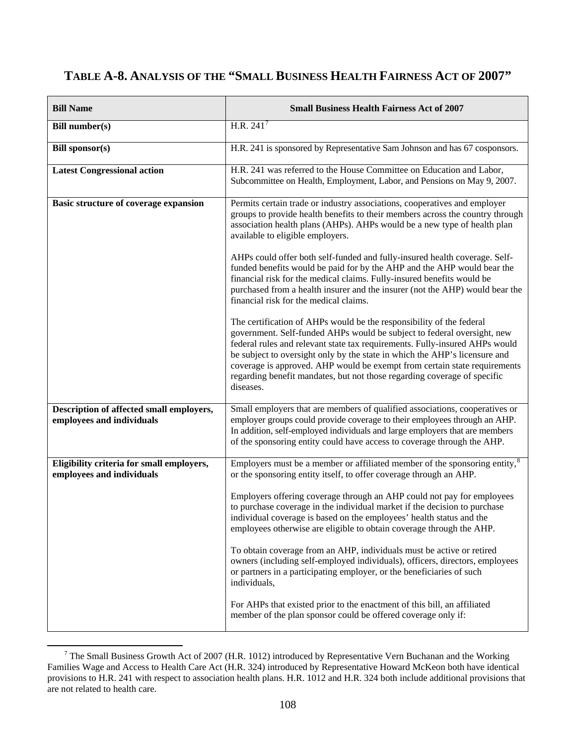# **TABLE A-8. ANALYSIS OF THE "SMALL BUSINESS HEALTH FAIRNESS ACT OF 2007"**

| <b>Bill Name</b>                                                       | <b>Small Business Health Fairness Act of 2007</b>                                                                                                                                                                                                                                                                                                                                                                                                                                  |
|------------------------------------------------------------------------|------------------------------------------------------------------------------------------------------------------------------------------------------------------------------------------------------------------------------------------------------------------------------------------------------------------------------------------------------------------------------------------------------------------------------------------------------------------------------------|
| <b>Bill number(s)</b>                                                  | H.R. $241^7$                                                                                                                                                                                                                                                                                                                                                                                                                                                                       |
| <b>Bill sponsor(s)</b>                                                 | H.R. 241 is sponsored by Representative Sam Johnson and has 67 cosponsors.                                                                                                                                                                                                                                                                                                                                                                                                         |
| <b>Latest Congressional action</b>                                     | H.R. 241 was referred to the House Committee on Education and Labor,<br>Subcommittee on Health, Employment, Labor, and Pensions on May 9, 2007.                                                                                                                                                                                                                                                                                                                                    |
| Basic structure of coverage expansion                                  | Permits certain trade or industry associations, cooperatives and employer<br>groups to provide health benefits to their members across the country through<br>association health plans (AHPs). AHPs would be a new type of health plan<br>available to eligible employers.<br>AHPs could offer both self-funded and fully-insured health coverage. Self-                                                                                                                           |
|                                                                        | funded benefits would be paid for by the AHP and the AHP would bear the<br>financial risk for the medical claims. Fully-insured benefits would be<br>purchased from a health insurer and the insurer (not the AHP) would bear the<br>financial risk for the medical claims.                                                                                                                                                                                                        |
|                                                                        | The certification of AHPs would be the responsibility of the federal<br>government. Self-funded AHPs would be subject to federal oversight, new<br>federal rules and relevant state tax requirements. Fully-insured AHPs would<br>be subject to oversight only by the state in which the AHP's licensure and<br>coverage is approved. AHP would be exempt from certain state requirements<br>regarding benefit mandates, but not those regarding coverage of specific<br>diseases. |
| Description of affected small employers,<br>employees and individuals  | Small employers that are members of qualified associations, cooperatives or<br>employer groups could provide coverage to their employees through an AHP.<br>In addition, self-employed individuals and large employers that are members<br>of the sponsoring entity could have access to coverage through the AHP.                                                                                                                                                                 |
| Eligibility criteria for small employers,<br>employees and individuals | Employers must be a member or affiliated member of the sponsoring entity, <sup>8</sup><br>or the sponsoring entity itself, to offer coverage through an AHP.                                                                                                                                                                                                                                                                                                                       |
|                                                                        | Employers offering coverage through an AHP could not pay for employees<br>to purchase coverage in the individual market if the decision to purchase<br>individual coverage is based on the employees' health status and the<br>employees otherwise are eligible to obtain coverage through the AHP.                                                                                                                                                                                |
|                                                                        | To obtain coverage from an AHP, individuals must be active or retired<br>owners (including self-employed individuals), officers, directors, employees<br>or partners in a participating employer, or the beneficiaries of such<br>individuals,                                                                                                                                                                                                                                     |
|                                                                        | For AHPs that existed prior to the enactment of this bill, an affiliated<br>member of the plan sponsor could be offered coverage only if:                                                                                                                                                                                                                                                                                                                                          |

<span id="page-125-1"></span><span id="page-125-0"></span><sup>&</sup>lt;sup>7</sup> The Small Business Growth Act of 2007 (H.R. 1012) introduced by Representative Vern Buchanan and the Working Families Wage and Access to Health Care Act (H.R. 324) introduced by Representative Howard McKeon both have identical provisions to H.R. 241 with respect to association health plans. H.R. 1012 and H.R. 324 both include additional provisions that are not related to health care.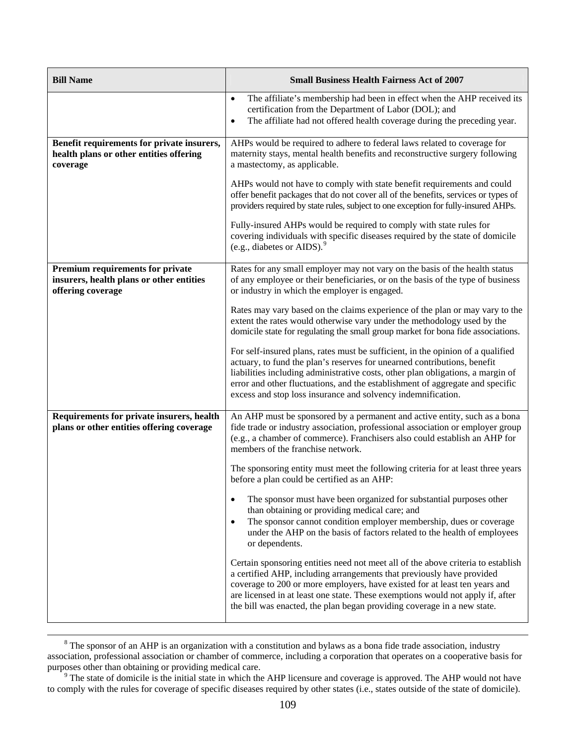| <b>Bill Name</b>                                                                                  | <b>Small Business Health Fairness Act of 2007</b>                                                                                                                                                                                                                                                                                                                                                    |
|---------------------------------------------------------------------------------------------------|------------------------------------------------------------------------------------------------------------------------------------------------------------------------------------------------------------------------------------------------------------------------------------------------------------------------------------------------------------------------------------------------------|
|                                                                                                   | The affiliate's membership had been in effect when the AHP received its<br>$\bullet$<br>certification from the Department of Labor (DOL); and<br>The affiliate had not offered health coverage during the preceding year.<br>$\bullet$                                                                                                                                                               |
| Benefit requirements for private insurers,<br>health plans or other entities offering<br>coverage | AHPs would be required to adhere to federal laws related to coverage for<br>maternity stays, mental health benefits and reconstructive surgery following<br>a mastectomy, as applicable.                                                                                                                                                                                                             |
|                                                                                                   | AHPs would not have to comply with state benefit requirements and could<br>offer benefit packages that do not cover all of the benefits, services or types of<br>providers required by state rules, subject to one exception for fully-insured AHPs.                                                                                                                                                 |
|                                                                                                   | Fully-insured AHPs would be required to comply with state rules for<br>covering individuals with specific diseases required by the state of domicile<br>(e.g., diabetes or AIDS). $^{9}$                                                                                                                                                                                                             |
| Premium requirements for private<br>insurers, health plans or other entities<br>offering coverage | Rates for any small employer may not vary on the basis of the health status<br>of any employee or their beneficiaries, or on the basis of the type of business<br>or industry in which the employer is engaged.                                                                                                                                                                                      |
|                                                                                                   | Rates may vary based on the claims experience of the plan or may vary to the<br>extent the rates would otherwise vary under the methodology used by the<br>domicile state for regulating the small group market for bona fide associations.                                                                                                                                                          |
|                                                                                                   | For self-insured plans, rates must be sufficient, in the opinion of a qualified<br>actuary, to fund the plan's reserves for unearned contributions, benefit<br>liabilities including administrative costs, other plan obligations, a margin of<br>error and other fluctuations, and the establishment of aggregate and specific<br>excess and stop loss insurance and solvency indemnification.      |
| Requirements for private insurers, health<br>plans or other entities offering coverage            | An AHP must be sponsored by a permanent and active entity, such as a bona<br>fide trade or industry association, professional association or employer group<br>(e.g., a chamber of commerce). Franchisers also could establish an AHP for<br>members of the franchise network.                                                                                                                       |
|                                                                                                   | The sponsoring entity must meet the following criteria for at least three years<br>before a plan could be certified as an AHP:                                                                                                                                                                                                                                                                       |
|                                                                                                   | The sponsor must have been organized for substantial purposes other<br>than obtaining or providing medical care; and<br>The sponsor cannot condition employer membership, dues or coverage<br>$\bullet$<br>under the AHP on the basis of factors related to the health of employees<br>or dependents.                                                                                                |
|                                                                                                   | Certain sponsoring entities need not meet all of the above criteria to establish<br>a certified AHP, including arrangements that previously have provided<br>coverage to 200 or more employers, have existed for at least ten years and<br>are licensed in at least one state. These exemptions would not apply if, after<br>the bill was enacted, the plan began providing coverage in a new state. |

<sup>&</sup>lt;sup>8</sup> The sponsor of an AHP is an organization with a constitution and bylaws as a bona fide trade association, industry association, professional association or chamber of commerce, including a corporation that operates on a cooperative basis for purposes other than obtaining or providing medical care.<br><sup>9</sup> The state of domicile is the initial state in which the AHP licensure and coverage is approved. The AHP would not have

<span id="page-126-0"></span>to comply with the rules for coverage of specific diseases required by other states (i.e., states outside of the state of domicile).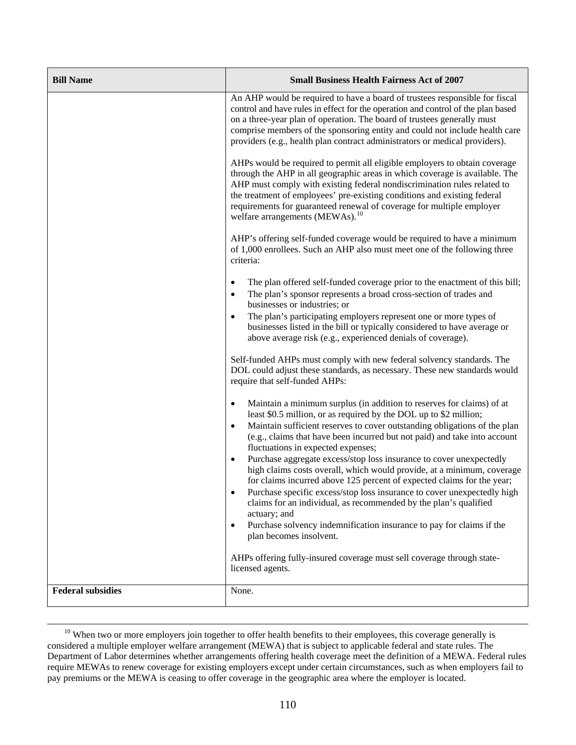| <b>Bill Name</b>         | <b>Small Business Health Fairness Act of 2007</b>                                                                                                                                                                                                                                                                                                                                                                                                                                                                                                                                                                                                                                                                                                                                                                                                              |
|--------------------------|----------------------------------------------------------------------------------------------------------------------------------------------------------------------------------------------------------------------------------------------------------------------------------------------------------------------------------------------------------------------------------------------------------------------------------------------------------------------------------------------------------------------------------------------------------------------------------------------------------------------------------------------------------------------------------------------------------------------------------------------------------------------------------------------------------------------------------------------------------------|
|                          | An AHP would be required to have a board of trustees responsible for fiscal<br>control and have rules in effect for the operation and control of the plan based<br>on a three-year plan of operation. The board of trustees generally must<br>comprise members of the sponsoring entity and could not include health care<br>providers (e.g., health plan contract administrators or medical providers).                                                                                                                                                                                                                                                                                                                                                                                                                                                       |
|                          | AHPs would be required to permit all eligible employers to obtain coverage<br>through the AHP in all geographic areas in which coverage is available. The<br>AHP must comply with existing federal nondiscrimination rules related to<br>the treatment of employees' pre-existing conditions and existing federal<br>requirements for guaranteed renewal of coverage for multiple employer<br>welfare arrangements (MEWAs). <sup>10</sup>                                                                                                                                                                                                                                                                                                                                                                                                                      |
|                          | AHP's offering self-funded coverage would be required to have a minimum<br>of 1,000 enrollees. Such an AHP also must meet one of the following three<br>criteria:                                                                                                                                                                                                                                                                                                                                                                                                                                                                                                                                                                                                                                                                                              |
|                          | The plan offered self-funded coverage prior to the enactment of this bill;<br>$\bullet$<br>The plan's sponsor represents a broad cross-section of trades and<br>$\bullet$<br>businesses or industries; or<br>The plan's participating employers represent one or more types of<br>$\bullet$<br>businesses listed in the bill or typically considered to have average or<br>above average risk (e.g., experienced denials of coverage).                                                                                                                                                                                                                                                                                                                                                                                                                         |
|                          | Self-funded AHPs must comply with new federal solvency standards. The<br>DOL could adjust these standards, as necessary. These new standards would<br>require that self-funded AHPs:                                                                                                                                                                                                                                                                                                                                                                                                                                                                                                                                                                                                                                                                           |
|                          | Maintain a minimum surplus (in addition to reserves for claims) of at<br>٠<br>least \$0.5 million, or as required by the DOL up to \$2 million;<br>Maintain sufficient reserves to cover outstanding obligations of the plan<br>(e.g., claims that have been incurred but not paid) and take into account<br>fluctuations in expected expenses;<br>Purchase aggregate excess/stop loss insurance to cover unexpectedly<br>٠<br>high claims costs overall, which would provide, at a minimum, coverage<br>for claims incurred above 125 percent of expected claims for the year;<br>Purchase specific excess/stop loss insurance to cover unexpectedly high<br>claims for an individual, as recommended by the plan's qualified<br>actuary; and<br>Purchase solvency indemnification insurance to pay for claims if the<br>$\bullet$<br>plan becomes insolvent. |
|                          | AHPs offering fully-insured coverage must sell coverage through state-<br>licensed agents.                                                                                                                                                                                                                                                                                                                                                                                                                                                                                                                                                                                                                                                                                                                                                                     |
| <b>Federal subsidies</b> | None.                                                                                                                                                                                                                                                                                                                                                                                                                                                                                                                                                                                                                                                                                                                                                                                                                                                          |

<span id="page-127-0"></span><sup>&</sup>lt;sup>10</sup> When two or more employers join together to offer health benefits to their employees, this coverage generally is considered a multiple employer welfare arrangement (MEWA) that is subject to applicable federal and state rules. The Department of Labor determines whether arrangements offering health coverage meet the definition of a MEWA. Federal rules require MEWAs to renew coverage for existing employers except under certain circumstances, such as when employers fail to pay premiums or the MEWA is ceasing to offer coverage in the geographic area where the employer is located.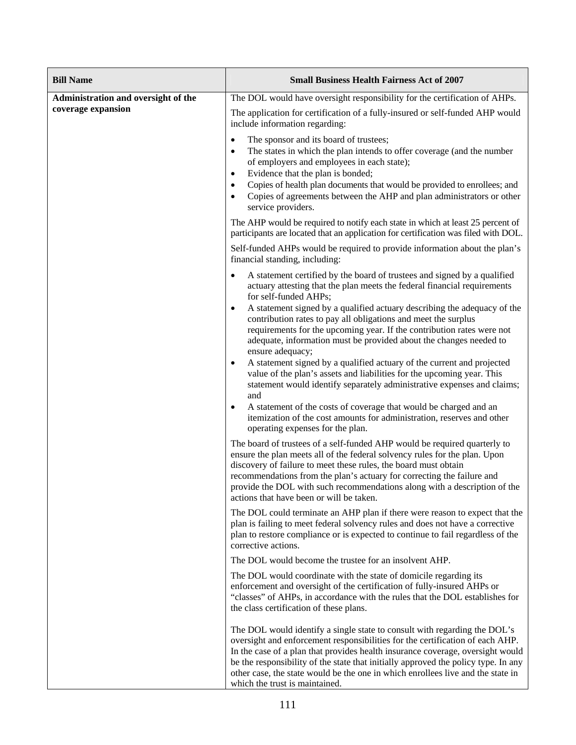| <b>Bill Name</b>                                          | <b>Small Business Health Fairness Act of 2007</b>                                                                                                                                                                                                                                                                                                                                                                                                                                                                                                                                                                                                                                                                                                                                                                                                                                                                                                                                                                                                                                                             |
|-----------------------------------------------------------|---------------------------------------------------------------------------------------------------------------------------------------------------------------------------------------------------------------------------------------------------------------------------------------------------------------------------------------------------------------------------------------------------------------------------------------------------------------------------------------------------------------------------------------------------------------------------------------------------------------------------------------------------------------------------------------------------------------------------------------------------------------------------------------------------------------------------------------------------------------------------------------------------------------------------------------------------------------------------------------------------------------------------------------------------------------------------------------------------------------|
| Administration and oversight of the<br>coverage expansion | The DOL would have oversight responsibility for the certification of AHPs.                                                                                                                                                                                                                                                                                                                                                                                                                                                                                                                                                                                                                                                                                                                                                                                                                                                                                                                                                                                                                                    |
|                                                           | The application for certification of a fully-insured or self-funded AHP would<br>include information regarding:                                                                                                                                                                                                                                                                                                                                                                                                                                                                                                                                                                                                                                                                                                                                                                                                                                                                                                                                                                                               |
|                                                           | The sponsor and its board of trustees;<br>$\bullet$<br>The states in which the plan intends to offer coverage (and the number<br>$\bullet$<br>of employers and employees in each state);<br>Evidence that the plan is bonded;<br>$\bullet$<br>Copies of health plan documents that would be provided to enrollees; and<br>Copies of agreements between the AHP and plan administrators or other<br>$\bullet$<br>service providers.                                                                                                                                                                                                                                                                                                                                                                                                                                                                                                                                                                                                                                                                            |
|                                                           | The AHP would be required to notify each state in which at least 25 percent of<br>participants are located that an application for certification was filed with DOL.                                                                                                                                                                                                                                                                                                                                                                                                                                                                                                                                                                                                                                                                                                                                                                                                                                                                                                                                          |
|                                                           | Self-funded AHPs would be required to provide information about the plan's<br>financial standing, including:                                                                                                                                                                                                                                                                                                                                                                                                                                                                                                                                                                                                                                                                                                                                                                                                                                                                                                                                                                                                  |
|                                                           | A statement certified by the board of trustees and signed by a qualified<br>actuary attesting that the plan meets the federal financial requirements<br>for self-funded AHPs;<br>A statement signed by a qualified actuary describing the adequacy of the<br>$\bullet$<br>contribution rates to pay all obligations and meet the surplus<br>requirements for the upcoming year. If the contribution rates were not<br>adequate, information must be provided about the changes needed to<br>ensure adequacy;<br>A statement signed by a qualified actuary of the current and projected<br>value of the plan's assets and liabilities for the upcoming year. This<br>statement would identify separately administrative expenses and claims;<br>and<br>A statement of the costs of coverage that would be charged and an<br>$\bullet$<br>itemization of the cost amounts for administration, reserves and other<br>operating expenses for the plan.<br>The board of trustees of a self-funded AHP would be required quarterly to<br>ensure the plan meets all of the federal solvency rules for the plan. Upon |
|                                                           | discovery of failure to meet these rules, the board must obtain<br>recommendations from the plan's actuary for correcting the failure and<br>provide the DOL with such recommendations along with a description of the<br>actions that have been or will be taken.                                                                                                                                                                                                                                                                                                                                                                                                                                                                                                                                                                                                                                                                                                                                                                                                                                            |
|                                                           | The DOL could terminate an AHP plan if there were reason to expect that the<br>plan is failing to meet federal solvency rules and does not have a corrective<br>plan to restore compliance or is expected to continue to fail regardless of the<br>corrective actions.                                                                                                                                                                                                                                                                                                                                                                                                                                                                                                                                                                                                                                                                                                                                                                                                                                        |
|                                                           | The DOL would become the trustee for an insolvent AHP.                                                                                                                                                                                                                                                                                                                                                                                                                                                                                                                                                                                                                                                                                                                                                                                                                                                                                                                                                                                                                                                        |
|                                                           | The DOL would coordinate with the state of domicile regarding its<br>enforcement and oversight of the certification of fully-insured AHPs or<br>"classes" of AHPs, in accordance with the rules that the DOL establishes for<br>the class certification of these plans.                                                                                                                                                                                                                                                                                                                                                                                                                                                                                                                                                                                                                                                                                                                                                                                                                                       |
|                                                           | The DOL would identify a single state to consult with regarding the DOL's<br>oversight and enforcement responsibilities for the certification of each AHP.<br>In the case of a plan that provides health insurance coverage, oversight would<br>be the responsibility of the state that initially approved the policy type. In any<br>other case, the state would be the one in which enrollees live and the state in<br>which the trust is maintained.                                                                                                                                                                                                                                                                                                                                                                                                                                                                                                                                                                                                                                                       |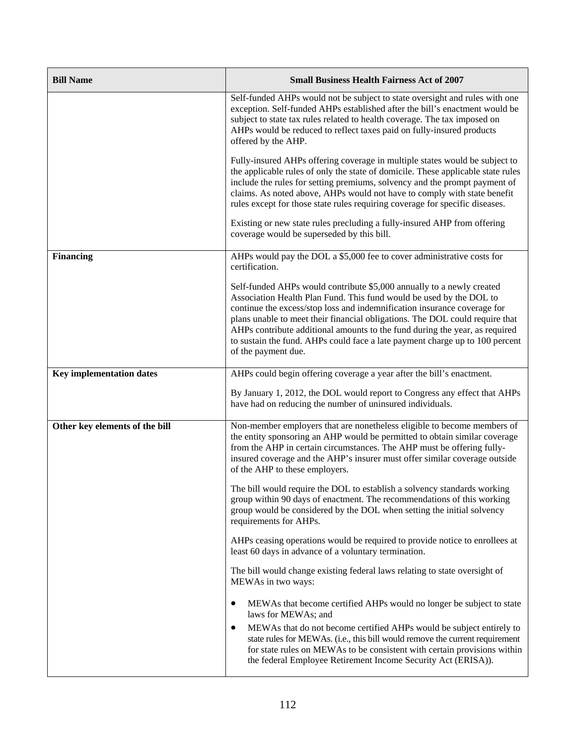| <b>Bill Name</b>                | <b>Small Business Health Fairness Act of 2007</b>                                                                                                                                                                                                                                                                                                                                                                                                                                              |
|---------------------------------|------------------------------------------------------------------------------------------------------------------------------------------------------------------------------------------------------------------------------------------------------------------------------------------------------------------------------------------------------------------------------------------------------------------------------------------------------------------------------------------------|
|                                 | Self-funded AHPs would not be subject to state oversight and rules with one<br>exception. Self-funded AHPs established after the bill's enactment would be<br>subject to state tax rules related to health coverage. The tax imposed on<br>AHPs would be reduced to reflect taxes paid on fully-insured products<br>offered by the AHP.                                                                                                                                                        |
|                                 | Fully-insured AHPs offering coverage in multiple states would be subject to<br>the applicable rules of only the state of domicile. These applicable state rules<br>include the rules for setting premiums, solvency and the prompt payment of<br>claims. As noted above, AHPs would not have to comply with state benefit<br>rules except for those state rules requiring coverage for specific diseases.                                                                                      |
|                                 | Existing or new state rules precluding a fully-insured AHP from offering<br>coverage would be superseded by this bill.                                                                                                                                                                                                                                                                                                                                                                         |
| <b>Financing</b>                | AHPs would pay the DOL a \$5,000 fee to cover administrative costs for<br>certification.                                                                                                                                                                                                                                                                                                                                                                                                       |
|                                 | Self-funded AHPs would contribute \$5,000 annually to a newly created<br>Association Health Plan Fund. This fund would be used by the DOL to<br>continue the excess/stop loss and indemnification insurance coverage for<br>plans unable to meet their financial obligations. The DOL could require that<br>AHPs contribute additional amounts to the fund during the year, as required<br>to sustain the fund. AHPs could face a late payment charge up to 100 percent<br>of the payment due. |
| <b>Key implementation dates</b> | AHPs could begin offering coverage a year after the bill's enactment.                                                                                                                                                                                                                                                                                                                                                                                                                          |
|                                 | By January 1, 2012, the DOL would report to Congress any effect that AHPs<br>have had on reducing the number of uninsured individuals.                                                                                                                                                                                                                                                                                                                                                         |
| Other key elements of the bill  | Non-member employers that are nonetheless eligible to become members of<br>the entity sponsoring an AHP would be permitted to obtain similar coverage<br>from the AHP in certain circumstances. The AHP must be offering fully-<br>insured coverage and the AHP's insurer must offer similar coverage outside<br>of the AHP to these employers.                                                                                                                                                |
|                                 | The bill would require the DOL to establish a solvency standards working<br>group within 90 days of enactment. The recommendations of this working<br>group would be considered by the DOL when setting the initial solvency<br>requirements for AHPs.                                                                                                                                                                                                                                         |
|                                 | AHPs ceasing operations would be required to provide notice to enrollees at<br>least 60 days in advance of a voluntary termination.                                                                                                                                                                                                                                                                                                                                                            |
|                                 | The bill would change existing federal laws relating to state oversight of<br>MEWAs in two ways:                                                                                                                                                                                                                                                                                                                                                                                               |
|                                 | MEWAs that become certified AHPs would no longer be subject to state<br>laws for MEWAs; and                                                                                                                                                                                                                                                                                                                                                                                                    |
|                                 | MEWAs that do not become certified AHPs would be subject entirely to<br>$\bullet$<br>state rules for MEWAs. (i.e., this bill would remove the current requirement<br>for state rules on MEWAs to be consistent with certain provisions within<br>the federal Employee Retirement Income Security Act (ERISA)).                                                                                                                                                                                 |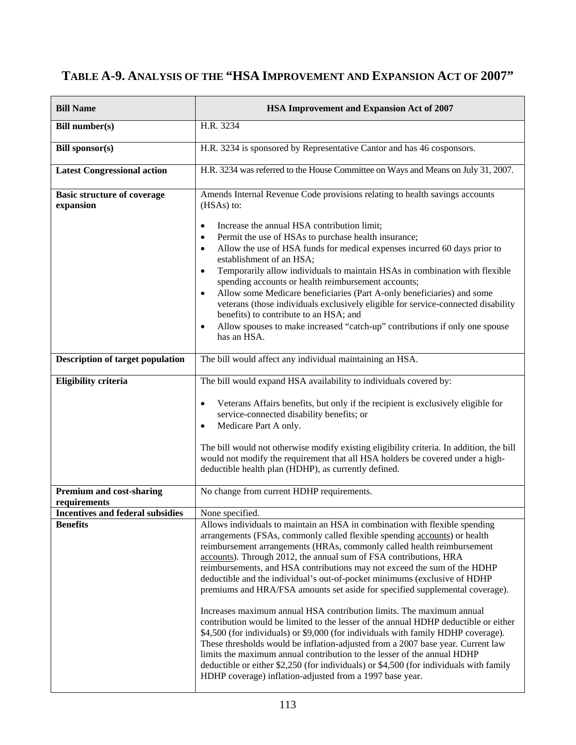# **TABLE A-9. ANALYSIS OF THE "HSA IMPROVEMENT AND EXPANSION ACT OF 2007"**

| <b>Bill Name</b>                                           | <b>HSA Improvement and Expansion Act of 2007</b>                                                                                                                                                                                                                                                                                                                                                                                                                                                                                                                                                                                                                                                                                                                                                                                                                                                                                                                                                                                          |
|------------------------------------------------------------|-------------------------------------------------------------------------------------------------------------------------------------------------------------------------------------------------------------------------------------------------------------------------------------------------------------------------------------------------------------------------------------------------------------------------------------------------------------------------------------------------------------------------------------------------------------------------------------------------------------------------------------------------------------------------------------------------------------------------------------------------------------------------------------------------------------------------------------------------------------------------------------------------------------------------------------------------------------------------------------------------------------------------------------------|
| <b>Bill number(s)</b>                                      | H.R. 3234                                                                                                                                                                                                                                                                                                                                                                                                                                                                                                                                                                                                                                                                                                                                                                                                                                                                                                                                                                                                                                 |
| <b>Bill sponsor(s)</b>                                     | H.R. 3234 is sponsored by Representative Cantor and has 46 cosponsors.                                                                                                                                                                                                                                                                                                                                                                                                                                                                                                                                                                                                                                                                                                                                                                                                                                                                                                                                                                    |
| <b>Latest Congressional action</b>                         | H.R. 3234 was referred to the House Committee on Ways and Means on July 31, 2007.                                                                                                                                                                                                                                                                                                                                                                                                                                                                                                                                                                                                                                                                                                                                                                                                                                                                                                                                                         |
| <b>Basic structure of coverage</b><br>expansion            | Amends Internal Revenue Code provisions relating to health savings accounts<br>(HSAs) to:<br>Increase the annual HSA contribution limit;<br>$\bullet$<br>Permit the use of HSAs to purchase health insurance;<br>٠<br>Allow the use of HSA funds for medical expenses incurred 60 days prior to<br>٠<br>establishment of an HSA;<br>Temporarily allow individuals to maintain HSAs in combination with flexible<br>$\bullet$<br>spending accounts or health reimbursement accounts;<br>Allow some Medicare beneficiaries (Part A-only beneficiaries) and some<br>$\bullet$<br>veterans (those individuals exclusively eligible for service-connected disability<br>benefits) to contribute to an HSA; and<br>Allow spouses to make increased "catch-up" contributions if only one spouse<br>٠<br>has an HSA.                                                                                                                                                                                                                              |
| <b>Description of target population</b>                    | The bill would affect any individual maintaining an HSA.                                                                                                                                                                                                                                                                                                                                                                                                                                                                                                                                                                                                                                                                                                                                                                                                                                                                                                                                                                                  |
| Eligibility criteria                                       | The bill would expand HSA availability to individuals covered by:<br>Veterans Affairs benefits, but only if the recipient is exclusively eligible for<br>$\bullet$<br>service-connected disability benefits; or<br>Medicare Part A only.<br>$\bullet$<br>The bill would not otherwise modify existing eligibility criteria. In addition, the bill<br>would not modify the requirement that all HSA holders be covered under a high-<br>deductible health plan (HDHP), as currently defined.                                                                                                                                                                                                                                                                                                                                                                                                                                                                                                                                               |
| <b>Premium and cost-sharing</b><br>requirements            | No change from current HDHP requirements.                                                                                                                                                                                                                                                                                                                                                                                                                                                                                                                                                                                                                                                                                                                                                                                                                                                                                                                                                                                                 |
| <b>Incentives and federal subsidies</b><br><b>Benefits</b> | None specified.<br>Allows individuals to maintain an HSA in combination with flexible spending                                                                                                                                                                                                                                                                                                                                                                                                                                                                                                                                                                                                                                                                                                                                                                                                                                                                                                                                            |
|                                                            | arrangements (FSAs, commonly called flexible spending accounts) or health<br>reimbursement arrangements (HRAs, commonly called health reimbursement<br>accounts). Through 2012, the annual sum of FSA contributions, HRA<br>reimbursements, and HSA contributions may not exceed the sum of the HDHP<br>deductible and the individual's out-of-pocket minimums (exclusive of HDHP<br>premiums and HRA/FSA amounts set aside for specified supplemental coverage).<br>Increases maximum annual HSA contribution limits. The maximum annual<br>contribution would be limited to the lesser of the annual HDHP deductible or either<br>\$4,500 (for individuals) or \$9,000 (for individuals with family HDHP coverage).<br>These thresholds would be inflation-adjusted from a 2007 base year. Current law<br>limits the maximum annual contribution to the lesser of the annual HDHP<br>deductible or either \$2,250 (for individuals) or \$4,500 (for individuals with family<br>HDHP coverage) inflation-adjusted from a 1997 base year. |